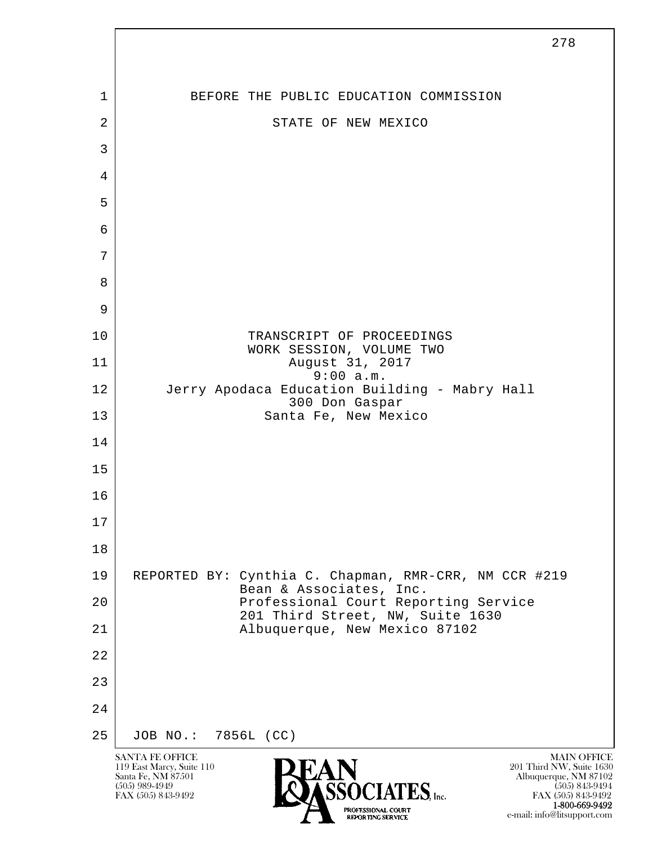

 1-800-669-9492 e-mail: info@litsupport.com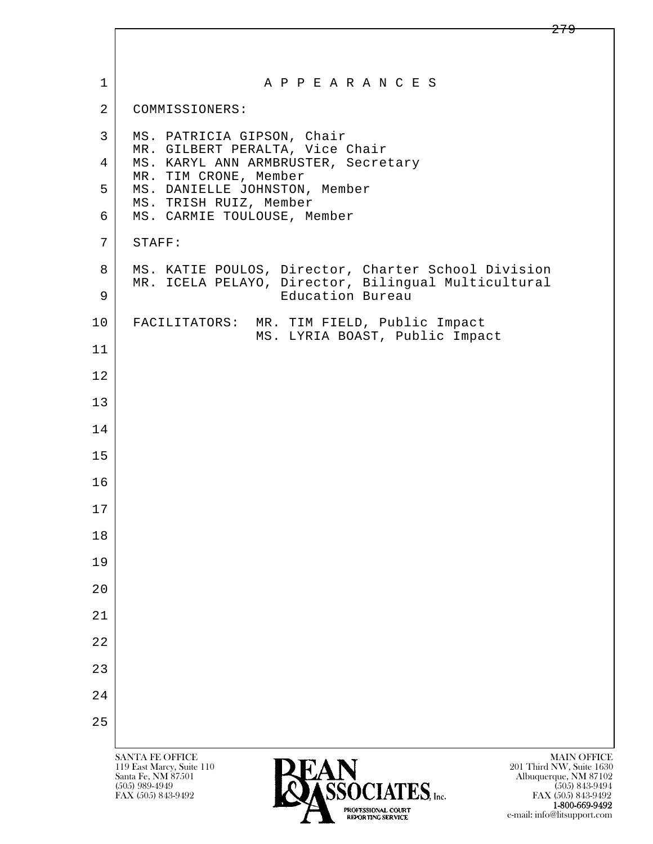| $\mathbf 1$    | A P P E A R A N C E S                                                                                      |
|----------------|------------------------------------------------------------------------------------------------------------|
| $\overline{2}$ | COMMISSIONERS:                                                                                             |
| 3              | MS. PATRICIA GIPSON, Chair<br>MR. GILBERT PERALTA, Vice Chair                                              |
| 4              | MS. KARYL ANN ARMBRUSTER, Secretary<br>MR. TIM CRONE, Member                                               |
| 5              | MS. DANIELLE JOHNSTON, Member<br>MS. TRISH RUIZ, Member                                                    |
| 6              | MS. CARMIE TOULOUSE, Member                                                                                |
| 7              | STAFF:                                                                                                     |
| 8              | MS. KATIE POULOS, Director, Charter School Division<br>MR. ICELA PELAYO, Director, Bilingual Multicultural |
| 9              | Education Bureau                                                                                           |
| 10             | FACILITATORS:<br>MR. TIM FIELD, Public Impact<br>MS. LYRIA BOAST, Public Impact                            |
| 11             |                                                                                                            |
| 12             |                                                                                                            |
| 13             |                                                                                                            |
| 14             |                                                                                                            |
| 15             |                                                                                                            |
| 16             |                                                                                                            |
| 17             |                                                                                                            |
| 18             |                                                                                                            |
| 19             |                                                                                                            |
| 20             |                                                                                                            |
| 21             |                                                                                                            |
| 22             |                                                                                                            |
| 23             |                                                                                                            |
| 24             |                                                                                                            |
| 25             |                                                                                                            |
|                | <b>MAIN OFFICE</b><br><b>SANTA FE OFFICE</b><br>201 Third NW, Suite 1630<br>119 East Marcy, Suite 110      |
|                | Santa Fe, NM 87501<br>Albuquerque, NM 87102<br>CCACIATEC<br>$(505)$ 989-4949<br>$(505)$ 843-9494           |

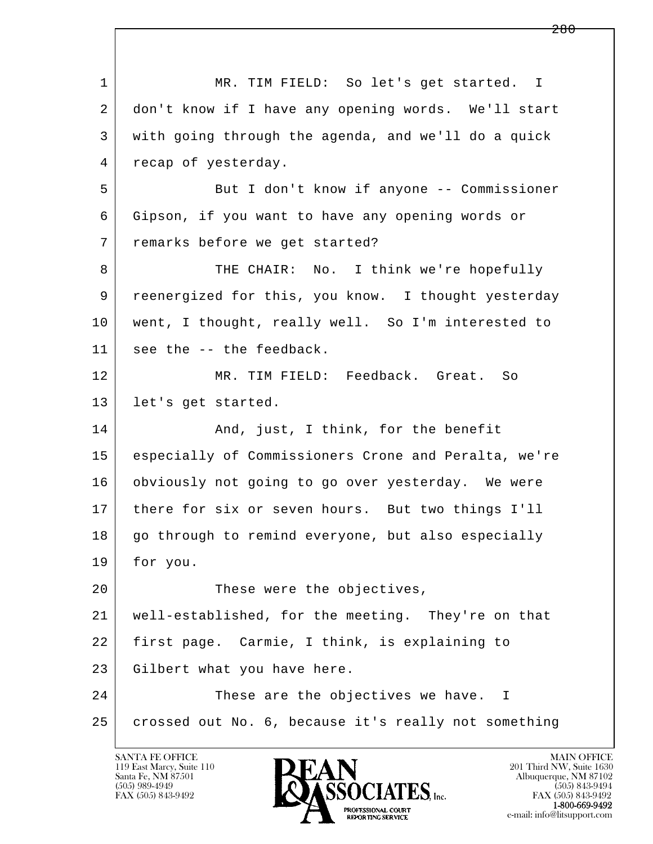| $\mathbf{1}$ | MR. TIM FIELD: So let's get started. I               |
|--------------|------------------------------------------------------|
| 2            | don't know if I have any opening words. We'll start  |
| 3            | with going through the agenda, and we'll do a quick  |
| 4            | recap of yesterday.                                  |
| 5            | But I don't know if anyone -- Commissioner           |
| 6            | Gipson, if you want to have any opening words or     |
| 7            | remarks before we get started?                       |
| 8            | THE CHAIR: No. I think we're hopefully               |
| 9            | reenergized for this, you know. I thought yesterday  |
| 10           | went, I thought, really well. So I'm interested to   |
| 11           | see the -- the feedback.                             |
| 12           | MR. TIM FIELD: Feedback. Great. So                   |
| 13           | let's get started.                                   |
| 14           | And, just, I think, for the benefit                  |
| 15           | especially of Commissioners Crone and Peralta, we're |
| 16           | obviously not going to go over yesterday. We were    |
| 17           | there for six or seven hours. But two things I'll    |
| 18           | go through to remind everyone, but also especially   |
| 19           | for you.                                             |
| 20           | These were the objectives,                           |
| 21           | well-established, for the meeting. They're on that   |
| 22           | first page. Carmie, I think, is explaining to        |
| 23           | Gilbert what you have here.                          |
| 24           | These are the objectives we have. I                  |
| 25           | crossed out No. 6, because it's really not something |
|              |                                                      |

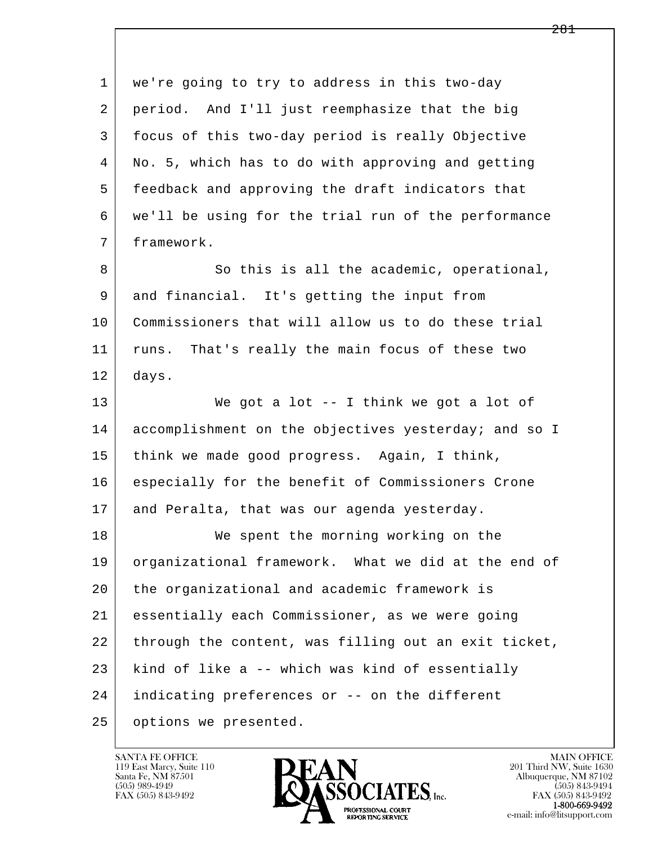l  $\overline{\phantom{a}}$  1 we're going to try to address in this two-day 2 period. And I'll just reemphasize that the big 3 focus of this two-day period is really Objective 4 No. 5, which has to do with approving and getting 5 feedback and approving the draft indicators that 6 we'll be using for the trial run of the performance 7 framework. 8 So this is all the academic, operational, 9 and financial. It's getting the input from 10 Commissioners that will allow us to do these trial 11 runs. That's really the main focus of these two 12 days. 13 We got a lot -- I think we got a lot of 14 accomplishment on the objectives yesterday; and so I 15 think we made good progress. Again, I think, 16 especially for the benefit of Commissioners Crone 17 and Peralta, that was our agenda yesterday. 18 We spent the morning working on the 19 organizational framework. What we did at the end of 20 the organizational and academic framework is 21 essentially each Commissioner, as we were going 22 through the content, was filling out an exit ticket,  $23$  kind of like a -- which was kind of essentially 24 indicating preferences or -- on the different 25 options we presented.

119 East Marcy, Suite 110<br>Santa Fe, NM 87501



FAX (505) 843-9492<br>**1-800-669-9492**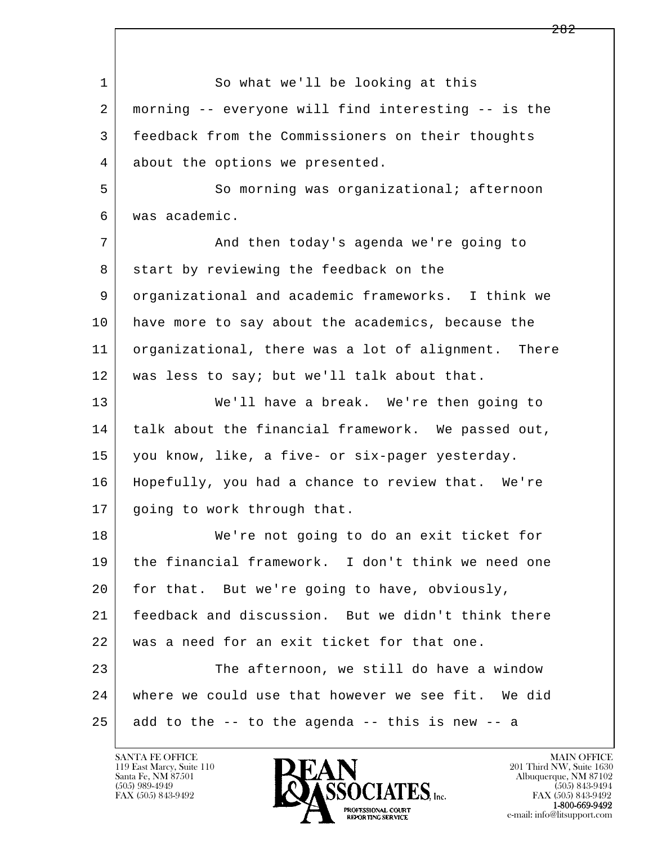l  $\overline{\phantom{a}}$ 1 So what we'll be looking at this 2 morning -- everyone will find interesting -- is the 3 feedback from the Commissioners on their thoughts 4 about the options we presented. 5 So morning was organizational; afternoon 6 was academic. 7 | And then today's agenda we're going to 8 start by reviewing the feedback on the 9 organizational and academic frameworks. I think we 10 have more to say about the academics, because the 11 organizational, there was a lot of alignment. There 12 was less to say; but we'll talk about that. 13 We'll have a break. We're then going to 14 talk about the financial framework. We passed out, 15 you know, like, a five- or six-pager yesterday. 16 Hopefully, you had a chance to review that. We're 17 | going to work through that. 18 We're not going to do an exit ticket for 19 the financial framework. I don't think we need one 20 for that. But we're going to have, obviously, 21 feedback and discussion. But we didn't think there 22 was a need for an exit ticket for that one. 23 | The afternoon, we still do have a window 24 where we could use that however we see fit. We did  $25$  add to the  $-$ - to the agenda  $-$ - this is new  $-$ - a

119 East Marcy, Suite 110<br>Santa Fe, NM 87501

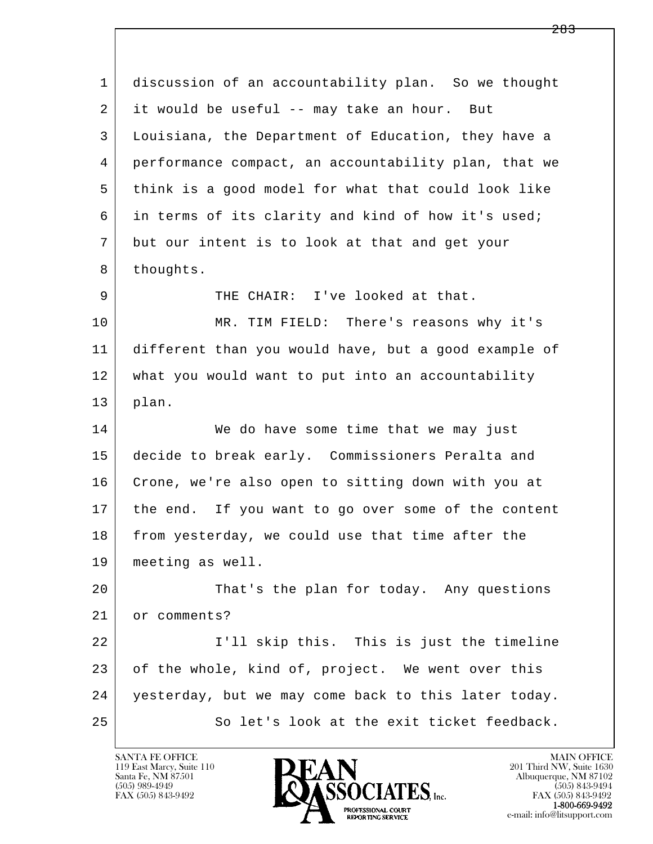l  $\overline{\phantom{a}}$  1 discussion of an accountability plan. So we thought 2 it would be useful -- may take an hour. But 3 Louisiana, the Department of Education, they have a 4 performance compact, an accountability plan, that we 5 think is a good model for what that could look like 6 in terms of its clarity and kind of how it's used; 7 but our intent is to look at that and get your 8 thoughts. 9 | THE CHAIR: I've looked at that. 10 MR. TIM FIELD: There's reasons why it's 11 different than you would have, but a good example of 12 what you would want to put into an accountability 13 plan. 14 We do have some time that we may just 15 decide to break early. Commissioners Peralta and 16 Crone, we're also open to sitting down with you at 17 | the end. If you want to go over some of the content 18 from yesterday, we could use that time after the 19 meeting as well. 20 That's the plan for today. Any questions 21 or comments? 22 I'll skip this. This is just the timeline 23 of the whole, kind of, project. We went over this 24 yesterday, but we may come back to this later today. 25 So let's look at the exit ticket feedback.

119 East Marcy, Suite 110<br>Santa Fe, NM 87501

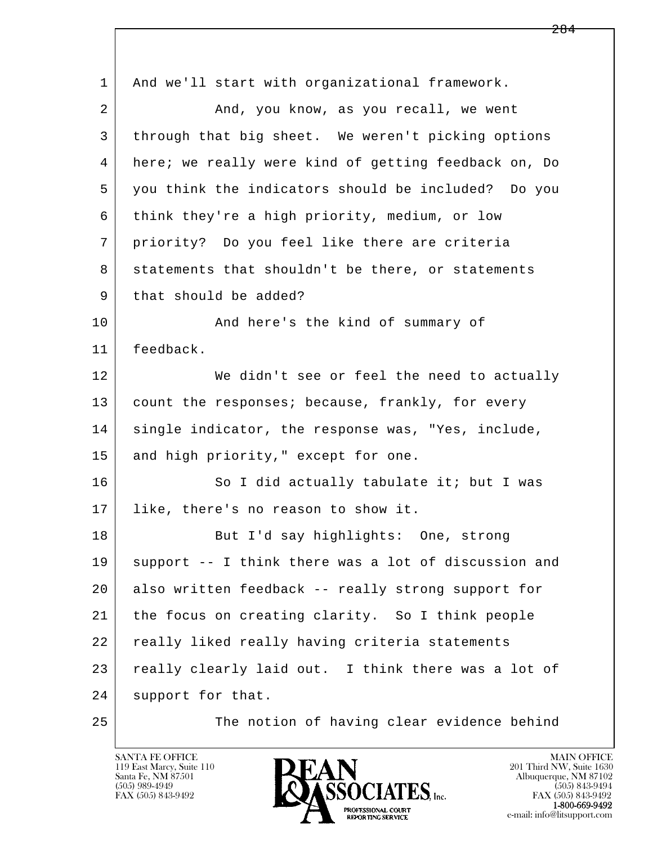| $\mathbf 1$ | And we'll start with organizational framework.       |
|-------------|------------------------------------------------------|
| 2           | And, you know, as you recall, we went                |
| 3           | through that big sheet. We weren't picking options   |
| 4           | here; we really were kind of getting feedback on, Do |
| 5           | you think the indicators should be included? Do you  |
| 6           | think they're a high priority, medium, or low        |
| 7           | priority? Do you feel like there are criteria        |
| 8           | statements that shouldn't be there, or statements    |
| 9           | that should be added?                                |
| 10          | And here's the kind of summary of                    |
| 11          | feedback.                                            |
| 12          | We didn't see or feel the need to actually           |
| 13          | count the responses; because, frankly, for every     |
| 14          | single indicator, the response was, "Yes, include,   |
| 15          | and high priority," except for one.                  |
| 16          | So I did actually tabulate it; but I was             |
| 17          | like, there's no reason to show it.                  |
| 18          | But I'd say highlights: One, strong                  |
| 19          | support -- I think there was a lot of discussion and |
| 20          | also written feedback -- really strong support for   |
| 21          | the focus on creating clarity. So I think people     |
| 22          | really liked really having criteria statements       |
| 23          | really clearly laid out. I think there was a lot of  |
| 24          | support for that.                                    |
| 25          | The notion of having clear evidence behind           |

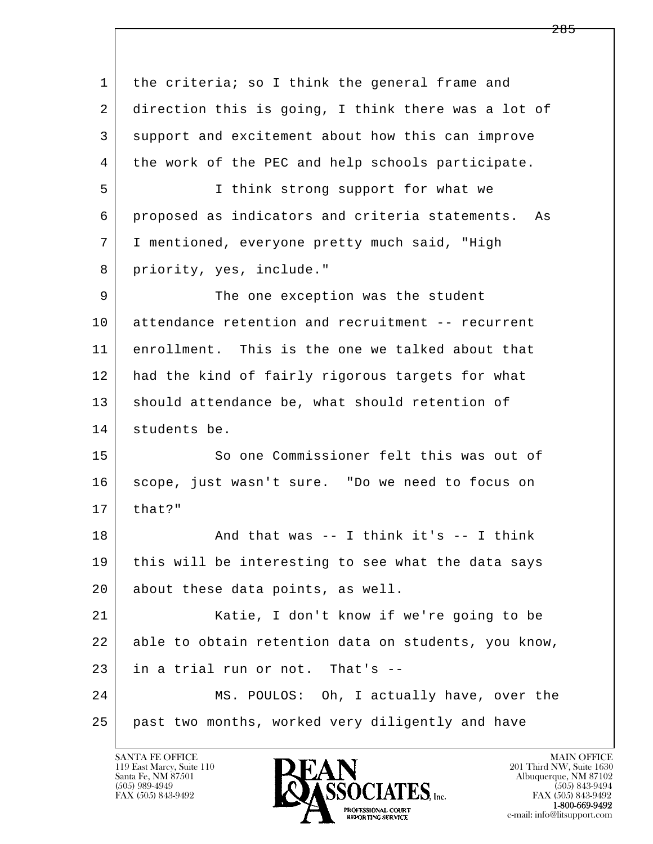l  $\overline{\phantom{a}}$ 1 the criteria; so I think the general frame and 2 direction this is going, I think there was a lot of 3 support and excitement about how this can improve 4 the work of the PEC and help schools participate. 5 I think strong support for what we 6 proposed as indicators and criteria statements. As 7 I mentioned, everyone pretty much said, "High 8 priority, yes, include." 9 The one exception was the student 10 attendance retention and recruitment -- recurrent 11 enrollment. This is the one we talked about that 12 had the kind of fairly rigorous targets for what 13 should attendance be, what should retention of 14 students be. 15 So one Commissioner felt this was out of 16 | scope, just wasn't sure. "Do we need to focus on  $17$  that?" 18 | Rand that was -- I think it's -- I think 19 this will be interesting to see what the data says 20 about these data points, as well. 21 Katie, I don't know if we're going to be 22 able to obtain retention data on students, you know, 23 in a trial run or not. That's -- 24 MS. POULOS: Oh, I actually have, over the 25 past two months, worked very diligently and have

119 East Marcy, Suite 110<br>Santa Fe, NM 87501

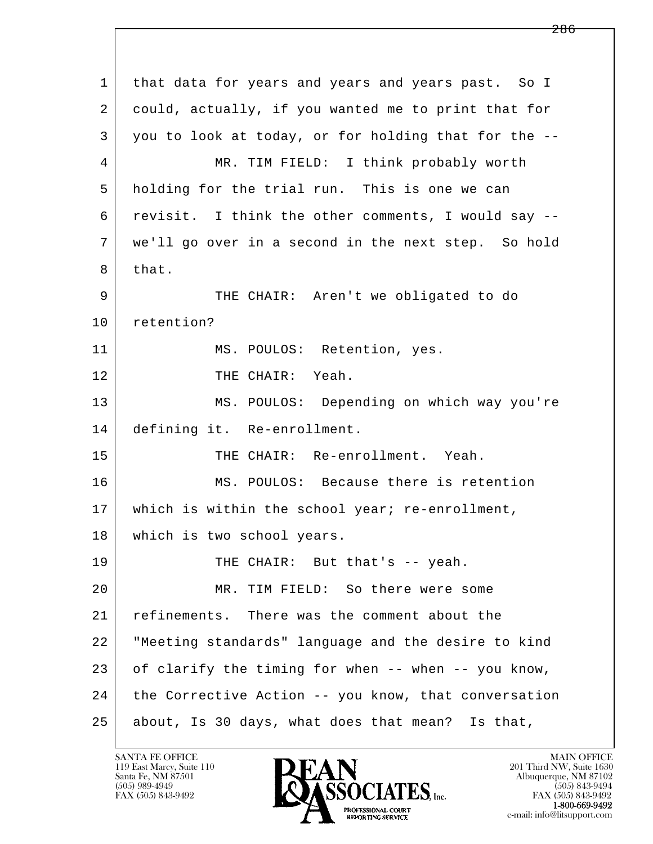l  $\overline{\phantom{a}}$  1 that data for years and years and years past. So I 2 could, actually, if you wanted me to print that for 3 you to look at today, or for holding that for the -- 4 MR. TIM FIELD: I think probably worth 5 holding for the trial run. This is one we can 6 revisit. I think the other comments, I would say -- 7 we'll go over in a second in the next step. So hold 8 that. 9 THE CHAIR: Aren't we obligated to do 10 retention? 11 | MS. POULOS: Retention, yes. 12 THE CHAIR: Yeah. 13 MS. POULOS: Depending on which way you're 14 defining it. Re-enrollment. 15 THE CHAIR: Re-enrollment. Yeah. 16 MS. POULOS: Because there is retention 17 | which is within the school year; re-enrollment, 18 which is two school years. 19 THE CHAIR: But that's -- yeah. 20 MR. TIM FIELD: So there were some 21 refinements. There was the comment about the 22 "Meeting standards" language and the desire to kind 23 of clarify the timing for when -- when -- you know, 24 the Corrective Action -- you know, that conversation 25 about, Is 30 days, what does that mean? Is that,

119 East Marcy, Suite 110<br>Santa Fe, NM 87501



FAX (505) 843-9492<br>1-800-669-9492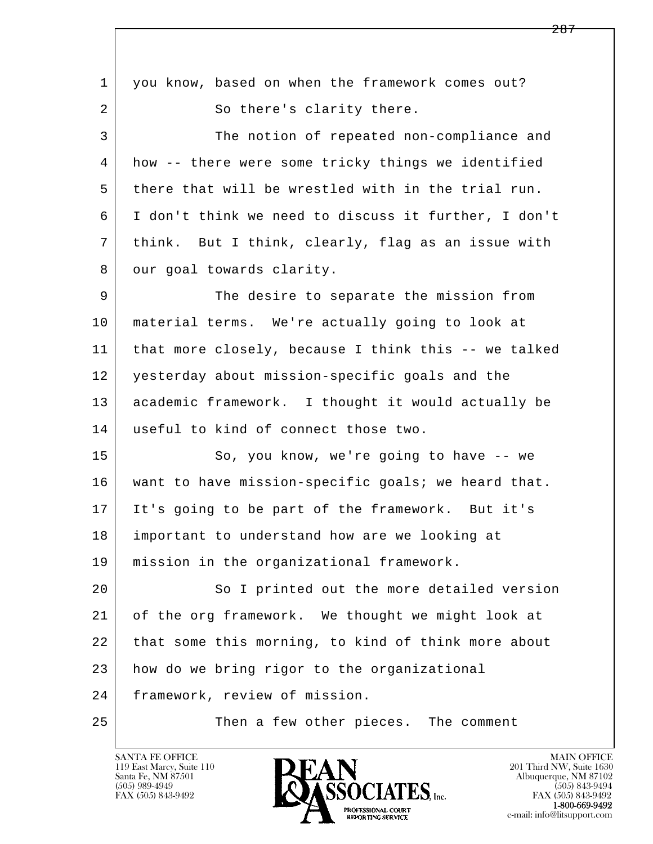l  $\overline{\phantom{a}}$ 1 you know, based on when the framework comes out? 2 So there's clarity there. 3 The notion of repeated non-compliance and 4 how -- there were some tricky things we identified 5 there that will be wrestled with in the trial run. 6 I don't think we need to discuss it further, I don't 7 think. But I think, clearly, flag as an issue with 8 | our goal towards clarity. 9 The desire to separate the mission from 10 material terms. We're actually going to look at 11 that more closely, because I think this -- we talked 12 yesterday about mission-specific goals and the 13 academic framework. I thought it would actually be 14 useful to kind of connect those two. 15 | So, you know, we're going to have -- we 16 want to have mission-specific goals; we heard that. 17 It's going to be part of the framework. But it's 18 important to understand how are we looking at 19 mission in the organizational framework. 20 So I printed out the more detailed version 21 of the org framework. We thought we might look at 22 that some this morning, to kind of think more about 23 how do we bring rigor to the organizational 24 framework, review of mission. 25 Then a few other pieces. The comment

119 East Marcy, Suite 110<br>Santa Fe, NM 87501

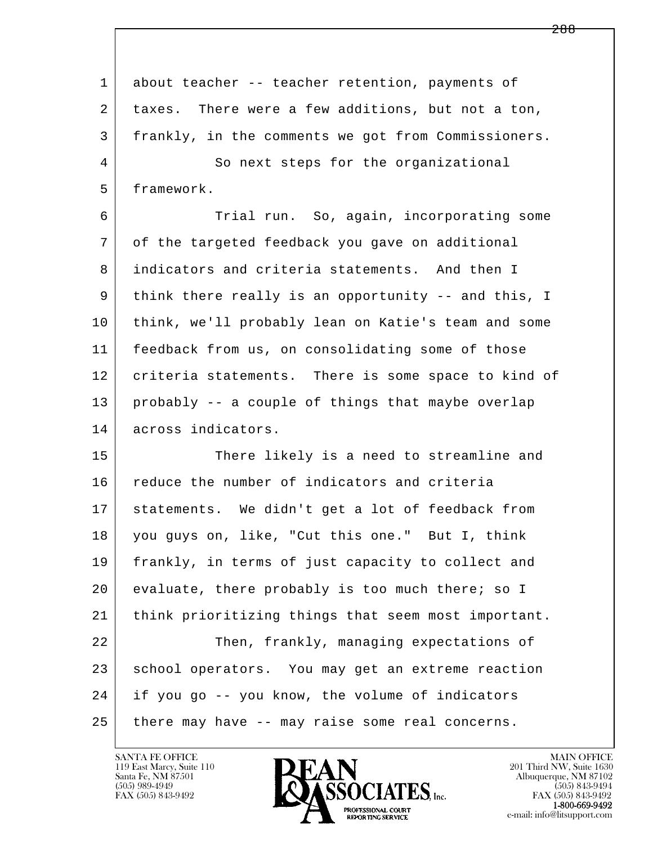1 about teacher -- teacher retention, payments of 2 | taxes. There were a few additions, but not a ton, 3 frankly, in the comments we got from Commissioners. 4 So next steps for the organizational 5 framework. 6 Trial run. So, again, incorporating some

 7 of the targeted feedback you gave on additional 8 indicators and criteria statements. And then I 9 think there really is an opportunity -- and this, I 10 think, we'll probably lean on Katie's team and some 11 feedback from us, on consolidating some of those 12 criteria statements. There is some space to kind of 13 probably -- a couple of things that maybe overlap 14 across indicators.

l  $\overline{\phantom{a}}$ 15 There likely is a need to streamline and 16 reduce the number of indicators and criteria 17 statements. We didn't get a lot of feedback from 18 you guys on, like, "Cut this one." But I, think 19 frankly, in terms of just capacity to collect and 20 evaluate, there probably is too much there; so I 21 think prioritizing things that seem most important. 22 Then, frankly, managing expectations of 23 school operators. You may get an extreme reaction 24 if you go -- you know, the volume of indicators 25 there may have -- may raise some real concerns.

119 East Marcy, Suite 110<br>Santa Fe, NM 87501



FAX (505) 843-9492<br>**1-800-669-9492**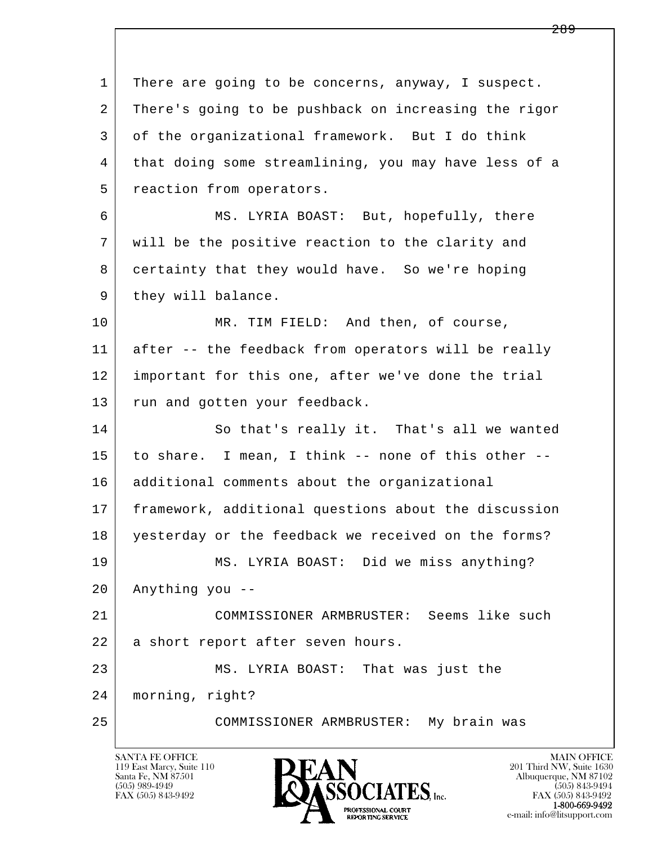l  $\overline{\phantom{a}}$  1 There are going to be concerns, anyway, I suspect. 2 There's going to be pushback on increasing the rigor 3 of the organizational framework. But I do think 4 that doing some streamlining, you may have less of a 5 reaction from operators. 6 MS. LYRIA BOAST: But, hopefully, there 7 will be the positive reaction to the clarity and 8 certainty that they would have. So we're hoping 9 | they will balance. 10 MR. TIM FIELD: And then, of course, 11 after -- the feedback from operators will be really 12 important for this one, after we've done the trial 13 run and gotten your feedback. 14 So that's really it. That's all we wanted 15 to share. I mean, I think -- none of this other -- 16 additional comments about the organizational 17 framework, additional questions about the discussion 18 yesterday or the feedback we received on the forms? 19 MS. LYRIA BOAST: Did we miss anything? 20 Anything you -- 21 COMMISSIONER ARMBRUSTER: Seems like such 22 a short report after seven hours. 23 MS. LYRIA BOAST: That was just the 24 morning, right? 25 COMMISSIONER ARMBRUSTER: My brain was

119 East Marcy, Suite 110<br>Santa Fe, NM 87501

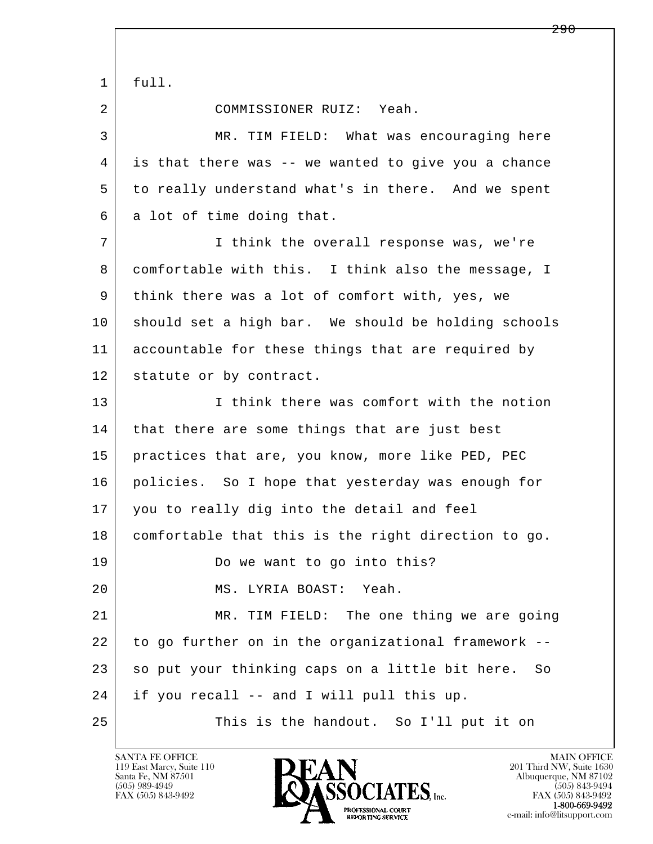l  $\overline{\phantom{a}}$  $1$  full. 2 COMMISSIONER RUIZ: Yeah. 3 MR. TIM FIELD: What was encouraging here 4 is that there was -- we wanted to give you a chance 5 to really understand what's in there. And we spent 6 a lot of time doing that. 7 I think the overall response was, we're 8 comfortable with this. I think also the message, I 9 think there was a lot of comfort with, yes, we 10 should set a high bar. We should be holding schools 11 accountable for these things that are required by 12 statute or by contract. 13 I think there was comfort with the notion 14 | that there are some things that are just best 15 practices that are, you know, more like PED, PEC 16 policies. So I hope that yesterday was enough for 17 you to really dig into the detail and feel 18 comfortable that this is the right direction to go. 19 Do we want to go into this? 20 MS. LYRIA BOAST: Yeah. 21 MR. TIM FIELD: The one thing we are going 22 to go further on in the organizational framework -- 23 so put your thinking caps on a little bit here. So 24 if you recall -- and I will pull this up. 25 This is the handout. So I'll put it on

119 East Marcy, Suite 110<br>Santa Fe, NM 87501

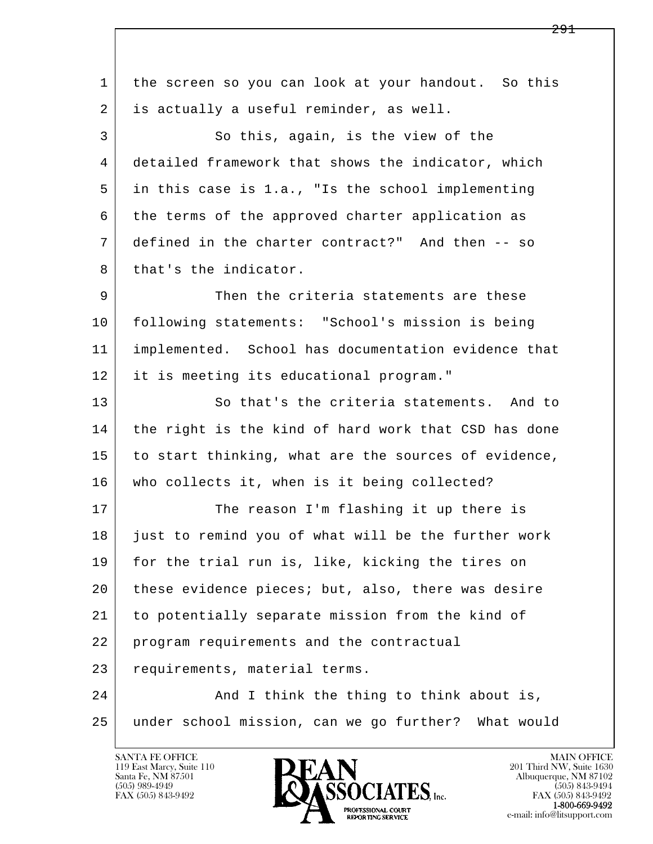l  $\overline{\phantom{a}}$  1 the screen so you can look at your handout. So this 2 is actually a useful reminder, as well. 3 So this, again, is the view of the 4 detailed framework that shows the indicator, which 5 in this case is 1.a., "Is the school implementing 6 the terms of the approved charter application as 7 defined in the charter contract?" And then -- so 8 that's the indicator. 9 Then the criteria statements are these 10 following statements: "School's mission is being 11 implemented. School has documentation evidence that 12 it is meeting its educational program." 13 So that's the criteria statements. And to 14 the right is the kind of hard work that CSD has done 15 to start thinking, what are the sources of evidence, 16 who collects it, when is it being collected? 17 The reason I'm flashing it up there is 18 just to remind you of what will be the further work 19 for the trial run is, like, kicking the tires on 20 these evidence pieces; but, also, there was desire 21 to potentially separate mission from the kind of 22 program requirements and the contractual 23 requirements, material terms. 24 And I think the thing to think about is, 25 under school mission, can we go further? What would

119 East Marcy, Suite 110<br>Santa Fe, NM 87501

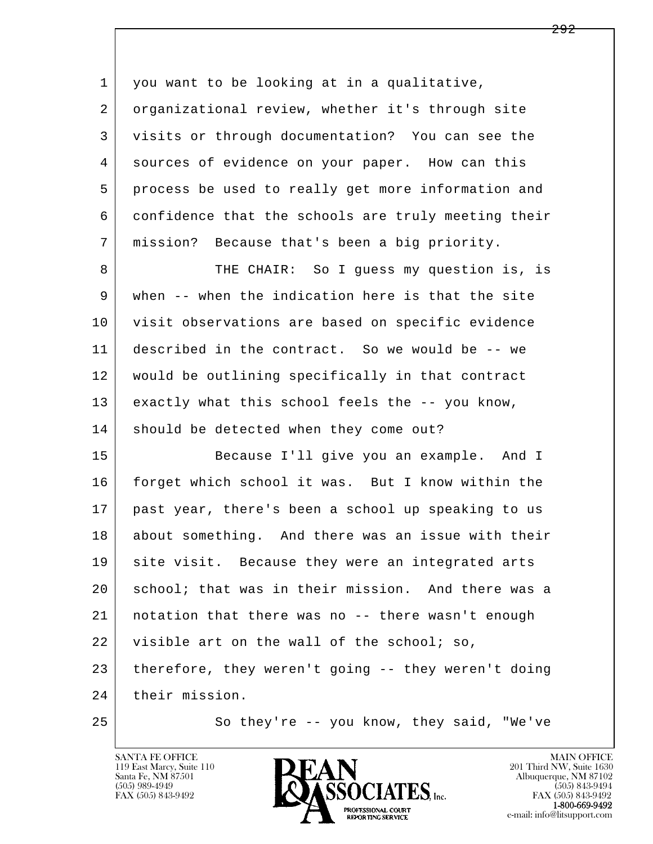| $\mathbf 1$    | you want to be looking at in a qualitative,         |
|----------------|-----------------------------------------------------|
| 2              | organizational review, whether it's through site    |
| 3              | visits or through documentation? You can see the    |
| $\overline{4}$ | sources of evidence on your paper. How can this     |
| 5              | process be used to really get more information and  |
| 6              | confidence that the schools are truly meeting their |
| 7              | mission? Because that's been a big priority.        |
| 8              | THE CHAIR: So I guess my question is, is            |
| 9              | when -- when the indication here is that the site   |
| 10             | visit observations are based on specific evidence   |
| 11             | described in the contract. So we would be -- we     |
| 12             | would be outlining specifically in that contract    |
| 13             | exactly what this school feels the -- you know,     |
| 14             | should be detected when they come out?              |
| 15             | Because I'll give you an example. And I             |
| 16             | forget which school it was. But I know within the   |
| 17             | past year, there's been a school up speaking to us  |
| 18             | about something. And there was an issue with their  |
| 19             | site visit. Because they were an integrated arts    |
| 20             | school; that was in their mission. And there was a  |
| 21             | notation that there was no -- there wasn't enough   |
| 22             | visible art on the wall of the school; so,          |
| 23             | therefore, they weren't going -- they weren't doing |
| 24             | their mission.                                      |
| 25             | So they're -- you know, they said, "We've           |

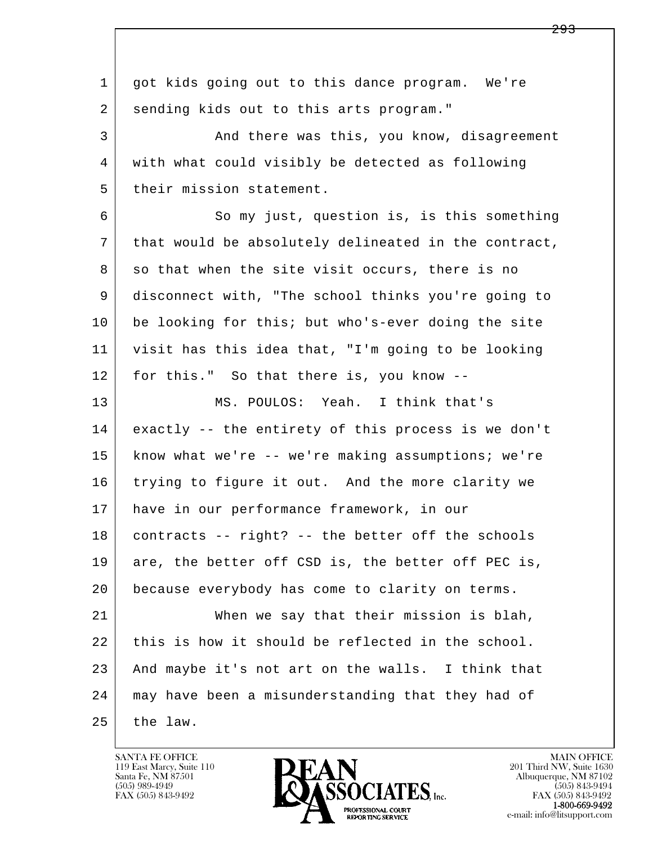l  $\overline{\phantom{a}}$ 1 got kids going out to this dance program. We're 2 sending kids out to this arts program." 3 And there was this, you know, disagreement 4 with what could visibly be detected as following 5 their mission statement. 6 So my just, question is, is this something 7 that would be absolutely delineated in the contract,  $8$  so that when the site visit occurs, there is no 9 disconnect with, "The school thinks you're going to 10 be looking for this; but who's-ever doing the site 11 visit has this idea that, "I'm going to be looking 12 for this." So that there is, you know -- 13 MS. POULOS: Yeah. I think that's 14 exactly -- the entirety of this process is we don't 15 know what we're -- we're making assumptions; we're 16 trying to figure it out. And the more clarity we 17 have in our performance framework, in our 18 contracts -- right? -- the better off the schools 19 are, the better off CSD is, the better off PEC is, 20 because everybody has come to clarity on terms. 21 When we say that their mission is blah, 22 this is how it should be reflected in the school. 23 And maybe it's not art on the walls. I think that 24 may have been a misunderstanding that they had of  $25$  the law.

119 East Marcy, Suite 110<br>Santa Fe, NM 87501



FAX (505) 843-9492<br>**1-800-669-9492**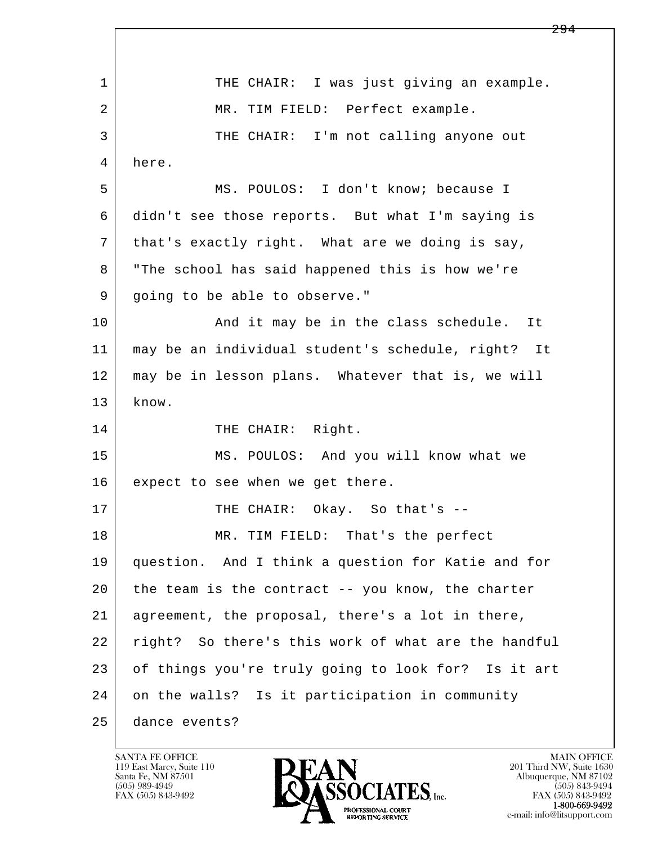l  $\overline{\phantom{a}}$ 1 THE CHAIR: I was just giving an example. 2 | MR. TIM FIELD: Perfect example. 3 THE CHAIR: I'm not calling anyone out 4 here. 5 MS. POULOS: I don't know; because I 6 didn't see those reports. But what I'm saying is 7 that's exactly right. What are we doing is say, 8 "The school has said happened this is how we're 9 | going to be able to observe." 10 | The Sand it may be in the class schedule. It 11 may be an individual student's schedule, right? It 12 may be in lesson plans. Whatever that is, we will 13 know. 14 THE CHAIR: Right. 15 MS. POULOS: And you will know what we 16 expect to see when we get there. 17 | THE CHAIR: Okay. So that's -- 18 MR. TIM FIELD: That's the perfect 19 question. And I think a question for Katie and for 20 the team is the contract -- you know, the charter 21 agreement, the proposal, there's a lot in there, 22 right? So there's this work of what are the handful 23 of things you're truly going to look for? Is it art 24 on the walls? Is it participation in community 25 dance events?

119 East Marcy, Suite 110<br>Santa Fe, NM 87501

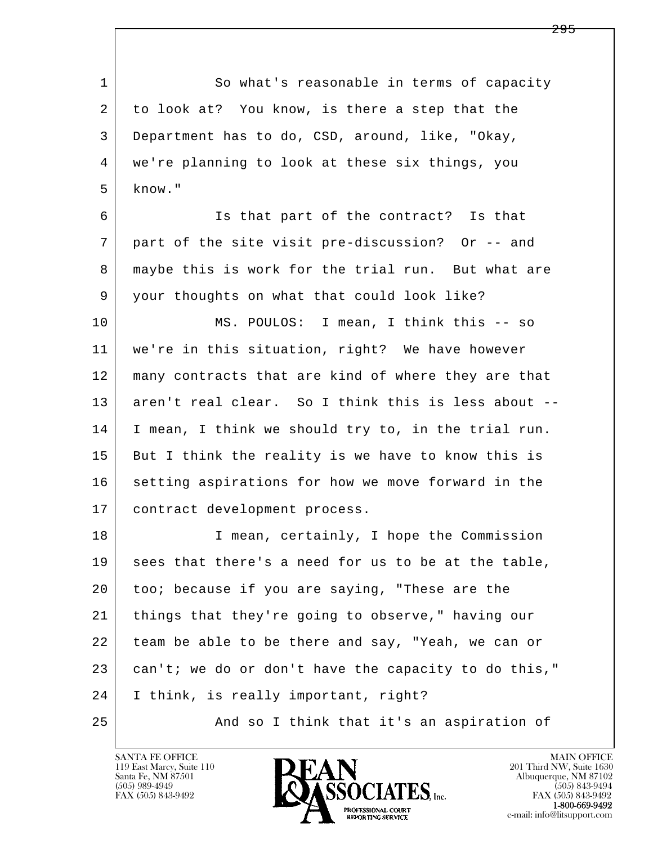l  $\overline{\phantom{a}}$ 1 So what's reasonable in terms of capacity 2 to look at? You know, is there a step that the 3 Department has to do, CSD, around, like, "Okay, 4 we're planning to look at these six things, you  $5$  know." 6 Is that part of the contract? Is that 7 part of the site visit pre-discussion? Or -- and 8 | maybe this is work for the trial run. But what are 9 your thoughts on what that could look like? 10 MS. POULOS: I mean, I think this -- so 11 we're in this situation, right? We have however 12 many contracts that are kind of where they are that 13 aren't real clear. So I think this is less about -- 14 I mean, I think we should try to, in the trial run. 15 But I think the reality is we have to know this is 16 setting aspirations for how we move forward in the 17 contract development process. 18 I mean, certainly, I hope the Commission 19 sees that there's a need for us to be at the table, 20 too; because if you are saying, "These are the 21 things that they're going to observe," having our 22 team be able to be there and say, "Yeah, we can or  $23$  can't; we do or don't have the capacity to do this," 24 I think, is really important, right? 25 And so I think that it's an aspiration of

119 East Marcy, Suite 110<br>Santa Fe, NM 87501

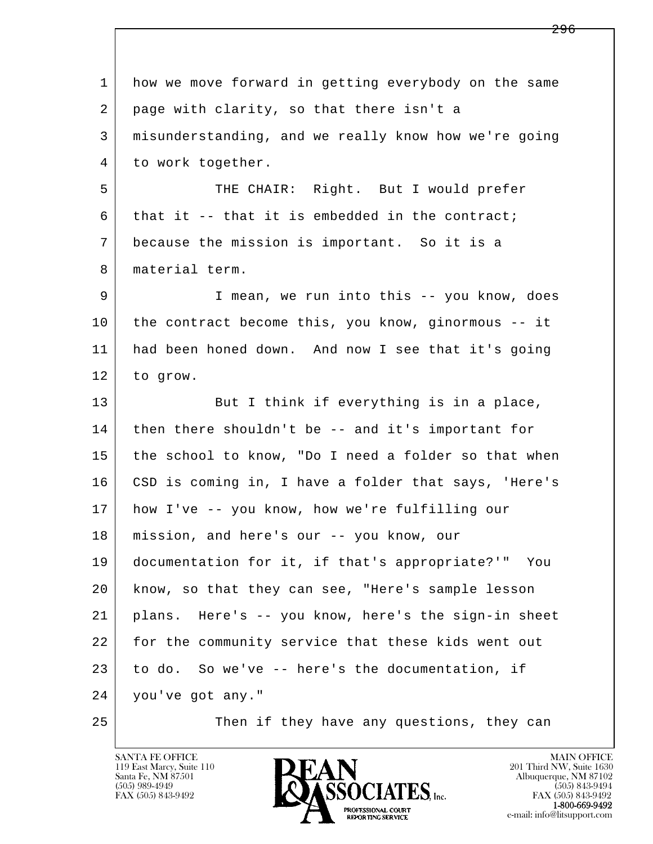l  $\overline{\phantom{a}}$  1 how we move forward in getting everybody on the same 2 page with clarity, so that there isn't a 3 misunderstanding, and we really know how we're going 4 to work together. 5 THE CHAIR: Right. But I would prefer  $6$  that it -- that it is embedded in the contract; 7 because the mission is important. So it is a 8 material term. 9 I mean, we run into this -- you know, does 10 the contract become this, you know, ginormous -- it 11 had been honed down. And now I see that it's going 12 to grow. 13 But I think if everything is in a place, 14 | then there shouldn't be -- and it's important for 15 the school to know, "Do I need a folder so that when 16 | CSD is coming in, I have a folder that says, 'Here's 17 how I've -- you know, how we're fulfilling our 18 mission, and here's our -- you know, our 19 documentation for it, if that's appropriate?'" You 20 know, so that they can see, "Here's sample lesson 21 plans. Here's -- you know, here's the sign-in sheet 22 for the community service that these kids went out 23 to do. So we've -- here's the documentation, if 24 you've got any." 25 Then if they have any questions, they can

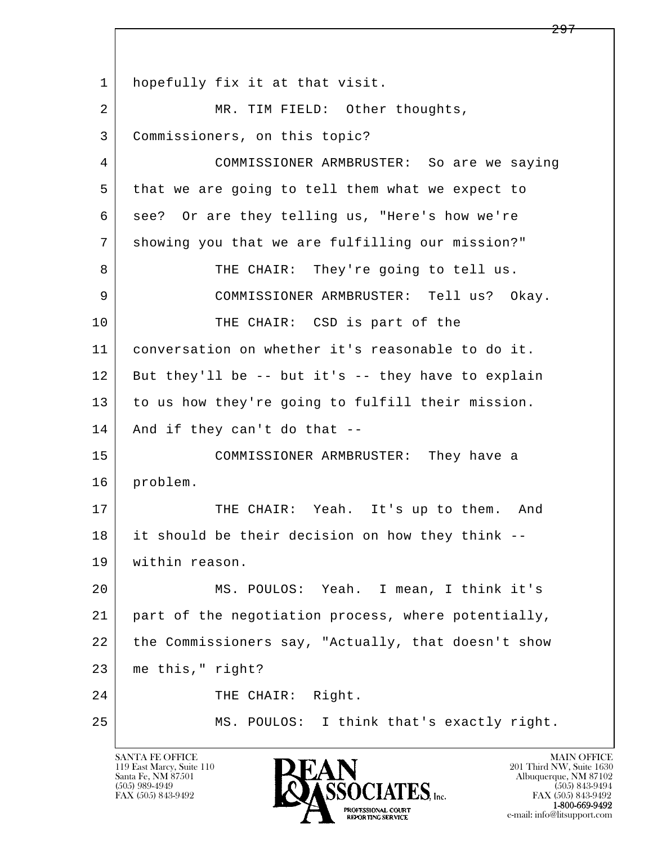l  $\overline{\phantom{a}}$  1 hopefully fix it at that visit. 2 | MR. TIM FIELD: Other thoughts, 3 Commissioners, on this topic? 4 COMMISSIONER ARMBRUSTER: So are we saying 5 that we are going to tell them what we expect to 6 see? Or are they telling us, "Here's how we're 7 showing you that we are fulfilling our mission?" 8 THE CHAIR: They're going to tell us. 9 COMMISSIONER ARMBRUSTER: Tell us? Okay. 10 THE CHAIR: CSD is part of the 11 conversation on whether it's reasonable to do it.  $12$  But they'll be  $-$ - but it's  $-$ - they have to explain 13 to us how they're going to fulfill their mission. 14 And if they can't do that -- 15 COMMISSIONER ARMBRUSTER: They have a 16 problem. 17 THE CHAIR: Yeah. It's up to them. And 18 it should be their decision on how they think -- 19 within reason. 20 MS. POULOS: Yeah. I mean, I think it's 21 part of the negotiation process, where potentially, 22 the Commissioners say, "Actually, that doesn't show 23 me this," right? 24 | THE CHAIR: Right. 25 MS. POULOS: I think that's exactly right.

119 East Marcy, Suite 110<br>Santa Fe, NM 87501

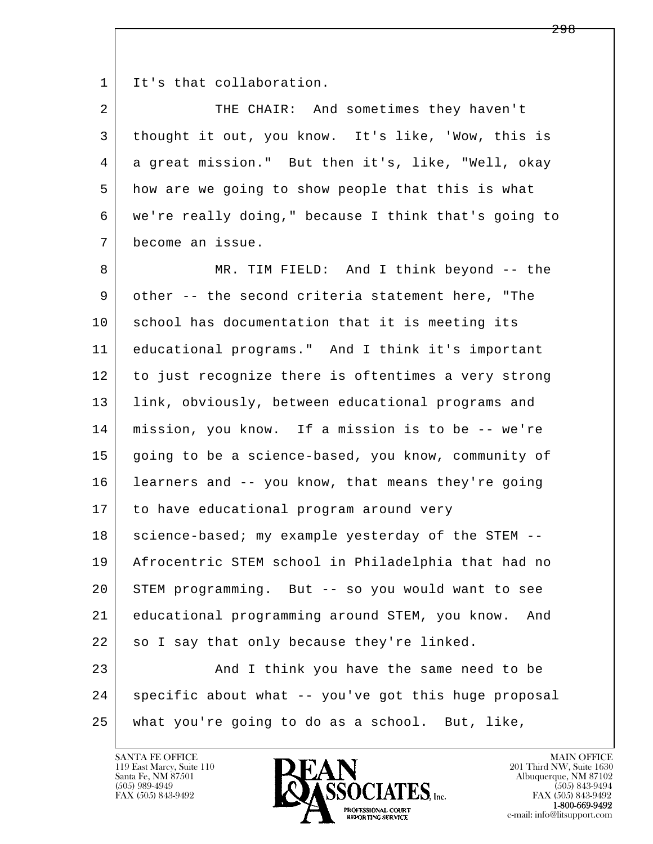1 It's that collaboration.

2 THE CHAIR: And sometimes they haven't 3 thought it out, you know. It's like, 'Wow, this is 4 a great mission." But then it's, like, "Well, okay 5 how are we going to show people that this is what 6 we're really doing," because I think that's going to 7 become an issue.

l  $\overline{\phantom{a}}$ 8 MR. TIM FIELD: And I think beyond -- the 9 other -- the second criteria statement here, "The 10 school has documentation that it is meeting its 11 educational programs." And I think it's important 12 to just recognize there is oftentimes a very strong 13 link, obviously, between educational programs and 14 mission, you know. If a mission is to be -- we're 15 going to be a science-based, you know, community of 16 learners and -- you know, that means they're going 17 to have educational program around very 18 | science-based; my example yesterday of the STEM -- 19 Afrocentric STEM school in Philadelphia that had no 20 STEM programming. But -- so you would want to see 21 educational programming around STEM, you know. And  $22$  so I say that only because they're linked. 23 | Think you have the same need to be 24 | specific about what -- you've got this huge proposal

25 what you're going to do as a school. But, like,

119 East Marcy, Suite 110<br>Santa Fe, NM 87501

SANTA FE OFFICE MAIN OFFICE MAIN OFFICE MAIN OFFICE MAIN OFFICE Santa Fe, NM 87501 Albuquerque, NM 87102  $(505)$  989-4949<br>FAX (505) 843-9492<br>FAX (505) 843-9492<br>FAX (505) 843-9492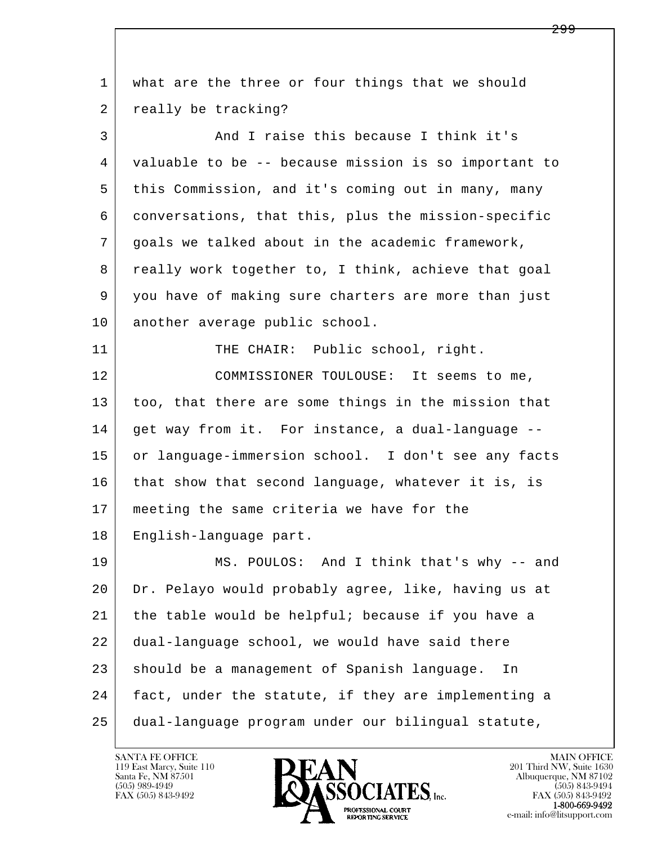l  $\overline{\phantom{a}}$  1 what are the three or four things that we should 2 really be tracking? 3 And I raise this because I think it's 4 valuable to be -- because mission is so important to 5 this Commission, and it's coming out in many, many 6 conversations, that this, plus the mission-specific 7 goals we talked about in the academic framework, 8 | really work together to, I think, achieve that goal 9 you have of making sure charters are more than just 10 another average public school. 11 THE CHAIR: Public school, right. 12 COMMISSIONER TOULOUSE: It seems to me, 13 too, that there are some things in the mission that 14 | get way from it. For instance, a dual-language -- 15 or language-immersion school. I don't see any facts 16 that show that second language, whatever it is, is 17 meeting the same criteria we have for the 18 English-language part. 19 MS. POULOS: And I think that's why -- and 20 Dr. Pelayo would probably agree, like, having us at 21 the table would be helpful; because if you have a 22 dual-language school, we would have said there 23 should be a management of Spanish language. In 24 fact, under the statute, if they are implementing a 25 dual-language program under our bilingual statute,

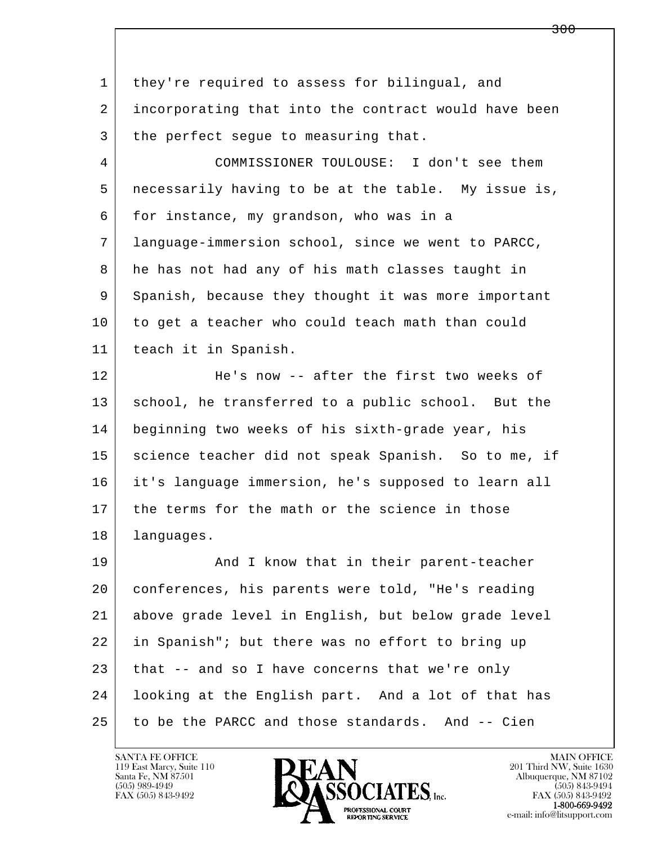| $\mathbf{1}$   | they're required to assess for bilingual, and        |
|----------------|------------------------------------------------------|
| $\overline{2}$ | incorporating that into the contract would have been |
| 3              | the perfect segue to measuring that.                 |
| 4              | COMMISSIONER TOULOUSE: I don't see them              |
| 5              | necessarily having to be at the table. My issue is,  |
| 6              | for instance, my grandson, who was in a              |
| 7              | language-immersion school, since we went to PARCC,   |
| 8              | he has not had any of his math classes taught in     |
| 9              | Spanish, because they thought it was more important  |
| 10             | to get a teacher who could teach math than could     |
| 11             | teach it in Spanish.                                 |
| 12             | He's now -- after the first two weeks of             |
| 13             | school, he transferred to a public school. But the   |
| 14             | beginning two weeks of his sixth-grade year, his     |
| 15             | science teacher did not speak Spanish. So to me, if  |
| 16             | it's language immersion, he's supposed to learn all  |
| 17             | the terms for the math or the science in those       |
| 18             | languages.                                           |
| 19             | And I know that in their parent-teacher              |
| 20             | conferences, his parents were told, "He's reading    |
| 21             | above grade level in English, but below grade level  |
| 22             | in Spanish"; but there was no effort to bring up     |
| 23             | that -- and so I have concerns that we're only       |
| 24             | looking at the English part. And a lot of that has   |
| 25             | to be the PARCC and those standards. And -- Cien     |

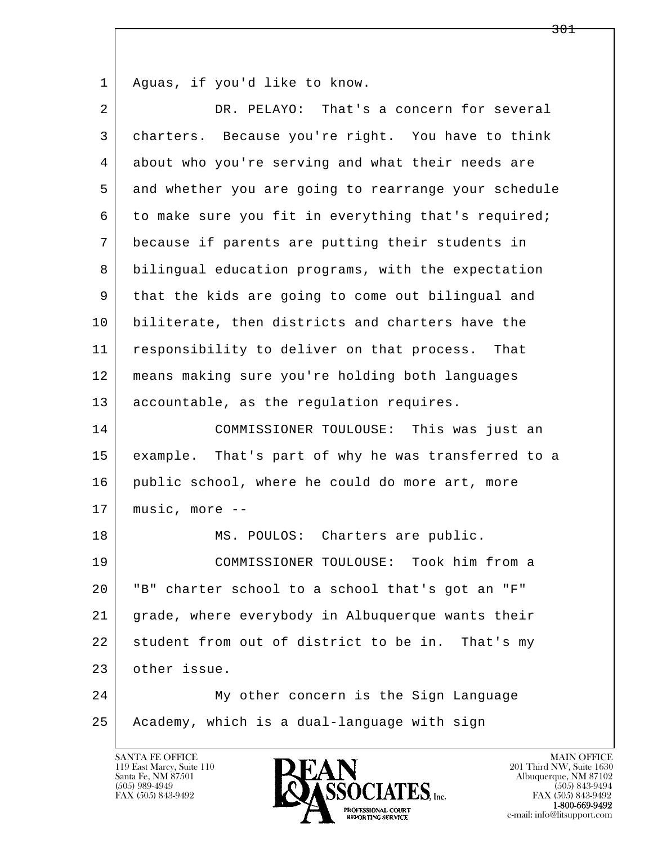1 Aguas, if you'd like to know.

| $\overline{2}$ | DR. PELAYO: That's a concern for several             |
|----------------|------------------------------------------------------|
| 3              | charters. Because you're right. You have to think    |
| 4              | about who you're serving and what their needs are    |
| 5              | and whether you are going to rearrange your schedule |
| 6              | to make sure you fit in everything that's required;  |
| 7              | because if parents are putting their students in     |
| 8              | bilingual education programs, with the expectation   |
| 9              | that the kids are going to come out bilingual and    |
| 10             | biliterate, then districts and charters have the     |
| 11             | responsibility to deliver on that process. That      |
| 12             | means making sure you're holding both languages      |
| 13             | accountable, as the regulation requires.             |
| 14             | COMMISSIONER TOULOUSE: This was just an              |
| 15             | example. That's part of why he was transferred to a  |
| 16             | public school, where he could do more art, more      |
| 17             | music, more --                                       |
| 18             | MS. POULOS: Charters are public.                     |
| 19             | COMMISSIONER TOULOUSE: Took him from a               |
| 20             | "B" charter school to a school that's got an "F"     |
| 21             | grade, where everybody in Albuquerque wants their    |
| 22             | student from out of district to be in. That's my     |
| 23             | other issue.                                         |
| 24             | My other concern is the Sign Language                |
| 25             | Academy, which is a dual-language with sign          |

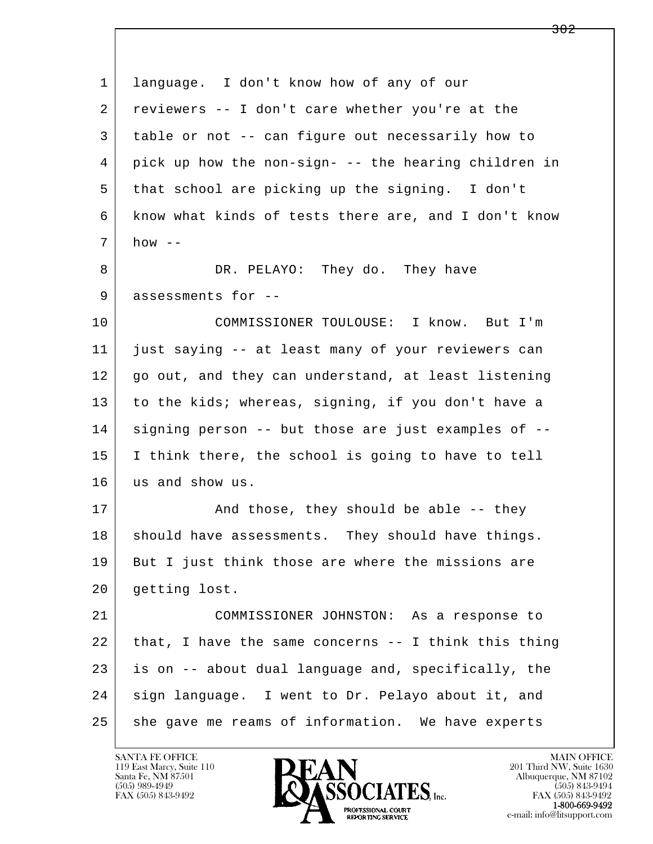| 1  | language. I don't know how of any of our             |
|----|------------------------------------------------------|
| 2  | reviewers -- I don't care whether you're at the      |
| 3  | table or not -- can figure out necessarily how to    |
| 4  | pick up how the non-sign- -- the hearing children in |
| 5  | that school are picking up the signing. I don't      |
| 6  | know what kinds of tests there are, and I don't know |
| 7  | how $--$                                             |
| 8  | DR. PELAYO: They do. They have                       |
| 9  | assessments for --                                   |
| 10 | COMMISSIONER TOULOUSE: I know. But I'm               |
| 11 | just saying -- at least many of your reviewers can   |
| 12 | go out, and they can understand, at least listening  |
| 13 | to the kids; whereas, signing, if you don't have a   |
| 14 | signing person -- but those are just examples of --  |
| 15 | I think there, the school is going to have to tell   |
| 16 | us and show us.                                      |
| 17 | And those, they should be able -- they               |
| 18 | should have assessments. They should have things.    |
| 19 | But I just think those are where the missions are    |
| 20 | getting lost.                                        |
| 21 | COMMISSIONER JOHNSTON: As a response to              |
| 22 | that, I have the same concerns -- I think this thing |
| 23 | is on -- about dual language and, specifically, the  |
| 24 | sign language. I went to Dr. Pelayo about it, and    |
| 25 | she gave me reams of information. We have experts    |

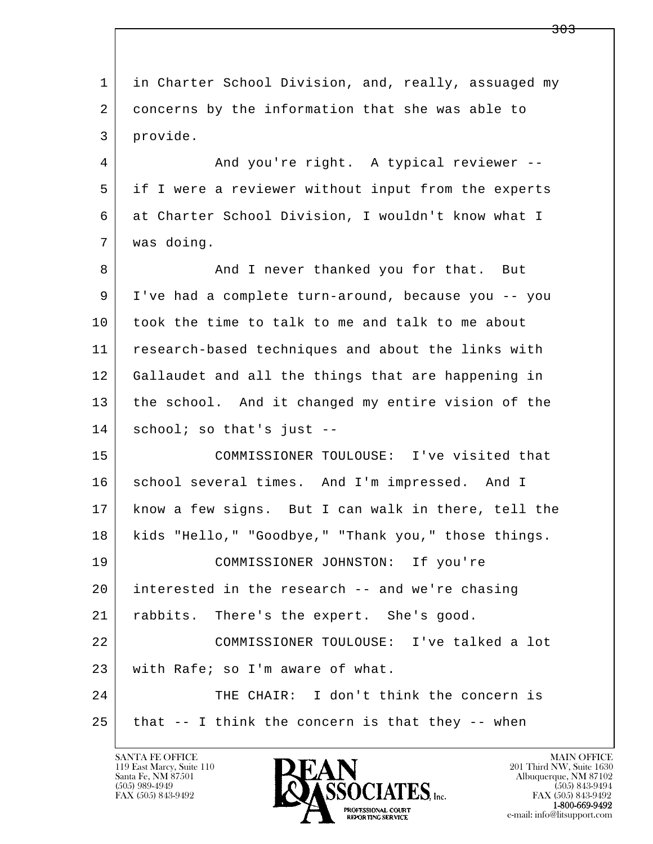l  $\overline{\phantom{a}}$ 1 in Charter School Division, and, really, assuaged my 2 concerns by the information that she was able to 3 provide. 4 And you're right. A typical reviewer -- 5 if I were a reviewer without input from the experts 6 at Charter School Division, I wouldn't know what I 7 was doing. 8 And I never thanked you for that. But 9 I've had a complete turn-around, because you -- you 10 took the time to talk to me and talk to me about 11 research-based techniques and about the links with 12 Gallaudet and all the things that are happening in 13 the school. And it changed my entire vision of the 14 school; so that's just -- 15 COMMISSIONER TOULOUSE: I've visited that 16 school several times. And I'm impressed. And I 17 know a few signs. But I can walk in there, tell the 18 kids "Hello," "Goodbye," "Thank you," those things. 19 COMMISSIONER JOHNSTON: If you're 20 interested in the research -- and we're chasing 21 | rabbits. There's the expert. She's good. 22 COMMISSIONER TOULOUSE: I've talked a lot 23 with Rafe; so I'm aware of what. 24 THE CHAIR: I don't think the concern is  $25$  that  $-$  I think the concern is that they  $-$ - when

119 East Marcy, Suite 110<br>Santa Fe, NM 87501



<del>303</del>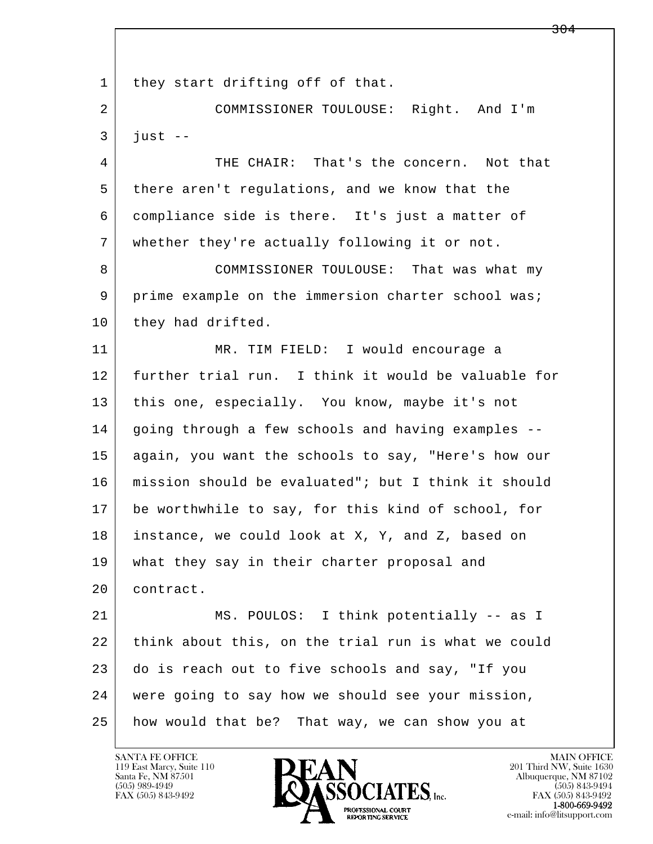l  $\overline{\phantom{a}}$ 1 | they start drifting off of that. 2 COMMISSIONER TOULOUSE: Right. And I'm  $3$  just  $-$  4 THE CHAIR: That's the concern. Not that 5 there aren't regulations, and we know that the 6 compliance side is there. It's just a matter of 7 whether they're actually following it or not. 8 COMMISSIONER TOULOUSE: That was what my 9 prime example on the immersion charter school was; 10 they had drifted. 11 MR. TIM FIELD: I would encourage a 12 further trial run. I think it would be valuable for 13 this one, especially. You know, maybe it's not 14 | going through a few schools and having examples -- 15 again, you want the schools to say, "Here's how our 16 mission should be evaluated"; but I think it should 17 be worthwhile to say, for this kind of school, for 18 instance, we could look at X, Y, and Z, based on 19 what they say in their charter proposal and 20 contract. 21 | MS. POULOS: I think potentially -- as I 22 think about this, on the trial run is what we could 23 do is reach out to five schools and say, "If you 24 were going to say how we should see your mission, 25 how would that be? That way, we can show you at

119 East Marcy, Suite 110<br>Santa Fe, NM 87501



FAX (505) 843-9492 FAX (505) 843-9492 e-mail: info@litsupport.com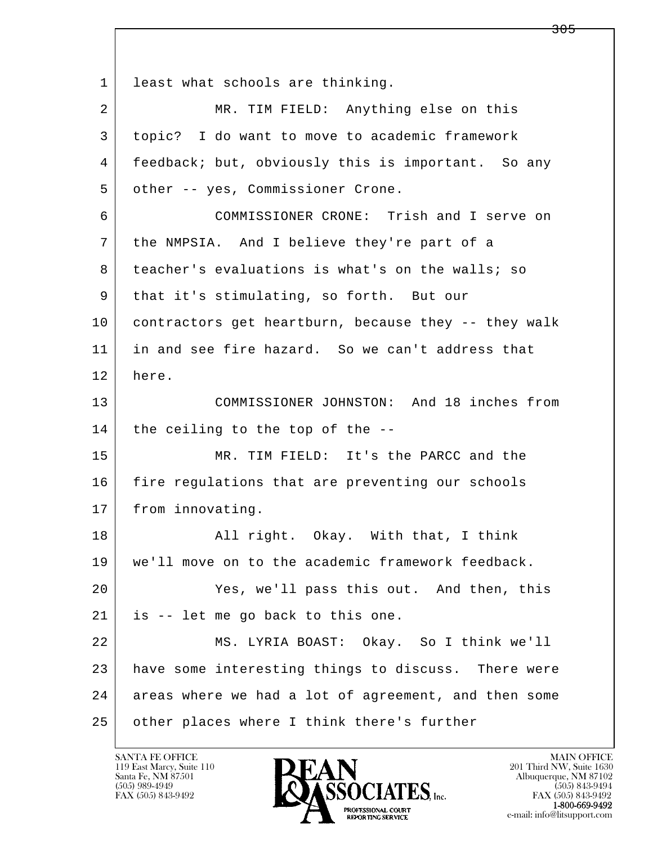l  $\overline{\phantom{a}}$ 1 least what schools are thinking. 2 MR. TIM FIELD: Anything else on this 3 topic? I do want to move to academic framework 4 feedback; but, obviously this is important. So any 5 other -- yes, Commissioner Crone. 6 COMMISSIONER CRONE: Trish and I serve on 7 the NMPSIA. And I believe they're part of a 8 teacher's evaluations is what's on the walls; so 9 that it's stimulating, so forth. But our 10 contractors get heartburn, because they -- they walk 11 in and see fire hazard. So we can't address that 12 here. 13 COMMISSIONER JOHNSTON: And 18 inches from  $14$  the ceiling to the top of the  $-$ - 15 MR. TIM FIELD: It's the PARCC and the 16 fire regulations that are preventing our schools 17 from innovating. 18 | Rail right. Okay. With that, I think 19 we'll move on to the academic framework feedback. 20 Yes, we'll pass this out. And then, this 21 is -- let me go back to this one. 22 MS. LYRIA BOAST: Okay. So I think we'll 23 have some interesting things to discuss. There were 24 areas where we had a lot of agreement, and then some 25 | other places where I think there's further

119 East Marcy, Suite 110<br>Santa Fe, NM 87501

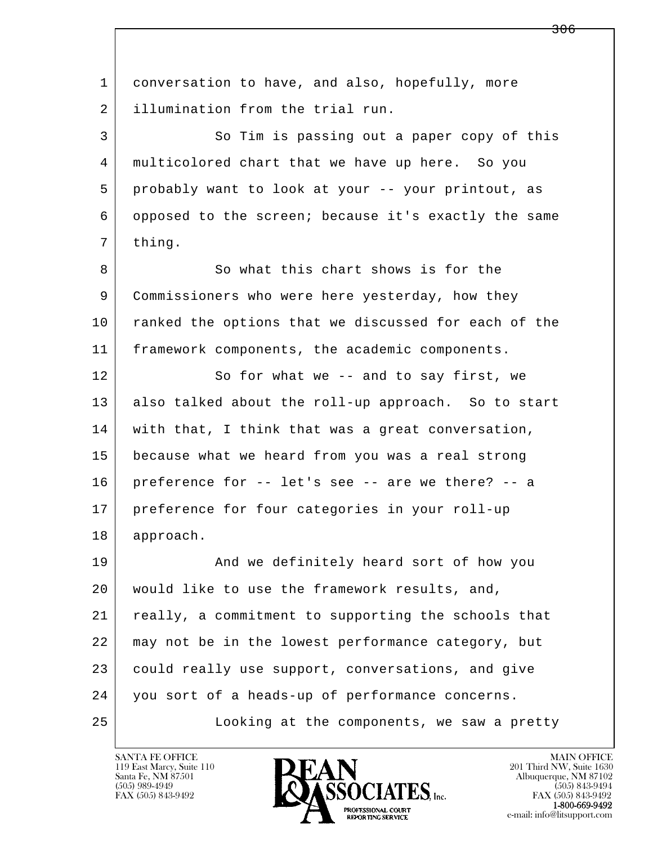l  $\overline{\phantom{a}}$  1 conversation to have, and also, hopefully, more 2 illumination from the trial run. 3 So Tim is passing out a paper copy of this 4 multicolored chart that we have up here. So you 5 probably want to look at your -- your printout, as 6 opposed to the screen; because it's exactly the same 7 thing. 8 So what this chart shows is for the 9 Commissioners who were here yesterday, how they 10 ranked the options that we discussed for each of the 11 framework components, the academic components. 12 So for what we -- and to say first, we 13 also talked about the roll-up approach. So to start 14 | with that, I think that was a great conversation, 15 because what we heard from you was a real strong 16 preference for -- let's see -- are we there? -- a 17 preference for four categories in your roll-up 18 approach. 19 | And we definitely heard sort of how you 20 would like to use the framework results, and, 21 really, a commitment to supporting the schools that 22 may not be in the lowest performance category, but 23 could really use support, conversations, and give 24 you sort of a heads-up of performance concerns. 25 Looking at the components, we saw a pretty

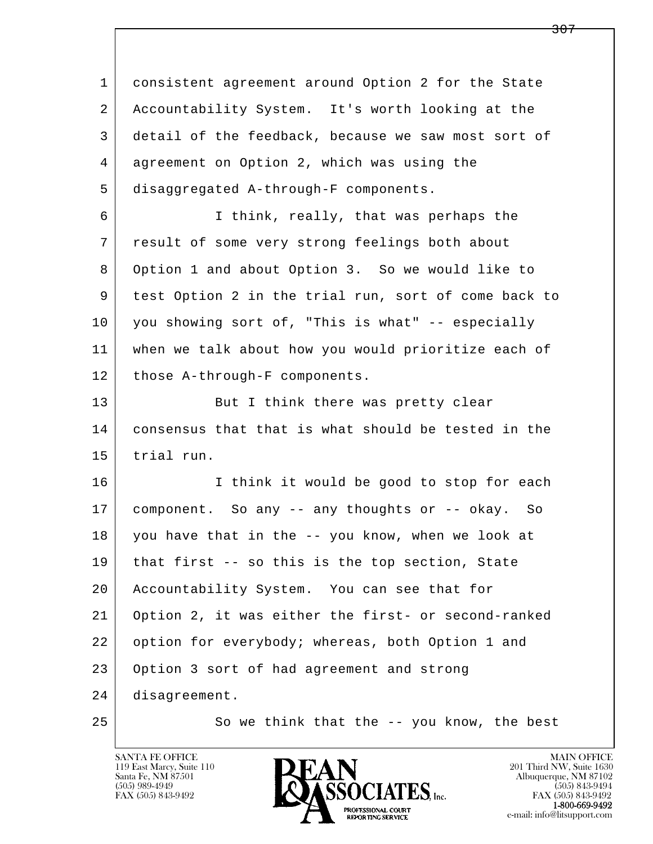l  $\overline{\phantom{a}}$  1 consistent agreement around Option 2 for the State 2 Accountability System. It's worth looking at the 3 detail of the feedback, because we saw most sort of 4 agreement on Option 2, which was using the 5 disaggregated A-through-F components. 6 I think, really, that was perhaps the 7 result of some very strong feelings both about 8 Option 1 and about Option 3. So we would like to 9 test Option 2 in the trial run, sort of come back to 10 you showing sort of, "This is what" -- especially 11 when we talk about how you would prioritize each of 12 | those A-through-F components. 13 But I think there was pretty clear 14 consensus that that is what should be tested in the 15 trial run. 16 I think it would be good to stop for each 17 component. So any -- any thoughts or -- okay. So 18 you have that in the -- you know, when we look at 19 that first -- so this is the top section, State 20 Accountability System. You can see that for 21 Option 2, it was either the first- or second-ranked 22 option for everybody; whereas, both Option 1 and 23 Option 3 sort of had agreement and strong 24 disagreement. 25 So we think that the -- you know, the best

119 East Marcy, Suite 110<br>Santa Fe, NM 87501



FAX (505) 843-9492<br>1-800-669-9492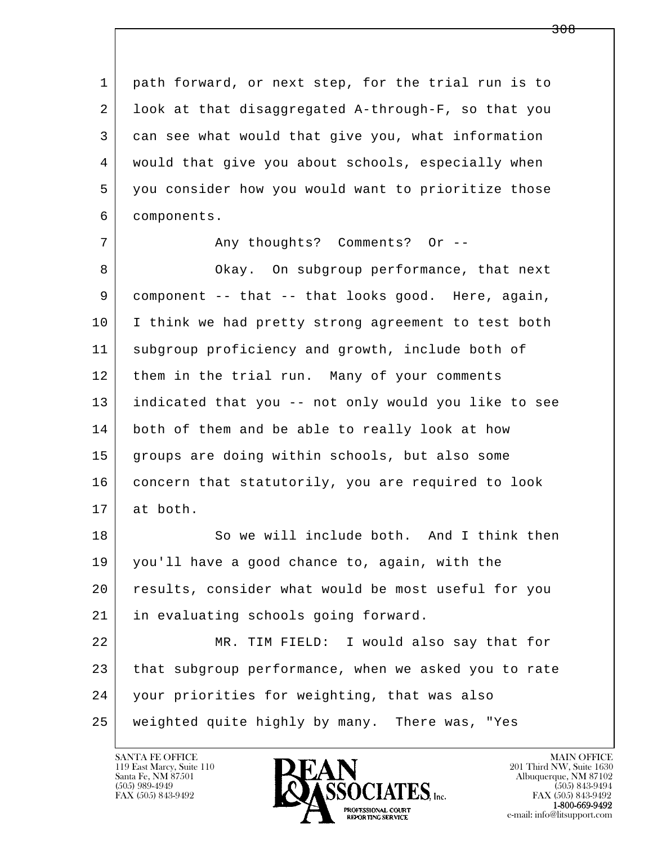l  $\overline{\phantom{a}}$  1 path forward, or next step, for the trial run is to 2 look at that disaggregated A-through-F, so that you 3 can see what would that give you, what information 4 would that give you about schools, especially when 5 you consider how you would want to prioritize those 6 components. 7 | The Comments? Comments? Or --8 Okay. On subgroup performance, that next 9 component -- that -- that looks good. Here, again, 10 I think we had pretty strong agreement to test both 11 subgroup proficiency and growth, include both of 12 them in the trial run. Many of your comments 13 indicated that you -- not only would you like to see 14 both of them and be able to really look at how 15 groups are doing within schools, but also some 16 concern that statutorily, you are required to look 17 at both. 18 So we will include both. And I think then 19 you'll have a good chance to, again, with the 20 results, consider what would be most useful for you 21 in evaluating schools going forward. 22 MR. TIM FIELD: I would also say that for 23 that subgroup performance, when we asked you to rate 24 your priorities for weighting, that was also 25 weighted quite highly by many. There was, "Yes

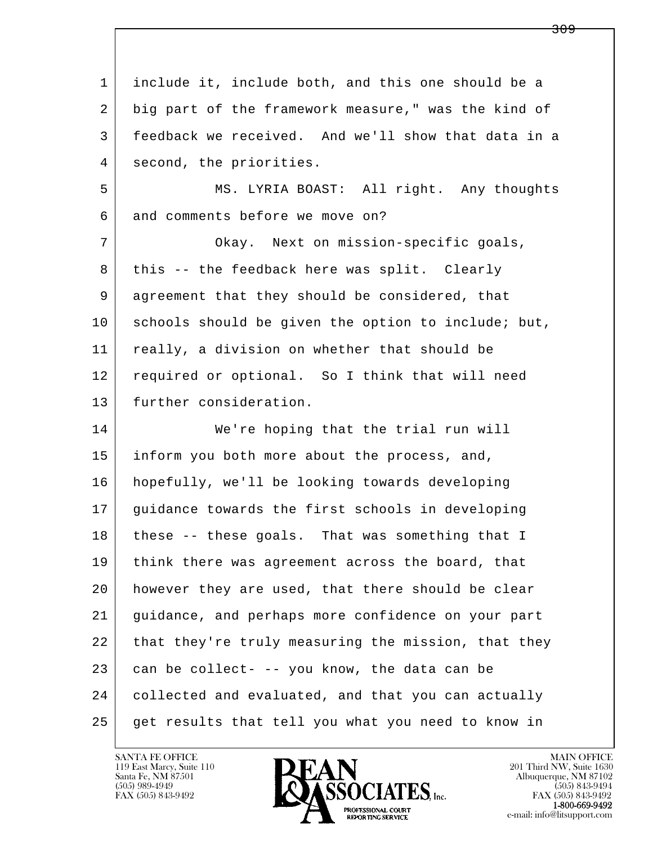l  $\overline{\phantom{a}}$  1 include it, include both, and this one should be a 2 big part of the framework measure," was the kind of 3 feedback we received. And we'll show that data in a 4 second, the priorities. 5 MS. LYRIA BOAST: All right. Any thoughts 6 and comments before we move on? 7 Okay. Next on mission-specific goals, 8 | this -- the feedback here was split. Clearly 9 agreement that they should be considered, that 10 schools should be given the option to include; but, 11 really, a division on whether that should be 12 required or optional. So I think that will need 13 further consideration. 14 We're hoping that the trial run will 15 inform you both more about the process, and, 16 hopefully, we'll be looking towards developing 17 guidance towards the first schools in developing 18 these -- these goals. That was something that I 19 | think there was agreement across the board, that 20 however they are used, that there should be clear 21 guidance, and perhaps more confidence on your part 22 that they're truly measuring the mission, that they  $23$  can be collect- -- you know, the data can be 24 collected and evaluated, and that you can actually 25 get results that tell you what you need to know in



FAX (505) 843-9492<br>**1-800-669-9492**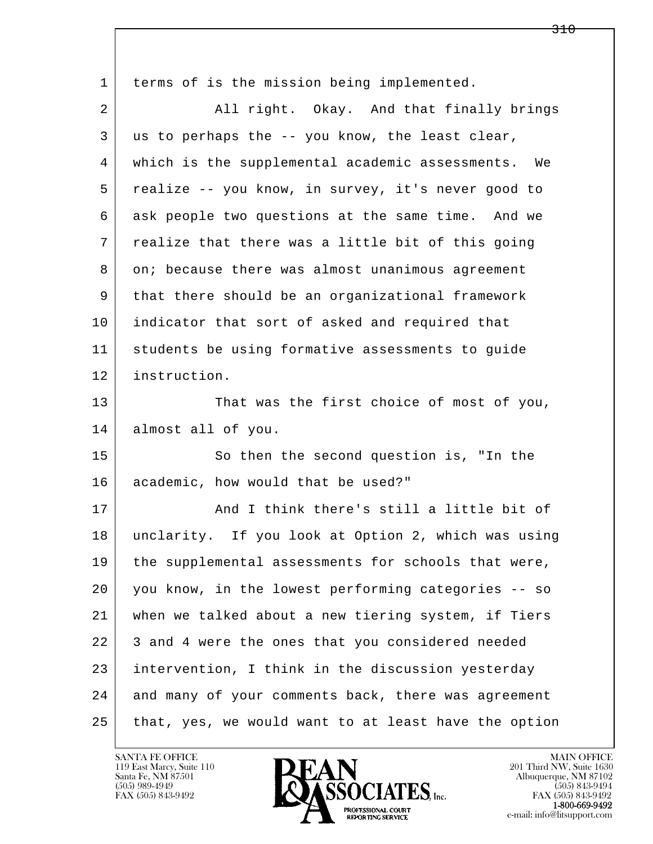| 1  | terms of is the mission being implemented.            |
|----|-------------------------------------------------------|
| 2  | All right. Okay. And that finally brings              |
| 3  | us to perhaps the -- you know, the least clear,       |
| 4  | which is the supplemental academic assessments.<br>We |
| 5  | realize -- you know, in survey, it's never good to    |
| 6  | ask people two questions at the same time. And we     |
| 7  | realize that there was a little bit of this going     |
| 8  | on; because there was almost unanimous agreement      |
| 9  | that there should be an organizational framework      |
| 10 | indicator that sort of asked and required that        |
| 11 | students be using formative assessments to guide      |
| 12 | instruction.                                          |
| 13 | That was the first choice of most of you,             |
| 14 | almost all of you.                                    |
| 15 | So then the second question is, "In the               |
| 16 | academic, how would that be used?"                    |
| 17 | And I think there's still a little bit of             |
| 18 | unclarity. If you look at Option 2, which was using   |
| 19 | the supplemental assessments for schools that were,   |
| 20 | you know, in the lowest performing categories -- so   |
| 21 | when we talked about a new tiering system, if Tiers   |
| 22 | 3 and 4 were the ones that you considered needed      |
| 23 | intervention, I think in the discussion yesterday     |
| 24 | and many of your comments back, there was agreement   |
| 25 | that, yes, we would want to at least have the option  |

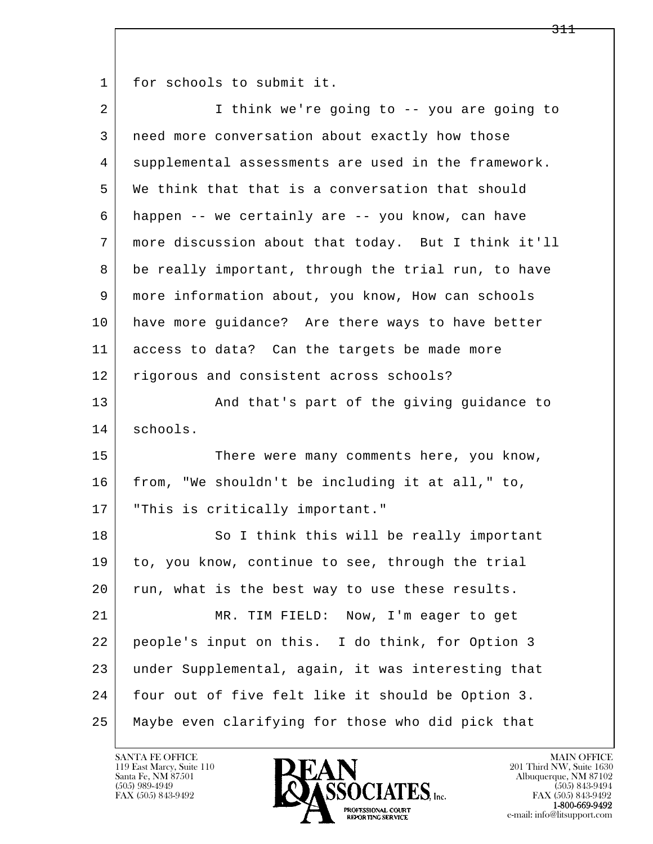1 for schools to submit it.

| 2  | I think we're going to -- you are going to          |
|----|-----------------------------------------------------|
| 3  | need more conversation about exactly how those      |
| 4  | supplemental assessments are used in the framework. |
| 5  | We think that that is a conversation that should    |
| 6  | happen -- we certainly are -- you know, can have    |
| 7  | more discussion about that today. But I think it'll |
| 8  | be really important, through the trial run, to have |
| 9  | more information about, you know, How can schools   |
| 10 | have more guidance? Are there ways to have better   |
| 11 | access to data? Can the targets be made more        |
| 12 | rigorous and consistent across schools?             |
| 13 | And that's part of the giving guidance to           |
| 14 | schools.                                            |
| 15 | There were many comments here, you know,            |
| 16 | from, "We shouldn't be including it at all," to,    |
| 17 | "This is critically important."                     |
| 18 | So I think this will be really important            |
| 19 | to, you know, continue to see, through the trial    |
| 20 | run, what is the best way to use these results.     |
| 21 | MR. TIM FIELD: Now, I'm eager to get                |
| 22 | people's input on this. I do think, for Option 3    |
| 23 | under Supplemental, again, it was interesting that  |
|    |                                                     |
| 24 | four out of five felt like it should be Option 3.   |

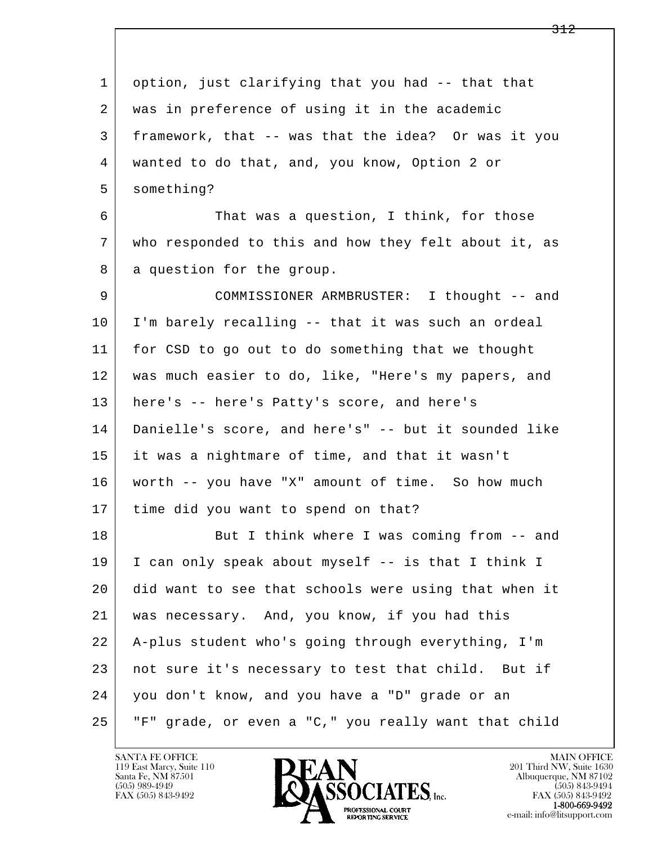l  $\overline{\phantom{a}}$  1 option, just clarifying that you had -- that that 2 was in preference of using it in the academic 3 framework, that -- was that the idea? Or was it you 4 wanted to do that, and, you know, Option 2 or 5 something? 6 That was a question, I think, for those 7 who responded to this and how they felt about it, as 8 a question for the group. 9 COMMISSIONER ARMBRUSTER: I thought -- and 10 I'm barely recalling -- that it was such an ordeal 11 for CSD to go out to do something that we thought 12 was much easier to do, like, "Here's my papers, and 13 here's -- here's Patty's score, and here's 14 Danielle's score, and here's" -- but it sounded like 15 it was a nightmare of time, and that it wasn't 16 worth -- you have "X" amount of time. So how much 17 time did you want to spend on that? 18 But I think where I was coming from -- and 19 I can only speak about myself -- is that I think I 20 did want to see that schools were using that when it 21 was necessary. And, you know, if you had this 22 A-plus student who's going through everything, I'm 23 not sure it's necessary to test that child. But if 24 you don't know, and you have a "D" grade or an 25 "F" grade, or even a "C," you really want that child



FAX (505) 843-9492<br>**1-800-669-9492**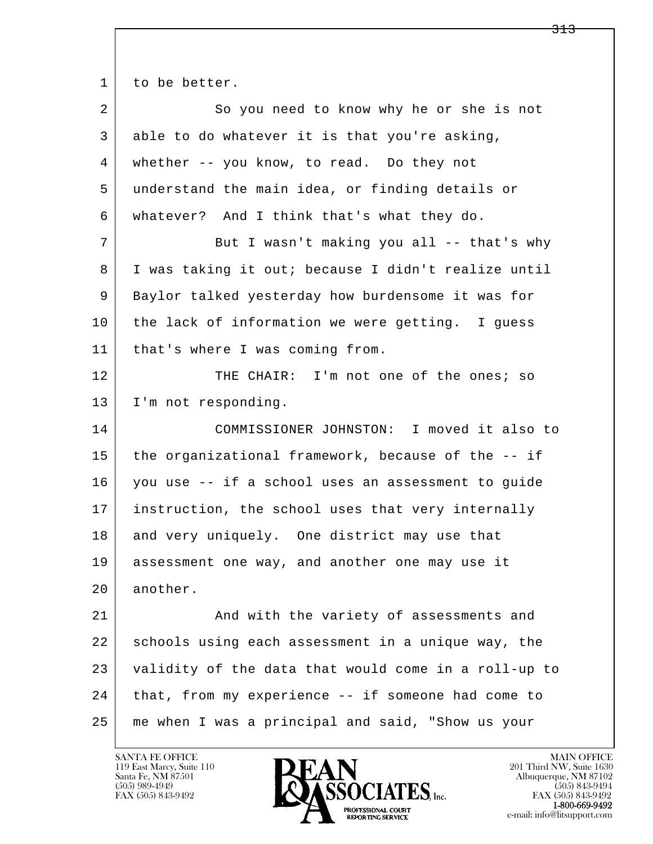1 to be better.

| $\overline{a}$ | So you need to know why he or she is not             |
|----------------|------------------------------------------------------|
| 3              | able to do whatever it is that you're asking,        |
| 4              | whether -- you know, to read. Do they not            |
| 5              | understand the main idea, or finding details or      |
| 6              | whatever? And I think that's what they do.           |
| 7              | But I wasn't making you all -- that's why            |
| 8              | I was taking it out; because I didn't realize until  |
| 9              | Baylor talked yesterday how burdensome it was for    |
| 10             | the lack of information we were getting. I guess     |
| 11             | that's where I was coming from.                      |
| 12             | THE CHAIR: I'm not one of the ones; so               |
| 13             | I'm not responding.                                  |
| 14             | COMMISSIONER JOHNSTON: I moved it also to            |
| 15             | the organizational framework, because of the -- if   |
| 16             | you use -- if a school uses an assessment to guide   |
| 17             | instruction, the school uses that very internally    |
| 18             | and very uniquely. One district may use that         |
| 19             | assessment one way, and another one may use it       |
| 20             | another.                                             |
| 21             | And with the variety of assessments and              |
| 22             | schools using each assessment in a unique way, the   |
| 23             | validity of the data that would come in a roll-up to |
| 24             |                                                      |
|                | that, from my experience -- if someone had come to   |

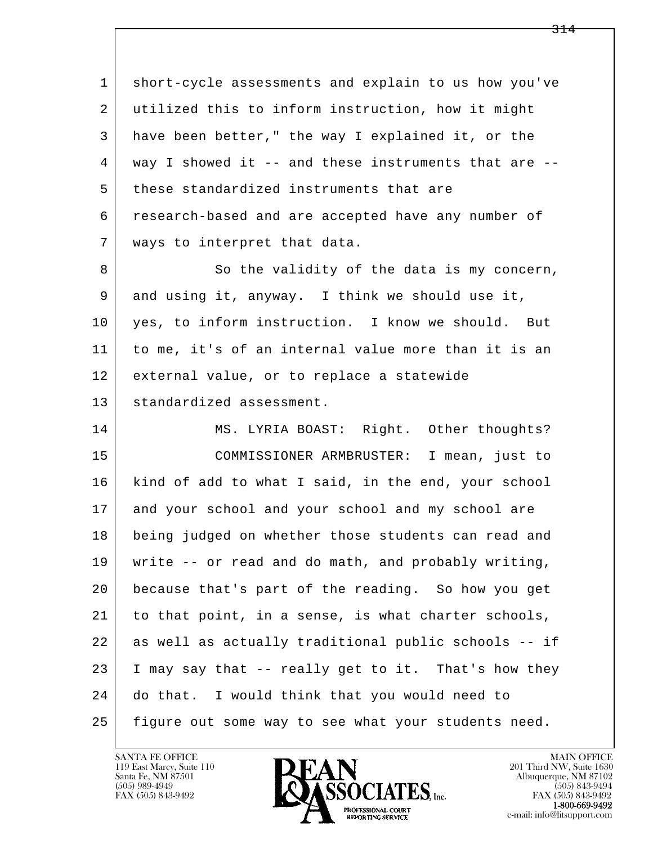l  $\overline{\phantom{a}}$  1 short-cycle assessments and explain to us how you've 2 utilized this to inform instruction, how it might 3 have been better," the way I explained it, or the 4 way I showed it -- and these instruments that are -- 5 these standardized instruments that are 6 research-based and are accepted have any number of 7 ways to interpret that data. 8 So the validity of the data is my concern, 9 and using it, anyway. I think we should use it, 10 yes, to inform instruction. I know we should. But 11 to me, it's of an internal value more than it is an 12 external value, or to replace a statewide 13 standardized assessment. 14 MS. LYRIA BOAST: Right. Other thoughts? 15 COMMISSIONER ARMBRUSTER: I mean, just to 16 kind of add to what I said, in the end, your school 17 and your school and your school and my school are 18 being judged on whether those students can read and 19 write -- or read and do math, and probably writing, 20 because that's part of the reading. So how you get 21 to that point, in a sense, is what charter schools, 22 as well as actually traditional public schools -- if  $23$  I may say that  $-$  really get to it. That's how they 24 do that. I would think that you would need to 25 figure out some way to see what your students need.

119 East Marcy, Suite 110<br>Santa Fe, NM 87501



FAX (505) 843-9492<br>**1-800-669-9492**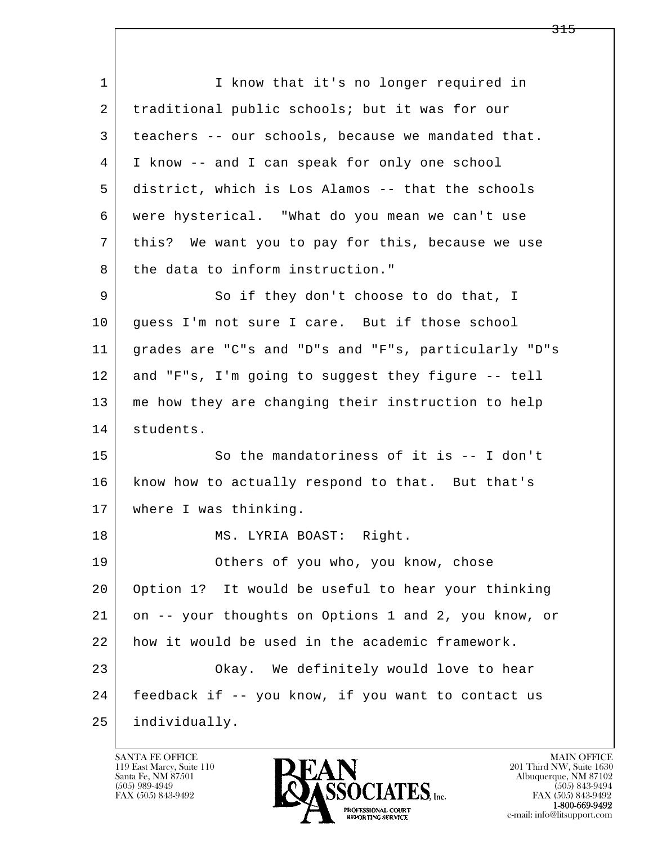l  $\overline{\phantom{a}}$ 1 I know that it's no longer required in 2 traditional public schools; but it was for our 3 teachers -- our schools, because we mandated that. 4 I know -- and I can speak for only one school 5 district, which is Los Alamos -- that the schools 6 were hysterical. "What do you mean we can't use 7 this? We want you to pay for this, because we use  $8$  the data to inform instruction." 9 So if they don't choose to do that, I 10 quess I'm not sure I care. But if those school 11 grades are "C"s and "D"s and "F"s, particularly "D"s 12 and "F"s, I'm going to suggest they figure -- tell 13 | me how they are changing their instruction to help 14 students. 15 So the mandatoriness of it is -- I don't 16 know how to actually respond to that. But that's 17 | where I was thinking. 18 | MS. LYRIA BOAST: Right. 19 Others of you who, you know, chose 20 Option 1? It would be useful to hear your thinking 21 on -- your thoughts on Options 1 and 2, you know, or 22 how it would be used in the academic framework. 23 Okay. We definitely would love to hear 24 feedback if -- you know, if you want to contact us 25 individually.

119 East Marcy, Suite 110<br>Santa Fe, NM 87501

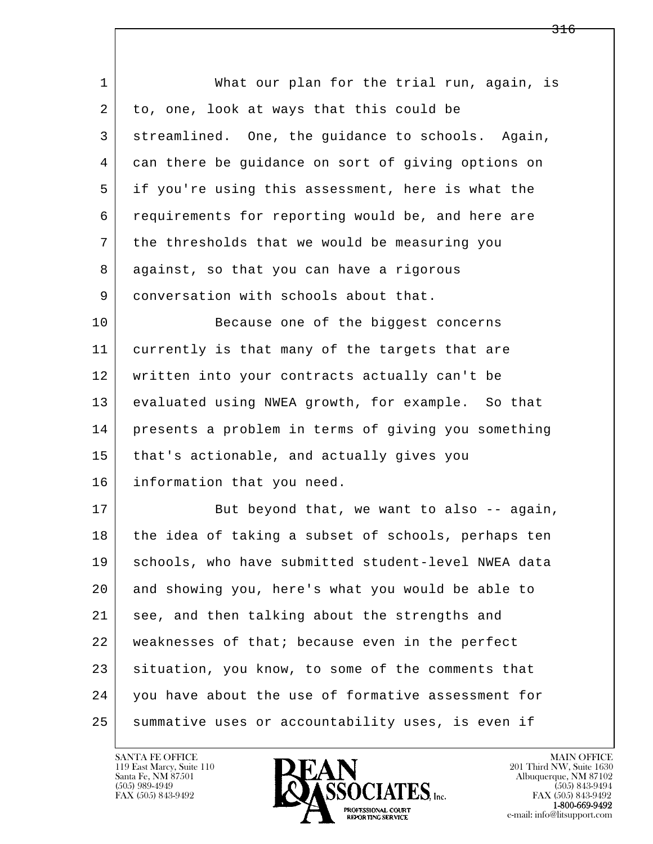| $\mathbf{1}$ | What our plan for the trial run, again, is          |
|--------------|-----------------------------------------------------|
| 2            | to, one, look at ways that this could be            |
| 3            | streamlined. One, the guidance to schools. Again,   |
| 4            | can there be guidance on sort of giving options on  |
| 5            | if you're using this assessment, here is what the   |
| 6            | requirements for reporting would be, and here are   |
| 7            | the thresholds that we would be measuring you       |
| 8            | against, so that you can have a rigorous            |
| 9            | conversation with schools about that.               |
| 10           | Because one of the biggest concerns                 |
| 11           | currently is that many of the targets that are      |
| 12           | written into your contracts actually can't be       |
| 13           | evaluated using NWEA growth, for example. So that   |
| 14           | presents a problem in terms of giving you something |
| 15           | that's actionable, and actually gives you           |
| 16           | information that you need.                          |
| 17           | But beyond that, we want to also -- again,          |
| 18           | the idea of taking a subset of schools, perhaps ten |
| 19           | schools, who have submitted student-level NWEA data |
| 20           | and showing you, here's what you would be able to   |
| 21           | see, and then talking about the strengths and       |
| 22           | weaknesses of that; because even in the perfect     |
| 23           | situation, you know, to some of the comments that   |
| 24           | you have about the use of formative assessment for  |
| 25           | summative uses or accountability uses, is even if   |

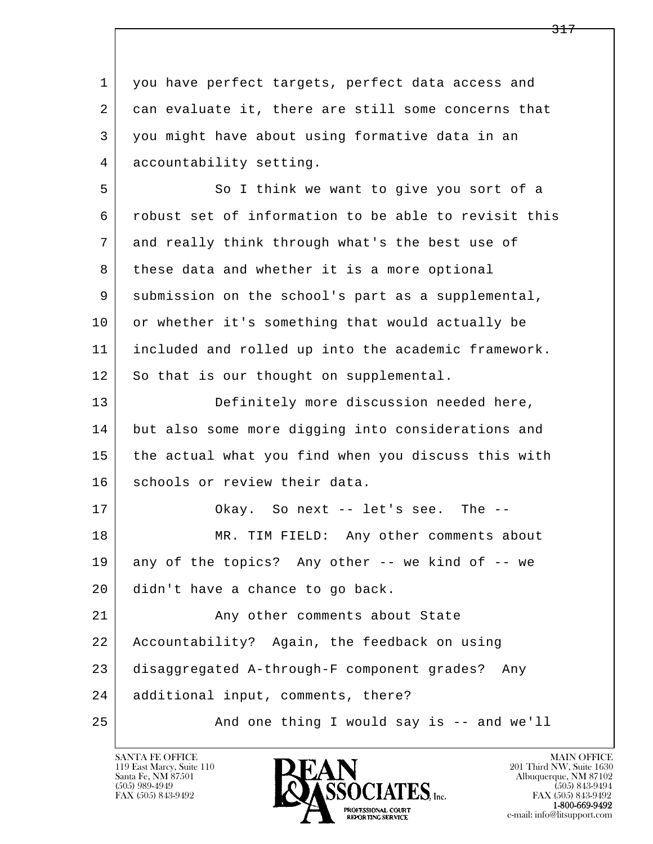1 you have perfect targets, perfect data access and 2 can evaluate it, there are still some concerns that 3 you might have about using formative data in an 4 accountability setting.

5 So I think we want to give you sort of a 6 robust set of information to be able to revisit this 7 and really think through what's the best use of 8 these data and whether it is a more optional 9 submission on the school's part as a supplemental, 10 or whether it's something that would actually be 11 included and rolled up into the academic framework. 12 So that is our thought on supplemental.

13 Definitely more discussion needed here, 14 but also some more digging into considerations and 15 the actual what you find when you discuss this with 16 schools or review their data.

17 | Okay. So next -- let's see. The --18 | MR. TIM FIELD: Any other comments about 19 any of the topics? Any other -- we kind of -- we 20 didn't have a chance to go back. 21 | The Surge of Any other comments about State 22 Accountability? Again, the feedback on using

23 disaggregated A-through-F component grades? Any

24 additional input, comments, there?

l  $\overline{\phantom{a}}$ 

25 And one thing I would say is -- and we'll

119 East Marcy, Suite 110<br>Santa Fe, NM 87501

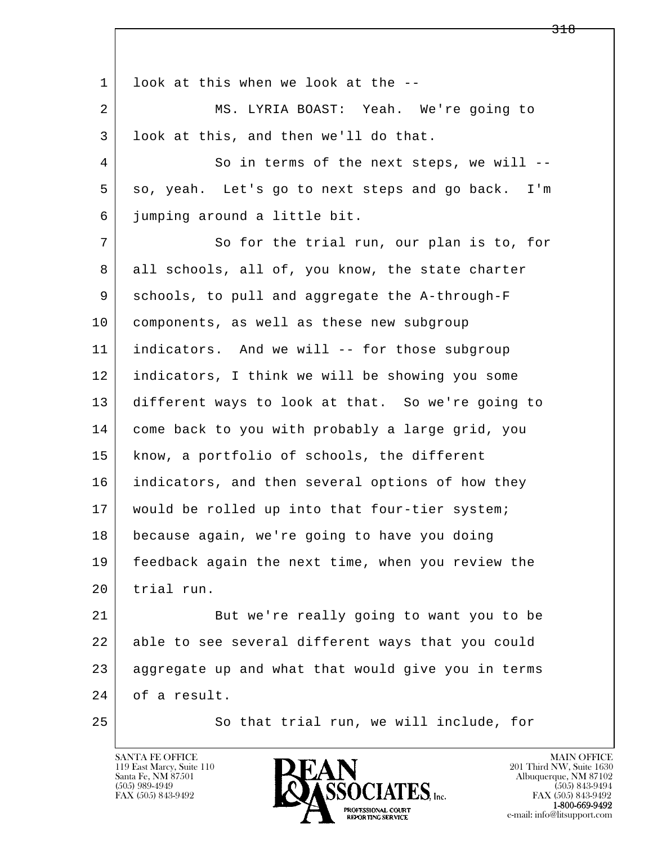l  $\overline{\phantom{a}}$ 1 look at this when we look at the -- 2 MS. LYRIA BOAST: Yeah. We're going to 3 look at this, and then we'll do that. 4 So in terms of the next steps, we will --5 so, yeah. Let's go to next steps and go back. I'm 6 jumping around a little bit. 7 So for the trial run, our plan is to, for 8 all schools, all of, you know, the state charter 9 schools, to pull and aggregate the A-through-F 10 components, as well as these new subgroup 11 indicators. And we will -- for those subgroup 12 indicators, I think we will be showing you some 13 different ways to look at that. So we're going to 14 come back to you with probably a large grid, you 15 know, a portfolio of schools, the different 16 indicators, and then several options of how they 17 | would be rolled up into that four-tier system; 18 because again, we're going to have you doing 19 feedback again the next time, when you review the 20 trial run. 21 But we're really going to want you to be 22 able to see several different ways that you could 23 aggregate up and what that would give you in terms 24 of a result. 25 So that trial run, we will include, for

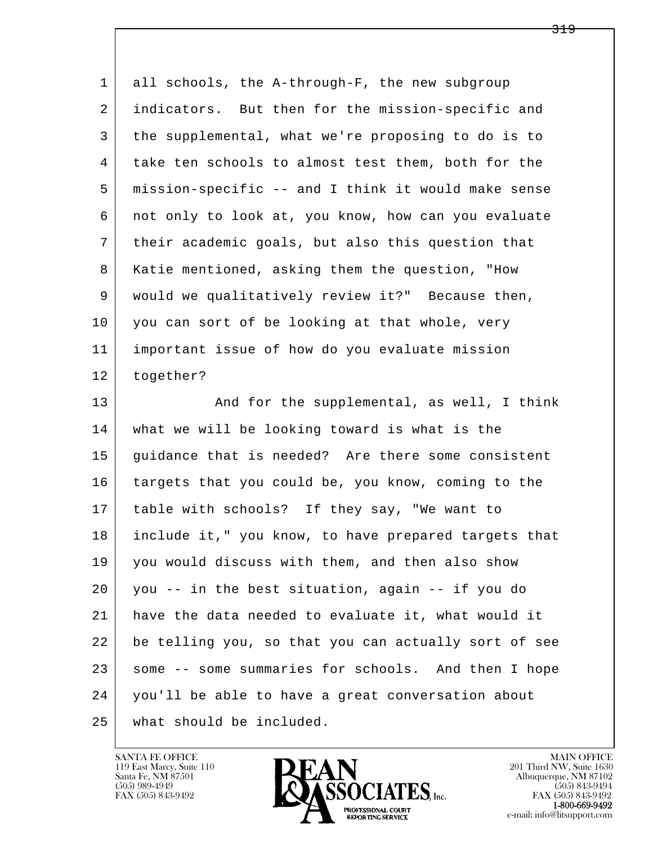l  $\overline{\phantom{a}}$  1 all schools, the A-through-F, the new subgroup 2 indicators. But then for the mission-specific and 3 the supplemental, what we're proposing to do is to 4 take ten schools to almost test them, both for the 5 mission-specific -- and I think it would make sense 6 not only to look at, you know, how can you evaluate 7 their academic goals, but also this question that 8 Katie mentioned, asking them the question, "How 9 would we qualitatively review it?" Because then, 10 you can sort of be looking at that whole, very 11 important issue of how do you evaluate mission 12 together? 13 And for the supplemental, as well, I think 14 what we will be looking toward is what is the 15 | guidance that is needed? Are there some consistent 16 targets that you could be, you know, coming to the 17 table with schools? If they say, "We want to 18 include it," you know, to have prepared targets that 19 | you would discuss with them, and then also show 20 you -- in the best situation, again -- if you do 21 have the data needed to evaluate it, what would it 22 be telling you, so that you can actually sort of see 23 some -- some summaries for schools. And then I hope 24 you'll be able to have a great conversation about

25 what should be included.

119 East Marcy, Suite 110<br>Santa Fe, NM 87501



FAX (505) 843-9492<br>**1-800-669-9492**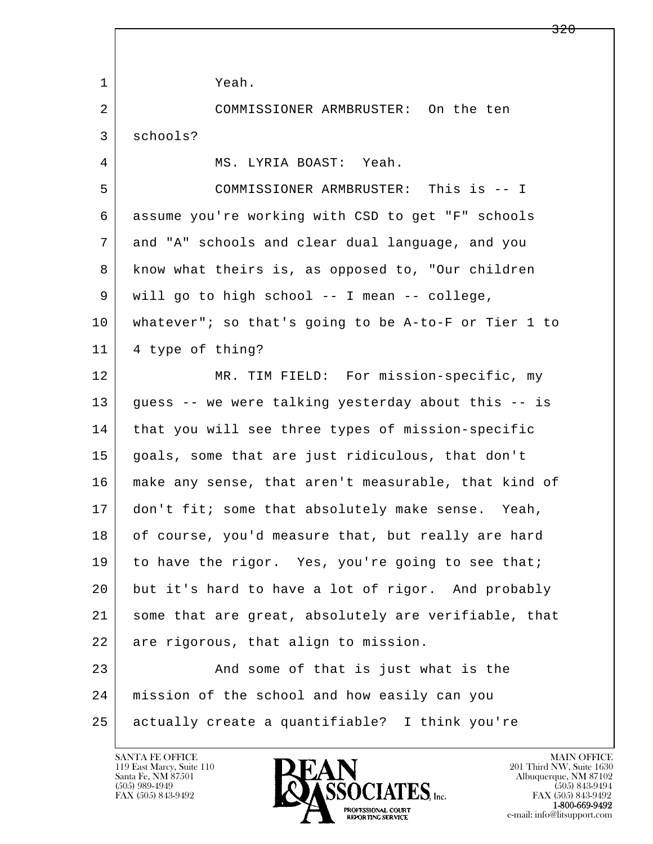l  $\overline{\phantom{a}}$  1 Yeah. 2 COMMISSIONER ARMBRUSTER: On the ten 3 schools? 4 MS. LYRIA BOAST: Yeah. 5 COMMISSIONER ARMBRUSTER: This is -- I 6 assume you're working with CSD to get "F" schools 7 and "A" schools and clear dual language, and you 8 know what theirs is, as opposed to, "Our children 9 will go to high school -- I mean -- college, 10 whatever"; so that's going to be A-to-F or Tier 1 to 11 4 type of thing? 12 MR. TIM FIELD: For mission-specific, my 13 guess -- we were talking yesterday about this -- is 14 that you will see three types of mission-specific 15 goals, some that are just ridiculous, that don't 16 make any sense, that aren't measurable, that kind of 17 don't fit; some that absolutely make sense. Yeah, 18 | of course, you'd measure that, but really are hard 19 to have the rigor. Yes, you're going to see that; 20 but it's hard to have a lot of rigor. And probably 21 some that are great, absolutely are verifiable, that 22 are rigorous, that align to mission. 23 And some of that is just what is the 24 mission of the school and how easily can you 25 actually create a quantifiable? I think you're

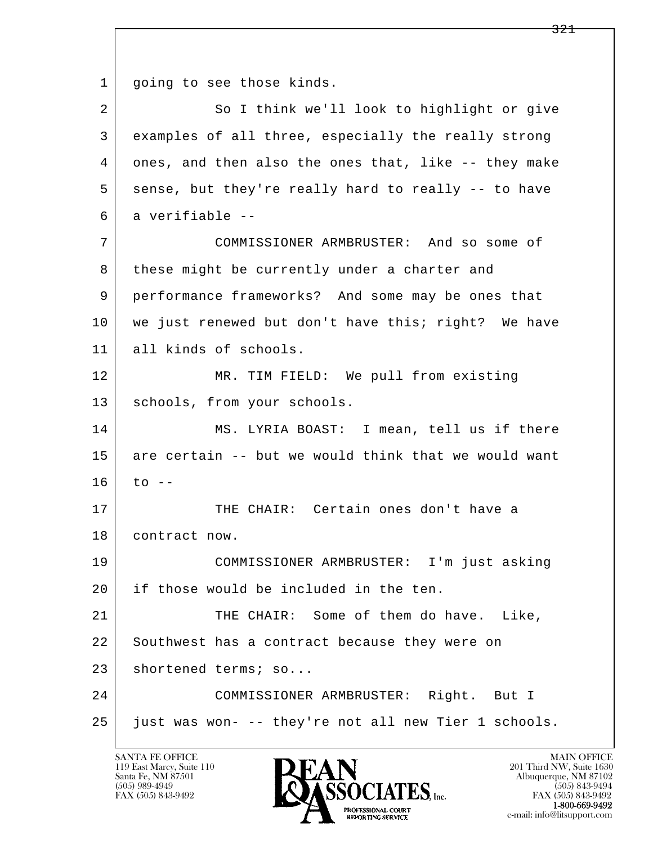l  $\overline{\phantom{a}}$ 1 | going to see those kinds. 2 So I think we'll look to highlight or give 3 examples of all three, especially the really strong 4 ones, and then also the ones that, like -- they make 5 sense, but they're really hard to really -- to have 6 a verifiable -- 7 COMMISSIONER ARMBRUSTER: And so some of 8 these might be currently under a charter and 9 performance frameworks? And some may be ones that 10 | we just renewed but don't have this; right? We have 11 all kinds of schools. 12 MR. TIM FIELD: We pull from existing 13 | schools, from your schools. 14 MS. LYRIA BOAST: I mean, tell us if there 15 are certain -- but we would think that we would want  $16$  to  $-$ 17 THE CHAIR: Certain ones don't have a 18 | contract now. 19 COMMISSIONER ARMBRUSTER: I'm just asking 20 if those would be included in the ten. 21 THE CHAIR: Some of them do have. Like, 22 Southwest has a contract because they were on 23 shortened terms; so... 24 COMMISSIONER ARMBRUSTER: Right. But I 25 just was won- -- they're not all new Tier 1 schools.

119 East Marcy, Suite 110<br>Santa Fe, NM 87501

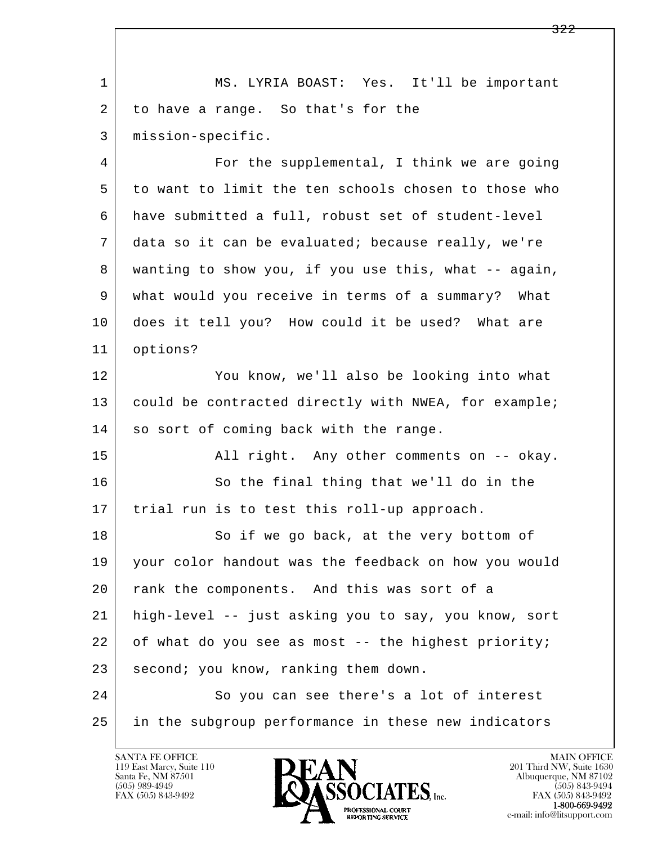l  $\overline{\phantom{a}}$ 1 | MS. LYRIA BOAST: Yes. It'll be important 2 to have a range. So that's for the 3 mission-specific. 4 For the supplemental, I think we are going 5 to want to limit the ten schools chosen to those who 6 have submitted a full, robust set of student-level 7 data so it can be evaluated; because really, we're 8 wanting to show you, if you use this, what -- again, 9 what would you receive in terms of a summary? What 10 does it tell you? How could it be used? What are 11 options? 12 You know, we'll also be looking into what 13 could be contracted directly with NWEA, for example; 14 so sort of coming back with the range. 15 | All right. Any other comments on -- okay. 16 So the final thing that we'll do in the 17 | trial run is to test this roll-up approach. 18 So if we go back, at the very bottom of 19 your color handout was the feedback on how you would 20 | rank the components. And this was sort of a 21 high-level -- just asking you to say, you know, sort 22 | of what do you see as most -- the highest priority; 23 second; you know, ranking them down. 24 So you can see there's a lot of interest 25 in the subgroup performance in these new indicators

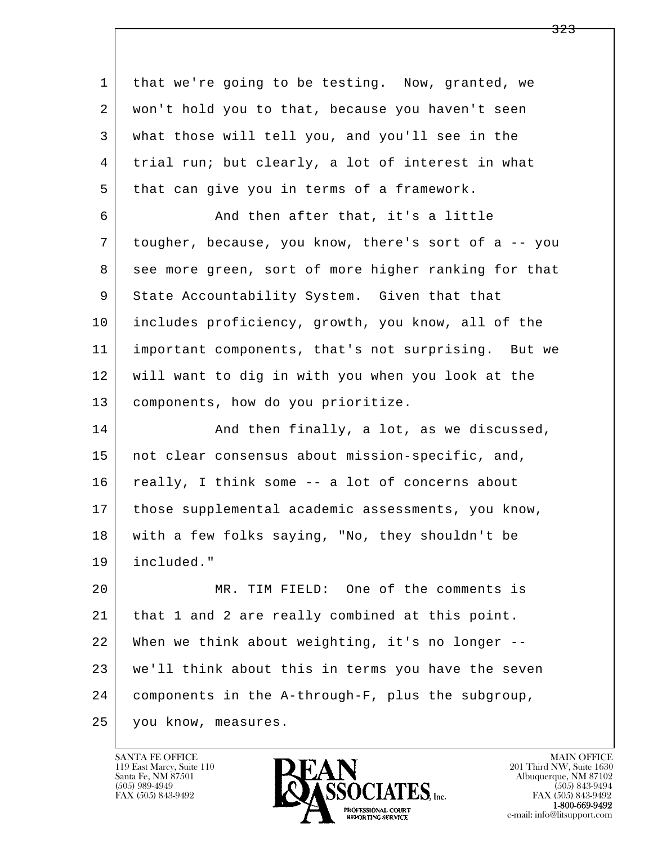l  $\overline{\phantom{a}}$  1 that we're going to be testing. Now, granted, we 2 won't hold you to that, because you haven't seen 3 what those will tell you, and you'll see in the 4 trial run; but clearly, a lot of interest in what 5 | that can give you in terms of a framework. 6 And then after that, it's a little 7 tougher, because, you know, there's sort of a -- you 8 see more green, sort of more higher ranking for that 9 State Accountability System. Given that that 10 includes proficiency, growth, you know, all of the 11 important components, that's not surprising. But we 12 will want to dig in with you when you look at the 13 components, how do you prioritize. 14 And then finally, a lot, as we discussed, 15 | not clear consensus about mission-specific, and, 16 really, I think some -- a lot of concerns about 17 | those supplemental academic assessments, you know, 18 with a few folks saying, "No, they shouldn't be 19 included." 20 MR. TIM FIELD: One of the comments is 21 that 1 and 2 are really combined at this point. 22 When we think about weighting, it's no longer -- 23 we'll think about this in terms you have the seven 24 components in the A-through-F, plus the subgroup, 25 you know, measures.

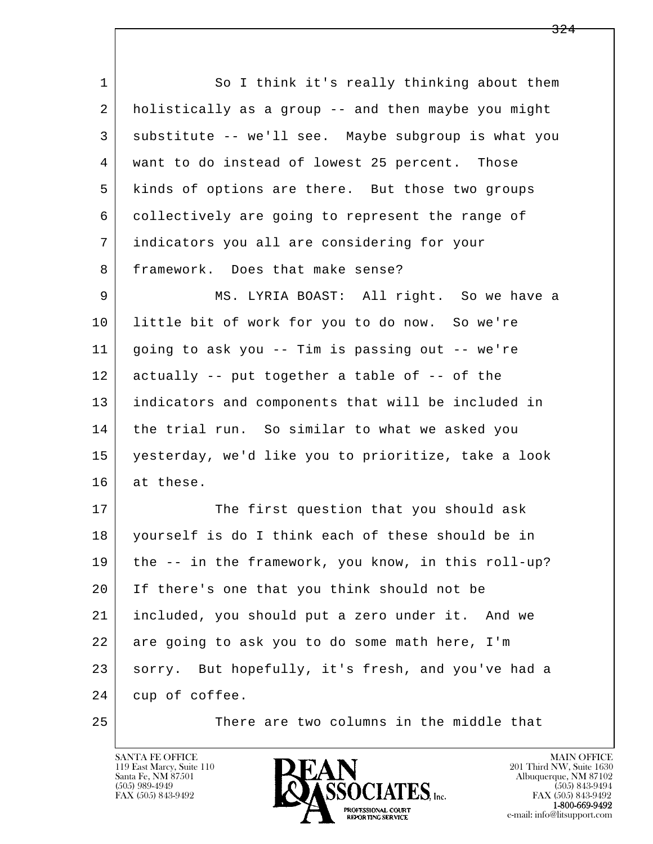l  $\overline{\phantom{a}}$ 1 So I think it's really thinking about them 2 holistically as a group -- and then maybe you might 3 substitute -- we'll see. Maybe subgroup is what you 4 want to do instead of lowest 25 percent. Those 5 kinds of options are there. But those two groups 6 collectively are going to represent the range of 7 indicators you all are considering for your 8 framework. Does that make sense? 9 MS. LYRIA BOAST: All right. So we have a 10 little bit of work for you to do now. So we're 11 going to ask you -- Tim is passing out -- we're 12 actually -- put together a table of -- of the 13 indicators and components that will be included in 14 the trial run. So similar to what we asked you 15 yesterday, we'd like you to prioritize, take a look 16 at these. 17 The first question that you should ask 18 yourself is do I think each of these should be in 19 the -- in the framework, you know, in this roll-up? 20 If there's one that you think should not be 21 included, you should put a zero under it. And we 22 are going to ask you to do some math here, I'm 23 sorry. But hopefully, it's fresh, and you've had a 24 cup of coffee. 25 There are two columns in the middle that

119 East Marcy, Suite 110<br>Santa Fe, NM 87501

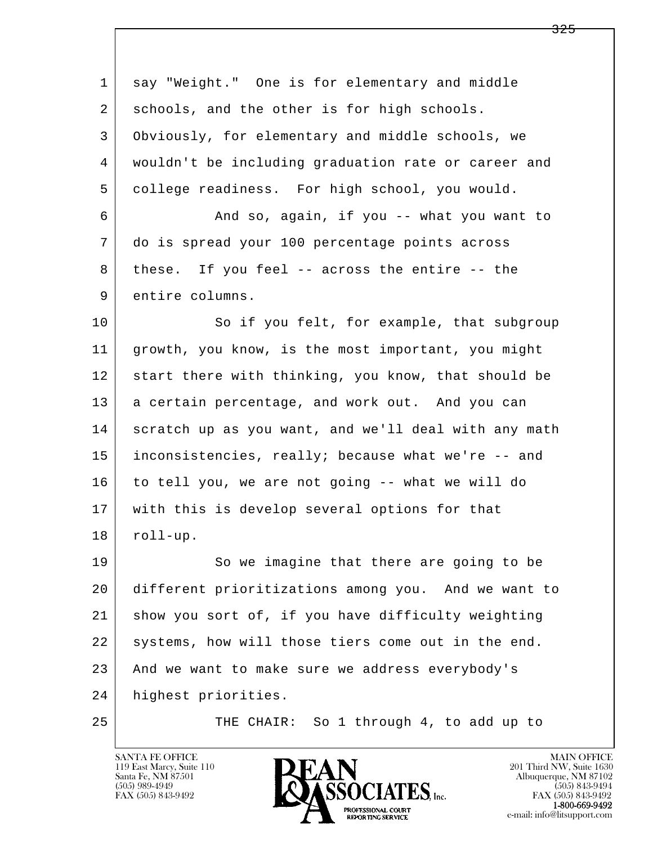| 1  | say "Weight." One is for elementary and middle       |
|----|------------------------------------------------------|
| 2  | schools, and the other is for high schools.          |
| 3  | Obviously, for elementary and middle schools, we     |
| 4  | wouldn't be including graduation rate or career and  |
| 5  | college readiness. For high school, you would.       |
| 6  | And so, again, if you -- what you want to            |
| 7  | do is spread your 100 percentage points across       |
| 8  | these. If you feel -- across the entire -- the       |
| 9  | entire columns.                                      |
| 10 | So if you felt, for example, that subgroup           |
| 11 | growth, you know, is the most important, you might   |
| 12 | start there with thinking, you know, that should be  |
| 13 | a certain percentage, and work out. And you can      |
| 14 | scratch up as you want, and we'll deal with any math |
| 15 | inconsistencies, really; because what we're -- and   |
| 16 | to tell you, we are not going -- what we will do     |
| 17 | with this is develop several options for that        |
| 18 | $roll-up.$                                           |
| 19 | So we imagine that there are going to be             |
| 20 | different prioritizations among you. And we want to  |
| 21 | show you sort of, if you have difficulty weighting   |
| 22 | systems, how will those tiers come out in the end.   |
| 23 | And we want to make sure we address everybody's      |
| 24 | highest priorities.                                  |
| 25 | So 1 through 4, to add up to<br>THE CHAIR:           |

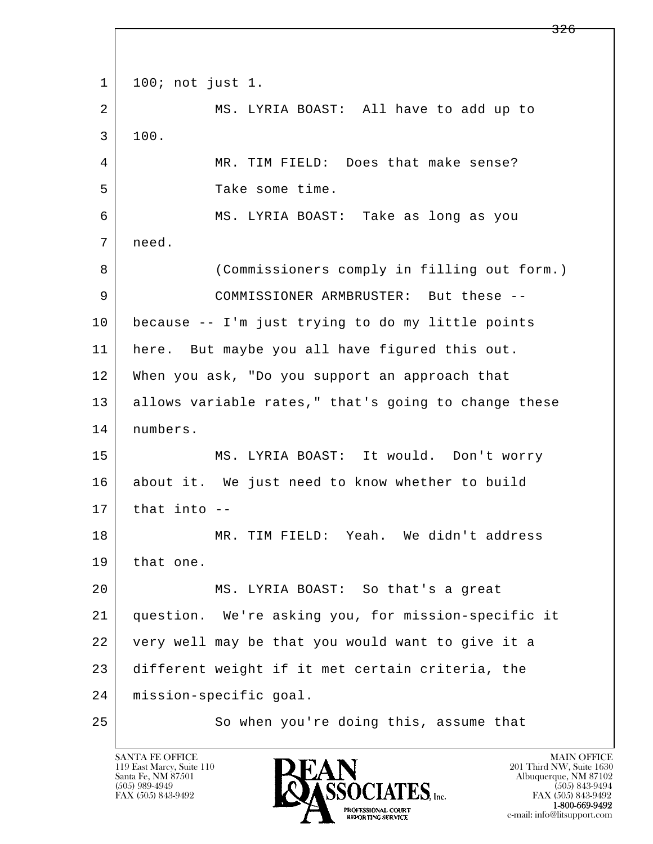l  $\overline{\phantom{a}}$  1 100; not just 1. 2 MS. LYRIA BOAST: All have to add up to 3 100. 4 MR. TIM FIELD: Does that make sense? 5 Take some time. 6 MS. LYRIA BOAST: Take as long as you 7 need. 8 (Commissioners comply in filling out form.) 9 COMMISSIONER ARMBRUSTER: But these -- 10 because -- I'm just trying to do my little points 11 here. But maybe you all have figured this out. 12 When you ask, "Do you support an approach that 13 allows variable rates," that's going to change these 14 numbers. 15 MS. LYRIA BOAST: It would. Don't worry 16 about it. We just need to know whether to build  $17$  that into  $-$  18 MR. TIM FIELD: Yeah. We didn't address 19 that one. 20 MS. LYRIA BOAST: So that's a great 21 question. We're asking you, for mission-specific it 22 very well may be that you would want to give it a 23 different weight if it met certain criteria, the 24 mission-specific goal. 25 | So when you're doing this, assume that

119 East Marcy, Suite 110<br>Santa Fe, NM 87501

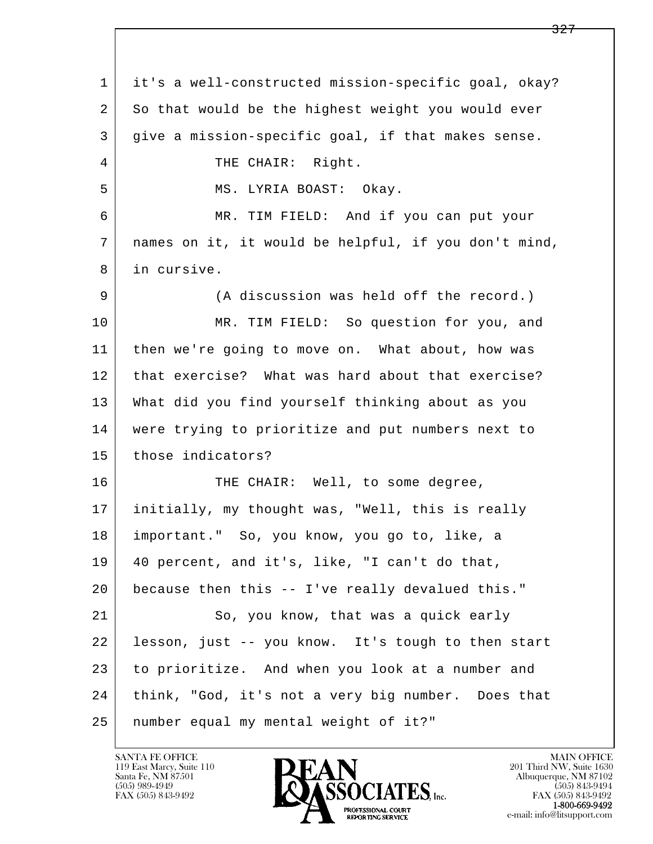l  $\overline{\phantom{a}}$  1 it's a well-constructed mission-specific goal, okay? 2 So that would be the highest weight you would ever 3 give a mission-specific goal, if that makes sense. 4 THE CHAIR: Right. 5 MS. LYRIA BOAST: Okay. 6 MR. TIM FIELD: And if you can put your 7 names on it, it would be helpful, if you don't mind, 8 in cursive. 9 (A discussion was held off the record.) 10 MR. TIM FIELD: So question for you, and 11 then we're going to move on. What about, how was 12 | that exercise? What was hard about that exercise? 13 What did you find yourself thinking about as you 14 were trying to prioritize and put numbers next to 15 those indicators? 16 THE CHAIR: Well, to some degree, 17 initially, my thought was, "Well, this is really 18 important." So, you know, you go to, like, a 19 40 percent, and it's, like, "I can't do that, 20 because then this -- I've really devalued this." 21 So, you know, that was a quick early 22 lesson, just -- you know. It's tough to then start 23 to prioritize. And when you look at a number and 24 think, "God, it's not a very big number. Does that 25 number equal my mental weight of it?"

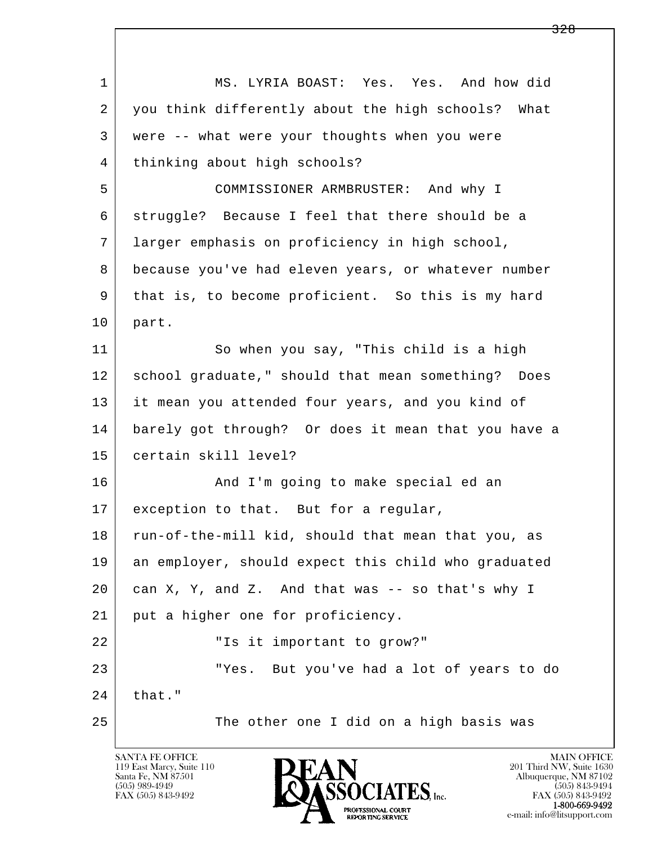| $\mathbf 1$ | MS. LYRIA BOAST: Yes. Yes. And how did              |
|-------------|-----------------------------------------------------|
| 2           | you think differently about the high schools? What  |
| 3           | were -- what were your thoughts when you were       |
| 4           | thinking about high schools?                        |
| 5           | COMMISSIONER ARMBRUSTER: And why I                  |
| 6           | struggle? Because I feel that there should be a     |
| 7           | larger emphasis on proficiency in high school,      |
| 8           | because you've had eleven years, or whatever number |
| 9           | that is, to become proficient. So this is my hard   |
| 10          | part.                                               |
| 11          | So when you say, "This child is a high              |
| 12          | school graduate," should that mean something? Does  |
| 13          | it mean you attended four years, and you kind of    |
| 14          | barely got through? Or does it mean that you have a |
| 15          | certain skill level?                                |
| 16          | And I'm going to make special ed an                 |
| 17          | exception to that. But for a regular,               |
| 18          | run-of-the-mill kid, should that mean that you, as  |
| 19          | an employer, should expect this child who graduated |
| 20          | can X, Y, and Z. And that was -- so that's why I    |
| 21          | put a higher one for proficiency.                   |
| 22          | "Is it important to grow?"                          |
| 23          | But you've had a lot of years to do<br>"Yes.        |
| 24          | that."                                              |
| 25          | The other one I did on a high basis was             |

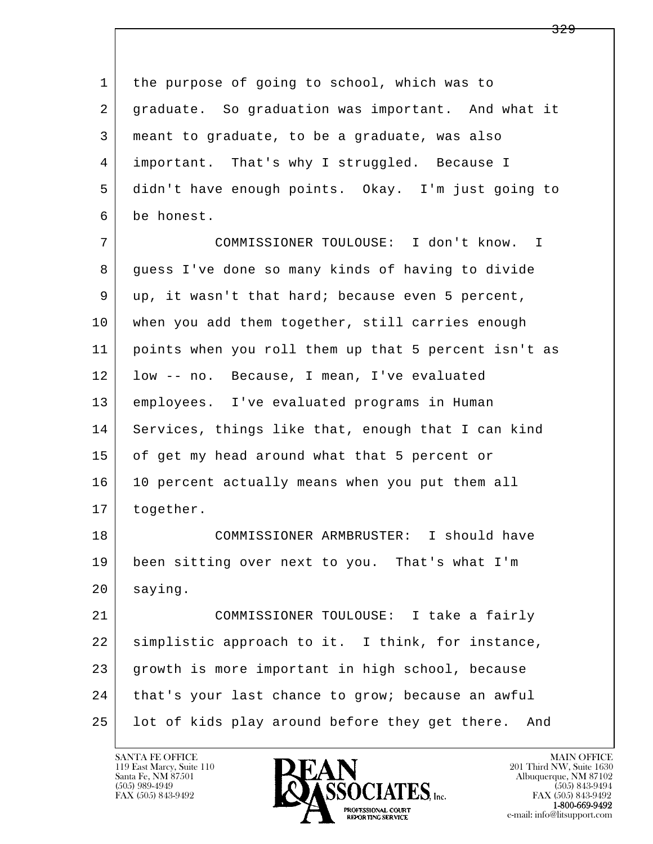l  $\overline{\phantom{a}}$ 1 the purpose of going to school, which was to 2 graduate. So graduation was important. And what it 3 meant to graduate, to be a graduate, was also 4 important. That's why I struggled. Because I 5 didn't have enough points. Okay. I'm just going to 6 be honest. 7 COMMISSIONER TOULOUSE: I don't know. I 8 guess I've done so many kinds of having to divide 9 up, it wasn't that hard; because even 5 percent, 10 when you add them together, still carries enough 11 points when you roll them up that 5 percent isn't as 12 low -- no. Because, I mean, I've evaluated 13 employees. I've evaluated programs in Human 14 Services, things like that, enough that I can kind 15 of get my head around what that 5 percent or 16 10 percent actually means when you put them all 17 | together. 18 COMMISSIONER ARMBRUSTER: I should have 19 been sitting over next to you. That's what I'm 20 | saying. 21 COMMISSIONER TOULOUSE: I take a fairly 22 simplistic approach to it. I think, for instance, 23 growth is more important in high school, because 24 | that's your last chance to grow; because an awful 25 lot of kids play around before they get there. And

119 East Marcy, Suite 110<br>Santa Fe, NM 87501



FAX (505) 843-9492<br>**1-800-669-9492**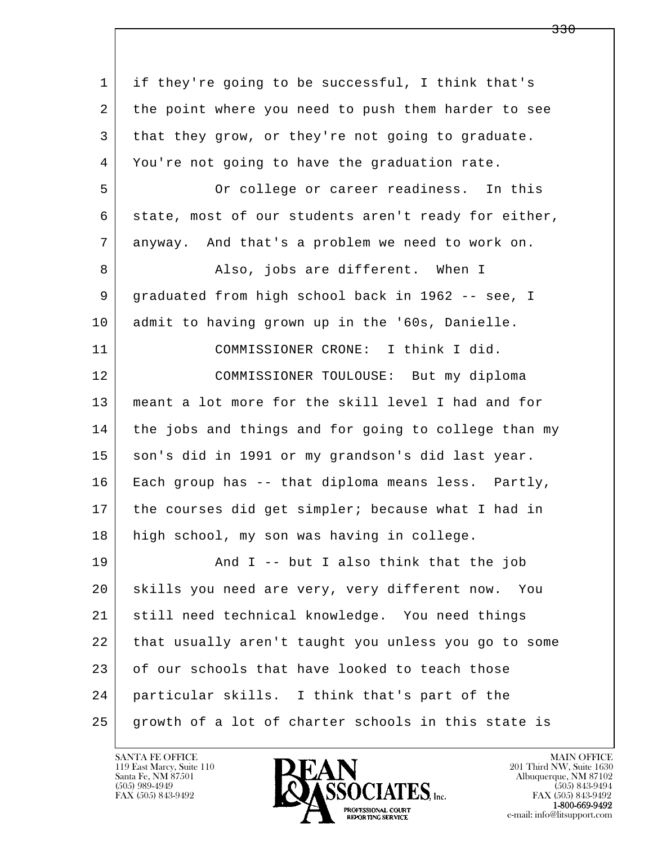| $\mathbf{1}$ | if they're going to be successful, I think that's    |
|--------------|------------------------------------------------------|
| 2            | the point where you need to push them harder to see  |
| 3            | that they grow, or they're not going to graduate.    |
| 4            | You're not going to have the graduation rate.        |
| 5            | Or college or career readiness. In this              |
| 6            | state, most of our students aren't ready for either, |
| 7            | anyway. And that's a problem we need to work on.     |
| 8            | Also, jobs are different. When I                     |
| 9            | graduated from high school back in 1962 -- see, I    |
| 10           | admit to having grown up in the '60s, Danielle.      |
| 11           | COMMISSIONER CRONE: I think I did.                   |
| 12           | COMMISSIONER TOULOUSE: But my diploma                |
| 13           | meant a lot more for the skill level I had and for   |
| 14           | the jobs and things and for going to college than my |
| 15           | son's did in 1991 or my grandson's did last year.    |
| 16           | Each group has -- that diploma means less. Partly,   |
| 17           | the courses did get simpler; because what I had in   |
| 18           | high school, my son was having in college.           |
| 19           | And $I$ -- but I also think that the job             |
| 20           | skills you need are very, very different now. You    |
| 21           | still need technical knowledge. You need things      |
| 22           | that usually aren't taught you unless you go to some |
| 23           | of our schools that have looked to teach those       |
| 24           | particular skills. I think that's part of the        |
| 25           | growth of a lot of charter schools in this state is  |

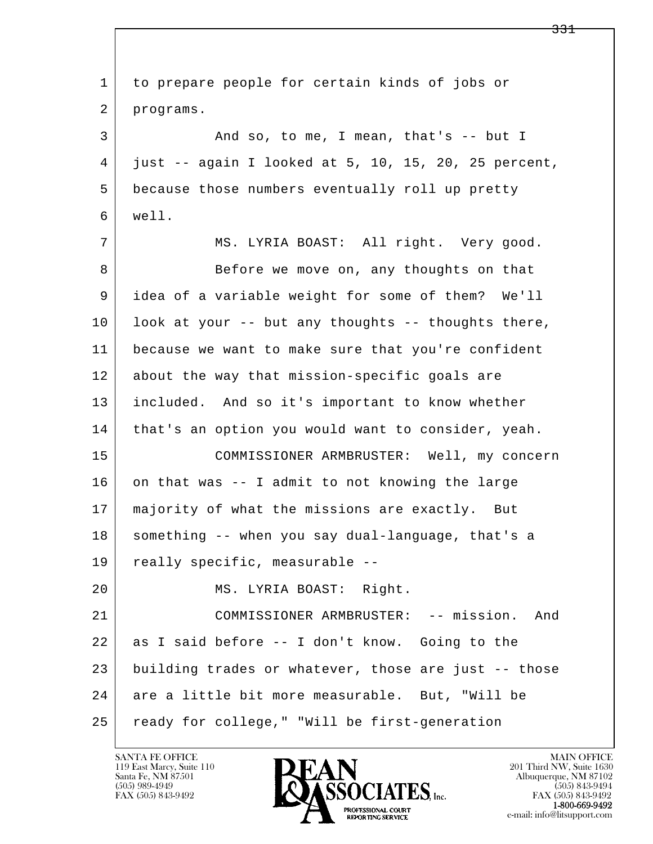| $\mathbf 1$ | to prepare people for certain kinds of jobs or       |
|-------------|------------------------------------------------------|
| 2           | programs.                                            |
| 3           | And so, to me, I mean, that's -- but I               |
| 4           | just -- again I looked at 5, 10, 15, 20, 25 percent, |
| 5           | because those numbers eventually roll up pretty      |
| 6           | well.                                                |
| 7           | MS. LYRIA BOAST: All right. Very good.               |
| 8           | Before we move on, any thoughts on that              |
| 9           | idea of a variable weight for some of them? We'll    |
| 10          | look at your -- but any thoughts -- thoughts there,  |
| 11          | because we want to make sure that you're confident   |
| 12          | about the way that mission-specific goals are        |
| 13          | included. And so it's important to know whether      |
| 14          | that's an option you would want to consider, yeah.   |
| 15          | COMMISSIONER ARMBRUSTER: Well, my concern            |
| 16          | on that was -- I admit to not knowing the large      |
| 17          | majority of what the missions are exactly. But       |
| 18          | something -- when you say dual-language, that's a    |
| 19          | really specific, measurable --                       |
| 20          | MS. LYRIA BOAST: Right.                              |
| 21          | COMMISSIONER ARMBRUSTER: -- mission.<br>And          |
| 22          | as I said before -- I don't know. Going to the       |
| 23          | building trades or whatever, those are just -- those |
| 24          | are a little bit more measurable. But, "Will be      |
| 25          | ready for college," "Will be first-generation        |

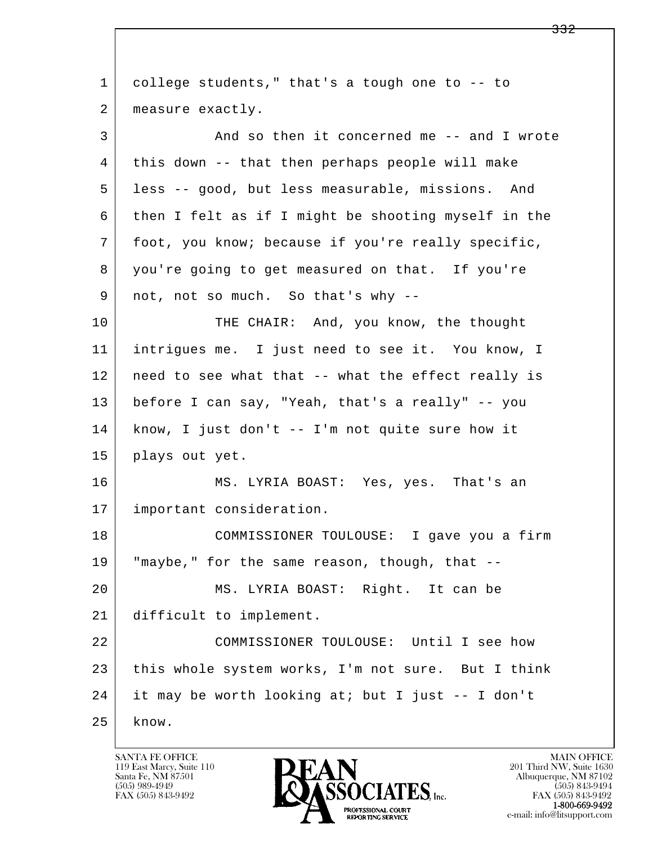l  $\overline{\phantom{a}}$  1 college students," that's a tough one to -- to 2 | measure exactly. 3 And so then it concerned me -- and I wrote 4 this down -- that then perhaps people will make 5 less -- good, but less measurable, missions. And 6 then I felt as if I might be shooting myself in the 7 foot, you know; because if you're really specific, 8 you're going to get measured on that. If you're 9 | not, not so much. So that's why --10 THE CHAIR: And, you know, the thought 11 intrigues me. I just need to see it. You know, I 12 need to see what that -- what the effect really is 13 before I can say, "Yeah, that's a really" -- you 14 know, I just don't -- I'm not quite sure how it 15 plays out yet. 16 MS. LYRIA BOAST: Yes, yes. That's an 17 important consideration. 18 COMMISSIONER TOULOUSE: I gave you a firm 19 "maybe," for the same reason, though, that -- 20 MS. LYRIA BOAST: Right. It can be 21 difficult to implement. 22 COMMISSIONER TOULOUSE: Until I see how 23 this whole system works, I'm not sure. But I think 24 it may be worth looking at; but I just -- I don't  $25$  know.

119 East Marcy, Suite 110<br>Santa Fe, NM 87501

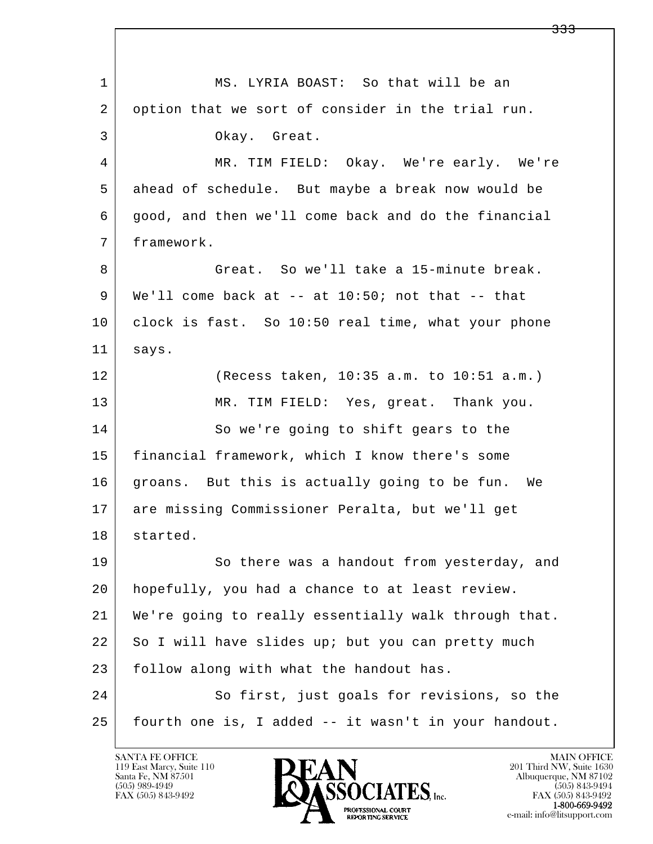l  $\overline{\phantom{a}}$ 1 MS. LYRIA BOAST: So that will be an 2 option that we sort of consider in the trial run. 3 Okay. Great. 4 MR. TIM FIELD: Okay. We're early. We're 5 ahead of schedule. But maybe a break now would be 6 good, and then we'll come back and do the financial 7 framework. 8 Great. So we'll take a 15-minute break.  $9 \mid$  We'll come back at -- at 10:50; not that -- that 10 clock is fast. So 10:50 real time, what your phone 11 says. 12 (Recess taken, 10:35 a.m. to 10:51 a.m.) 13 MR. TIM FIELD: Yes, great. Thank you. 14 So we're going to shift gears to the 15 | financial framework, which I know there's some 16 groans. But this is actually going to be fun. We 17 are missing Commissioner Peralta, but we'll get 18 started. 19 So there was a handout from yesterday, and 20 hopefully, you had a chance to at least review. 21 We're going to really essentially walk through that. 22 So I will have slides up; but you can pretty much 23 | follow along with what the handout has. 24 So first, just goals for revisions, so the 25 fourth one is, I added -- it wasn't in your handout.

119 East Marcy, Suite 110<br>Santa Fe, NM 87501



<del>333</del>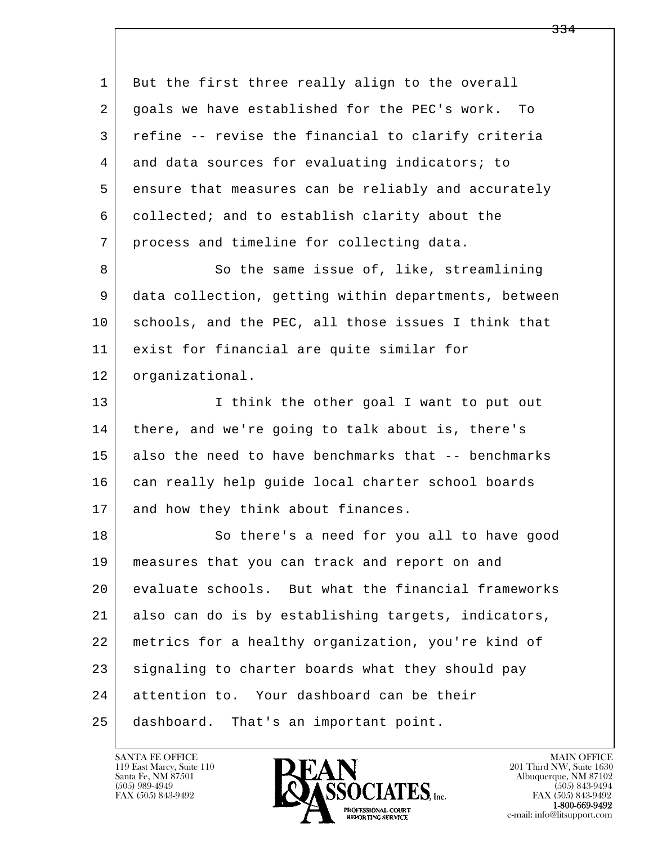l  $\overline{\phantom{a}}$ 1 But the first three really align to the overall 2 goals we have established for the PEC's work. To 3 refine -- revise the financial to clarify criteria 4 and data sources for evaluating indicators; to 5 ensure that measures can be reliably and accurately 6 collected; and to establish clarity about the 7 process and timeline for collecting data. 8 So the same issue of, like, streamlining 9 data collection, getting within departments, between 10 schools, and the PEC, all those issues I think that 11 exist for financial are quite similar for 12 organizational. 13 I think the other goal I want to put out 14 there, and we're going to talk about is, there's 15 also the need to have benchmarks that -- benchmarks 16 can really help quide local charter school boards 17 and how they think about finances. 18 So there's a need for you all to have good 19 measures that you can track and report on and 20 evaluate schools. But what the financial frameworks 21 also can do is by establishing targets, indicators, 22 metrics for a healthy organization, you're kind of 23 signaling to charter boards what they should pay 24 attention to. Your dashboard can be their 25 dashboard. That's an important point.

119 East Marcy, Suite 110<br>Santa Fe, NM 87501

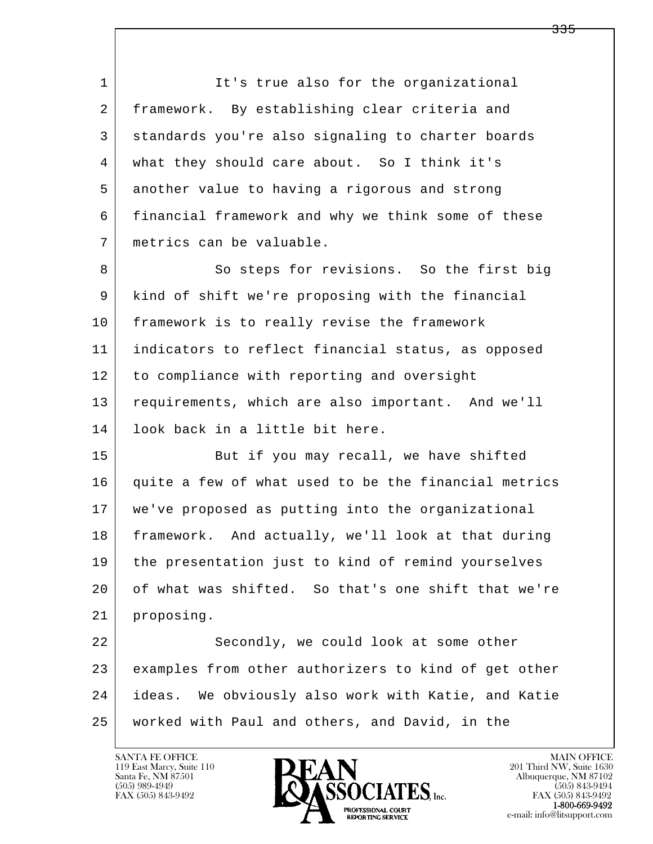1 It's true also for the organizational 2 framework. By establishing clear criteria and 3 standards you're also signaling to charter boards 4 what they should care about. So I think it's 5 another value to having a rigorous and strong 6 financial framework and why we think some of these 7 metrics can be valuable.

8 So steps for revisions. So the first big 9 kind of shift we're proposing with the financial 10 framework is to really revise the framework 11 indicators to reflect financial status, as opposed 12 to compliance with reporting and oversight 13 requirements, which are also important. And we'll 14 look back in a little bit here.

15 But if you may recall, we have shifted 16 quite a few of what used to be the financial metrics 17 we've proposed as putting into the organizational 18 framework. And actually, we'll look at that during 19 the presentation just to kind of remind yourselves 20 of what was shifted. So that's one shift that we're 21 proposing.

l  $\overline{\phantom{a}}$ 22 Secondly, we could look at some other 23 examples from other authorizers to kind of get other 24 ideas. We obviously also work with Katie, and Katie 25 worked with Paul and others, and David, in the

119 East Marcy, Suite 110<br>Santa Fe, NM 87501

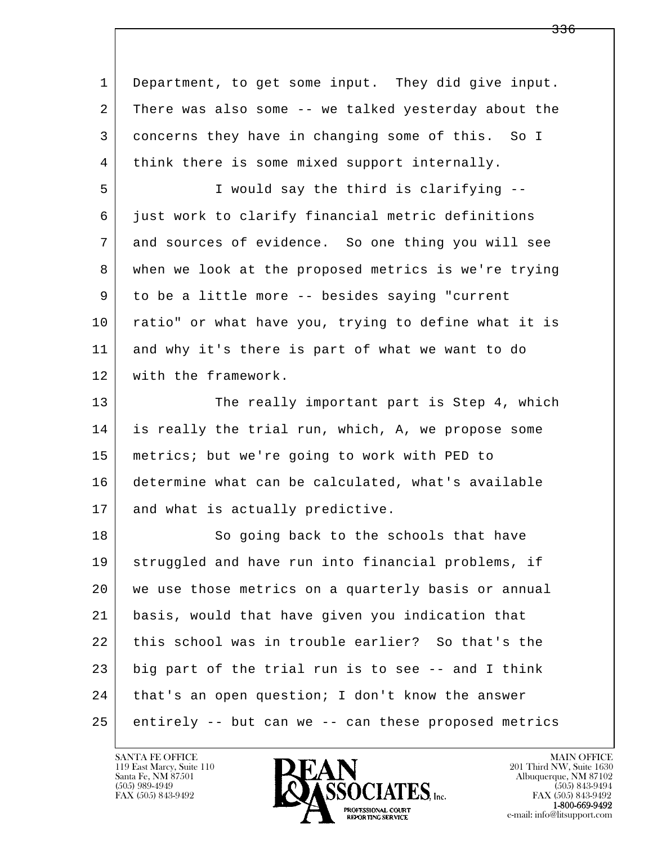| $\mathbf 1$ | Department, to get some input. They did give input.  |
|-------------|------------------------------------------------------|
| 2           | There was also some -- we talked yesterday about the |
| 3           | concerns they have in changing some of this. So I    |
| 4           | think there is some mixed support internally.        |
| 5           | I would say the third is clarifying --               |
| 6           | just work to clarify financial metric definitions    |
| 7           | and sources of evidence. So one thing you will see   |
| 8           | when we look at the proposed metrics is we're trying |
| 9           | to be a little more -- besides saying "current       |
| 10          | ratio" or what have you, trying to define what it is |
| 11          | and why it's there is part of what we want to do     |
| 12          | with the framework.                                  |
| 13          | The really important part is Step 4, which           |
| 14          | is really the trial run, which, A, we propose some   |
| 15          | metrics; but we're going to work with PED to         |
| 16          | determine what can be calculated, what's available   |
| 17          | and what is actually predictive.                     |
| 18          | So going back to the schools that have               |
| 19          | struggled and have run into financial problems, if   |
| 20          | we use those metrics on a quarterly basis or annual  |
| 21          | basis, would that have given you indication that     |
| 22          | this school was in trouble earlier? So that's the    |
| 23          | big part of the trial run is to see -- and I think   |
| 24          | that's an open question; I don't know the answer     |
| 25          | entirely -- but can we -- can these proposed metrics |

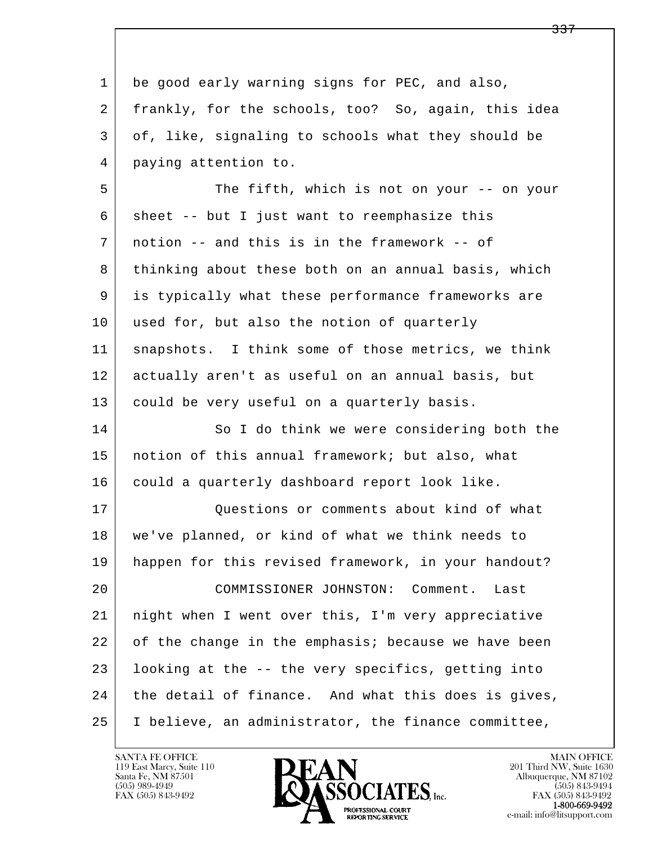l  $\overline{\phantom{a}}$ 1 be good early warning signs for PEC, and also, 2 frankly, for the schools, too? So, again, this idea 3 of, like, signaling to schools what they should be 4 paying attention to. 5 The fifth, which is not on your -- on your  $6$  sheet -- but I just want to reemphasize this 7 notion -- and this is in the framework -- of 8 thinking about these both on an annual basis, which 9 is typically what these performance frameworks are 10 used for, but also the notion of quarterly 11 snapshots. I think some of those metrics, we think 12 actually aren't as useful on an annual basis, but 13 could be very useful on a quarterly basis. 14 So I do think we were considering both the 15 notion of this annual framework; but also, what 16 could a quarterly dashboard report look like. 17 | Cuestions or comments about kind of what 18 we've planned, or kind of what we think needs to 19 happen for this revised framework, in your handout? 20 COMMISSIONER JOHNSTON: Comment. Last 21 night when I went over this, I'm very appreciative 22 of the change in the emphasis; because we have been 23 looking at the -- the very specifics, getting into 24 | the detail of finance. And what this does is gives, 25 I believe, an administrator, the finance committee,

119 East Marcy, Suite 110<br>Santa Fe, NM 87501



<del>337</del>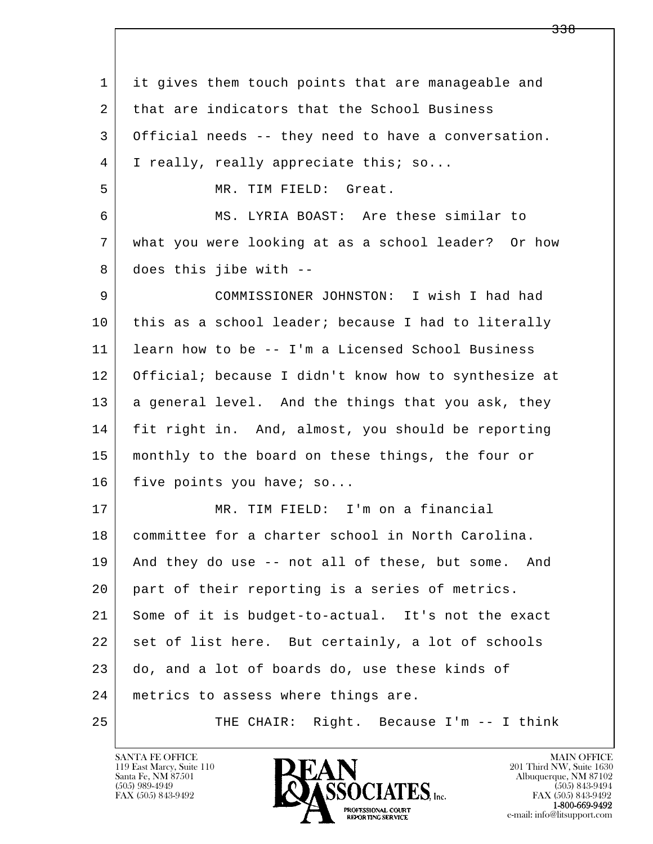| 1    | it gives them touch points that are manageable and   |
|------|------------------------------------------------------|
| 2    | that are indicators that the School Business         |
| 3    | Official needs -- they need to have a conversation.  |
| 4    | I really, really appreciate this; so                 |
| 5    | MR. TIM FIELD: Great.                                |
| 6    | MS. LYRIA BOAST: Are these similar to                |
| 7    | what you were looking at as a school leader? Or how  |
| 8    | does this jibe with --                               |
| 9    | COMMISSIONER JOHNSTON: I wish I had had              |
| 10   | this as a school leader; because I had to literally  |
| 11   | learn how to be -- I'm a Licensed School Business    |
| 12   | Official; because I didn't know how to synthesize at |
| 13   | a general level. And the things that you ask, they   |
| 14   | fit right in. And, almost, you should be reporting   |
| 15   | monthly to the board on these things, the four or    |
| 16   | five points you have; so                             |
| 17   | MR. TIM FIELD: I'm on a financial                    |
| $18$ | committee for a charter school in North Carolina.    |
| 19   | And they do use -- not all of these, but some. And   |
| 20   | part of their reporting is a series of metrics.      |
| 21   | Some of it is budget-to-actual. It's not the exact   |
| 22   | set of list here. But certainly, a lot of schools    |
| 23   | do, and a lot of boards do, use these kinds of       |
| 24   | metrics to assess where things are.                  |
| 25   | THE CHAIR: Right. Because I'm -- I think             |

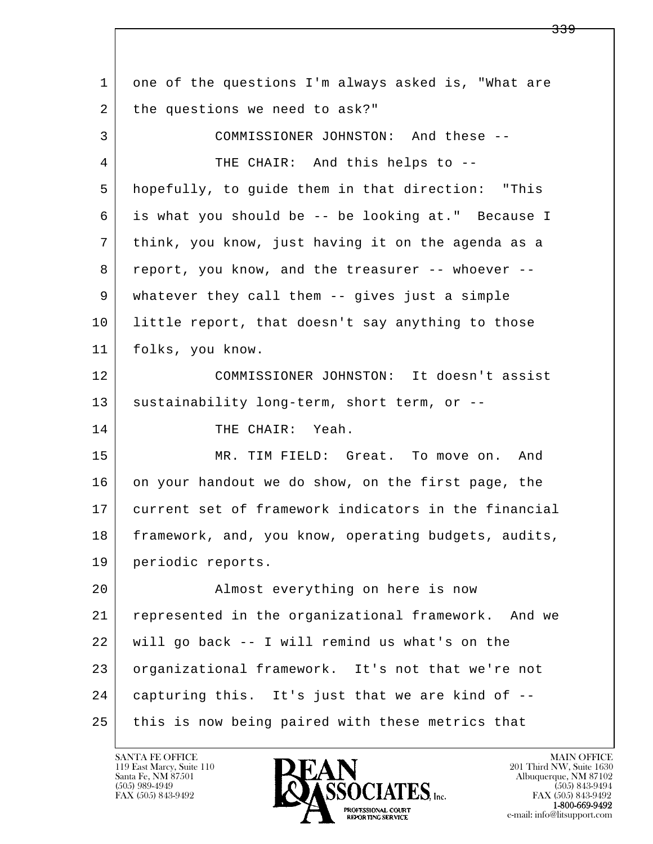l  $\overline{\phantom{a}}$  1 one of the questions I'm always asked is, "What are 2 | the questions we need to ask?" 3 COMMISSIONER JOHNSTON: And these -- 4 THE CHAIR: And this helps to -- 5 hopefully, to guide them in that direction: "This 6 is what you should be -- be looking at." Because I 7 think, you know, just having it on the agenda as a 8 report, you know, and the treasurer -- whoever -- 9 whatever they call them -- gives just a simple 10 little report, that doesn't say anything to those 11 folks, you know. 12 COMMISSIONER JOHNSTON: It doesn't assist 13 sustainability long-term, short term, or --14 THE CHAIR: Yeah. 15 MR. TIM FIELD: Great. To move on. And 16 on your handout we do show, on the first page, the 17 current set of framework indicators in the financial 18 framework, and, you know, operating budgets, audits, 19 periodic reports. 20 | Ramost everything on here is now 21 represented in the organizational framework. And we 22 will go back -- I will remind us what's on the 23 organizational framework. It's not that we're not 24 capturing this. It's just that we are kind of --25 this is now being paired with these metrics that

119 East Marcy, Suite 110<br>Santa Fe, NM 87501

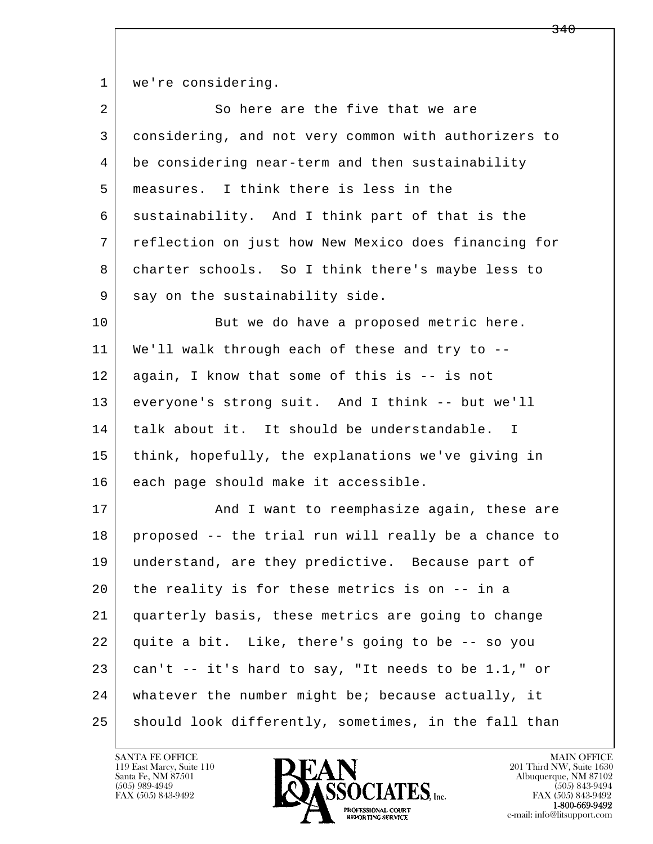1 | we're considering.

| $\overline{2}$ | So here are the five that we are                     |
|----------------|------------------------------------------------------|
| 3              | considering, and not very common with authorizers to |
| 4              | be considering near-term and then sustainability     |
| 5              | measures. I think there is less in the               |
| 6              | sustainability. And I think part of that is the      |
| 7              | reflection on just how New Mexico does financing for |
| 8              | charter schools. So I think there's maybe less to    |
| 9              | say on the sustainability side.                      |
| 10             | But we do have a proposed metric here.               |
| 11             | We'll walk through each of these and try to --       |
| 12             | again, I know that some of this is -- is not         |
| 13             | everyone's strong suit. And I think -- but we'll     |
| 14             | talk about it. It should be understandable. I        |
| 15             | think, hopefully, the explanations we've giving in   |
| 16             | each page should make it accessible.                 |
| 17             | And I want to reemphasize again, these are           |
| 18             | proposed -- the trial run will really be a chance to |
| 19             | understand, are they predictive. Because part of     |
| 20             | the reality is for these metrics is on -- in a       |
| 21             | quarterly basis, these metrics are going to change   |
| 22             | quite a bit. Like, there's going to be -- so you     |
| 23             | can't -- it's hard to say, "It needs to be 1.1," or  |
| 24             | whatever the number might be; because actually, it   |
| 25             | should look differently, sometimes, in the fall than |

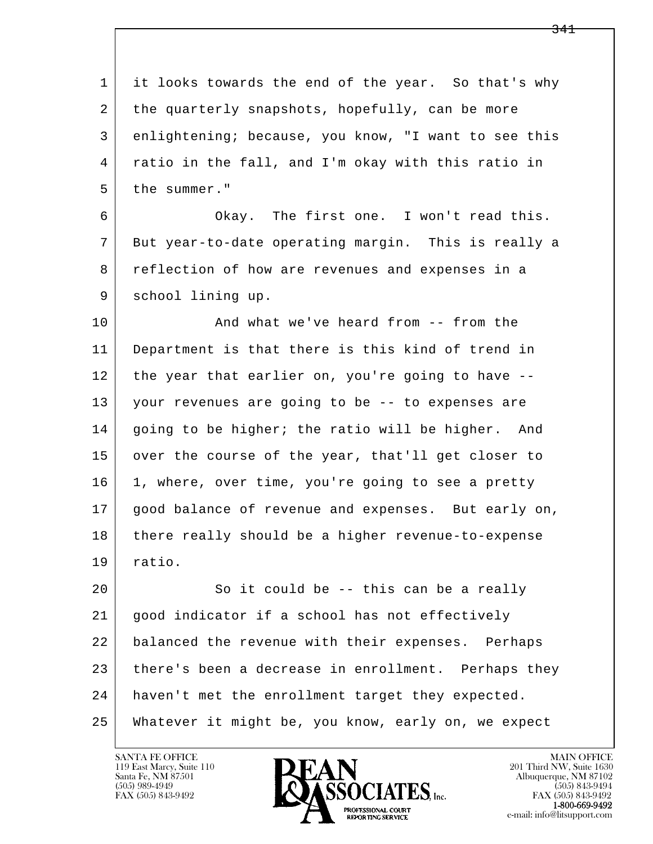l  $\overline{\phantom{a}}$  1 it looks towards the end of the year. So that's why 2 the quarterly snapshots, hopefully, can be more 3 enlightening; because, you know, "I want to see this 4 ratio in the fall, and I'm okay with this ratio in 5 the summer." 6 Okay. The first one. I won't read this. 7 But year-to-date operating margin. This is really a 8 reflection of how are revenues and expenses in a 9 | school lining up. 10 And what we've heard from -- from the 11 Department is that there is this kind of trend in 12 the year that earlier on, you're going to have -- 13 your revenues are going to be -- to expenses are 14 going to be higher; the ratio will be higher. And 15 over the course of the year, that'll get closer to 16 1, where, over time, you're going to see a pretty 17 good balance of revenue and expenses. But early on, 18 there really should be a higher revenue-to-expense 19 ratio. 20 So it could be -- this can be a really 21 good indicator if a school has not effectively 22 balanced the revenue with their expenses. Perhaps 23 there's been a decrease in enrollment. Perhaps they 24 haven't met the enrollment target they expected. 25 Whatever it might be, you know, early on, we expect



FAX (505) 843-9492<br>1-800-669-9492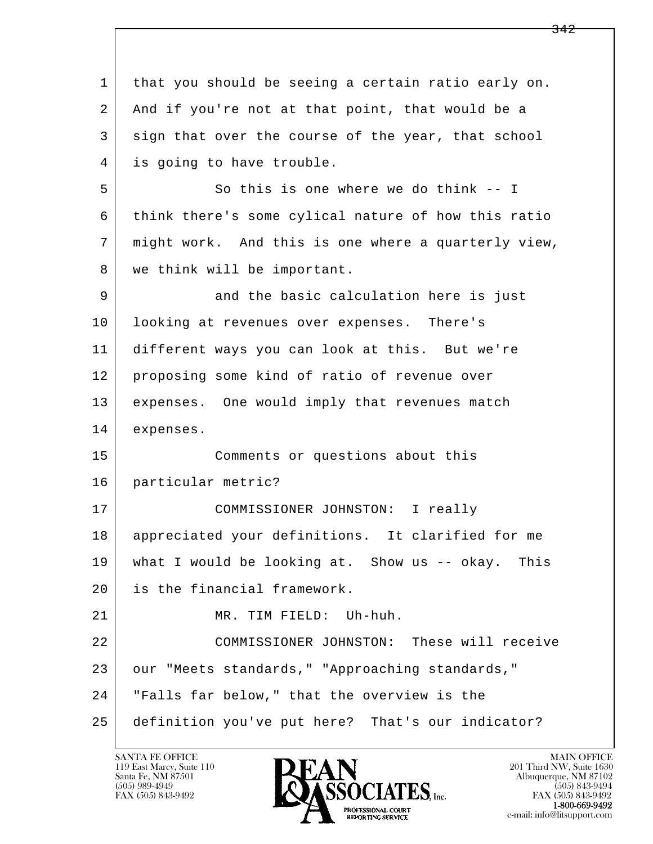l  $\overline{\phantom{a}}$  1 that you should be seeing a certain ratio early on. 2 And if you're not at that point, that would be a 3 sign that over the course of the year, that school 4 is going to have trouble. 5 So this is one where we do think -- I 6 think there's some cylical nature of how this ratio 7 might work. And this is one where a quarterly view, 8 | we think will be important. 9 and the basic calculation here is just 10 looking at revenues over expenses. There's 11 different ways you can look at this. But we're 12 proposing some kind of ratio of revenue over 13 expenses. One would imply that revenues match 14 expenses. 15 Comments or questions about this 16 particular metric? 17 COMMISSIONER JOHNSTON: I really 18 appreciated your definitions. It clarified for me 19 what I would be looking at. Show us -- okay. This 20 is the financial framework. 21 MR. TIM FIELD: Uh-huh. 22 COMMISSIONER JOHNSTON: These will receive 23 our "Meets standards," "Approaching standards," 24 "Falls far below," that the overview is the 25 definition you've put here? That's our indicator?

119 East Marcy, Suite 110<br>Santa Fe, NM 87501



FAX (505) 843-9492 FAX (505) 843-9492 e-mail: info@litsupport.com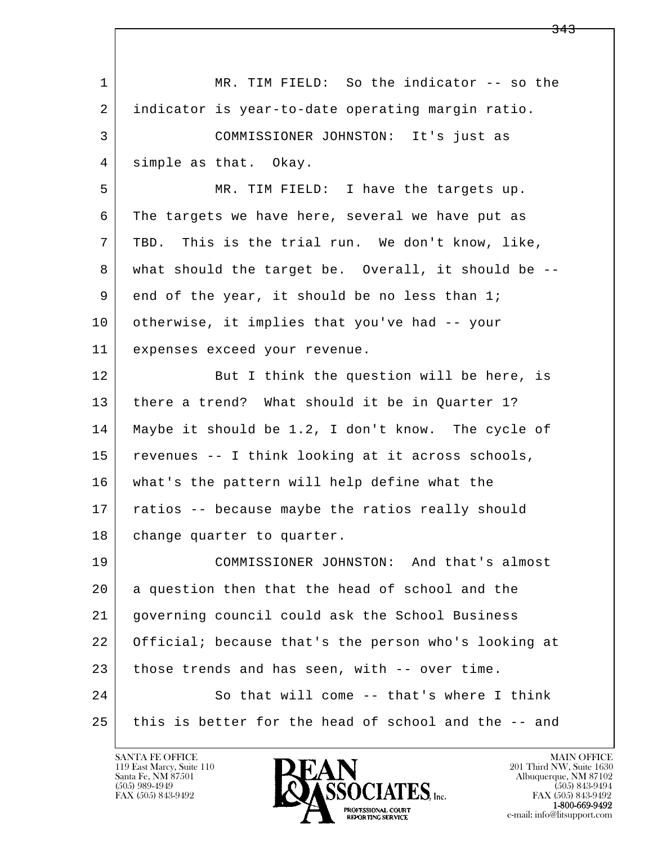| $\mathbf 1$ | MR. TIM FIELD: So the indicator -- so the            |
|-------------|------------------------------------------------------|
| 2           | indicator is year-to-date operating margin ratio.    |
| 3           | COMMISSIONER JOHNSTON: It's just as                  |
| 4           | simple as that. Okay.                                |
| 5           | MR. TIM FIELD: I have the targets up.                |
| 6           | The targets we have here, several we have put as     |
| 7           | This is the trial run. We don't know, like,<br>TBD.  |
| 8           | what should the target be. Overall, it should be --  |
| 9           | end of the year, it should be no less than 1;        |
| 10          | otherwise, it implies that you've had -- your        |
| 11          | expenses exceed your revenue.                        |
| 12          | But I think the question will be here, is            |
| 13          | there a trend? What should it be in Quarter 1?       |
| 14          | Maybe it should be 1.2, I don't know. The cycle of   |
| 15          | revenues -- I think looking at it across schools,    |
| 16          | what's the pattern will help define what the         |
| 17          | ratios -- because maybe the ratios really should     |
| 18          | change quarter to quarter.                           |
| 19          | COMMISSIONER JOHNSTON: And that's almost             |
| 20          | a question then that the head of school and the      |
| 21          | governing council could ask the School Business      |
| 22          | Official; because that's the person who's looking at |
| 23          | those trends and has seen, with -- over time.        |
| 24          | So that will come -- that's where I think            |
| 25          | this is better for the head of school and the -- and |

 $\overline{\phantom{a}}$ 

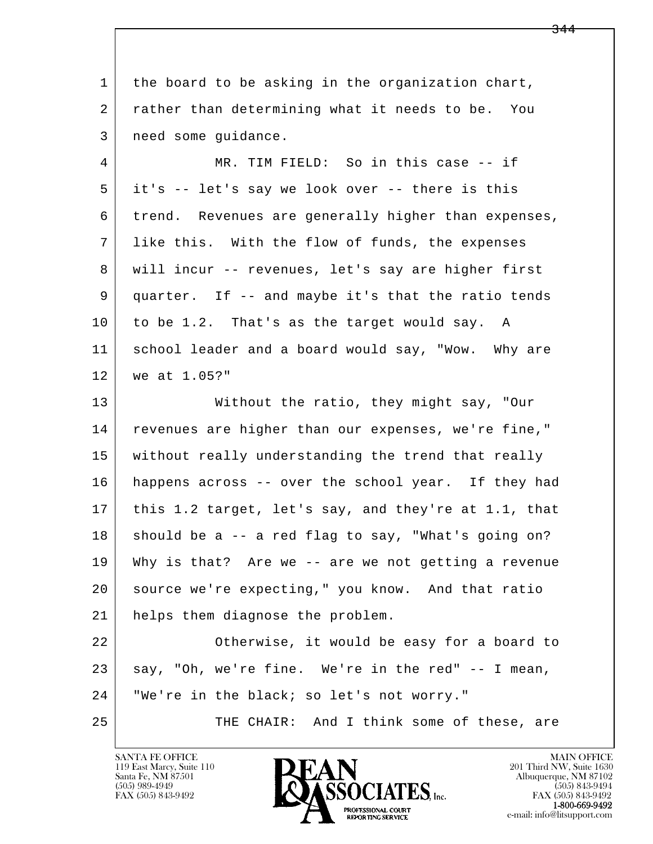l  $\overline{\phantom{a}}$  1 the board to be asking in the organization chart, 2 rather than determining what it needs to be. You 3 need some guidance. 4 MR. TIM FIELD: So in this case -- if 5 it's -- let's say we look over -- there is this 6 trend. Revenues are generally higher than expenses, 7 like this. With the flow of funds, the expenses 8 will incur -- revenues, let's say are higher first 9 quarter. If -- and maybe it's that the ratio tends 10 to be 1.2. That's as the target would say. A 11 school leader and a board would say, "Wow. Why are 12 we at 1.05?" 13 Without the ratio, they might say, "Our 14 revenues are higher than our expenses, we're fine," 15 without really understanding the trend that really 16 happens across -- over the school year. If they had 17 this 1.2 target, let's say, and they're at 1.1, that  $18$  should be a  $-$  a red flag to say, "What's going on? 19 Why is that? Are we -- are we not getting a revenue 20 source we're expecting," you know. And that ratio 21 helps them diagnose the problem. 22 Otherwise, it would be easy for a board to 23 say, "Oh, we're fine. We're in the red" -- I mean, 24 | "We're in the black; so let's not worry." 25 THE CHAIR: And I think some of these, are

119 East Marcy, Suite 110<br>Santa Fe, NM 87501

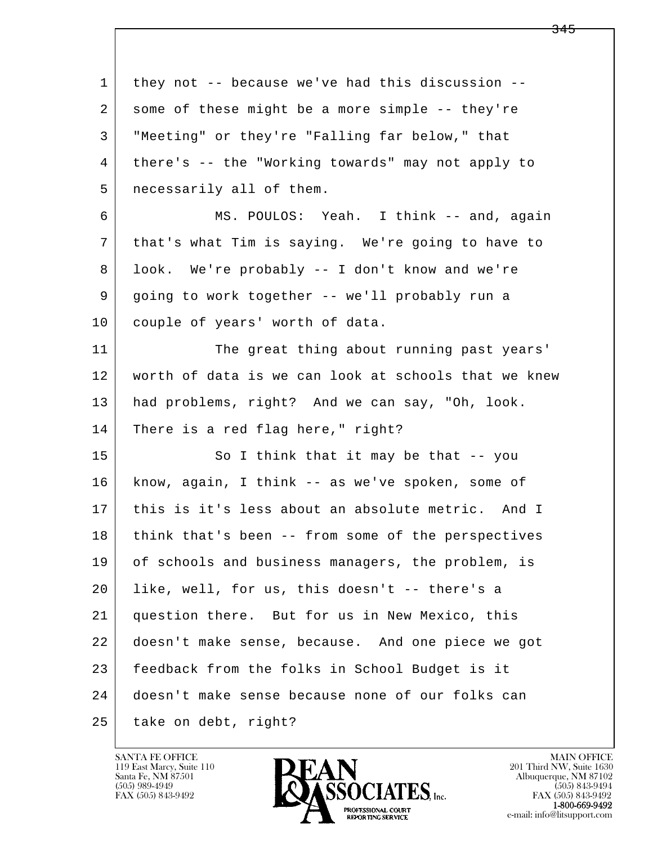l  $\overline{\phantom{a}}$  1 they not -- because we've had this discussion -- 2 some of these might be a more simple -- they're 3 "Meeting" or they're "Falling far below," that 4 there's -- the "Working towards" may not apply to 5 necessarily all of them. 6 MS. POULOS: Yeah. I think -- and, again 7 that's what Tim is saying. We're going to have to 8 look. We're probably -- I don't know and we're 9 going to work together -- we'll probably run a 10 couple of years' worth of data. 11 The great thing about running past years' 12 worth of data is we can look at schools that we knew 13 had problems, right? And we can say, "Oh, look. 14 There is a red flag here," right? 15 So I think that it may be that -- you 16 know, again, I think -- as we've spoken, some of 17 this is it's less about an absolute metric. And I 18 | think that's been -- from some of the perspectives 19 of schools and business managers, the problem, is 20 like, well, for us, this doesn't -- there's a 21 question there. But for us in New Mexico, this 22 doesn't make sense, because. And one piece we got 23 feedback from the folks in School Budget is it 24 doesn't make sense because none of our folks can 25 take on debt, right?

119 East Marcy, Suite 110<br>Santa Fe, NM 87501

![](_page_67_Picture_2.jpeg)

FAX (505) 843-9492<br>1-800-669-9492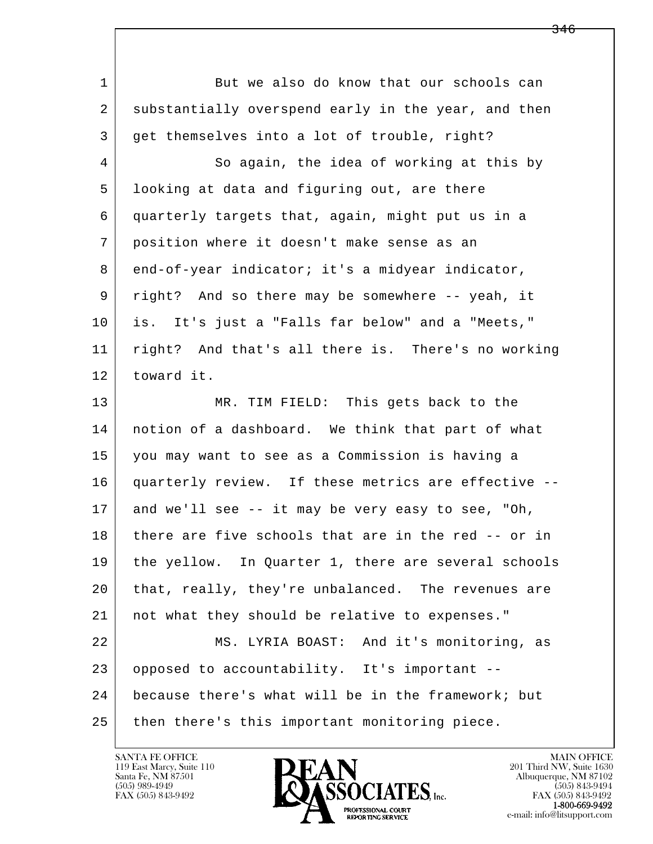l  $\overline{\phantom{a}}$ 1 But we also do know that our schools can 2 substantially overspend early in the year, and then 3 get themselves into a lot of trouble, right? 4 So again, the idea of working at this by 5 looking at data and figuring out, are there 6 quarterly targets that, again, might put us in a 7 position where it doesn't make sense as an 8 end-of-year indicator; it's a midyear indicator, 9 right? And so there may be somewhere -- yeah, it 10 is. It's just a "Falls far below" and a "Meets," 11 right? And that's all there is. There's no working 12 toward it. 13 MR. TIM FIELD: This gets back to the 14 notion of a dashboard. We think that part of what 15 you may want to see as a Commission is having a 16 quarterly review. If these metrics are effective -- 17 and we'll see -- it may be very easy to see, "Oh, 18 there are five schools that are in the red -- or in 19 the yellow. In Quarter 1, there are several schools 20 that, really, they're unbalanced. The revenues are 21 not what they should be relative to expenses." 22 MS. LYRIA BOAST: And it's monitoring, as 23 opposed to accountability. It's important -- 24 because there's what will be in the framework; but 25 then there's this important monitoring piece.

119 East Marcy, Suite 110<br>Santa Fe, NM 87501

![](_page_68_Picture_2.jpeg)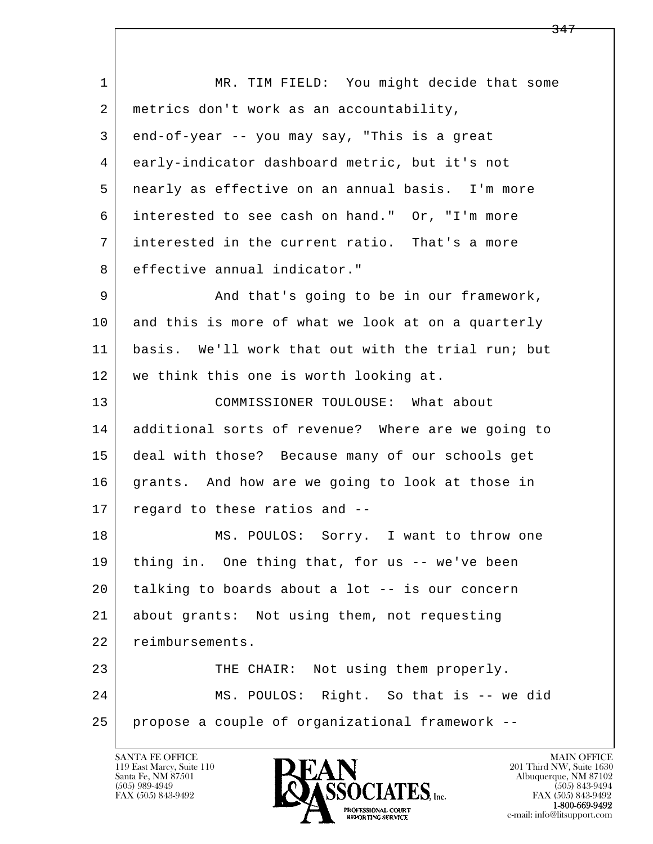l  $\overline{\phantom{a}}$ 1 | MR. TIM FIELD: You might decide that some 2 metrics don't work as an accountability, 3 end-of-year -- you may say, "This is a great 4 early-indicator dashboard metric, but it's not 5 nearly as effective on an annual basis. I'm more 6 interested to see cash on hand." Or, "I'm more 7 interested in the current ratio. That's a more 8 effective annual indicator." 9 And that's going to be in our framework, 10 and this is more of what we look at on a quarterly 11 basis. We'll work that out with the trial run; but 12 we think this one is worth looking at. 13 COMMISSIONER TOULOUSE: What about 14 additional sorts of revenue? Where are we going to 15 deal with those? Because many of our schools get 16 grants. And how are we going to look at those in 17 regard to these ratios and -- 18 | MS. POULOS: Sorry. I want to throw one 19 thing in. One thing that, for us -- we've been 20 talking to boards about a lot -- is our concern 21 about grants: Not using them, not requesting 22 reimbursements. 23 THE CHAIR: Not using them properly. 24 MS. POULOS: Right. So that is -- we did 25 propose a couple of organizational framework --

119 East Marcy, Suite 110<br>Santa Fe, NM 87501

![](_page_69_Picture_2.jpeg)

FAX (505) 843-9492<br>1-800-669-9492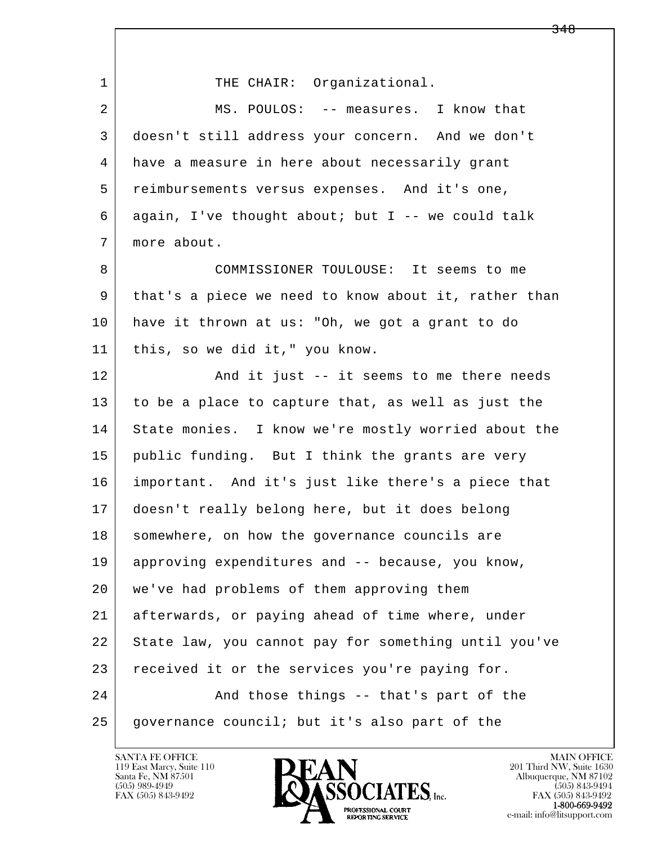| $\mathbf 1$ | THE CHAIR: Organizational.                           |
|-------------|------------------------------------------------------|
| 2           | MS. POULOS: -- measures. I know that                 |
| 3           | doesn't still address your concern. And we don't     |
| 4           | have a measure in here about necessarily grant       |
| 5           | reimbursements versus expenses. And it's one,        |
| 6           | again, I've thought about; but I -- we could talk    |
| 7           | more about.                                          |
| 8           | COMMISSIONER TOULOUSE: It seems to me                |
| 9           | that's a piece we need to know about it, rather than |
| 10          | have it thrown at us: "Oh, we got a grant to do      |
| 11          | this, so we did it," you know.                       |
| 12          | And it just -- it seems to me there needs            |
| 13          | to be a place to capture that, as well as just the   |
| 14          | State monies. I know we're mostly worried about the  |
| 15          | public funding. But I think the grants are very      |
| 16          | important. And it's just like there's a piece that   |
| 17          | doesn't really belong here, but it does belong       |
| 18          | somewhere, on how the governance councils are        |
| 19          | approving expenditures and -- because, you know,     |
| 20          | we've had problems of them approving them            |
| 21          | afterwards, or paying ahead of time where, under     |
| 22          | State law, you cannot pay for something until you've |
| 23          | received it or the services you're paying for.       |
| 24          | And those things -- that's part of the               |
| 25          | governance council; but it's also part of the        |

![](_page_70_Picture_2.jpeg)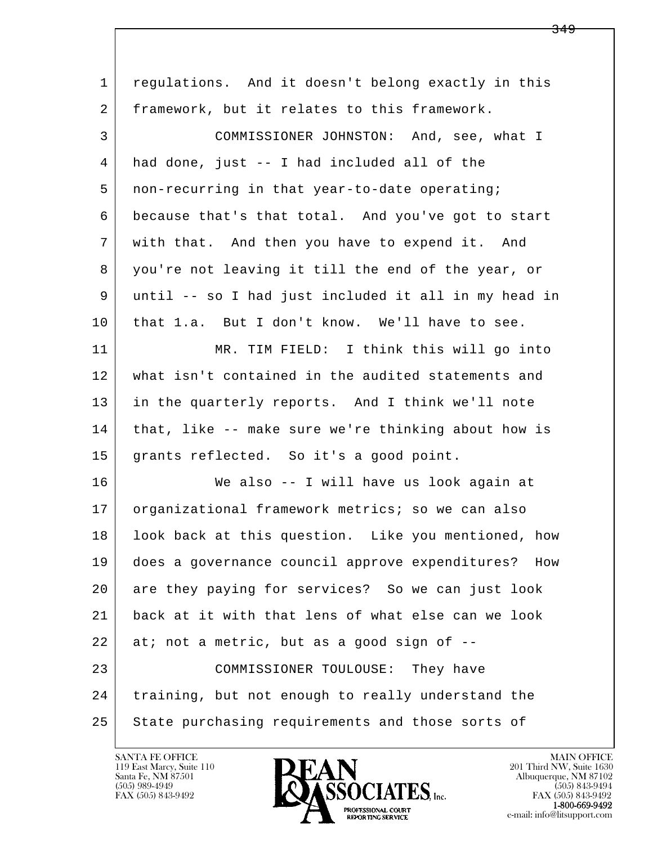| $\mathbf 1$ | regulations. And it doesn't belong exactly in this     |
|-------------|--------------------------------------------------------|
| 2           | framework, but it relates to this framework.           |
| 3           | COMMISSIONER JOHNSTON: And, see, what I                |
| 4           | had done, just -- I had included all of the            |
| 5           | non-recurring in that year-to-date operating;          |
| 6           | because that's that total. And you've got to start     |
| 7           | with that. And then you have to expend it. And         |
| 8           | you're not leaving it till the end of the year, or     |
| 9           | until -- so I had just included it all in my head in   |
| 10          | that 1.a. But I don't know. We'll have to see.         |
| 11          | MR. TIM FIELD: I think this will go into               |
| 12          | what isn't contained in the audited statements and     |
| 13          | in the quarterly reports. And I think we'll note       |
| 14          | that, like -- make sure we're thinking about how is    |
| 15          | grants reflected. So it's a good point.                |
| 16          | We also -- I will have us look again at                |
| 17          | organizational framework metrics; so we can also       |
| 18          | look back at this question. Like you mentioned, how    |
| 19          | does a governance council approve expenditures?<br>How |
| 20          | are they paying for services? So we can just look      |
| 21          | back at it with that lens of what else can we look     |
| 22          | at; not a metric, but as a good sign of --             |
| 23          | COMMISSIONER TOULOUSE: They have                       |
| 24          | training, but not enough to really understand the      |
| 25          | State purchasing requirements and those sorts of       |

![](_page_71_Picture_2.jpeg)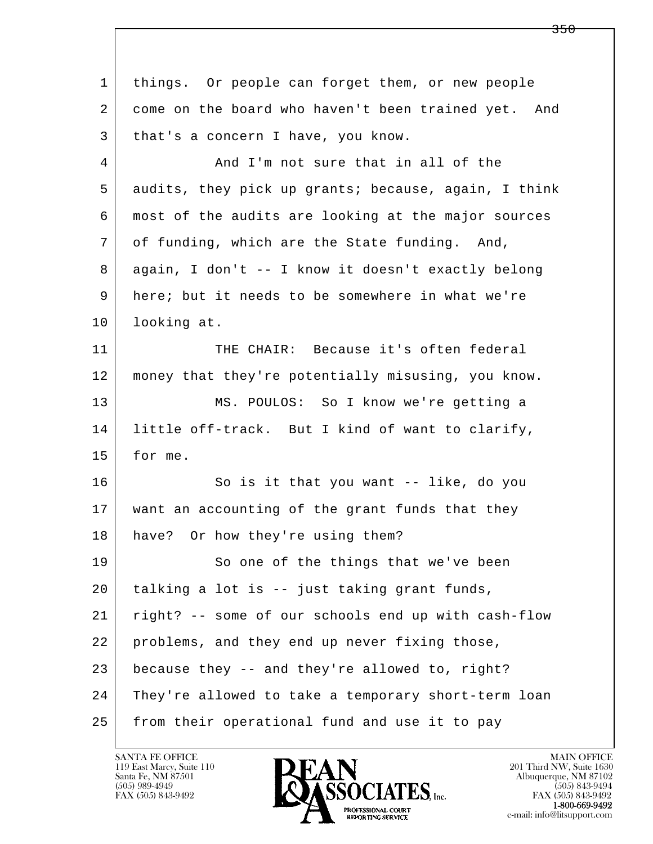| $\mathbf{1}$ | things. Or people can forget them, or new people     |
|--------------|------------------------------------------------------|
| 2            | come on the board who haven't been trained yet. And  |
| 3            | that's a concern I have, you know.                   |
| 4            | And I'm not sure that in all of the                  |
| 5            | audits, they pick up grants; because, again, I think |
| 6            | most of the audits are looking at the major sources  |
| 7            | of funding, which are the State funding. And,        |
| 8            | again, I don't -- I know it doesn't exactly belong   |
| 9            | here; but it needs to be somewhere in what we're     |
| 10           | looking at.                                          |
| 11           | THE CHAIR: Because it's often federal                |
| 12           | money that they're potentially misusing, you know.   |
| 13           | MS. POULOS: So I know we're getting a                |
| 14           | little off-track. But I kind of want to clarify,     |
| 15           | for me.                                              |
| 16           | So is it that you want -- like, do you               |
| 17           | want an accounting of the grant funds that they      |
| 18           | have? Or how they're using them?                     |
| 19           | So one of the things that we've been                 |
| 20           | talking a lot is -- just taking grant funds,         |
| 21           | right? -- some of our schools end up with cash-flow  |
| 22           | problems, and they end up never fixing those,        |
| 23           | because they -- and they're allowed to, right?       |
| 24           | They're allowed to take a temporary short-term loan  |
| 25           | from their operational fund and use it to pay        |

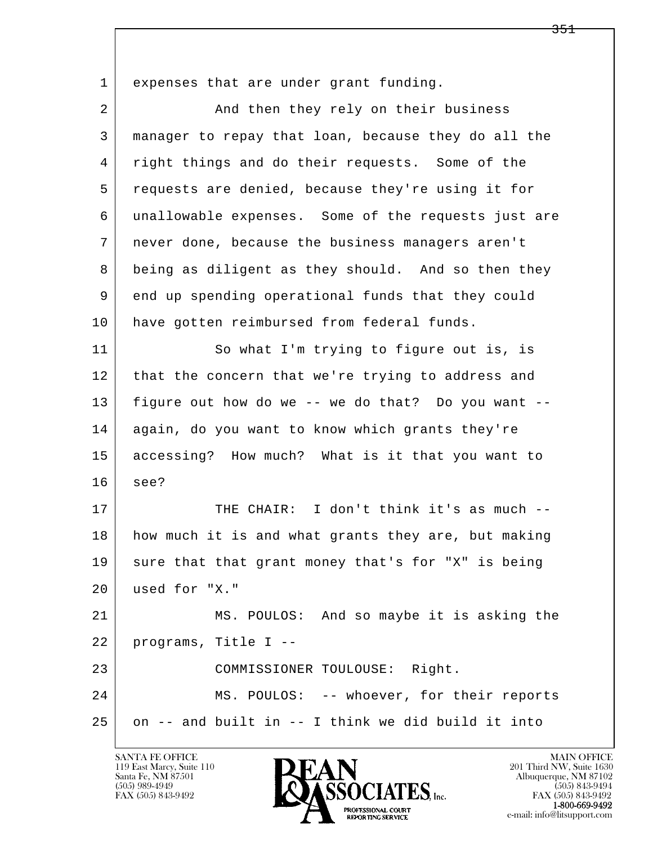l  $\overline{\phantom{a}}$  1 expenses that are under grant funding. 2 And then they rely on their business 3 manager to repay that loan, because they do all the 4 right things and do their requests. Some of the 5 requests are denied, because they're using it for 6 unallowable expenses. Some of the requests just are 7 never done, because the business managers aren't 8 being as diligent as they should. And so then they 9 end up spending operational funds that they could 10 have gotten reimbursed from federal funds. 11 So what I'm trying to figure out is, is 12 that the concern that we're trying to address and 13 figure out how do we -- we do that? Do you want -- 14 again, do you want to know which grants they're 15 accessing? How much? What is it that you want to 16 see? 17 | THE CHAIR: I don't think it's as much --18 how much it is and what grants they are, but making 19 sure that that grant money that's for "X" is being 20 used for "X." 21 MS. POULOS: And so maybe it is asking the 22 programs, Title I -- 23 COMMISSIONER TOULOUSE: Right. 24 MS. POULOS: -- whoever, for their reports 25 on -- and built in -- I think we did build it into

119 East Marcy, Suite 110<br>Santa Fe, NM 87501

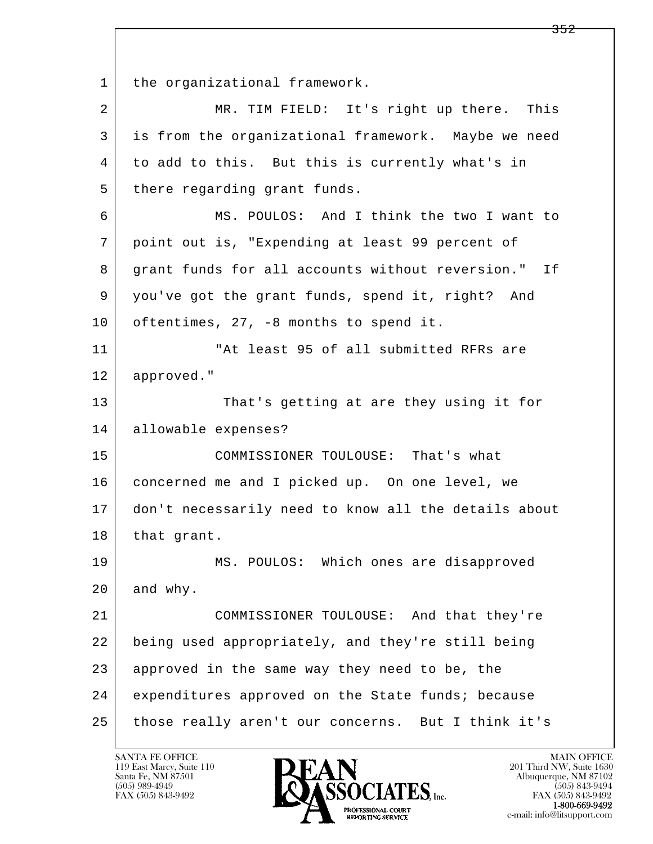l  $\overline{\phantom{a}}$ 1 | the organizational framework. 2 MR. TIM FIELD: It's right up there. This 3 is from the organizational framework. Maybe we need 4 to add to this. But this is currently what's in 5 there regarding grant funds. 6 MS. POULOS: And I think the two I want to 7 point out is, "Expending at least 99 percent of 8 | grant funds for all accounts without reversion." If 9 you've got the grant funds, spend it, right? And 10 oftentimes, 27, -8 months to spend it. 11 | The "At least 95 of all submitted RFRs are 12 approved." 13 That's getting at are they using it for 14 allowable expenses? 15 | COMMISSIONER TOULOUSE: That's what 16 concerned me and I picked up. On one level, we 17 don't necessarily need to know all the details about 18 | that grant. 19 MS. POULOS: Which ones are disapproved 20 and why. 21 COMMISSIONER TOULOUSE: And that they're 22 being used appropriately, and they're still being 23 approved in the same way they need to be, the 24 expenditures approved on the State funds; because 25 those really aren't our concerns. But I think it's

119 East Marcy, Suite 110<br>Santa Fe, NM 87501

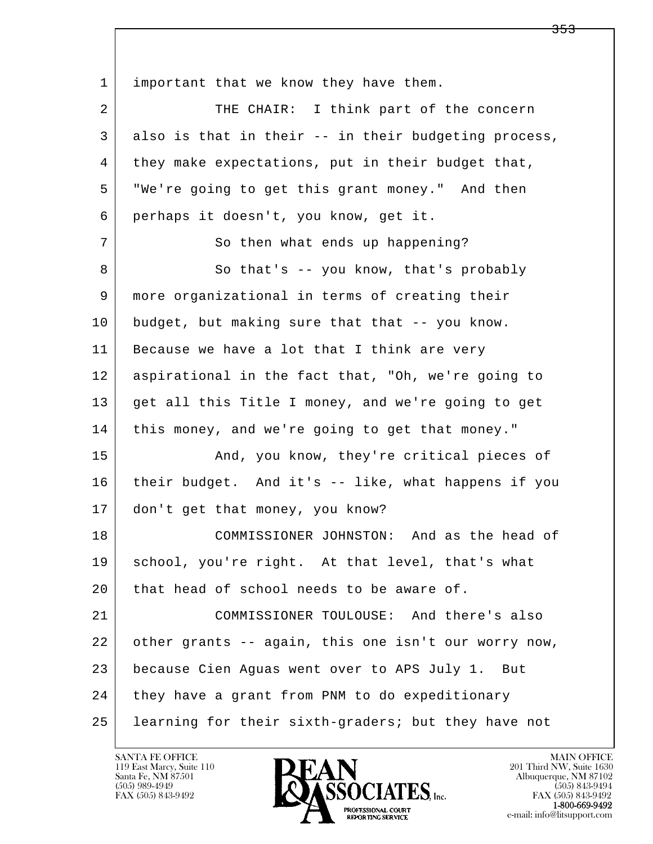l  $\overline{\phantom{a}}$ 1 | important that we know they have them. 2 THE CHAIR: I think part of the concern 3 also is that in their -- in their budgeting process, 4 they make expectations, put in their budget that, 5 "We're going to get this grant money." And then 6 perhaps it doesn't, you know, get it. 7 | So then what ends up happening? 8 | So that's -- you know, that's probably 9 more organizational in terms of creating their 10 budget, but making sure that that -- you know. 11 Because we have a lot that I think are very 12 aspirational in the fact that, "Oh, we're going to 13 get all this Title I money, and we're going to get 14 | this money, and we're going to get that money." 15 | The Room Collectual And, you know, they're critical pieces of 16 their budget. And it's -- like, what happens if you 17 don't get that money, you know? 18 COMMISSIONER JOHNSTON: And as the head of 19 | school, you're right. At that level, that's what 20 that head of school needs to be aware of. 21 COMMISSIONER TOULOUSE: And there's also 22 other grants -- again, this one isn't our worry now, 23 because Cien Aguas went over to APS July 1. But 24 they have a grant from PNM to do expeditionary 25 learning for their sixth-graders; but they have not

119 East Marcy, Suite 110<br>Santa Fe, NM 87501



<del>353</del>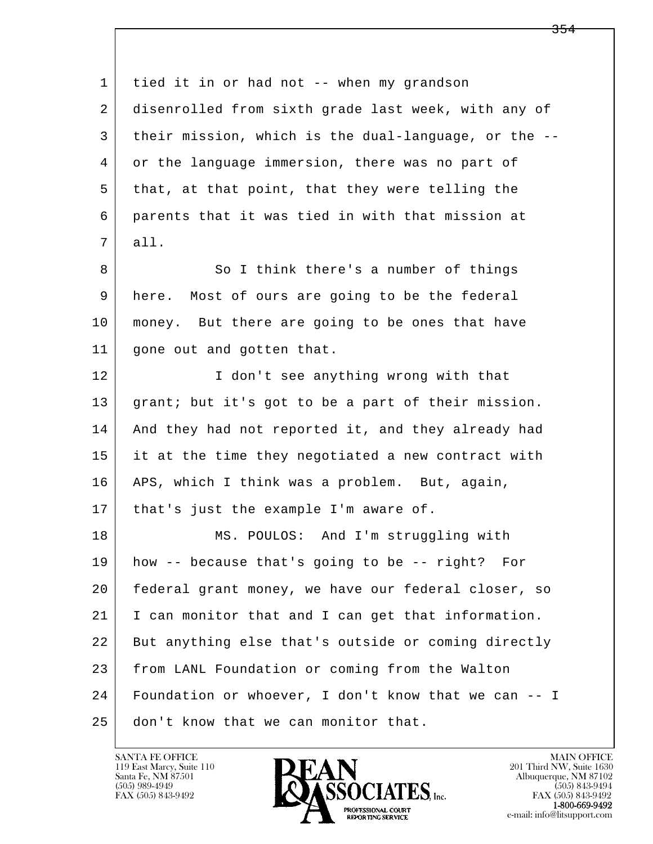l  $\overline{\phantom{a}}$  1 tied it in or had not -- when my grandson 2 disenrolled from sixth grade last week, with any of 3 their mission, which is the dual-language, or the -- 4 or the language immersion, there was no part of 5 that, at that point, that they were telling the 6 parents that it was tied in with that mission at 7 all. 8 So I think there's a number of things 9 here. Most of ours are going to be the federal 10 | money. But there are going to be ones that have 11 gone out and gotten that. 12 I don't see anything wrong with that 13 grant; but it's got to be a part of their mission. 14 And they had not reported it, and they already had 15 it at the time they negotiated a new contract with 16 APS, which I think was a problem. But, again, 17 | that's just the example I'm aware of. 18 | MS. POULOS: And I'm struggling with 19 how -- because that's going to be -- right? For 20 federal grant money, we have our federal closer, so 21 I can monitor that and I can get that information. 22 But anything else that's outside or coming directly 23 from LANL Foundation or coming from the Walton 24 Foundation or whoever, I don't know that we can -- I 25 don't know that we can monitor that.

119 East Marcy, Suite 110<br>Santa Fe, NM 87501



FAX (505) 843-9492<br>**1-800-669-9492**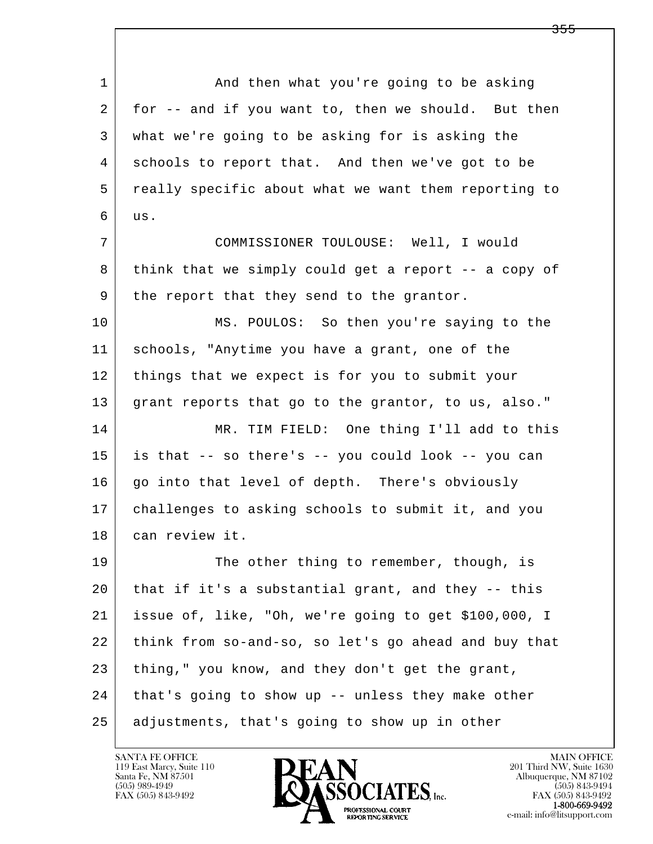l  $\overline{\phantom{a}}$ 1 and then what you're going to be asking 2 for -- and if you want to, then we should. But then 3 what we're going to be asking for is asking the 4 schools to report that. And then we've got to be 5 really specific about what we want them reporting to  $6$  us. 7 COMMISSIONER TOULOUSE: Well, I would 8 think that we simply could get a report -- a copy of 9 | the report that they send to the grantor. 10 MS. POULOS: So then you're saying to the 11 schools, "Anytime you have a grant, one of the 12 things that we expect is for you to submit your 13 grant reports that go to the grantor, to us, also." 14 MR. TIM FIELD: One thing I'll add to this 15 is that -- so there's -- you could look -- you can 16 | go into that level of depth. There's obviously 17 challenges to asking schools to submit it, and you 18 can review it. 19 The other thing to remember, though, is 20 that if it's a substantial grant, and they -- this 21 issue of, like, "Oh, we're going to get \$100,000, I 22 think from so-and-so, so let's go ahead and buy that 23 thing," you know, and they don't get the grant, 24 | that's going to show up -- unless they make other 25 adjustments, that's going to show up in other

119 East Marcy, Suite 110<br>Santa Fe, NM 87501

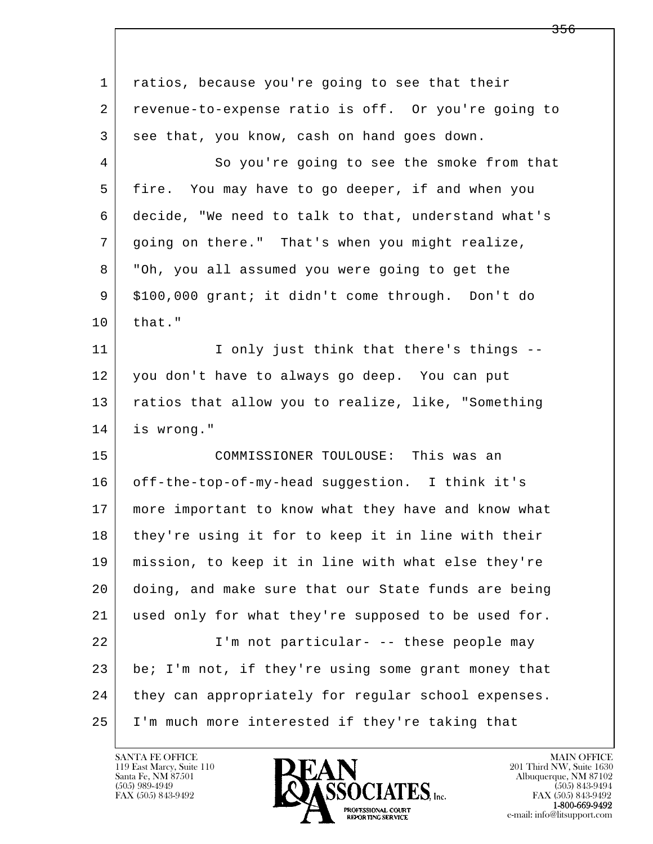| 1  | ratios, because you're going to see that their      |
|----|-----------------------------------------------------|
| 2  | revenue-to-expense ratio is off. Or you're going to |
| 3  | see that, you know, cash on hand goes down.         |
| 4  | So you're going to see the smoke from that          |
| 5  | fire. You may have to go deeper, if and when you    |
| 6  | decide, "We need to talk to that, understand what's |
| 7  | going on there." That's when you might realize,     |
| 8  | "Oh, you all assumed you were going to get the      |
| 9  | \$100,000 grant; it didn't come through. Don't do   |
| 10 | that."                                              |
| 11 | I only just think that there's things --            |
| 12 | you don't have to always go deep. You can put       |
| 13 | ratios that allow you to realize, like, "Something  |
| 14 | is wrong."                                          |
| 15 | COMMISSIONER TOULOUSE: This was an                  |
| 16 | off-the-top-of-my-head suggestion. I think it's     |
| 17 | more important to know what they have and know what |
| 18 | they're using it for to keep it in line with their  |
| 19 | mission, to keep it in line with what else they're  |
| 20 | doing, and make sure that our State funds are being |
| 21 | used only for what they're supposed to be used for. |
| 22 | I'm not particular- -- these people may             |
| 23 | be; I'm not, if they're using some grant money that |
| 24 | they can appropriately for regular school expenses. |
| 25 | I'm much more interested if they're taking that     |

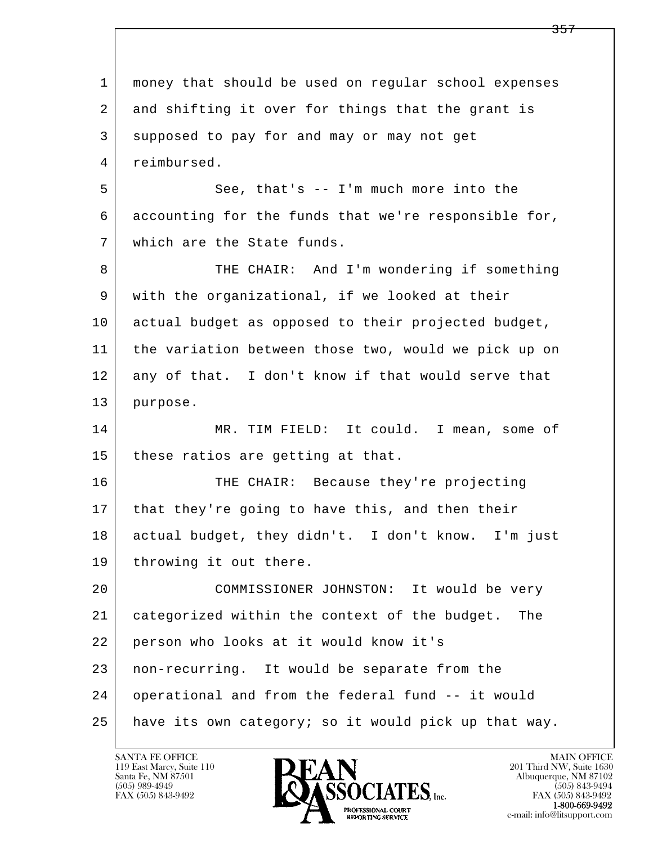l  $\overline{\phantom{a}}$  1 money that should be used on regular school expenses 2 and shifting it over for things that the grant is 3 supposed to pay for and may or may not get 4 reimbursed. 5 | See, that's -- I'm much more into the 6 accounting for the funds that we're responsible for, 7 which are the State funds. 8 THE CHAIR: And I'm wondering if something 9 with the organizational, if we looked at their 10 actual budget as opposed to their projected budget, 11 the variation between those two, would we pick up on 12 any of that. I don't know if that would serve that 13 purpose. 14 MR. TIM FIELD: It could. I mean, some of 15 | these ratios are getting at that. 16 THE CHAIR: Because they're projecting 17 | that they're going to have this, and then their 18 actual budget, they didn't. I don't know. I'm just 19 | throwing it out there. 20 COMMISSIONER JOHNSTON: It would be very 21 categorized within the context of the budget. The 22 person who looks at it would know it's 23 non-recurring. It would be separate from the 24 operational and from the federal fund -- it would 25 have its own category; so it would pick up that way.

119 East Marcy, Suite 110<br>Santa Fe, NM 87501

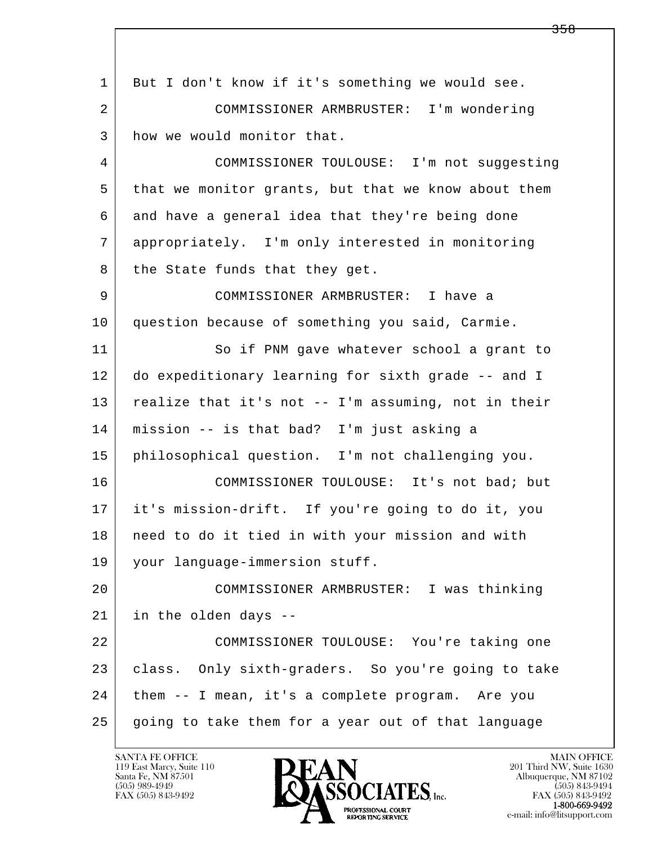l  $\overline{\phantom{a}}$  1 But I don't know if it's something we would see. 2 COMMISSIONER ARMBRUSTER: I'm wondering 3 how we would monitor that. 4 COMMISSIONER TOULOUSE: I'm not suggesting 5 that we monitor grants, but that we know about them 6 and have a general idea that they're being done 7 appropriately. I'm only interested in monitoring 8 the State funds that they get. 9 COMMISSIONER ARMBRUSTER: I have a 10 question because of something you said, Carmie. 11 So if PNM gave whatever school a grant to 12 do expeditionary learning for sixth grade -- and I 13 | realize that it's not -- I'm assuming, not in their 14 mission -- is that bad? I'm just asking a 15 philosophical question. I'm not challenging you. 16 COMMISSIONER TOULOUSE: It's not bad; but 17 it's mission-drift. If you're going to do it, you 18 | need to do it tied in with your mission and with 19 your language-immersion stuff. 20 COMMISSIONER ARMBRUSTER: I was thinking 21 in the olden days -- 22 COMMISSIONER TOULOUSE: You're taking one 23 class. Only sixth-graders. So you're going to take 24 them -- I mean, it's a complete program. Are you 25 going to take them for a year out of that language

119 East Marcy, Suite 110<br>Santa Fe, NM 87501



FAX (505) 843-9492<br>**1-800-669-9492**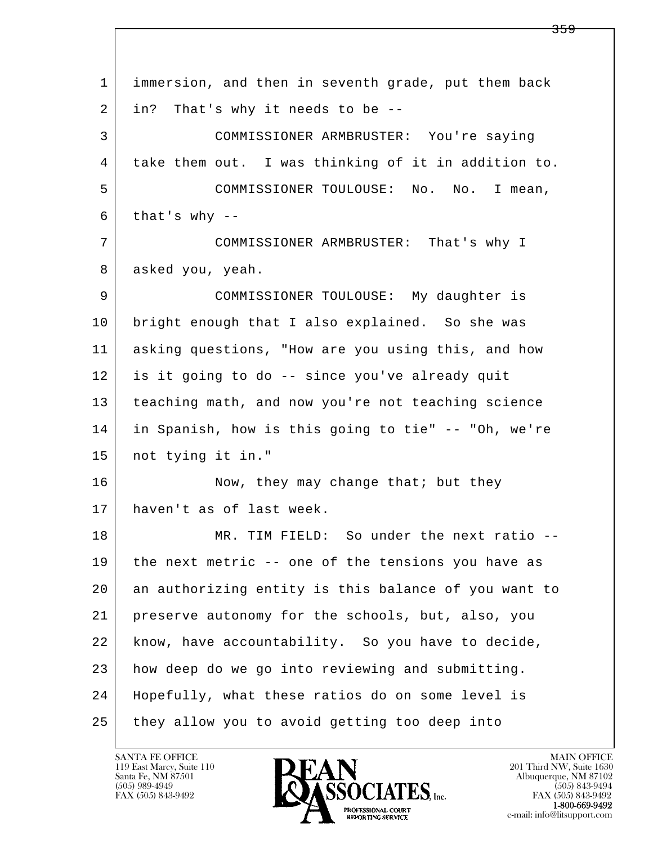| 1  | immersion, and then in seventh grade, put them back  |
|----|------------------------------------------------------|
| 2  | in?<br>That's why it needs to be --                  |
| 3  | COMMISSIONER ARMBRUSTER: You're saying               |
| 4  | take them out. I was thinking of it in addition to.  |
| 5  | COMMISSIONER TOULOUSE: No. No. I mean,               |
| 6  | that's why $-$                                       |
| 7  | COMMISSIONER ARMBRUSTER: That's why I                |
| 8  | asked you, yeah.                                     |
| 9  | COMMISSIONER TOULOUSE: My daughter is                |
| 10 | bright enough that I also explained. So she was      |
| 11 | asking questions, "How are you using this, and how   |
| 12 | is it going to do -- since you've already quit       |
| 13 | teaching math, and now you're not teaching science   |
| 14 | in Spanish, how is this going to tie" -- "Oh, we're  |
| 15 | not tying it in."                                    |
| 16 | Now, they may change that; but they                  |
| 17 | haven't as of last week.                             |
| 18 | MR. TIM FIELD: So under the next ratio --            |
| 19 | the next metric -- one of the tensions you have as   |
| 20 | an authorizing entity is this balance of you want to |
| 21 | preserve autonomy for the schools, but, also, you    |
| 22 | know, have accountability. So you have to decide,    |
| 23 | how deep do we go into reviewing and submitting.     |
| 24 | Hopefully, what these ratios do on some level is     |
| 25 | they allow you to avoid getting too deep into        |

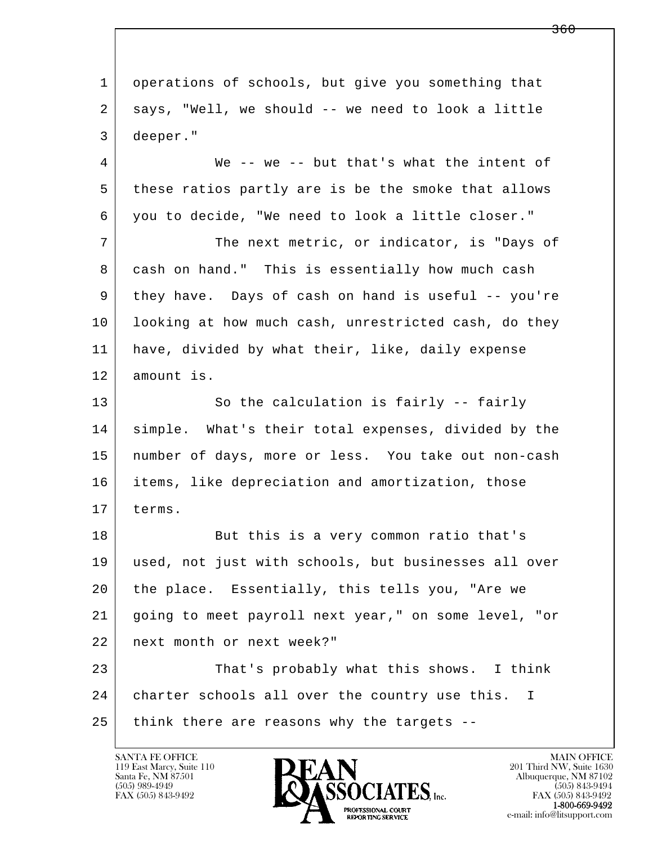l  $\overline{\phantom{a}}$  1 operations of schools, but give you something that 2 says, "Well, we should -- we need to look a little 3 deeper." 4 We -- we -- but that's what the intent of 5 these ratios partly are is be the smoke that allows 6 you to decide, "We need to look a little closer." 7 The next metric, or indicator, is "Days of 8 cash on hand." This is essentially how much cash 9 they have. Days of cash on hand is useful -- you're 10 | looking at how much cash, unrestricted cash, do they 11 have, divided by what their, like, daily expense 12 amount is. 13 So the calculation is fairly -- fairly 14 | simple. What's their total expenses, divided by the 15 number of days, more or less. You take out non-cash 16 items, like depreciation and amortization, those 17 terms. 18 But this is a very common ratio that's 19 used, not just with schools, but businesses all over 20 the place. Essentially, this tells you, "Are we 21 going to meet payroll next year," on some level, "or 22 next month or next week?" 23 That's probably what this shows. I think 24 | charter schools all over the country use this. I 25 think there are reasons why the targets --

119 East Marcy, Suite 110<br>Santa Fe, NM 87501



FAX (505) 843-9492<br>**1-800-669-9492** 

<del>360</del>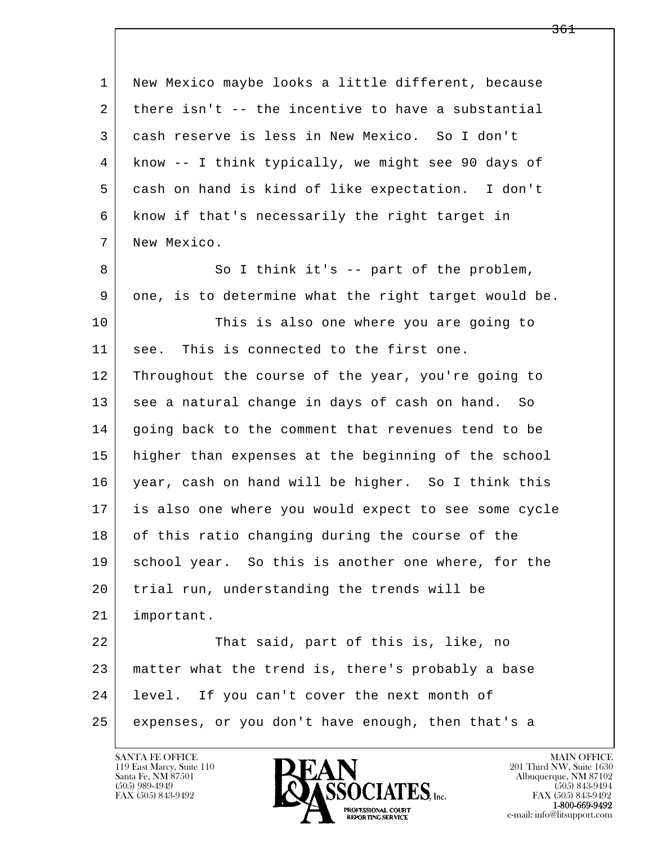| 1  | New Mexico maybe looks a little different, because   |
|----|------------------------------------------------------|
| 2  | there isn't -- the incentive to have a substantial   |
| 3  | cash reserve is less in New Mexico. So I don't       |
| 4  | know -- I think typically, we might see 90 days of   |
| 5  | cash on hand is kind of like expectation. I don't    |
| 6  | know if that's necessarily the right target in       |
| 7  | New Mexico.                                          |
| 8  | So I think it's -- part of the problem,              |
| 9  | one, is to determine what the right target would be. |
| 10 | This is also one where you are going to              |
| 11 | This is connected to the first one.<br>see.          |
| 12 | Throughout the course of the year, you're going to   |
| 13 | see a natural change in days of cash on hand. So     |
| 14 | going back to the comment that revenues tend to be   |
| 15 | higher than expenses at the beginning of the school  |
| 16 | year, cash on hand will be higher. So I think this   |
| 17 | is also one where you would expect to see some cycle |
| 18 | of this ratio changing during the course of the      |
| 19 | school year. So this is another one where, for the   |
| 20 | trial run, understanding the trends will be          |
| 21 | important.                                           |
| 22 | That said, part of this is, like, no                 |
| 23 | matter what the trend is, there's probably a base    |
| 24 | level. If you can't cover the next month of          |
| 25 | expenses, or you don't have enough, then that's a    |

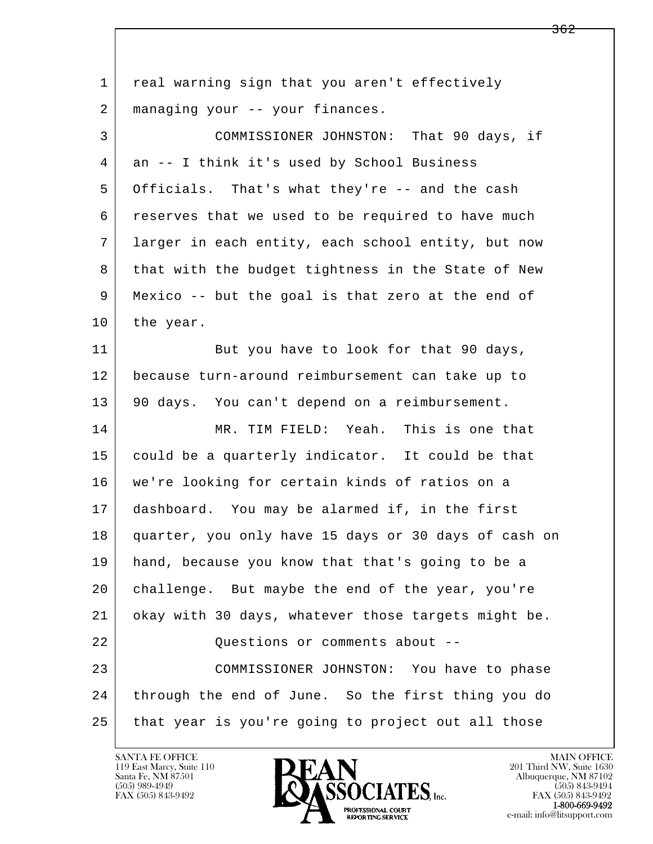| 1  | real warning sign that you aren't effectively        |
|----|------------------------------------------------------|
| 2  | managing your -- your finances.                      |
| 3  | COMMISSIONER JOHNSTON: That 90 days, if              |
| 4  | an -- I think it's used by School Business           |
| 5  | Officials. That's what they're -- and the cash       |
| 6  | reserves that we used to be required to have much    |
| 7  | larger in each entity, each school entity, but now   |
| 8  | that with the budget tightness in the State of New   |
| 9  | Mexico -- but the goal is that zero at the end of    |
| 10 | the year.                                            |
| 11 | But you have to look for that 90 days,               |
| 12 | because turn-around reimbursement can take up to     |
| 13 | 90 days. You can't depend on a reimbursement.        |
| 14 | MR. TIM FIELD: Yeah. This is one that                |
| 15 | could be a quarterly indicator. It could be that     |
| 16 | we're looking for certain kinds of ratios on a       |
| 17 | dashboard. You may be alarmed if, in the first       |
| 18 | quarter, you only have 15 days or 30 days of cash on |
| 19 | hand, because you know that that's going to be a     |
| 20 | challenge. But maybe the end of the year, you're     |
| 21 | okay with 30 days, whatever those targets might be.  |
| 22 | Questions or comments about --                       |
| 23 | COMMISSIONER JOHNSTON: You have to phase             |
| 24 | through the end of June. So the first thing you do   |
| 25 | that year is you're going to project out all those   |

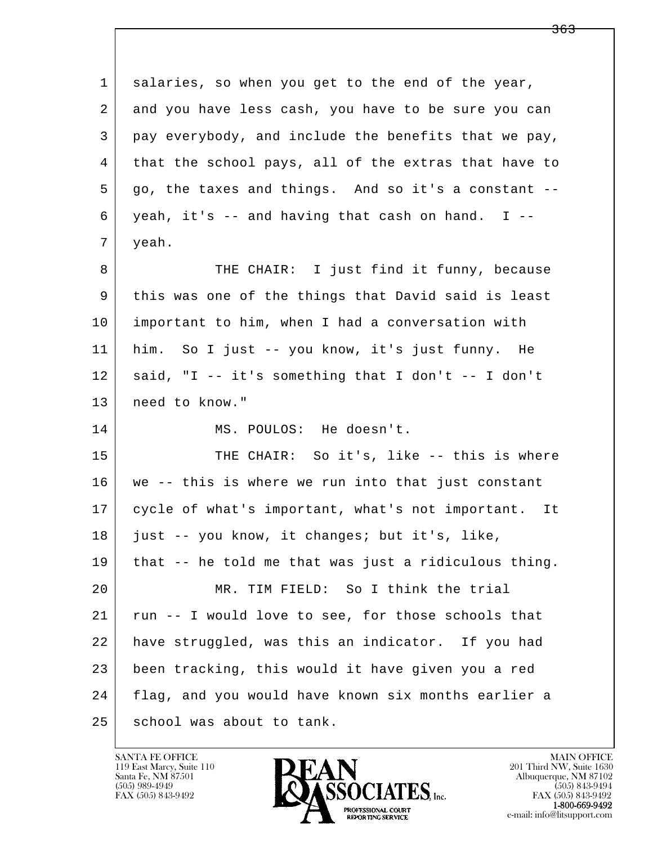| $\mathbf 1$ | salaries, so when you get to the end of the year,    |
|-------------|------------------------------------------------------|
| 2           | and you have less cash, you have to be sure you can  |
| 3           | pay everybody, and include the benefits that we pay, |
| 4           | that the school pays, all of the extras that have to |
| 5           | go, the taxes and things. And so it's a constant --  |
| 6           | yeah, it's -- and having that cash on hand. I --     |
| 7           | yeah.                                                |
| 8           | THE CHAIR: I just find it funny, because             |
| 9           | this was one of the things that David said is least  |
| 10          | important to him, when I had a conversation with     |
| 11          | him. So I just -- you know, it's just funny. He      |
| 12          | said, "I -- it's something that I don't -- I don't   |
| 13          | need to know."                                       |
| 14          | MS. POULOS: He doesn't.                              |
| 15          | THE CHAIR: So it's, like -- this is where            |
| 16          | we -- this is where we run into that just constant   |
| 17          | cycle of what's important, what's not important. It  |
| 18          | just -- you know, it changes; but it's, like,        |
| 19          | that -- he told me that was just a ridiculous thing. |
| 20          | MR. TIM FIELD: So I think the trial                  |
| 21          | run -- I would love to see, for those schools that   |
| 22          | have struggled, was this an indicator. If you had    |
| 23          | been tracking, this would it have given you a red    |
| 24          | flag, and you would have known six months earlier a  |
| 25          | school was about to tank.                            |

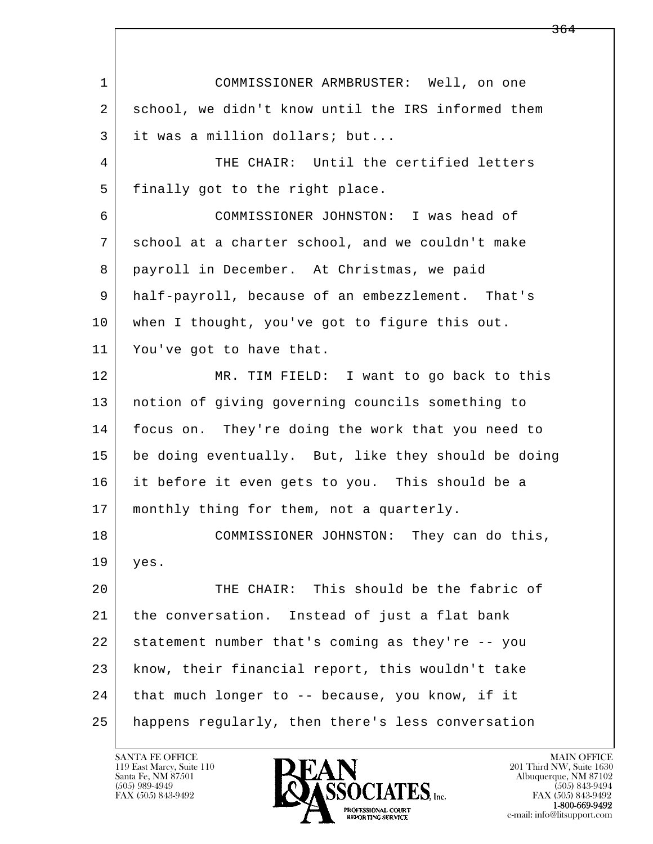l  $\overline{\phantom{a}}$  1 COMMISSIONER ARMBRUSTER: Well, on one 2 school, we didn't know until the IRS informed them 3 it was a million dollars; but... 4 THE CHAIR: Until the certified letters 5 finally got to the right place. 6 COMMISSIONER JOHNSTON: I was head of 7 school at a charter school, and we couldn't make 8 | payroll in December. At Christmas, we paid 9 half-payroll, because of an embezzlement. That's 10 when I thought, you've got to figure this out. 11 You've got to have that. 12 MR. TIM FIELD: I want to go back to this 13 notion of giving governing councils something to 14 focus on. They're doing the work that you need to 15 be doing eventually. But, like they should be doing 16 it before it even gets to you. This should be a 17 | monthly thing for them, not a quarterly. 18 COMMISSIONER JOHNSTON: They can do this, 19 yes. 20 THE CHAIR: This should be the fabric of 21 the conversation. Instead of just a flat bank 22 statement number that's coming as they're -- you 23 know, their financial report, this wouldn't take 24 | that much longer to -- because, you know, if it 25 happens regularly, then there's less conversation

119 East Marcy, Suite 110<br>Santa Fe, NM 87501



FAX (505) 843-9492<br>**1-800-669-9492**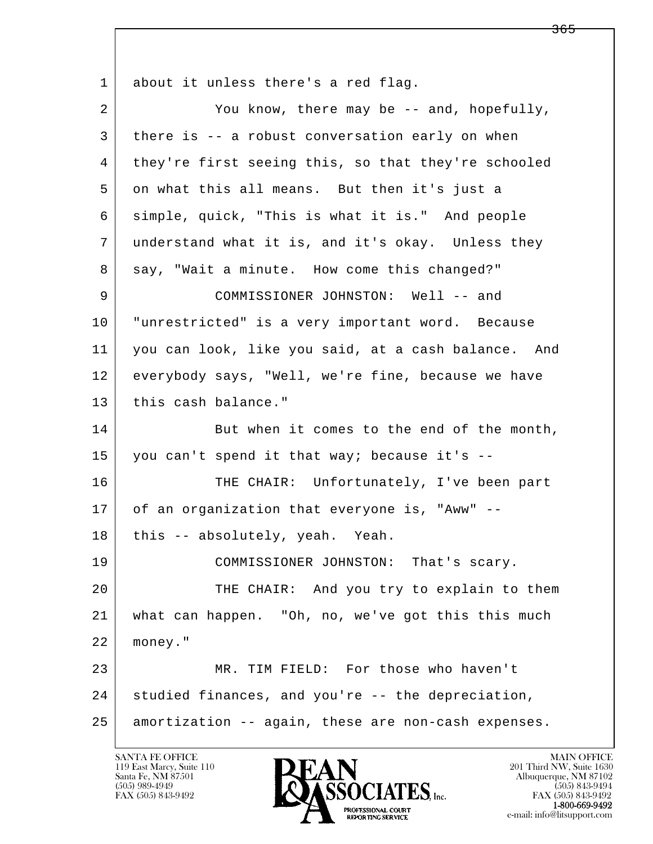l  $\overline{\phantom{a}}$ 1 about it unless there's a red flag. 2 | You know, there may be -- and, hopefully, 3 there is -- a robust conversation early on when 4 they're first seeing this, so that they're schooled 5 on what this all means. But then it's just a 6 simple, quick, "This is what it is." And people 7 understand what it is, and it's okay. Unless they 8 say, "Wait a minute. How come this changed?" 9 COMMISSIONER JOHNSTON: Well -- and 10 "unrestricted" is a very important word. Because 11 you can look, like you said, at a cash balance. And 12 everybody says, "Well, we're fine, because we have 13 this cash balance." 14 But when it comes to the end of the month, 15 you can't spend it that way; because it's  $-$ 16 THE CHAIR: Unfortunately, I've been part 17 of an organization that everyone is, "Aww" --18 | this -- absolutely, yeah. Yeah. 19 COMMISSIONER JOHNSTON: That's scary. 20 THE CHAIR: And you try to explain to them 21 what can happen. "Oh, no, we've got this this much 22 money." 23 MR. TIM FIELD: For those who haven't 24 studied finances, and you're -- the depreciation, 25 amortization -- again, these are non-cash expenses.

119 East Marcy, Suite 110<br>Santa Fe, NM 87501



FAX (505) 843-9492<br>1-800-669-9492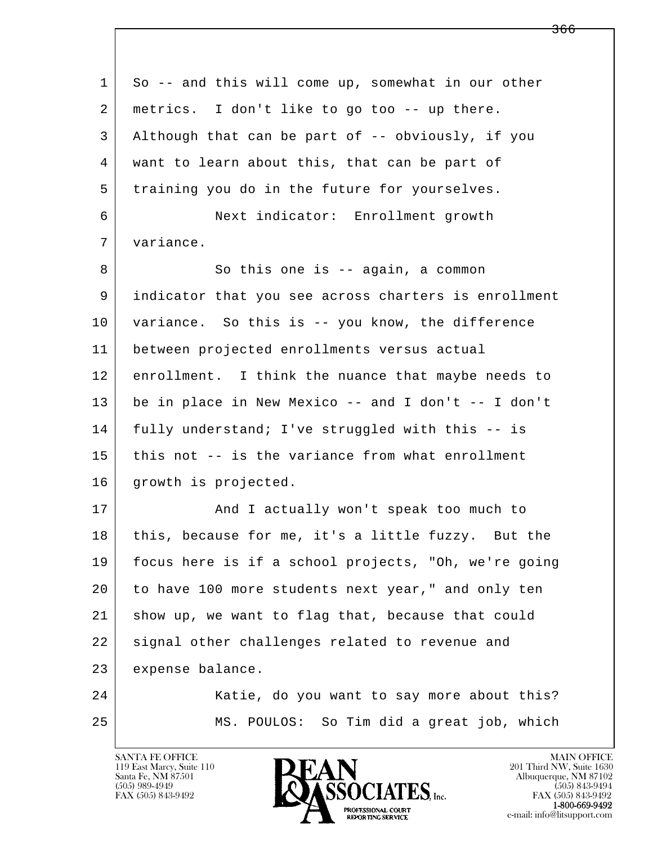| So -- and this will come up, somewhat in our other   |
|------------------------------------------------------|
| metrics. I don't like to go too -- up there.         |
| Although that can be part of -- obviously, if you    |
| want to learn about this, that can be part of        |
| training you do in the future for yourselves.        |
| Next indicator: Enrollment growth                    |
| variance.                                            |
| So this one is $-$ again, a common                   |
| indicator that you see across charters is enrollment |
| variance. So this is -- you know, the difference     |
| between projected enrollments versus actual          |
| enrollment. I think the nuance that maybe needs to   |
| be in place in New Mexico -- and I don't -- I don't  |
| fully understand; I've struggled with this -- is     |
| this not -- is the variance from what enrollment     |
| growth is projected.                                 |
| And I actually won't speak too much to               |
| this, because for me, it's a little fuzzy. But the   |
| focus here is if a school projects, "Oh, we're going |
| to have 100 more students next year," and only ten   |
| show up, we want to flag that, because that could    |
| signal other challenges related to revenue and       |
| expense balance.                                     |
| Katie, do you want to say more about this?           |
| MS. POULOS: So Tim did a great job, which            |
|                                                      |

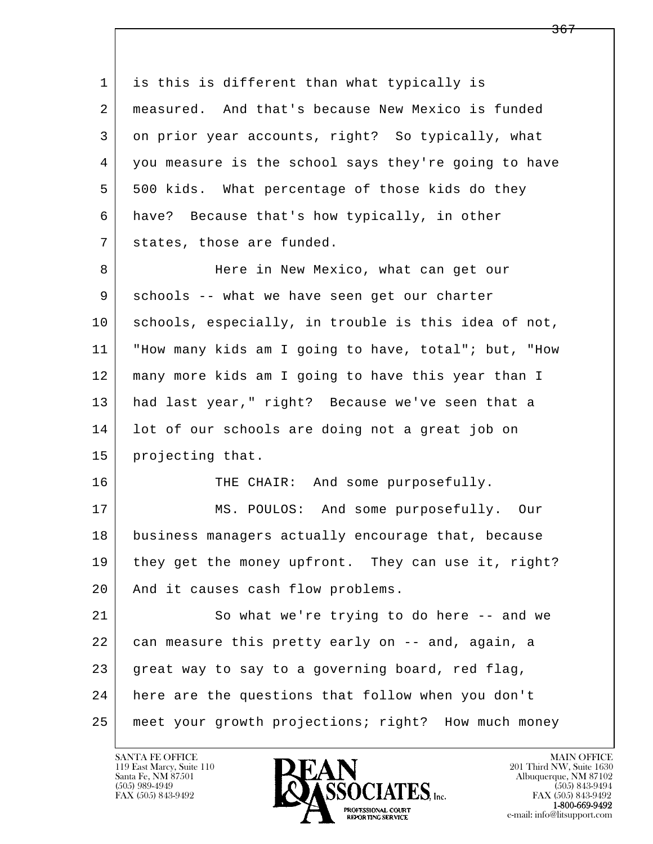l  $\overline{\phantom{a}}$  1 is this is different than what typically is 2 measured. And that's because New Mexico is funded 3 on prior year accounts, right? So typically, what 4 you measure is the school says they're going to have 5 500 kids. What percentage of those kids do they 6 have? Because that's how typically, in other 7 states, those are funded. 8 Here in New Mexico, what can get our 9 schools -- what we have seen get our charter 10 schools, especially, in trouble is this idea of not, 11 "How many kids am I going to have, total"; but, "How 12 many more kids am I going to have this year than I 13 had last year," right? Because we've seen that a 14 | lot of our schools are doing not a great job on 15 projecting that. 16 THE CHAIR: And some purposefully. 17 MS. POULOS: And some purposefully. Our 18 business managers actually encourage that, because 19 they get the money upfront. They can use it, right? 20 | And it causes cash flow problems. 21 So what we're trying to do here -- and we 22 can measure this pretty early on -- and, again, a 23 | great way to say to a governing board, red flag, 24 here are the questions that follow when you don't 25 meet your growth projections; right? How much money

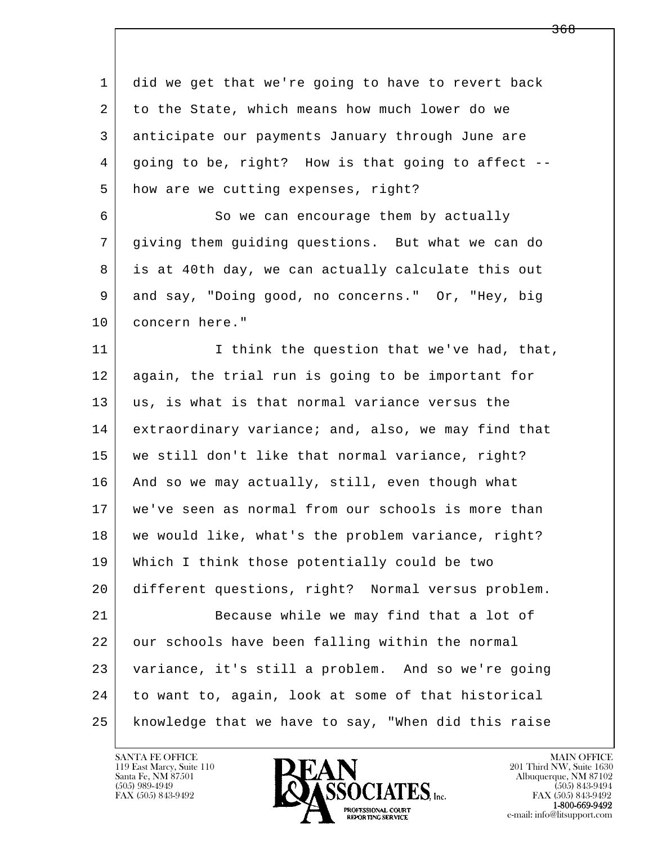l  $\overline{\phantom{a}}$  1 did we get that we're going to have to revert back 2 to the State, which means how much lower do we 3 anticipate our payments January through June are 4 going to be, right? How is that going to affect -- 5 how are we cutting expenses, right? 6 So we can encourage them by actually 7 giving them guiding questions. But what we can do 8 is at 40th day, we can actually calculate this out 9 and say, "Doing good, no concerns." Or, "Hey, big 10 concern here." 11 I think the question that we've had, that, 12 again, the trial run is going to be important for 13 | us, is what is that normal variance versus the 14 extraordinary variance; and, also, we may find that 15 we still don't like that normal variance, right? 16 And so we may actually, still, even though what 17 we've seen as normal from our schools is more than 18 we would like, what's the problem variance, right? 19 Which I think those potentially could be two 20 different questions, right? Normal versus problem. 21 Because while we may find that a lot of 22 our schools have been falling within the normal 23 variance, it's still a problem. And so we're going 24 to want to, again, look at some of that historical 25 knowledge that we have to say, "When did this raise

119 East Marcy, Suite 110<br>Santa Fe, NM 87501



FAX (505) 843-9492<br>**1-800-669-9492** 

<del>368</del>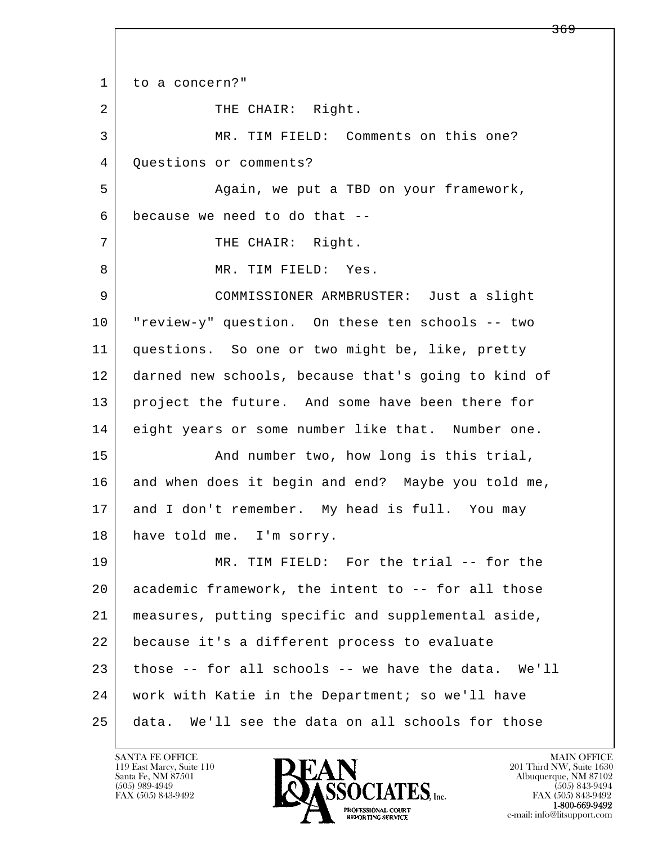l  $\overline{\phantom{a}}$ 1 to a concern?" 2 | THE CHAIR: Right. 3 MR. TIM FIELD: Comments on this one? 4 | Questions or comments? 5 Again, we put a TBD on your framework, 6 because we need to do that -- 7 | THE CHAIR: Right. 8 MR. TIM FIELD: Yes. 9 COMMISSIONER ARMBRUSTER: Just a slight 10 "review-y" question. On these ten schools -- two 11 questions. So one or two might be, like, pretty 12 darned new schools, because that's going to kind of 13 project the future. And some have been there for 14 eight years or some number like that. Number one. 15 | The Movimber two, how long is this trial, 16 and when does it begin and end? Maybe you told me, 17 and I don't remember. My head is full. You may 18 have told me. I'm sorry. 19 MR. TIM FIELD: For the trial -- for the 20 academic framework, the intent to -- for all those 21 measures, putting specific and supplemental aside, 22 because it's a different process to evaluate 23 those -- for all schools -- we have the data. We'll 24 work with Katie in the Department; so we'll have 25 data. We'll see the data on all schools for those

119 East Marcy, Suite 110<br>Santa Fe, NM 87501



<del>369</del>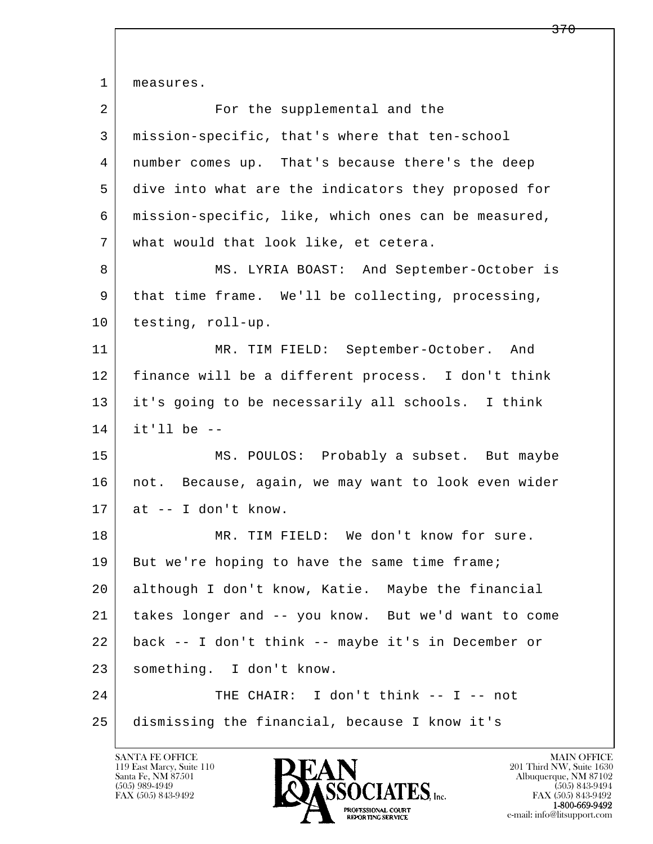l  $\overline{\phantom{a}}$ 1 | measures. 2 | Tor the supplemental and the 3 mission-specific, that's where that ten-school 4 number comes up. That's because there's the deep 5 dive into what are the indicators they proposed for 6 mission-specific, like, which ones can be measured, 7 what would that look like, et cetera. 8 MS. LYRIA BOAST: And September-October is 9 that time frame. We'll be collecting, processing, 10 testing, roll-up. 11 MR. TIM FIELD: September-October. And 12 finance will be a different process. I don't think 13 it's going to be necessarily all schools. I think  $14$  it'll be  $-$  15 MS. POULOS: Probably a subset. But maybe 16 | not. Because, again, we may want to look even wider  $17$  at  $-$  I don't know. 18 MR. TIM FIELD: We don't know for sure. 19 But we're hoping to have the same time frame; 20 although I don't know, Katie. Maybe the financial 21 takes longer and -- you know. But we'd want to come 22 back -- I don't think -- maybe it's in December or 23 something. I don't know. 24 THE CHAIR: I don't think -- I -- not 25 dismissing the financial, because I know it's

119 East Marcy, Suite 110<br>Santa Fe, NM 87501

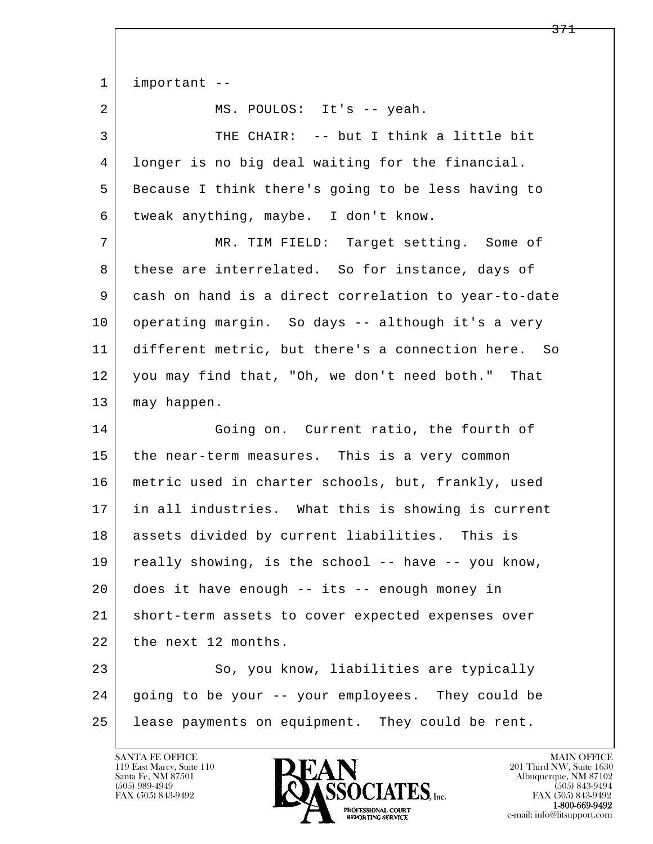l  $\overline{\phantom{a}}$  1 important -- 2 MS. POULOS: It's -- yeah. 3 THE CHAIR: -- but I think a little bit 4 longer is no big deal waiting for the financial. 5 | Because I think there's going to be less having to 6 tweak anything, maybe. I don't know. 7 MR. TIM FIELD: Target setting. Some of 8 these are interrelated. So for instance, days of 9 cash on hand is a direct correlation to year-to-date 10 operating margin. So days -- although it's a very 11 different metric, but there's a connection here. So 12 you may find that, "Oh, we don't need both." That 13 may happen. 14 Going on. Current ratio, the fourth of 15 the near-term measures. This is a very common 16 metric used in charter schools, but, frankly, used 17 in all industries. What this is showing is current 18 assets divided by current liabilities. This is 19 really showing, is the school -- have -- you know, 20 does it have enough -- its -- enough money in 21 short-term assets to cover expected expenses over 22 the next 12 months. 23 So, you know, liabilities are typically 24 going to be your -- your employees. They could be 25 | lease payments on equipment. They could be rent.

119 East Marcy, Suite 110<br>Santa Fe, NM 87501



FAX (505) 843-9492<br>1-800-669-9492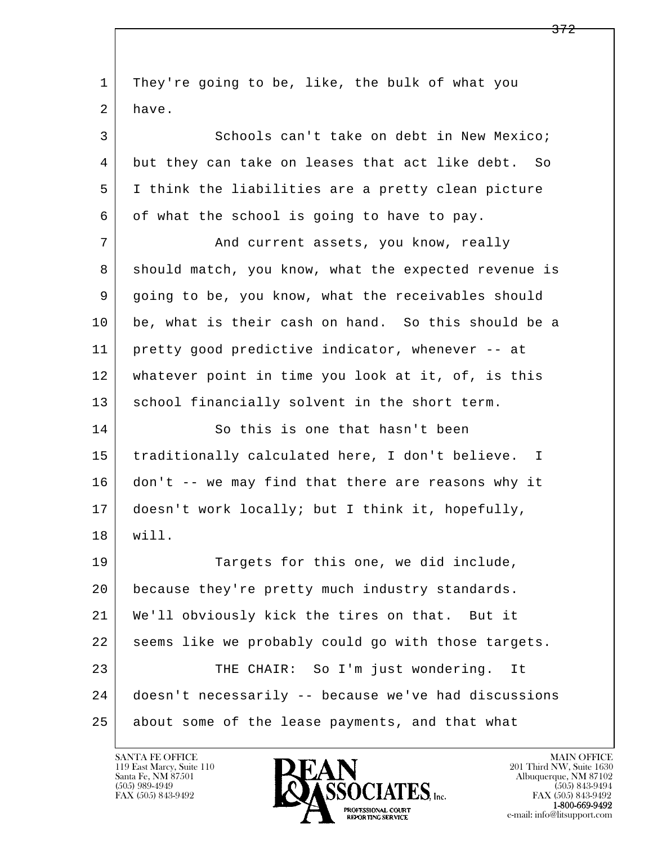l  $\overline{\phantom{a}}$  1 They're going to be, like, the bulk of what you 2 have. 3 Schools can't take on debt in New Mexico; 4 but they can take on leases that act like debt. So 5 I think the liabilities are a pretty clean picture 6 of what the school is going to have to pay. 7 | And current assets, you know, really 8 should match, you know, what the expected revenue is 9 going to be, you know, what the receivables should 10 be, what is their cash on hand. So this should be a 11 pretty good predictive indicator, whenever -- at 12 whatever point in time you look at it, of, is this 13 | school financially solvent in the short term. 14 So this is one that hasn't been 15 | traditionally calculated here, I don't believe. I 16 don't -- we may find that there are reasons why it 17 doesn't work locally; but I think it, hopefully, 18 will. 19 Targets for this one, we did include, 20 | because they're pretty much industry standards. 21 We'll obviously kick the tires on that. But it 22 seems like we probably could go with those targets. 23 THE CHAIR: So I'm just wondering. It 24 doesn't necessarily -- because we've had discussions 25 about some of the lease payments, and that what

119 East Marcy, Suite 110<br>Santa Fe, NM 87501

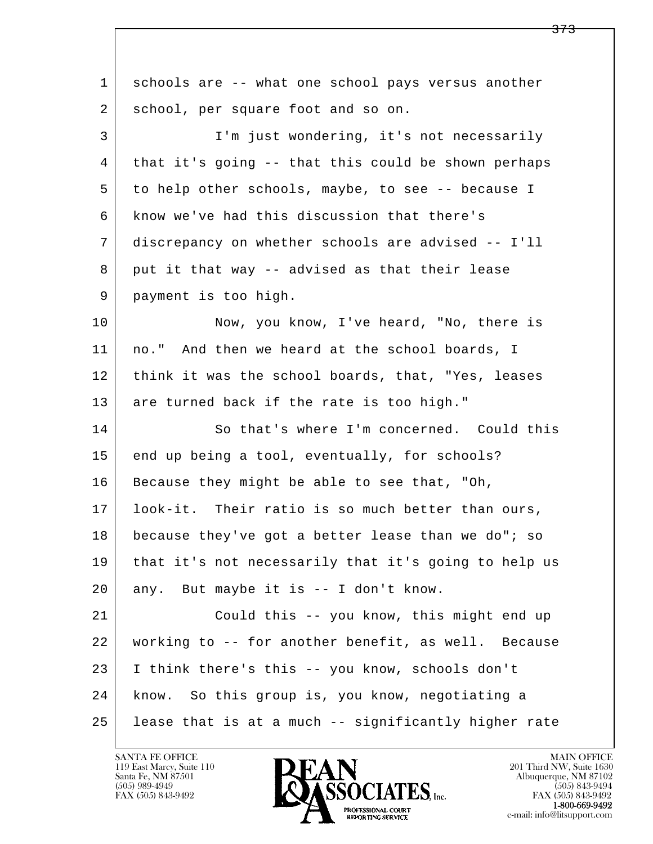| $\mathbf 1$ | schools are -- what one school pays versus another   |
|-------------|------------------------------------------------------|
| 2           | school, per square foot and so on.                   |
| 3           | I'm just wondering, it's not necessarily             |
| 4           | that it's going -- that this could be shown perhaps  |
| 5           | to help other schools, maybe, to see -- because I    |
| 6           | know we've had this discussion that there's          |
| 7           | discrepancy on whether schools are advised -- I'll   |
| 8           | put it that way -- advised as that their lease       |
| 9           | payment is too high.                                 |
| 10          | Now, you know, I've heard, "No, there is             |
| 11          | no." And then we heard at the school boards, I       |
| 12          | think it was the school boards, that, "Yes, leases   |
| 13          | are turned back if the rate is too high."            |
| 14          | So that's where I'm concerned. Could this            |
| 15          | end up being a tool, eventually, for schools?        |
| 16          | Because they might be able to see that, "Oh,         |
| 17          | look-it. Their ratio is so much better than ours,    |
| 18          | because they've got a better lease than we do"; so   |
| 19          | that it's not necessarily that it's going to help us |
| 20          | any. But maybe it is -- I don't know.                |
| 21          | Could this -- you know, this might end up            |
| 22          | working to -- for another benefit, as well. Because  |
| 23          | I think there's this -- you know, schools don't      |
| 24          | know. So this group is, you know, negotiating a      |
| 25          | lease that is at a much -- significantly higher rate |

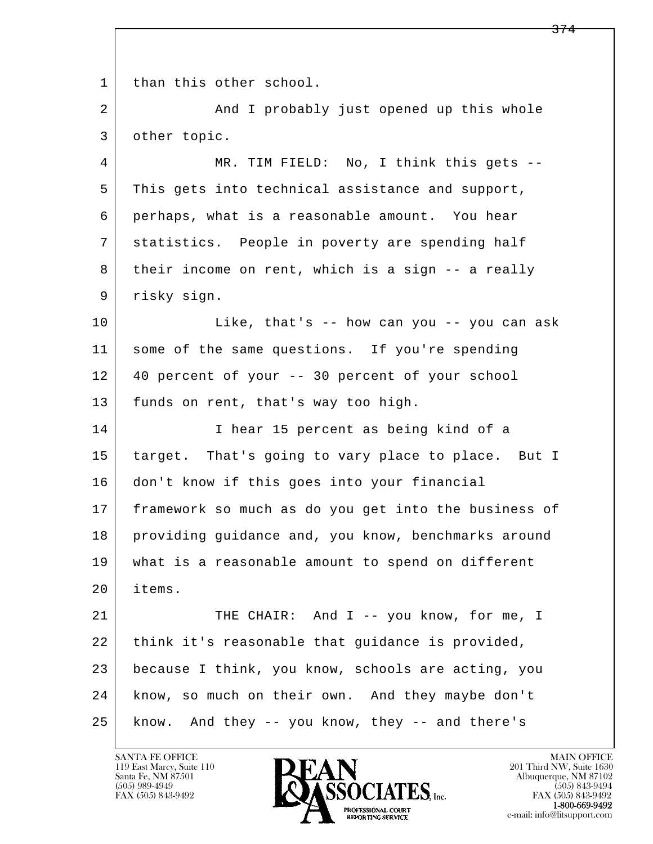l  $\overline{\phantom{a}}$ 1 than this other school. 2 And I probably just opened up this whole 3 other topic. 4 MR. TIM FIELD: No, I think this gets -- 5 This gets into technical assistance and support, 6 perhaps, what is a reasonable amount. You hear 7 statistics. People in poverty are spending half 8 their income on rent, which is a sign -- a really 9 | risky sign. 10 Like, that's -- how can you -- you can ask 11 some of the same questions. If you're spending 12 40 percent of your -- 30 percent of your school 13 funds on rent, that's way too high. 14 I hear 15 percent as being kind of a 15 target. That's going to vary place to place. But I 16 don't know if this goes into your financial 17 | framework so much as do you get into the business of 18 providing guidance and, you know, benchmarks around 19 what is a reasonable amount to spend on different 20 items. 21 THE CHAIR: And I -- you know, for me, I 22 think it's reasonable that guidance is provided, 23 because I think, you know, schools are acting, you 24 know, so much on their own. And they maybe don't 25 know. And they -- you know, they -- and there's

119 East Marcy, Suite 110<br>Santa Fe, NM 87501

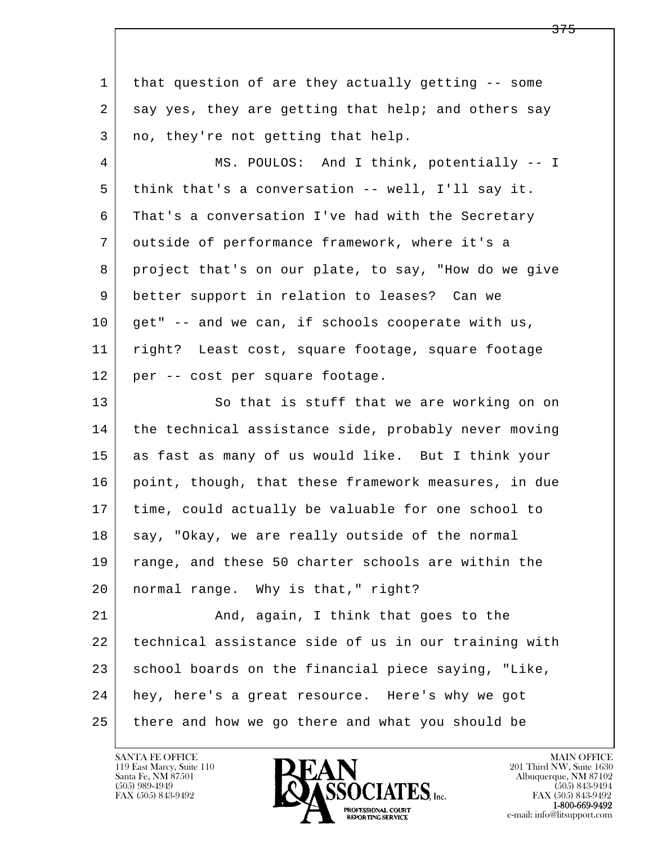l  $\overline{\phantom{a}}$  1 that question of are they actually getting -- some 2 say yes, they are getting that help; and others say  $3$  no, they're not getting that help. 4 MS. POULOS: And I think, potentially -- I 5 think that's a conversation -- well, I'll say it. 6 That's a conversation I've had with the Secretary 7 outside of performance framework, where it's a 8 project that's on our plate, to say, "How do we give 9 better support in relation to leases? Can we  $10$  get" -- and we can, if schools cooperate with us, 11 right? Least cost, square footage, square footage 12 per -- cost per square footage. 13 So that is stuff that we are working on on 14 the technical assistance side, probably never moving 15 as fast as many of us would like. But I think your 16 point, though, that these framework measures, in due 17 time, could actually be valuable for one school to 18 say, "Okay, we are really outside of the normal 19 range, and these 50 charter schools are within the 20 normal range. Why is that," right? 21 And, again, I think that goes to the 22 technical assistance side of us in our training with 23 school boards on the financial piece saying, "Like, 24 hey, here's a great resource. Here's why we got 25 there and how we go there and what you should be

119 East Marcy, Suite 110<br>Santa Fe, NM 87501

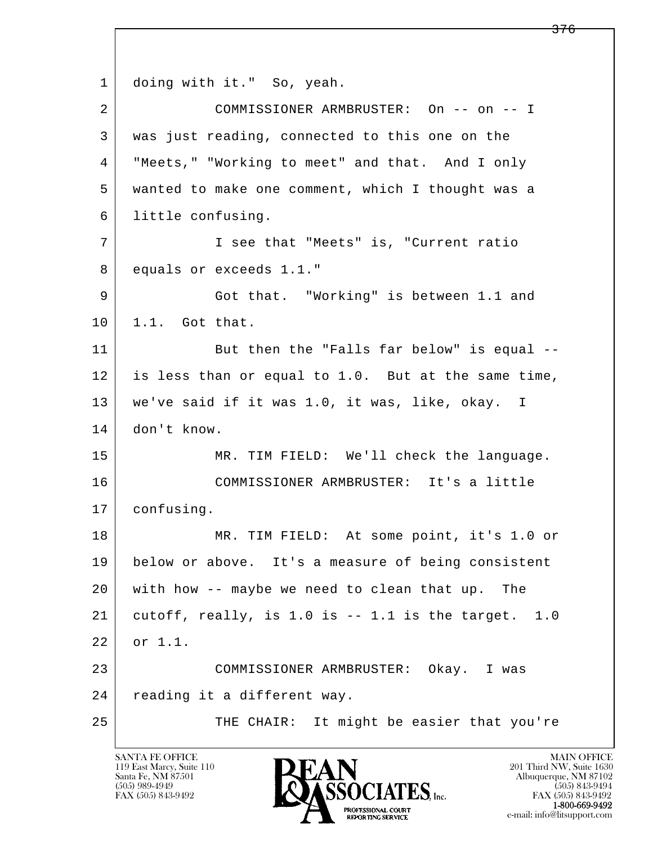l  $\overline{\phantom{a}}$ 1 doing with it." So, yeah. 2 COMMISSIONER ARMBRUSTER: On -- on -- I 3 was just reading, connected to this one on the 4 "Meets," "Working to meet" and that. And I only 5 wanted to make one comment, which I thought was a 6 little confusing. 7 I see that "Meets" is, "Current ratio 8 equals or exceeds 1.1." 9 Got that. "Working" is between 1.1 and 10 | 1.1. Got that. 11 But then the "Falls far below" is equal -- 12 is less than or equal to 1.0. But at the same time, 13 we've said if it was 1.0, it was, like, okay. I 14 don't know. 15 | MR. TIM FIELD: We'll check the language. 16 COMMISSIONER ARMBRUSTER: It's a little 17 confusing. 18 MR. TIM FIELD: At some point, it's 1.0 or 19 below or above. It's a measure of being consistent 20 with how -- maybe we need to clean that up. The 21 cutoff, really, is 1.0 is  $-$  1.1 is the target. 1.0 22 or 1.1. 23 COMMISSIONER ARMBRUSTER: Okay. I was 24 | reading it a different way. 25 | THE CHAIR: It might be easier that you're

119 East Marcy, Suite 110<br>Santa Fe, NM 87501

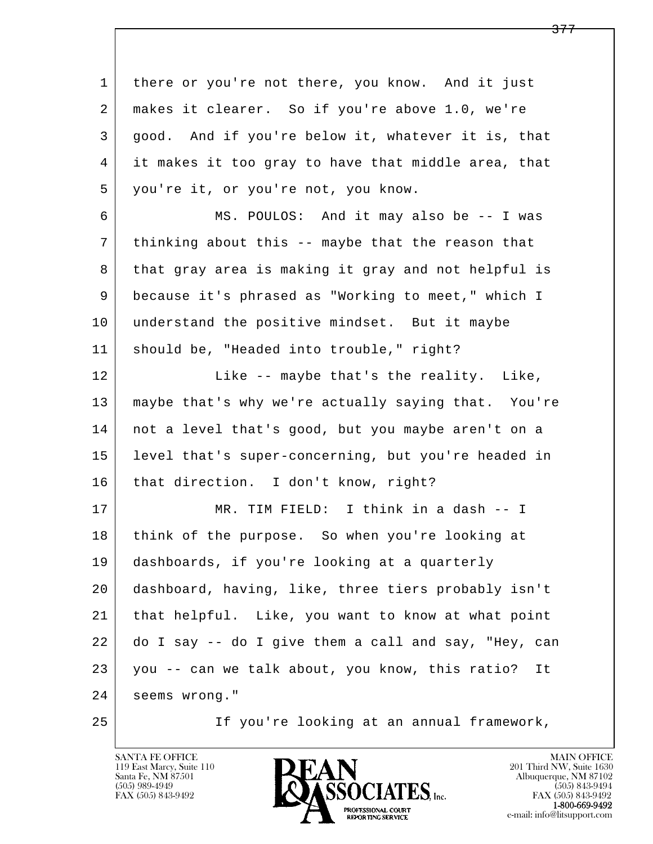l  $\overline{\phantom{a}}$ 1 there or you're not there, you know. And it just 2 makes it clearer. So if you're above 1.0, we're 3 good. And if you're below it, whatever it is, that 4 it makes it too gray to have that middle area, that 5 you're it, or you're not, you know. 6 MS. POULOS: And it may also be -- I was 7 thinking about this -- maybe that the reason that 8 that gray area is making it gray and not helpful is 9 because it's phrased as "Working to meet," which I 10 understand the positive mindset. But it maybe 11 should be, "Headed into trouble," right? 12 Like -- maybe that's the reality. Like, 13 maybe that's why we're actually saying that. You're 14 not a level that's good, but you maybe aren't on a 15 level that's super-concerning, but you're headed in 16 | that direction. I don't know, right? 17 | MR. TIM FIELD: I think in a dash -- I 18 think of the purpose. So when you're looking at 19 dashboards, if you're looking at a quarterly 20 dashboard, having, like, three tiers probably isn't 21 that helpful. Like, you want to know at what point 22 do I say -- do I give them a call and say, "Hey, can 23 you -- can we talk about, you know, this ratio? It 24 seems wrong." 25 If you're looking at an annual framework,

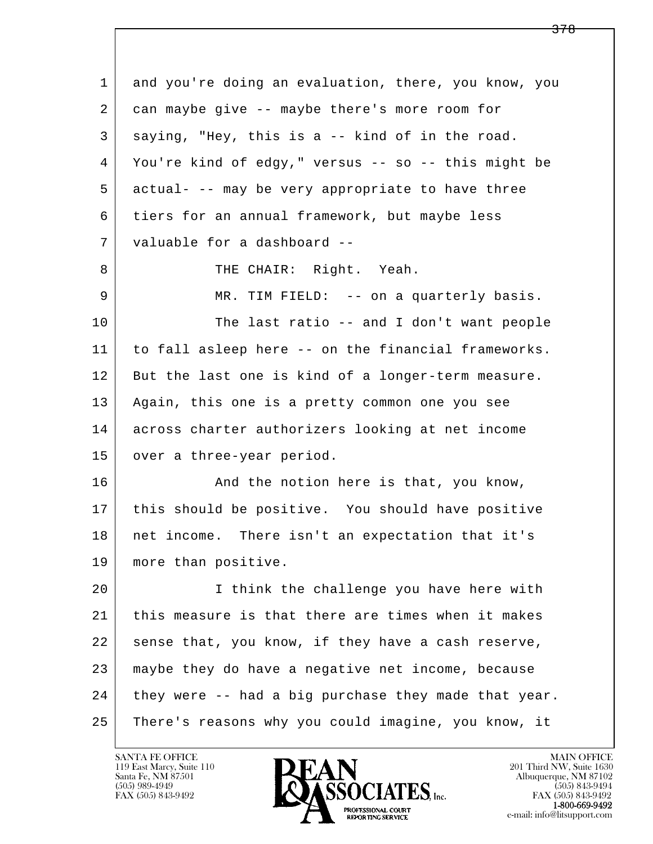| 1  | and you're doing an evaluation, there, you know, you |
|----|------------------------------------------------------|
| 2  | can maybe give -- maybe there's more room for        |
| 3  | saying, "Hey, this is a -- kind of in the road.      |
| 4  | You're kind of edgy," versus -- so -- this might be  |
| 5  | actual- -- may be very appropriate to have three     |
| 6  | tiers for an annual framework, but maybe less        |
| 7  | valuable for a dashboard --                          |
| 8  | THE CHAIR: Right. Yeah.                              |
| 9  | MR. TIM FIELD: -- on a quarterly basis.              |
| 10 | The last ratio -- and I don't want people            |
| 11 | to fall asleep here -- on the financial frameworks.  |
| 12 | But the last one is kind of a longer-term measure.   |
| 13 | Again, this one is a pretty common one you see       |
| 14 | across charter authorizers looking at net income     |
| 15 | over a three-year period.                            |
| 16 | And the notion here is that, you know,               |
| 17 | this should be positive. You should have positive    |
| 18 | net income. There isn't an expectation that it's     |
| 19 | more than positive.                                  |
| 20 | I think the challenge you have here with             |
| 21 | this measure is that there are times when it makes   |
| 22 | sense that, you know, if they have a cash reserve,   |
| 23 | maybe they do have a negative net income, because    |
| 24 | they were -- had a big purchase they made that year. |
| 25 | There's reasons why you could imagine, you know, it  |
|    |                                                      |

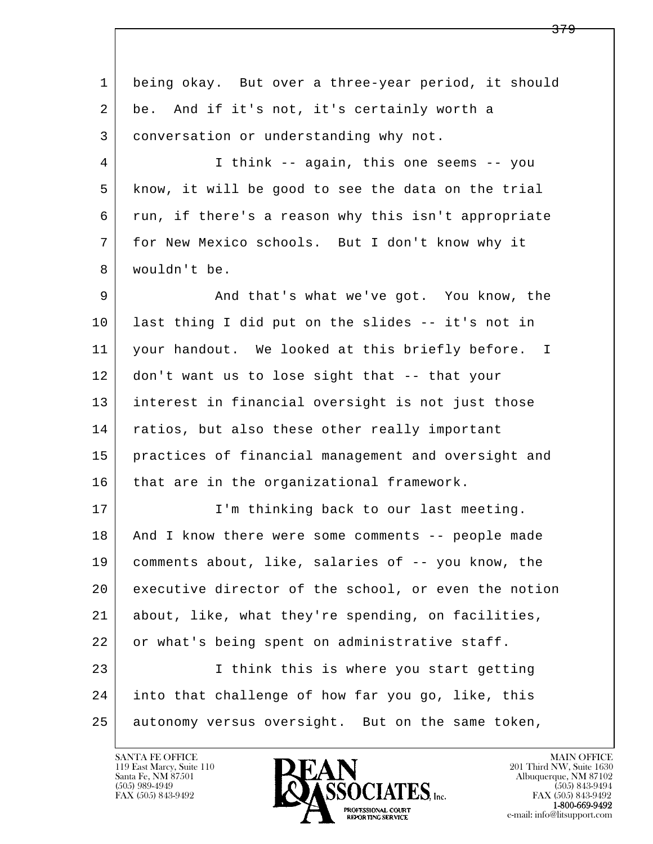l  $\overline{\phantom{a}}$  1 being okay. But over a three-year period, it should 2 be. And if it's not, it's certainly worth a 3 conversation or understanding why not. 4 I think -- again, this one seems -- you 5 know, it will be good to see the data on the trial 6 run, if there's a reason why this isn't appropriate 7 for New Mexico schools. But I don't know why it 8 wouldn't be. 9 And that's what we've got. You know, the 10 last thing I did put on the slides -- it's not in 11 your handout. We looked at this briefly before. I 12 don't want us to lose sight that -- that your 13 interest in financial oversight is not just those 14 ratios, but also these other really important 15 practices of financial management and oversight and 16 that are in the organizational framework. 17 | I'm thinking back to our last meeting. 18 | And I know there were some comments -- people made 19 comments about, like, salaries of -- you know, the 20 executive director of the school, or even the notion 21 about, like, what they're spending, on facilities, 22 or what's being spent on administrative staff. 23 I think this is where you start getting 24 into that challenge of how far you go, like, this 25 autonomy versus oversight. But on the same token,

119 East Marcy, Suite 110<br>Santa Fe, NM 87501

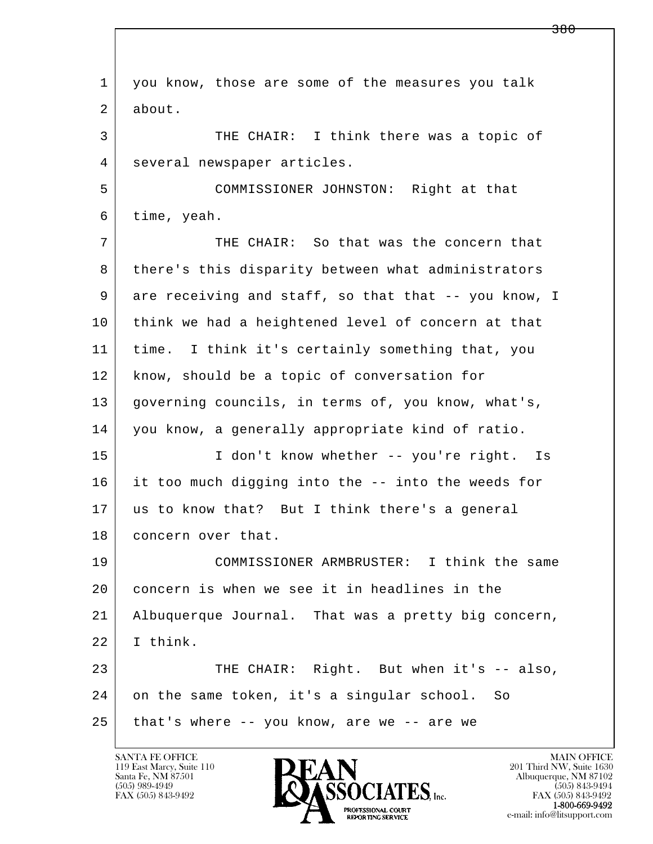l  $\overline{\phantom{a}}$  1 you know, those are some of the measures you talk 2 about. 3 THE CHAIR: I think there was a topic of 4 | several newspaper articles. 5 COMMISSIONER JOHNSTON: Right at that 6 time, yeah. 7 THE CHAIR: So that was the concern that 8 there's this disparity between what administrators 9 are receiving and staff, so that that -- you know, I 10 think we had a heightened level of concern at that 11 time. I think it's certainly something that, you 12 know, should be a topic of conversation for 13 governing councils, in terms of, you know, what's, 14 you know, a generally appropriate kind of ratio. 15 | I don't know whether -- you're right. Is 16 it too much digging into the -- into the weeds for 17 us to know that? But I think there's a general 18 | concern over that. 19 COMMISSIONER ARMBRUSTER: I think the same 20 concern is when we see it in headlines in the 21 Albuquerque Journal. That was a pretty big concern, 22 I think. 23 THE CHAIR: Right. But when it's -- also, 24 on the same token, it's a singular school. So  $25$  that's where -- you know, are we -- are we

119 East Marcy, Suite 110<br>Santa Fe, NM 87501



FAX (505) 843-9492<br>**1-800-669-9492**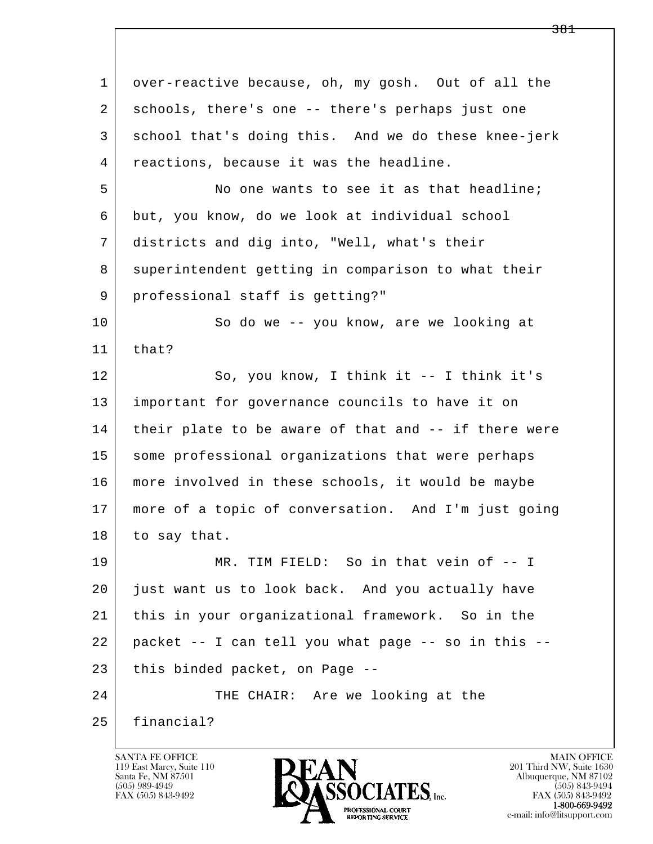l  $\overline{\phantom{a}}$ 1 over-reactive because, oh, my gosh. Out of all the 2 schools, there's one -- there's perhaps just one 3 school that's doing this. And we do these knee-jerk 4 reactions, because it was the headline. 5 No one wants to see it as that headline; 6 but, you know, do we look at individual school 7 districts and dig into, "Well, what's their 8 superintendent getting in comparison to what their 9 professional staff is getting?" 10 So do we -- you know, are we looking at  $11$  that? 12 So, you know, I think it -- I think it's 13 important for governance councils to have it on 14 their plate to be aware of that and -- if there were 15 | some professional organizations that were perhaps 16 more involved in these schools, it would be maybe 17 more of a topic of conversation. And I'm just going 18 to say that. 19 | MR. TIM FIELD: So in that vein of  $-1$  20 just want us to look back. And you actually have 21 this in your organizational framework. So in the 22 packet -- I can tell you what page -- so in this -- 23 this binded packet, on Page --24 | THE CHAIR: Are we looking at the 25 financial?

119 East Marcy, Suite 110<br>Santa Fe, NM 87501



FAX (505) 843-9492<br>**1-800-669-9492**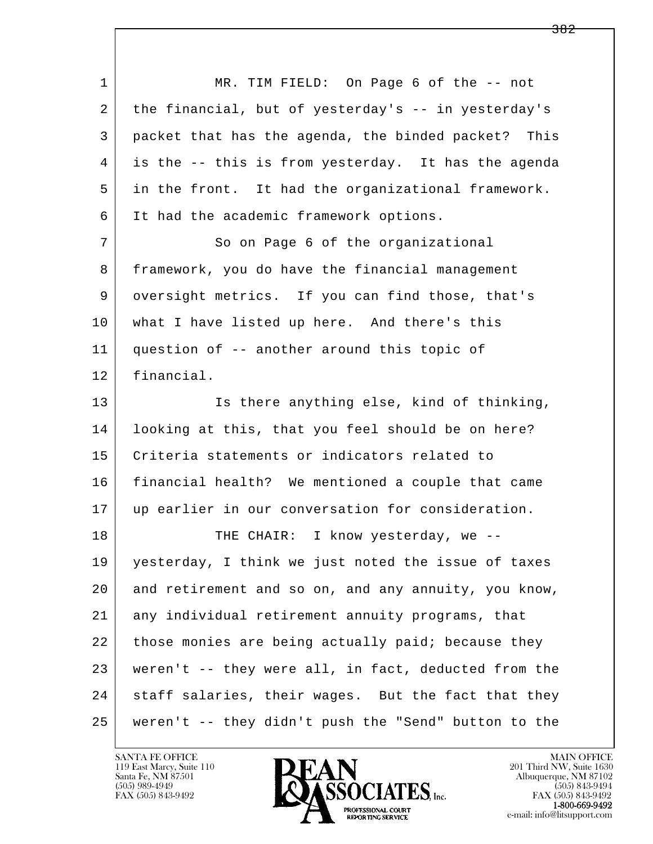l  $\overline{\phantom{a}}$  1 MR. TIM FIELD: On Page 6 of the -- not 2 the financial, but of yesterday's -- in yesterday's 3 packet that has the agenda, the binded packet? This 4 is the -- this is from yesterday. It has the agenda 5 in the front. It had the organizational framework. 6 It had the academic framework options. 7 So on Page 6 of the organizational 8 framework, you do have the financial management 9 oversight metrics. If you can find those, that's 10 | what I have listed up here. And there's this 11 question of -- another around this topic of 12 financial. 13 | Is there anything else, kind of thinking, 14 looking at this, that you feel should be on here? 15 Criteria statements or indicators related to 16 financial health? We mentioned a couple that came 17 up earlier in our conversation for consideration. 18 | THE CHAIR: I know yesterday, we -- 19 yesterday, I think we just noted the issue of taxes 20 and retirement and so on, and any annuity, you know, 21 any individual retirement annuity programs, that 22 those monies are being actually paid; because they 23 weren't -- they were all, in fact, deducted from the 24 staff salaries, their wages. But the fact that they 25 weren't -- they didn't push the "Send" button to the

119 East Marcy, Suite 110<br>Santa Fe, NM 87501

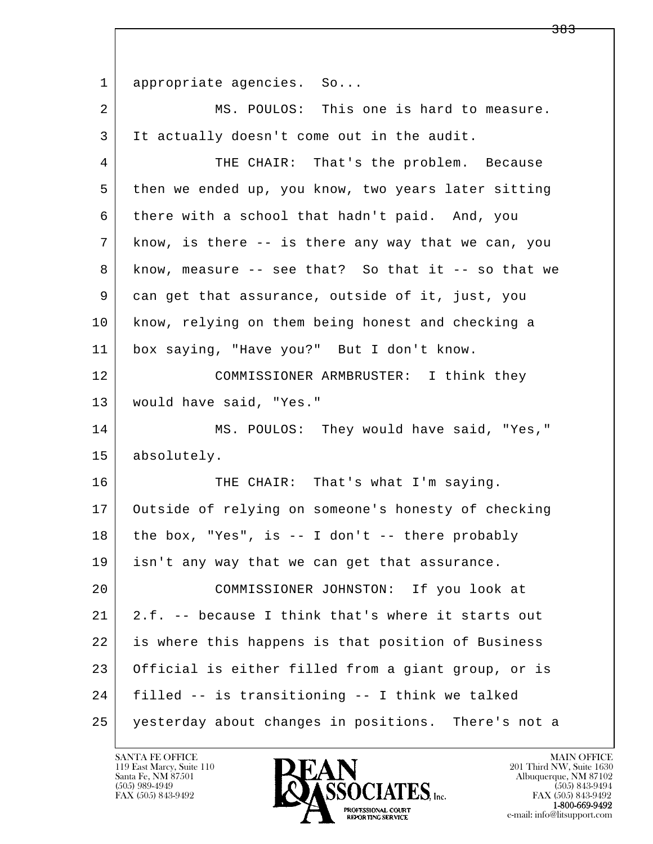l  $\overline{\phantom{a}}$ 1 appropriate agencies. So... 2 MS. POULOS: This one is hard to measure. 3 It actually doesn't come out in the audit. 4 THE CHAIR: That's the problem. Because 5 then we ended up, you know, two years later sitting 6 there with a school that hadn't paid. And, you 7 know, is there -- is there any way that we can, you  $8$  know, measure -- see that? So that it -- so that we 9 can get that assurance, outside of it, just, you 10 know, relying on them being honest and checking a 11 box saying, "Have you?" But I don't know. 12 COMMISSIONER ARMBRUSTER: I think they 13 would have said, "Yes." 14 MS. POULOS: They would have said, "Yes," 15 absolutely. 16 THE CHAIR: That's what I'm saying. 17 Outside of relying on someone's honesty of checking  $18$  the box, "Yes", is -- I don't -- there probably 19 isn't any way that we can get that assurance. 20 COMMISSIONER JOHNSTON: If you look at 21 2.f. -- because I think that's where it starts out 22 is where this happens is that position of Business 23 Official is either filled from a giant group, or is 24 filled -- is transitioning -- I think we talked 25 yesterday about changes in positions. There's not a

119 East Marcy, Suite 110<br>Santa Fe, NM 87501



<del>383</del>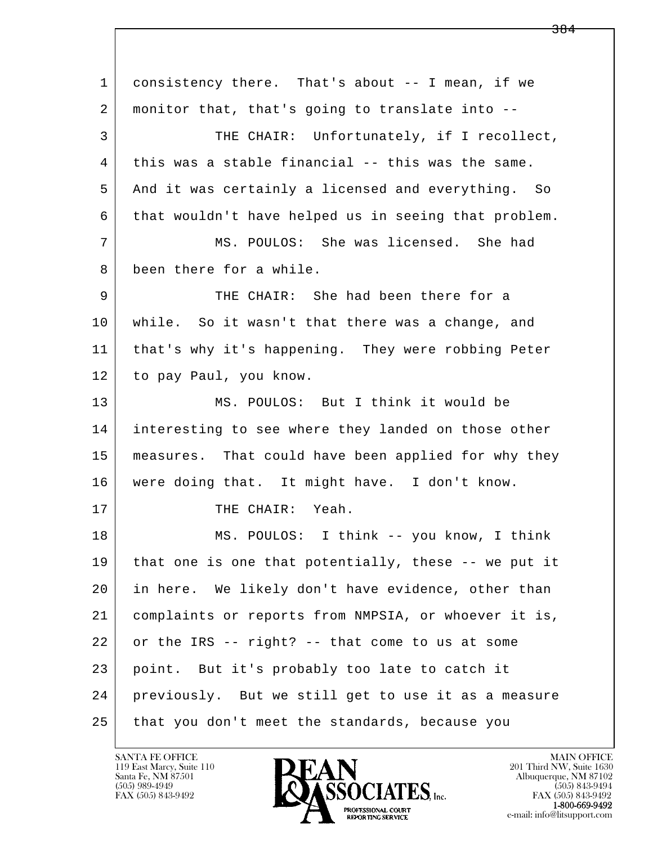l  $\overline{\phantom{a}}$  1 consistency there. That's about -- I mean, if we 2 | monitor that, that's going to translate into -- 3 THE CHAIR: Unfortunately, if I recollect, 4 this was a stable financial -- this was the same. 5 And it was certainly a licensed and everything. So 6 that wouldn't have helped us in seeing that problem. 7 MS. POULOS: She was licensed. She had 8 been there for a while. 9 THE CHAIR: She had been there for a 10 while. So it wasn't that there was a change, and 11 that's why it's happening. They were robbing Peter 12 to pay Paul, you know. 13 MS. POULOS: But I think it would be 14 interesting to see where they landed on those other 15 | measures. That could have been applied for why they 16 were doing that. It might have. I don't know. 17 THE CHAIR: Yeah. 18 | MS. POULOS: I think -- you know, I think 19 that one is one that potentially, these -- we put it 20 in here. We likely don't have evidence, other than 21 complaints or reports from NMPSIA, or whoever it is,  $22$  or the IRS -- right? -- that come to us at some 23 point. But it's probably too late to catch it 24 previously. But we still get to use it as a measure 25 that you don't meet the standards, because you

119 East Marcy, Suite 110<br>Santa Fe, NM 87501



FAX (505) 843-9492<br>1-800-669-9492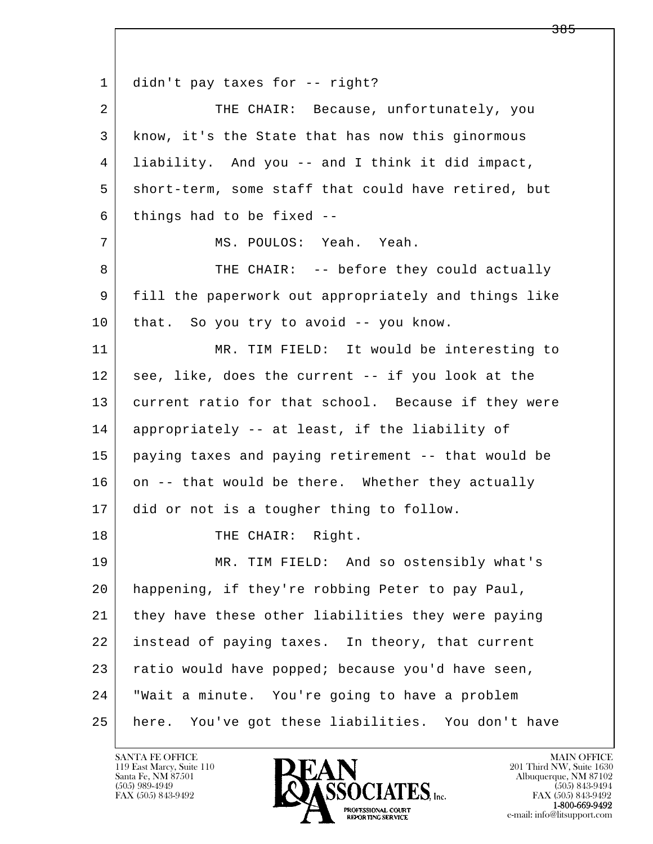l  $\overline{\phantom{a}}$ 1 didn't pay taxes for -- right? 2 THE CHAIR: Because, unfortunately, you 3 know, it's the State that has now this ginormous 4 liability. And you -- and I think it did impact, 5 short-term, some staff that could have retired, but  $6$  things had to be fixed  $-$  7 MS. POULOS: Yeah. Yeah. 8 THE CHAIR: -- before they could actually 9 fill the paperwork out appropriately and things like 10 that. So you try to avoid -- you know. 11 MR. TIM FIELD: It would be interesting to 12 see, like, does the current -- if you look at the 13 current ratio for that school. Because if they were 14 appropriately -- at least, if the liability of 15 paying taxes and paying retirement -- that would be 16 on -- that would be there. Whether they actually 17 did or not is a tougher thing to follow. 18 | THE CHAIR: Right. 19 MR. TIM FIELD: And so ostensibly what's 20 happening, if they're robbing Peter to pay Paul, 21 they have these other liabilities they were paying 22 instead of paying taxes. In theory, that current 23 ratio would have popped; because you'd have seen, 24 "Wait a minute. You're going to have a problem 25 here. You've got these liabilities. You don't have

119 East Marcy, Suite 110<br>Santa Fe, NM 87501

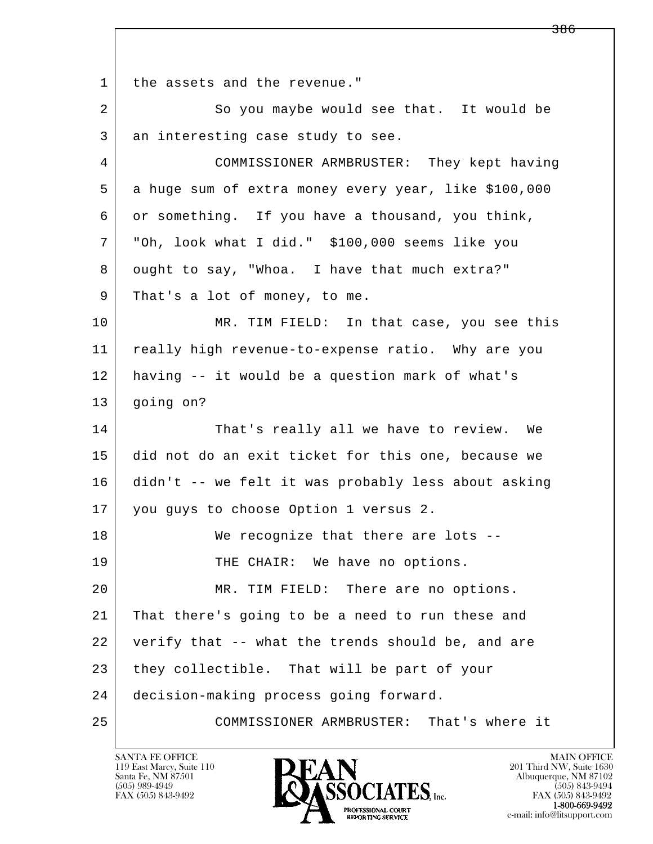l  $\overline{\phantom{a}}$ 1 the assets and the revenue." 2 So you maybe would see that. It would be 3 an interesting case study to see. 4 COMMISSIONER ARMBRUSTER: They kept having 5 a huge sum of extra money every year, like \$100,000 6 or something. If you have a thousand, you think, 7 "Oh, look what I did." \$100,000 seems like you 8 ought to say, "Whoa. I have that much extra?" 9 That's a lot of money, to me. 10 MR. TIM FIELD: In that case, you see this 11 | really high revenue-to-expense ratio. Why are you 12 having -- it would be a question mark of what's 13 going on? 14 That's really all we have to review. We 15 did not do an exit ticket for this one, because we 16 didn't -- we felt it was probably less about asking 17 | you guys to choose Option 1 versus 2. 18 We recognize that there are lots --19 THE CHAIR: We have no options. 20 | MR. TIM FIELD: There are no options. 21 That there's going to be a need to run these and 22 verify that -- what the trends should be, and are 23 they collectible. That will be part of your 24 decision-making process going forward. 25 COMMISSIONER ARMBRUSTER: That's where it

119 East Marcy, Suite 110<br>Santa Fe, NM 87501

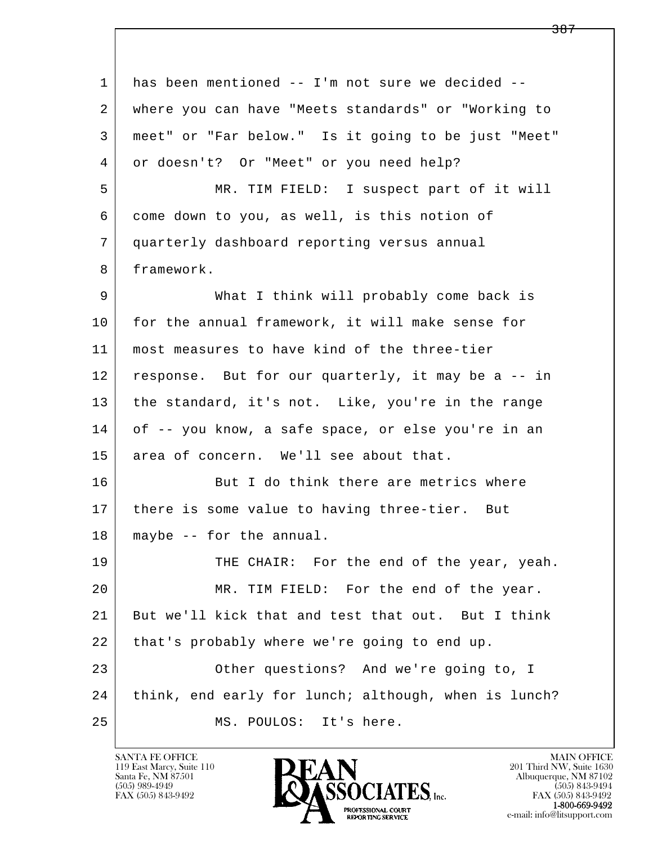l  $\overline{\phantom{a}}$ 1 has been mentioned -- I'm not sure we decided -- 2 where you can have "Meets standards" or "Working to 3 meet" or "Far below." Is it going to be just "Meet" 4 or doesn't? Or "Meet" or you need help? 5 MR. TIM FIELD: I suspect part of it will 6 come down to you, as well, is this notion of 7 quarterly dashboard reporting versus annual 8 framework. 9 What I think will probably come back is 10 for the annual framework, it will make sense for 11 most measures to have kind of the three-tier 12 response. But for our quarterly, it may be a -- in 13 the standard, it's not. Like, you're in the range 14 of -- you know, a safe space, or else you're in an 15 area of concern. We'll see about that. 16 But I do think there are metrics where 17 | there is some value to having three-tier. But 18 maybe -- for the annual. 19 THE CHAIR: For the end of the year, yeah. 20 MR. TIM FIELD: For the end of the year. 21 But we'll kick that and test that out. But I think 22 that's probably where we're going to end up. 23 | Cther questions? And we're going to, I 24 think, end early for lunch; although, when is lunch? 25 MS. POULOS: It's here.

119 East Marcy, Suite 110<br>Santa Fe, NM 87501

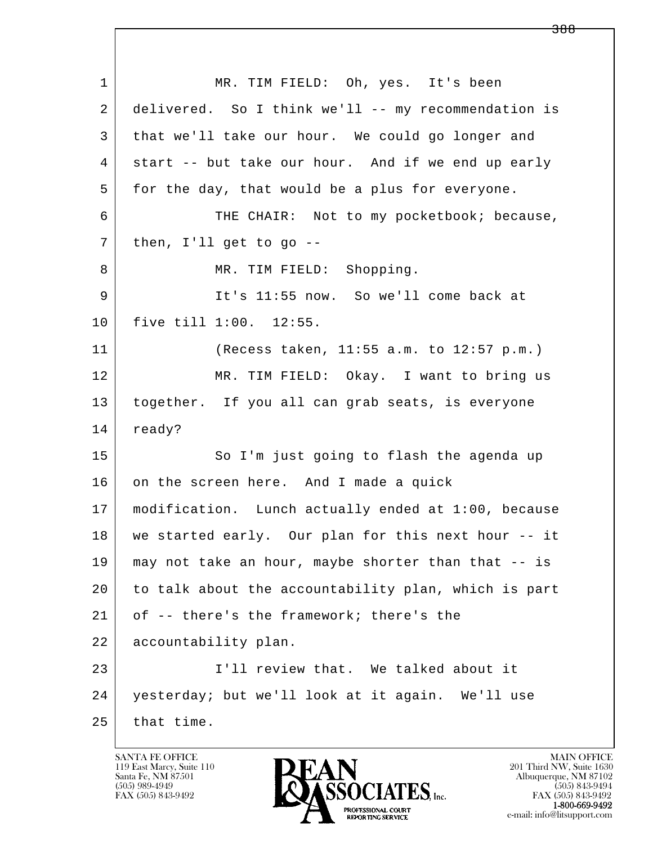l  $\overline{\phantom{a}}$  1 MR. TIM FIELD: Oh, yes. It's been 2 delivered. So I think we'll -- my recommendation is 3 that we'll take our hour. We could go longer and 4 start -- but take our hour. And if we end up early 5 for the day, that would be a plus for everyone. 6 THE CHAIR: Not to my pocketbook; because,  $7$  then, I'll get to go  $-$ 8 | MR. TIM FIELD: Shopping. 9 It's 11:55 now. So we'll come back at 10 five till 1:00. 12:55. 11 (Recess taken, 11:55 a.m. to 12:57 p.m.) 12 MR. TIM FIELD: Okay. I want to bring us 13 together. If you all can grab seats, is everyone 14 ready? 15 | So I'm just going to flash the agenda up 16 on the screen here. And I made a quick 17 modification. Lunch actually ended at 1:00, because 18 we started early. Our plan for this next hour -- it 19 may not take an hour, maybe shorter than that -- is 20 to talk about the accountability plan, which is part 21 of -- there's the framework; there's the 22 accountability plan. 23 I'll review that. We talked about it 24 yesterday; but we'll look at it again. We'll use  $25$  that time.

119 East Marcy, Suite 110<br>Santa Fe, NM 87501

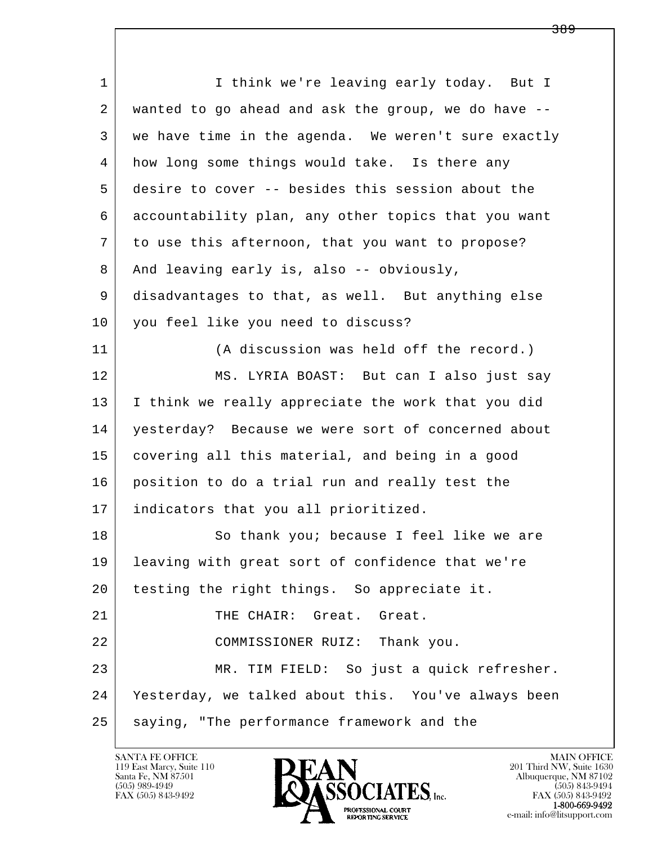l  $\overline{\phantom{a}}$ 1 I think we're leaving early today. But I 2 wanted to go ahead and ask the group, we do have -- 3 we have time in the agenda. We weren't sure exactly 4 how long some things would take. Is there any 5 desire to cover -- besides this session about the 6 accountability plan, any other topics that you want 7 to use this afternoon, that you want to propose? 8 And leaving early is, also -- obviously, 9 disadvantages to that, as well. But anything else 10 you feel like you need to discuss? 11 (A discussion was held off the record.) 12 MS. LYRIA BOAST: But can I also just say 13 I think we really appreciate the work that you did 14 yesterday? Because we were sort of concerned about 15 covering all this material, and being in a good 16 position to do a trial run and really test the 17 indicators that you all prioritized. 18 | So thank you; because I feel like we are 19 leaving with great sort of confidence that we're 20 testing the right things. So appreciate it. 21 | THE CHAIR: Great. Great. 22 COMMISSIONER RUIZ: Thank you. 23 MR. TIM FIELD: So just a quick refresher. 24 Yesterday, we talked about this. You've always been 25 saying, "The performance framework and the

119 East Marcy, Suite 110<br>Santa Fe, NM 87501



FAX (505) 843-9492<br>1-800-669-9492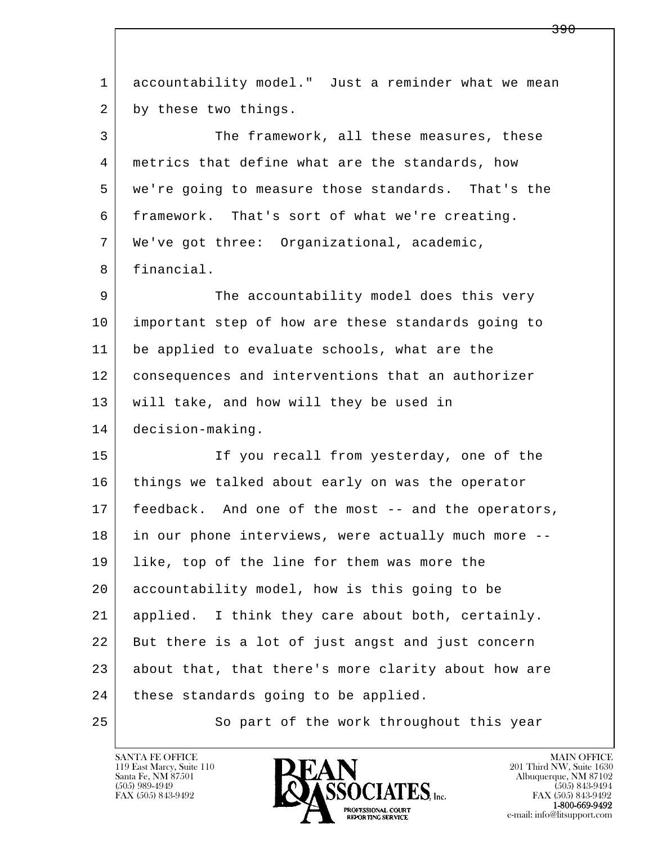l  $\overline{\phantom{a}}$  1 accountability model." Just a reminder what we mean 2 by these two things. 3 The framework, all these measures, these 4 metrics that define what are the standards, how 5 we're going to measure those standards. That's the 6 framework. That's sort of what we're creating. 7 We've got three: Organizational, academic, 8 financial. 9 The accountability model does this very 10 important step of how are these standards going to 11 be applied to evaluate schools, what are the 12 consequences and interventions that an authorizer 13 will take, and how will they be used in 14 decision-making. 15 If you recall from yesterday, one of the 16 things we talked about early on was the operator 17 feedback. And one of the most -- and the operators, 18 in our phone interviews, were actually much more -- 19 like, top of the line for them was more the 20 accountability model, how is this going to be 21 applied. I think they care about both, certainly. 22 But there is a lot of just angst and just concern 23 about that, that there's more clarity about how are 24 | these standards going to be applied. 25 So part of the work throughout this year

119 East Marcy, Suite 110<br>Santa Fe, NM 87501



<del>390</del>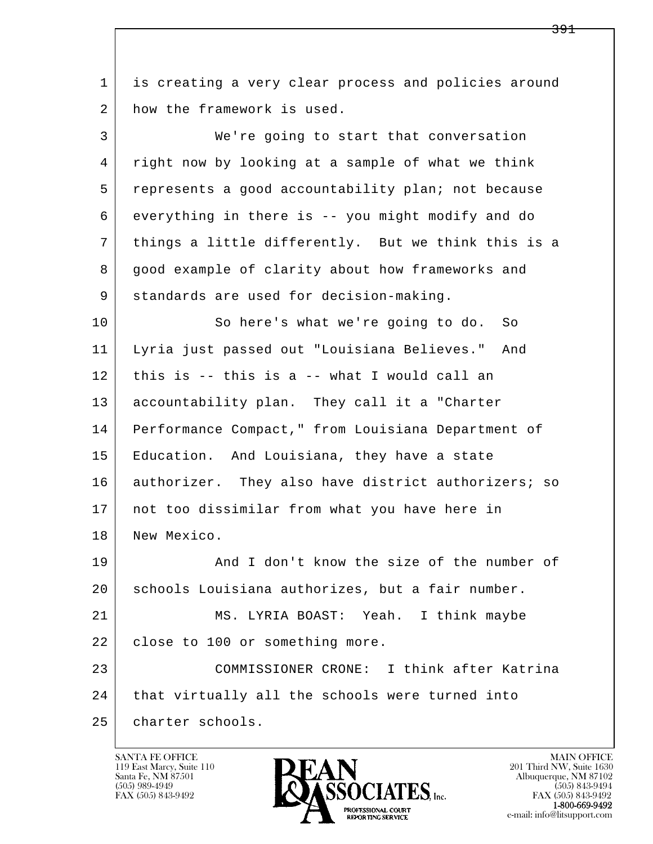l  $\overline{\phantom{a}}$  1 is creating a very clear process and policies around 2 how the framework is used. 3 We're going to start that conversation 4 right now by looking at a sample of what we think 5 represents a good accountability plan; not because 6 everything in there is -- you might modify and do 7 things a little differently. But we think this is a 8 good example of clarity about how frameworks and 9 standards are used for decision-making. 10 So here's what we're going to do. So 11 Lyria just passed out "Louisiana Believes." And 12 this is -- this is a -- what I would call an 13 accountability plan. They call it a "Charter 14 Performance Compact," from Louisiana Department of 15 Education. And Louisiana, they have a state 16 authorizer. They also have district authorizers; so 17 not too dissimilar from what you have here in 18 | New Mexico. 19 And I don't know the size of the number of 20 schools Louisiana authorizes, but a fair number. 21 MS. LYRIA BOAST: Yeah. I think maybe 22 close to 100 or something more. 23 COMMISSIONER CRONE: I think after Katrina 24 | that virtually all the schools were turned into 25 charter schools.

119 East Marcy, Suite 110<br>Santa Fe, NM 87501

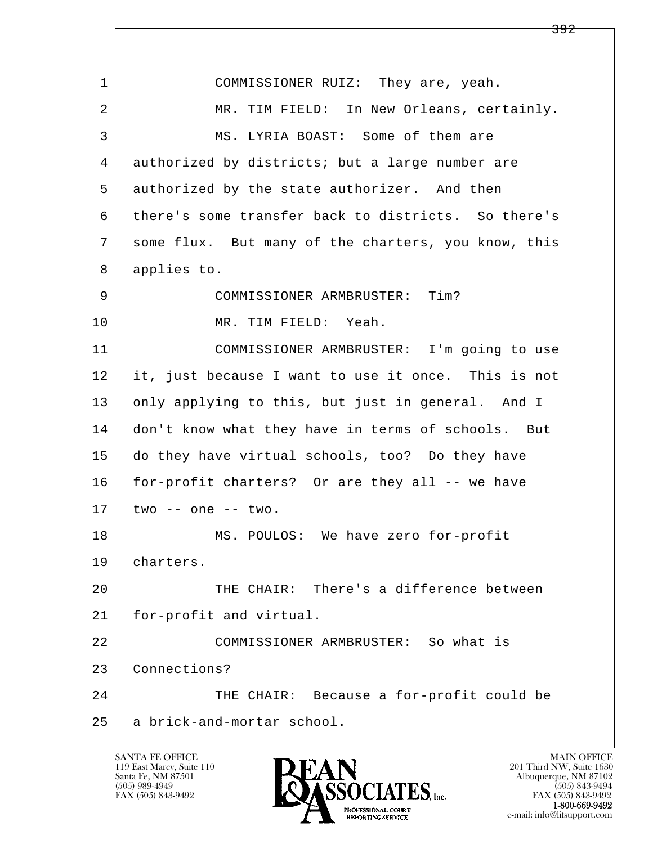l  $\overline{\phantom{a}}$ 1 COMMISSIONER RUIZ: They are, yeah. 2 MR. TIM FIELD: In New Orleans, certainly. 3 MS. LYRIA BOAST: Some of them are 4 authorized by districts; but a large number are 5 authorized by the state authorizer. And then 6 | there's some transfer back to districts. So there's 7 some flux. But many of the charters, you know, this 8 applies to. 9 COMMISSIONER ARMBRUSTER: Tim? 10 MR. TIM FIELD: Yeah. 11 COMMISSIONER ARMBRUSTER: I'm going to use 12 it, just because I want to use it once. This is not 13 only applying to this, but just in general. And I 14 don't know what they have in terms of schools. But 15 do they have virtual schools, too? Do they have 16 for-profit charters? Or are they all -- we have  $17$  two  $-$  one  $-$  two. 18 MS. POULOS: We have zero for-profit 19 charters. 20 THE CHAIR: There's a difference between 21 for-profit and virtual. 22 COMMISSIONER ARMBRUSTER: So what is 23 Connections? 24 THE CHAIR: Because a for-profit could be 25 a brick-and-mortar school.

119 East Marcy, Suite 110<br>Santa Fe, NM 87501

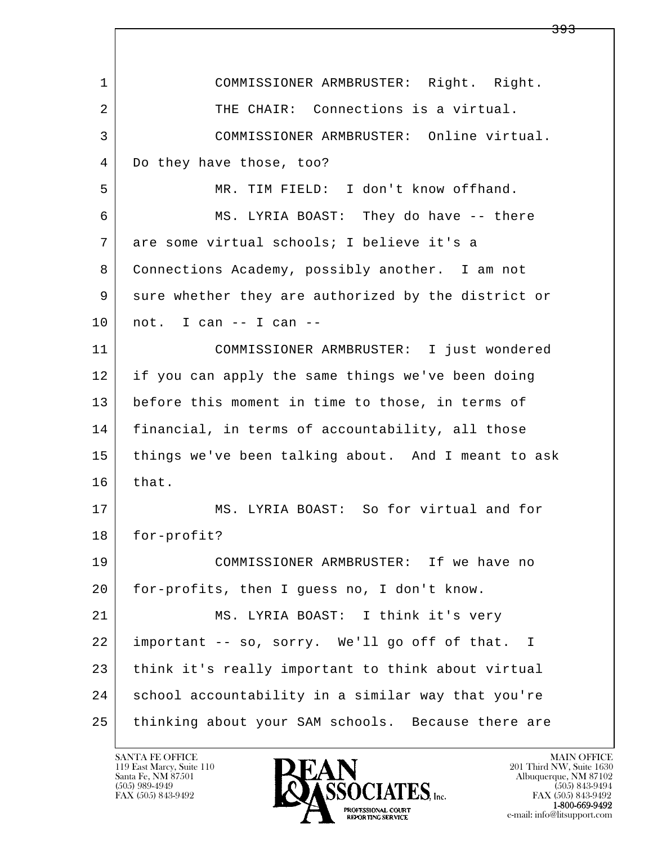l  $\overline{\phantom{a}}$  1 COMMISSIONER ARMBRUSTER: Right. Right. 2 THE CHAIR: Connections is a virtual. 3 COMMISSIONER ARMBRUSTER: Online virtual. 4 Do they have those, too? 5 MR. TIM FIELD: I don't know offhand. 6 MS. LYRIA BOAST: They do have -- there 7 are some virtual schools; I believe it's a 8 Connections Academy, possibly another. I am not 9 sure whether they are authorized by the district or  $10$  not. I can  $-$  I can  $-$  11 COMMISSIONER ARMBRUSTER: I just wondered 12 if you can apply the same things we've been doing 13 before this moment in time to those, in terms of 14 financial, in terms of accountability, all those 15 things we've been talking about. And I meant to ask  $16$  that. 17 | MS. LYRIA BOAST: So for virtual and for 18 for-profit? 19 COMMISSIONER ARMBRUSTER: If we have no 20 for-profits, then I guess no, I don't know. 21 MS. LYRIA BOAST: I think it's very 22 important -- so, sorry. We'll go off of that. I 23 think it's really important to think about virtual 24 school accountability in a similar way that you're 25 thinking about your SAM schools. Because there are

119 East Marcy, Suite 110<br>Santa Fe, NM 87501



<del>393</del>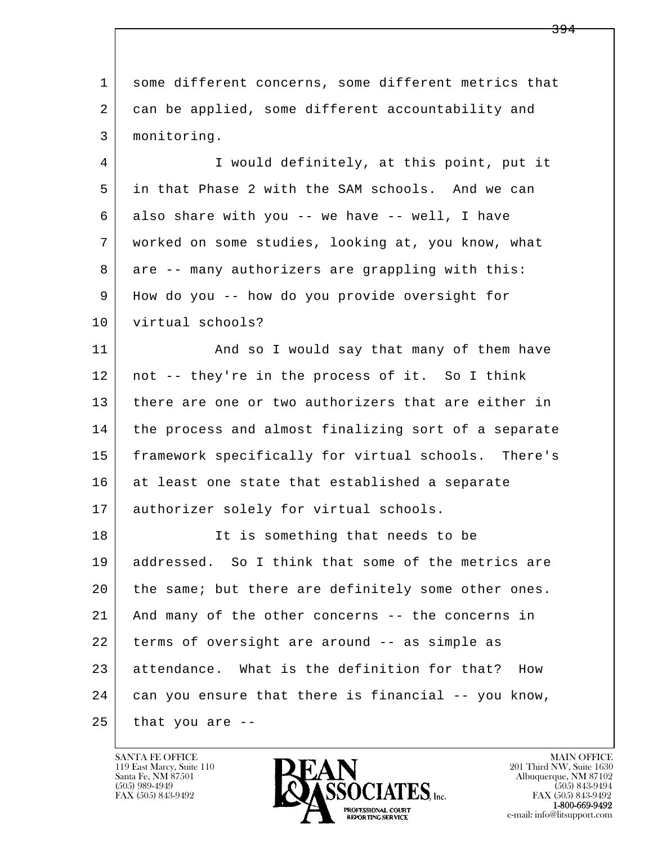l  $\overline{\phantom{a}}$ 1 some different concerns, some different metrics that 2 can be applied, some different accountability and 3 monitoring. 4 I would definitely, at this point, put it 5 in that Phase 2 with the SAM schools. And we can 6 also share with you -- we have -- well, I have 7 worked on some studies, looking at, you know, what 8 are -- many authorizers are grappling with this: 9 How do you -- how do you provide oversight for 10 virtual schools? 11 | And so I would say that many of them have 12 not -- they're in the process of it. So I think 13 there are one or two authorizers that are either in 14 the process and almost finalizing sort of a separate 15 framework specifically for virtual schools. There's 16 at least one state that established a separate 17 authorizer solely for virtual schools. 18 | The is something that needs to be 19 addressed. So I think that some of the metrics are 20 the same; but there are definitely some other ones. 21 And many of the other concerns -- the concerns in 22 terms of oversight are around -- as simple as 23 attendance. What is the definition for that? How 24 can you ensure that there is financial -- you know,  $25$  that you are  $-$ 

119 East Marcy, Suite 110<br>Santa Fe, NM 87501

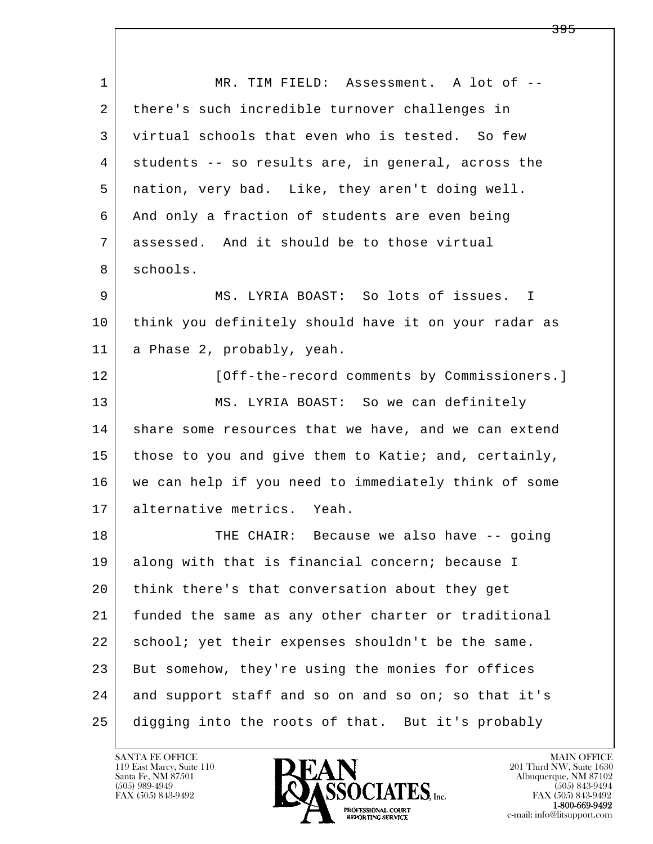| $\mathbf{1}$ | MR. TIM FIELD: Assessment. A lot of --               |
|--------------|------------------------------------------------------|
| 2            | there's such incredible turnover challenges in       |
| 3            | virtual schools that even who is tested. So few      |
| 4            | students -- so results are, in general, across the   |
| 5            | nation, very bad. Like, they aren't doing well.      |
| 6            | And only a fraction of students are even being       |
| 7            | assessed. And it should be to those virtual          |
| 8            | schools.                                             |
| 9            | MS. LYRIA BOAST: So lots of issues. I                |
| 10           | think you definitely should have it on your radar as |
| 11           | a Phase 2, probably, yeah.                           |
| 12           | [Off-the-record comments by Commissioners.]          |
| 13           | MS. LYRIA BOAST: So we can definitely                |
| 14           | share some resources that we have, and we can extend |
| 15           | those to you and give them to Katie; and, certainly, |
| 16           | we can help if you need to immediately think of some |
| 17           | alternative metrics. Yeah.                           |
| 18           | THE CHAIR: Because we also have -- going             |
| 19           | along with that is financial concern; because I      |
| 20           | think there's that conversation about they get       |
| 21           | funded the same as any other charter or traditional  |
| 22           | school; yet their expenses shouldn't be the same.    |
| 23           | But somehow, they're using the monies for offices    |
| 24           | and support staff and so on and so on; so that it's  |
| 25           | digging into the roots of that. But it's probably    |

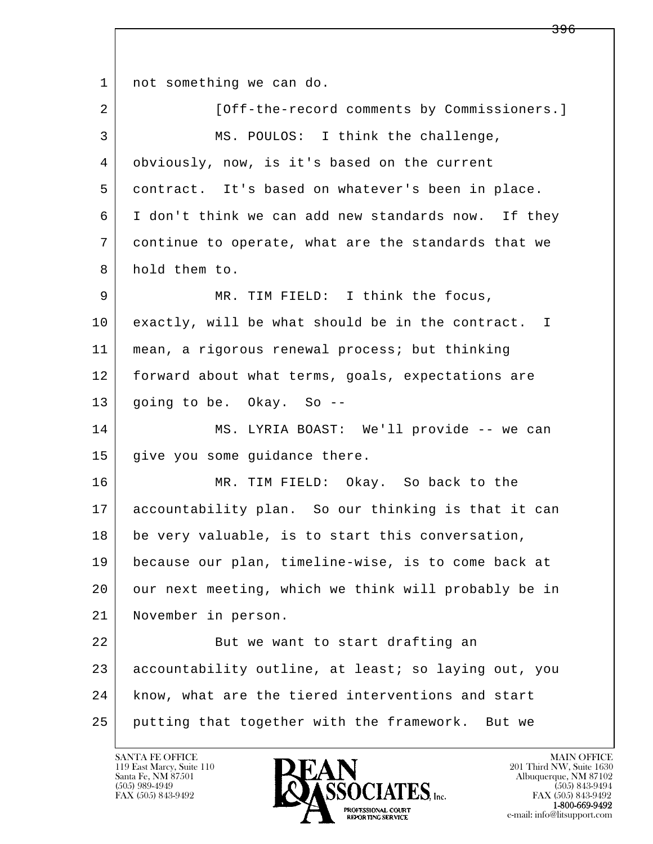l  $\overline{\phantom{a}}$ 1 | not something we can do. 2 | [Off-the-record comments by Commissioners.] 3 MS. POULOS: I think the challenge, 4 obviously, now, is it's based on the current 5 contract. It's based on whatever's been in place. 6 I don't think we can add new standards now. If they 7 continue to operate, what are the standards that we 8 hold them to. 9 MR. TIM FIELD: I think the focus, 10 exactly, will be what should be in the contract. I 11 mean, a rigorous renewal process; but thinking 12 forward about what terms, goals, expectations are 13 going to be. Okay. So -- 14 MS. LYRIA BOAST: We'll provide -- we can 15 | give you some guidance there. 16 MR. TIM FIELD: Okay. So back to the 17 accountability plan. So our thinking is that it can 18 be very valuable, is to start this conversation, 19 because our plan, timeline-wise, is to come back at 20 our next meeting, which we think will probably be in 21 November in person. 22 | But we want to start drafting an 23 accountability outline, at least; so laying out, you 24 | know, what are the tiered interventions and start 25 putting that together with the framework. But we

119 East Marcy, Suite 110<br>Santa Fe, NM 87501

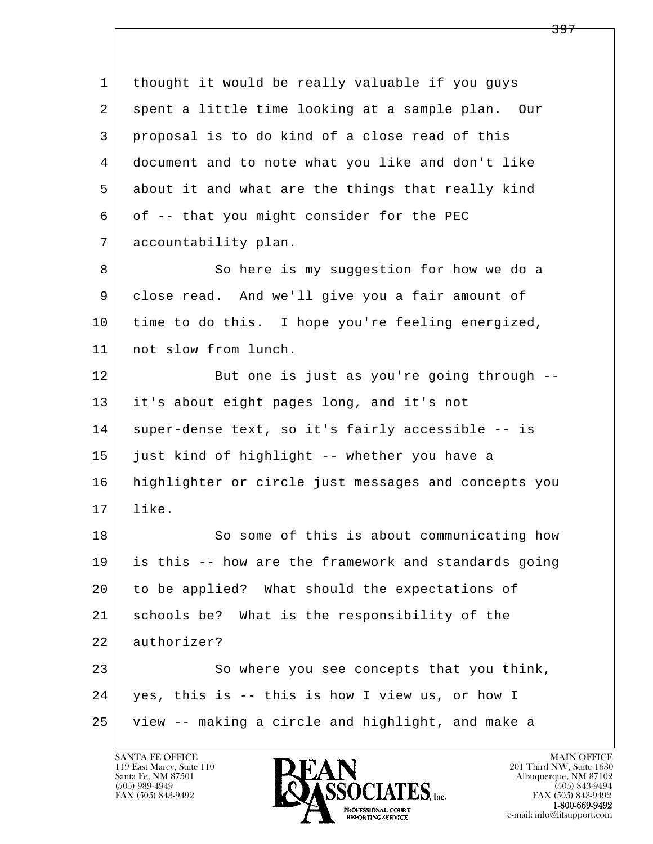l  $\overline{\phantom{a}}$  1 thought it would be really valuable if you guys 2 | spent a little time looking at a sample plan. Our 3 proposal is to do kind of a close read of this 4 document and to note what you like and don't like 5 | about it and what are the things that really kind 6 of -- that you might consider for the PEC 7 accountability plan. 8 So here is my suggestion for how we do a 9 close read. And we'll give you a fair amount of 10 time to do this. I hope you're feeling energized, 11 | not slow from lunch. 12 But one is just as you're going through -- 13 it's about eight pages long, and it's not 14 | super-dense text, so it's fairly accessible -- is 15 just kind of highlight -- whether you have a 16 highlighter or circle just messages and concepts you 17 like. 18 So some of this is about communicating how 19 is this -- how are the framework and standards going 20 to be applied? What should the expectations of 21 schools be? What is the responsibility of the 22 authorizer? 23 So where you see concepts that you think, 24 yes, this is -- this is how I view us, or how I 25 view -- making a circle and highlight, and make a

119 East Marcy, Suite 110<br>Santa Fe, NM 87501

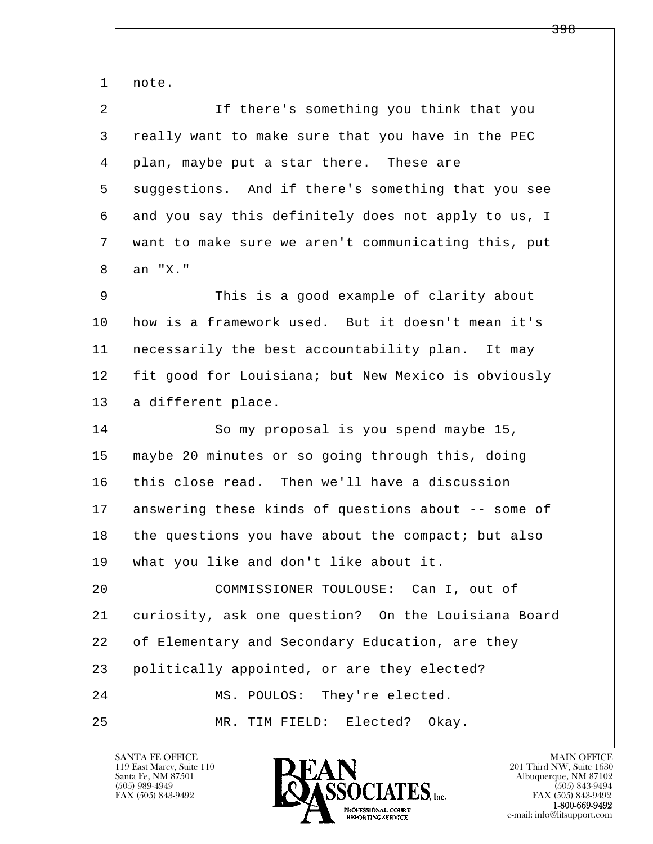l  $\overline{\phantom{a}}$  1 note. 2 If there's something you think that you 3 really want to make sure that you have in the PEC 4 plan, maybe put a star there. These are 5 suggestions. And if there's something that you see 6 and you say this definitely does not apply to us, I 7 want to make sure we aren't communicating this, put 8 an "X." 9 This is a good example of clarity about 10 how is a framework used. But it doesn't mean it's 11 necessarily the best accountability plan. It may 12 fit good for Louisiana; but New Mexico is obviously 13 | a different place. 14 So my proposal is you spend maybe 15, 15 maybe 20 minutes or so going through this, doing 16 this close read. Then we'll have a discussion 17 answering these kinds of questions about -- some of 18 the questions you have about the compact; but also 19 what you like and don't like about it. 20 COMMISSIONER TOULOUSE: Can I, out of 21 curiosity, ask one question? On the Louisiana Board 22 of Elementary and Secondary Education, are they 23 politically appointed, or are they elected? 24 MS. POULOS: They're elected. 25 MR. TIM FIELD: Elected? Okay.

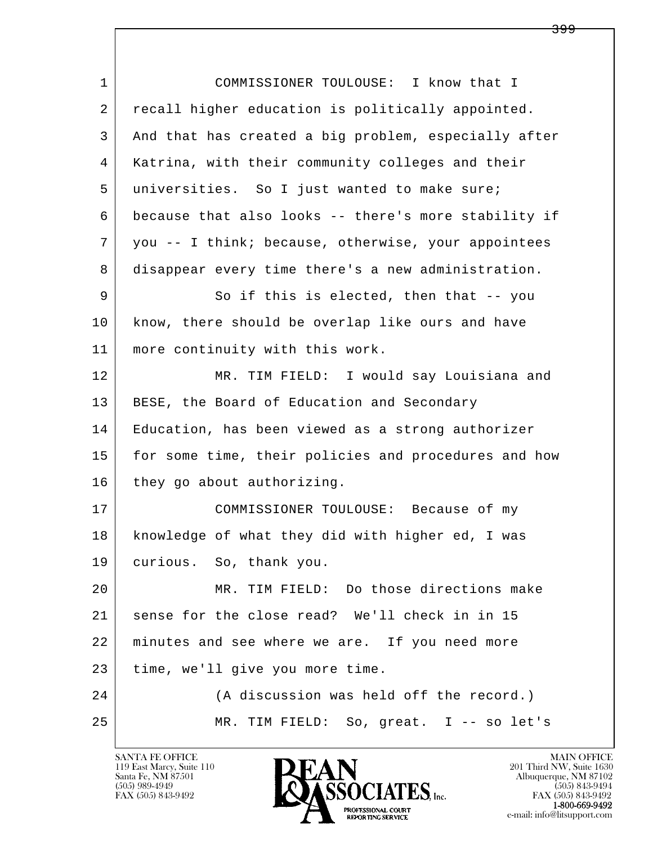l  $\overline{\phantom{a}}$ 1 COMMISSIONER TOULOUSE: I know that I 2 | recall higher education is politically appointed. 3 And that has created a big problem, especially after 4 Katrina, with their community colleges and their 5 universities. So I just wanted to make sure; 6 because that also looks -- there's more stability if 7 you -- I think; because, otherwise, your appointees 8 disappear every time there's a new administration. 9 So if this is elected, then that -- you 10 know, there should be overlap like ours and have 11 more continuity with this work. 12 MR. TIM FIELD: I would say Louisiana and 13 | BESE, the Board of Education and Secondary 14 Education, has been viewed as a strong authorizer 15 | for some time, their policies and procedures and how 16 they go about authorizing. 17 COMMISSIONER TOULOUSE: Because of my 18 knowledge of what they did with higher ed, I was 19 curious. So, thank you. 20 MR. TIM FIELD: Do those directions make 21 sense for the close read? We'll check in in 15 22 minutes and see where we are. If you need more 23 time, we'll give you more time. 24 (A discussion was held off the record.) 25 MR. TIM FIELD: So, great. I -- so let's

119 East Marcy, Suite 110<br>Santa Fe, NM 87501



FAX (505) 843-9492<br>**1-800-669-9492**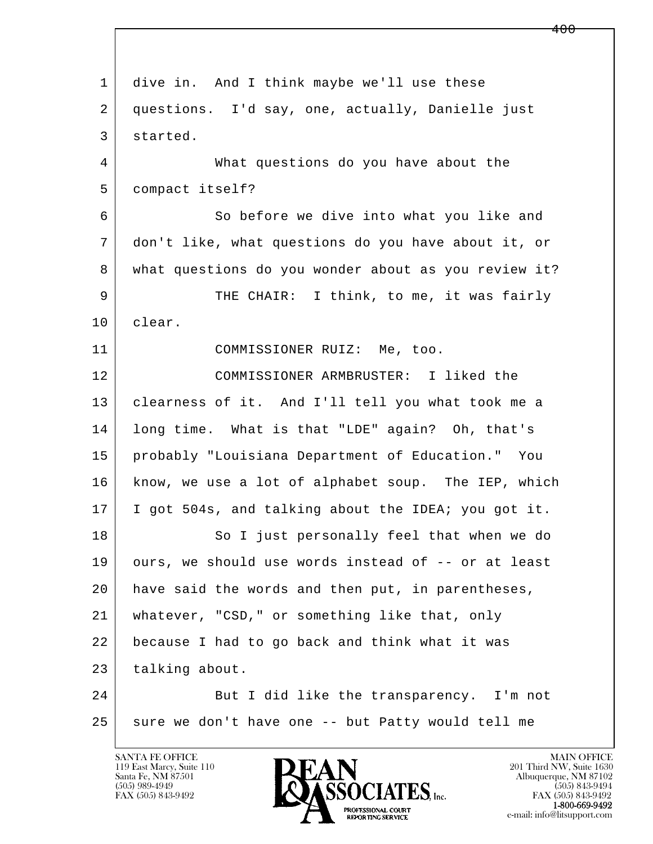| $\mathbf{1}$ | dive in. And I think maybe we'll use these           |
|--------------|------------------------------------------------------|
| 2            | questions. I'd say, one, actually, Danielle just     |
| 3            | started.                                             |
| 4            | What questions do you have about the                 |
| 5            | compact itself?                                      |
| 6            | So before we dive into what you like and             |
| 7            | don't like, what questions do you have about it, or  |
| 8            | what questions do you wonder about as you review it? |
| 9            | THE CHAIR: I think, to me, it was fairly             |
| 10           | clear.                                               |
| 11           | COMMISSIONER RUIZ: Me, too.                          |
| 12           | COMMISSIONER ARMBRUSTER: I liked the                 |
| 13           | clearness of it. And I'll tell you what took me a    |
| 14           | long time. What is that "LDE" again? Oh, that's      |
| 15           | probably "Louisiana Department of Education." You    |
| 16           | know, we use a lot of alphabet soup. The IEP, which  |
| 17           | I got 504s, and talking about the IDEA; you got it.  |
| 18           | So I just personally feel that when we do            |
| 19           | ours, we should use words instead of -- or at least  |
| 20           | have said the words and then put, in parentheses,    |
| 21           | whatever, "CSD," or something like that, only        |
| 22           | because I had to go back and think what it was       |
| 23           | talking about.                                       |
| 24           | But I did like the transparency. I'm not             |
| 25           | sure we don't have one -- but Patty would tell me    |
|              |                                                      |

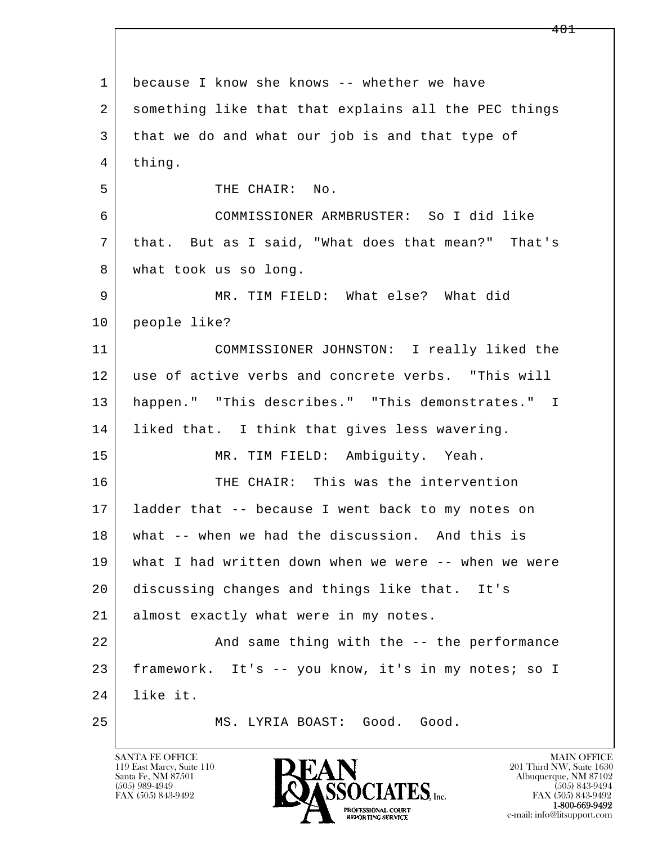l  $\overline{\phantom{a}}$ 1 because I know she knows -- whether we have 2 something like that that explains all the PEC things 3 that we do and what our job is and that type of 4 thing. 5 THE CHAIR: No. 6 COMMISSIONER ARMBRUSTER: So I did like 7 that. But as I said, "What does that mean?" That's 8 | what took us so long. 9 MR. TIM FIELD: What else? What did 10 people like? 11 COMMISSIONER JOHNSTON: I really liked the 12 use of active verbs and concrete verbs. "This will 13 happen." "This describes." "This demonstrates." I 14 | liked that. I think that gives less wavering. 15 | MR. TIM FIELD: Ambiguity. Yeah. 16 THE CHAIR: This was the intervention 17 ladder that -- because I went back to my notes on 18 what -- when we had the discussion. And this is 19 what I had written down when we were -- when we were 20 discussing changes and things like that. It's 21 almost exactly what were in my notes. 22 And same thing with the -- the performance 23 framework. It's -- you know, it's in my notes; so I 24 like it. 25 MS. LYRIA BOAST: Good. Good.

119 East Marcy, Suite 110<br>Santa Fe, NM 87501

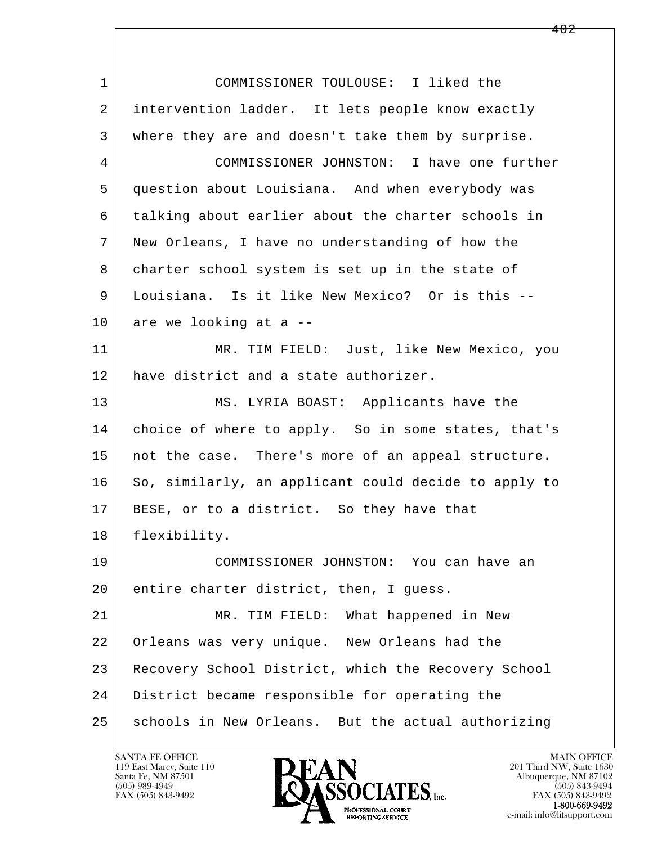l  $\overline{\phantom{a}}$  1 COMMISSIONER TOULOUSE: I liked the 2 intervention ladder. It lets people know exactly 3 where they are and doesn't take them by surprise. 4 COMMISSIONER JOHNSTON: I have one further 5 question about Louisiana. And when everybody was 6 talking about earlier about the charter schools in 7 New Orleans, I have no understanding of how the 8 charter school system is set up in the state of 9 Louisiana. Is it like New Mexico? Or is this --  $10$  are we looking at a  $-$  11 MR. TIM FIELD: Just, like New Mexico, you 12 have district and a state authorizer. 13 MS. LYRIA BOAST: Applicants have the 14 choice of where to apply. So in some states, that's 15 | not the case. There's more of an appeal structure. 16 So, similarly, an applicant could decide to apply to 17 | BESE, or to a district. So they have that 18 flexibility. 19 COMMISSIONER JOHNSTON: You can have an 20 entire charter district, then, I guess. 21 | MR. TIM FIELD: What happened in New 22 Orleans was very unique. New Orleans had the 23 Recovery School District, which the Recovery School 24 District became responsible for operating the 25 schools in New Orleans. But the actual authorizing

119 East Marcy, Suite 110<br>Santa Fe, NM 87501

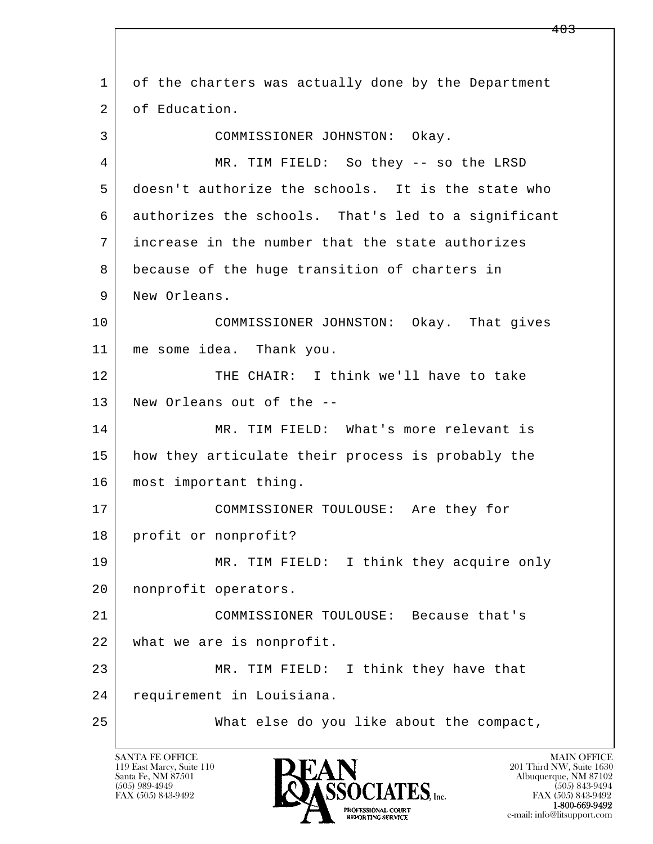l  $\overline{\phantom{a}}$  1 of the charters was actually done by the Department 2 of Education. 3 COMMISSIONER JOHNSTON: Okay. 4 MR. TIM FIELD: So they -- so the LRSD 5 doesn't authorize the schools. It is the state who 6 authorizes the schools. That's led to a significant 7 increase in the number that the state authorizes 8 because of the huge transition of charters in 9 | New Orleans. 10 COMMISSIONER JOHNSTON: Okay. That gives 11 me some idea. Thank you. 12 THE CHAIR: I think we'll have to take 13 New Orleans out of the -- 14 MR. TIM FIELD: What's more relevant is 15 how they articulate their process is probably the 16 | most important thing. 17 | COMMISSIONER TOULOUSE: Are they for 18 profit or nonprofit? 19 MR. TIM FIELD: I think they acquire only 20 nonprofit operators. 21 COMMISSIONER TOULOUSE: Because that's 22 what we are is nonprofit. 23 MR. TIM FIELD: I think they have that 24 requirement in Louisiana. 25 What else do you like about the compact,

119 East Marcy, Suite 110<br>Santa Fe, NM 87501

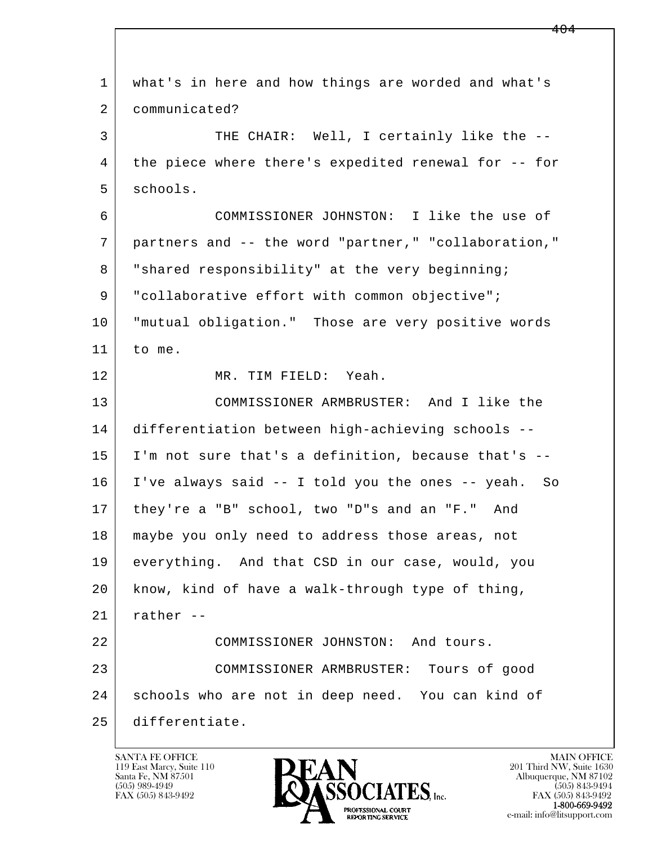l  $\overline{\phantom{a}}$  1 what's in here and how things are worded and what's 2 communicated? 3 THE CHAIR: Well, I certainly like the -- 4 the piece where there's expedited renewal for -- for 5 schools. 6 COMMISSIONER JOHNSTON: I like the use of 7 partners and -- the word "partner," "collaboration," 8 | "shared responsibility" at the very beginning; 9 | "collaborative effort with common objective"; 10 "mutual obligation." Those are very positive words 11 to me. 12 MR. TIM FIELD: Yeah. 13 COMMISSIONER ARMBRUSTER: And I like the 14 differentiation between high-achieving schools -- 15 I'm not sure that's a definition, because that's -- 16 I've always said -- I told you the ones -- yeah. So 17 they're a "B" school, two "D"s and an "F." And 18 maybe you only need to address those areas, not 19 everything. And that CSD in our case, would, you 20 know, kind of have a walk-through type of thing,  $21$  rather  $-$  22 COMMISSIONER JOHNSTON: And tours. 23 COMMISSIONER ARMBRUSTER: Tours of good 24 schools who are not in deep need. You can kind of 25 differentiate.

119 East Marcy, Suite 110<br>Santa Fe, NM 87501

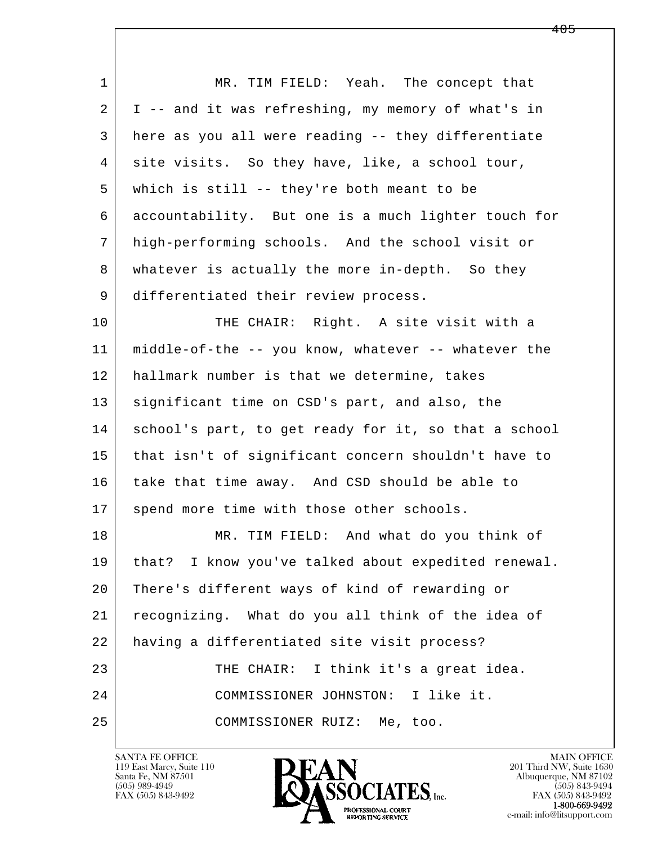l  $\overline{\phantom{a}}$ 1 MR. TIM FIELD: Yeah. The concept that 2 I -- and it was refreshing, my memory of what's in 3 here as you all were reading -- they differentiate 4 site visits. So they have, like, a school tour, 5 which is still -- they're both meant to be 6 accountability. But one is a much lighter touch for 7 high-performing schools. And the school visit or 8 whatever is actually the more in-depth. So they 9 differentiated their review process. 10 THE CHAIR: Right. A site visit with a 11 middle-of-the -- you know, whatever -- whatever the 12 hallmark number is that we determine, takes 13 | significant time on CSD's part, and also, the 14 school's part, to get ready for it, so that a school 15 that isn't of significant concern shouldn't have to 16 take that time away. And CSD should be able to 17 | spend more time with those other schools. 18 MR. TIM FIELD: And what do you think of 19 that? I know you've talked about expedited renewal. 20 There's different ways of kind of rewarding or 21 recognizing. What do you all think of the idea of 22 having a differentiated site visit process? 23 THE CHAIR: I think it's a great idea. 24 COMMISSIONER JOHNSTON: I like it. 25 COMMISSIONER RUIZ: Me, too.

119 East Marcy, Suite 110<br>Santa Fe, NM 87501



FAX (505) 843-9492<br>1-800-669-9492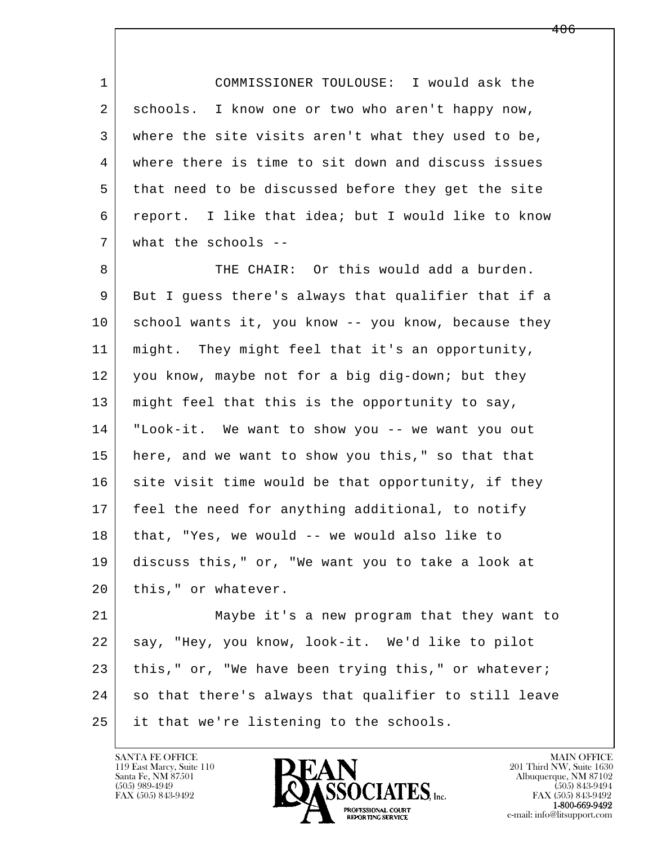1 COMMISSIONER TOULOUSE: I would ask the 2 schools. I know one or two who aren't happy now, 3 where the site visits aren't what they used to be, 4 where there is time to sit down and discuss issues 5 that need to be discussed before they get the site 6 report. I like that idea; but I would like to know 7 what the schools --

8 THE CHAIR: Or this would add a burden. 9 But I guess there's always that qualifier that if a 10 school wants it, you know -- you know, because they 11 might. They might feel that it's an opportunity, 12 you know, maybe not for a big dig-down; but they 13 might feel that this is the opportunity to say, 14 "Look-it. We want to show you -- we want you out 15 | here, and we want to show you this," so that that 16 site visit time would be that opportunity, if they 17 feel the need for anything additional, to notify 18 that, "Yes, we would -- we would also like to 19 discuss this," or, "We want you to take a look at 20 | this," or whatever.

l  $\overline{\phantom{a}}$  21 Maybe it's a new program that they want to 22 say, "Hey, you know, look-it. We'd like to pilot  $23$  this," or, "We have been trying this," or whatever; 24 so that there's always that qualifier to still leave 25 it that we're listening to the schools.

119 East Marcy, Suite 110<br>Santa Fe, NM 87501

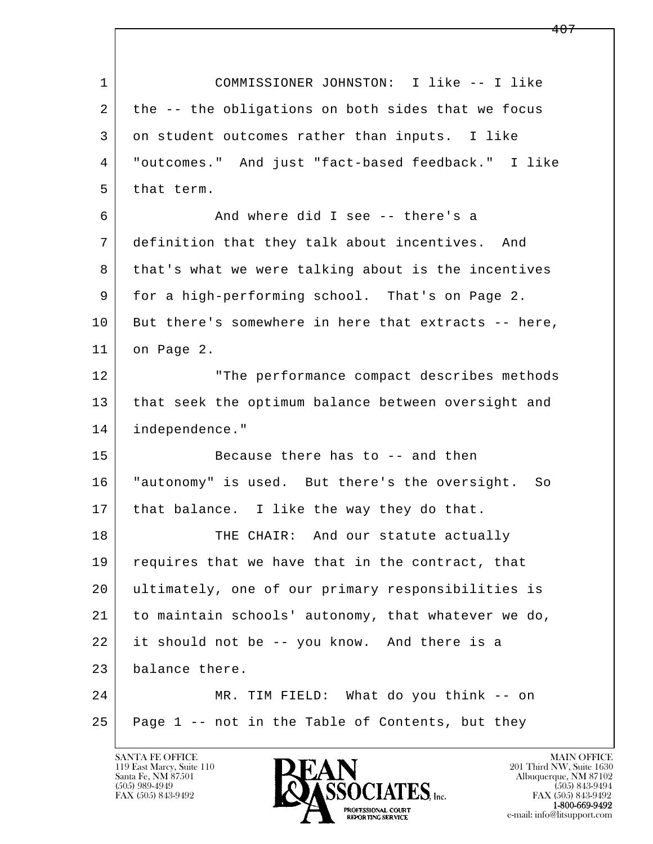l  $\overline{\phantom{a}}$  1 COMMISSIONER JOHNSTON: I like -- I like 2 the -- the obligations on both sides that we focus 3 on student outcomes rather than inputs. I like 4 "outcomes." And just "fact-based feedback." I like 5 that term. 6 And where did I see -- there's a 7 definition that they talk about incentives. And 8 | that's what we were talking about is the incentives 9 for a high-performing school. That's on Page 2. 10 But there's somewhere in here that extracts -- here, 11 on Page 2. 12 The performance compact describes methods 13 | that seek the optimum balance between oversight and 14 independence." 15 Because there has to -- and then 16 "autonomy" is used. But there's the oversight. So 17 | that balance. I like the way they do that. 18 THE CHAIR: And our statute actually 19 requires that we have that in the contract, that 20 ultimately, one of our primary responsibilities is 21 to maintain schools' autonomy, that whatever we do, 22 it should not be -- you know. And there is a 23 balance there. 24 MR. TIM FIELD: What do you think -- on  $25$  Page 1 -- not in the Table of Contents, but they

119 East Marcy, Suite 110<br>Santa Fe, NM 87501

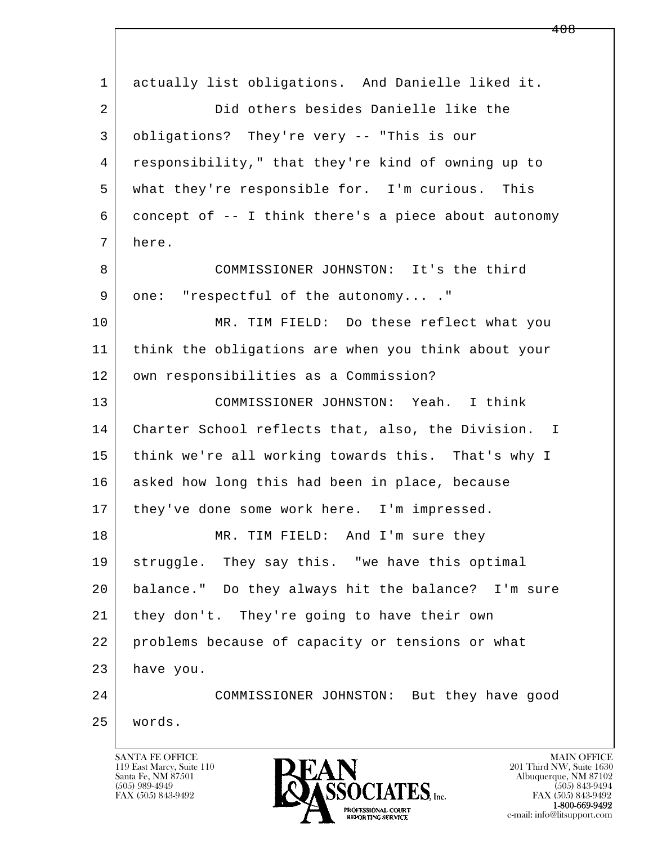l  $\overline{\phantom{a}}$  1 actually list obligations. And Danielle liked it. 2 Did others besides Danielle like the 3 obligations? They're very -- "This is our 4 responsibility," that they're kind of owning up to 5 what they're responsible for. I'm curious. This 6 concept of -- I think there's a piece about autonomy 7 here. 8 COMMISSIONER JOHNSTON: It's the third 9 one: "respectful of the autonomy...." 10 MR. TIM FIELD: Do these reflect what you 11 think the obligations are when you think about your 12 | own responsibilities as a Commission? 13 COMMISSIONER JOHNSTON: Yeah. I think 14 Charter School reflects that, also, the Division. I 15 think we're all working towards this. That's why I 16 asked how long this had been in place, because 17 | they've done some work here. I'm impressed. 18 MR. TIM FIELD: And I'm sure they 19 struggle. They say this. "we have this optimal 20 balance." Do they always hit the balance? I'm sure 21 they don't. They're going to have their own 22 problems because of capacity or tensions or what 23 have you. 24 COMMISSIONER JOHNSTON: But they have good 25 words.

119 East Marcy, Suite 110<br>Santa Fe, NM 87501

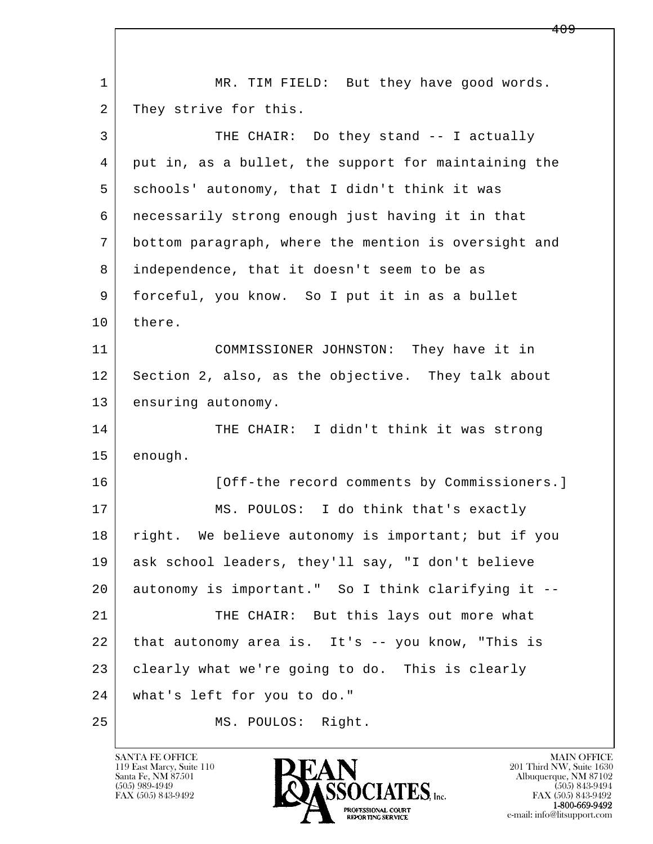| $\mathbf 1$ | MR. TIM FIELD: But they have good words.             |
|-------------|------------------------------------------------------|
| 2           | They strive for this.                                |
| 3           | THE CHAIR: Do they stand -- I actually               |
| 4           | put in, as a bullet, the support for maintaining the |
| 5           | schools' autonomy, that I didn't think it was        |
| 6           | necessarily strong enough just having it in that     |
| 7           | bottom paragraph, where the mention is oversight and |
| 8           | independence, that it doesn't seem to be as          |
| 9           | forceful, you know. So I put it in as a bullet       |
| 10          | there.                                               |
| 11          | COMMISSIONER JOHNSTON: They have it in               |
| 12          | Section 2, also, as the objective. They talk about   |
| 13          | ensuring autonomy.                                   |
| 14          | THE CHAIR: I didn't think it was strong              |
| 15          | enough.                                              |
| 16          | [Off-the record comments by Commissioners.]          |
| 17          | MS. POULOS: I do think that's exactly                |
| 18          | right. We believe autonomy is important; but if you  |
| 19          | ask school leaders, they'll say, "I don't believe    |
| 20          | autonomy is important." So I think clarifying it --  |
| 21          | THE CHAIR: But this lays out more what               |
| 22          | that autonomy area is. It's -- you know, "This is    |
| 23          | clearly what we're going to do. This is clearly      |
| 24          | what's left for you to do."                          |
| 25          | MS. POULOS: Right.                                   |

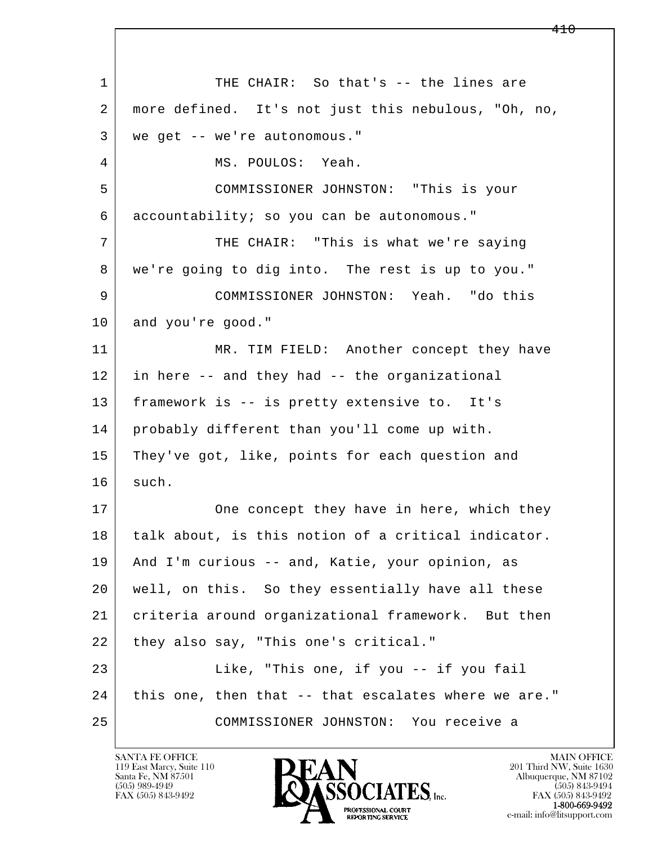l  $\overline{\phantom{a}}$ 1 THE CHAIR: So that's -- the lines are 2 more defined. It's not just this nebulous, "Oh, no, 3 we get -- we're autonomous." 4 MS. POULOS: Yeah. 5 COMMISSIONER JOHNSTON: "This is your 6 accountability; so you can be autonomous." 7 THE CHAIR: "This is what we're saying 8 we're going to dig into. The rest is up to you." 9 COMMISSIONER JOHNSTON: Yeah. "do this 10 and you're good." 11 MR. TIM FIELD: Another concept they have 12 in here -- and they had -- the organizational 13 framework is -- is pretty extensive to. It's 14 probably different than you'll come up with. 15 | They've got, like, points for each question and 16 such. 17 One concept they have in here, which they 18 talk about, is this notion of a critical indicator. 19 And I'm curious -- and, Katie, your opinion, as 20 well, on this. So they essentially have all these 21 criteria around organizational framework. But then 22 they also say, "This one's critical." 23 Like, "This one, if you -- if you fail 24 this one, then that -- that escalates where we are." 25 COMMISSIONER JOHNSTON: You receive a

119 East Marcy, Suite 110<br>Santa Fe, NM 87501

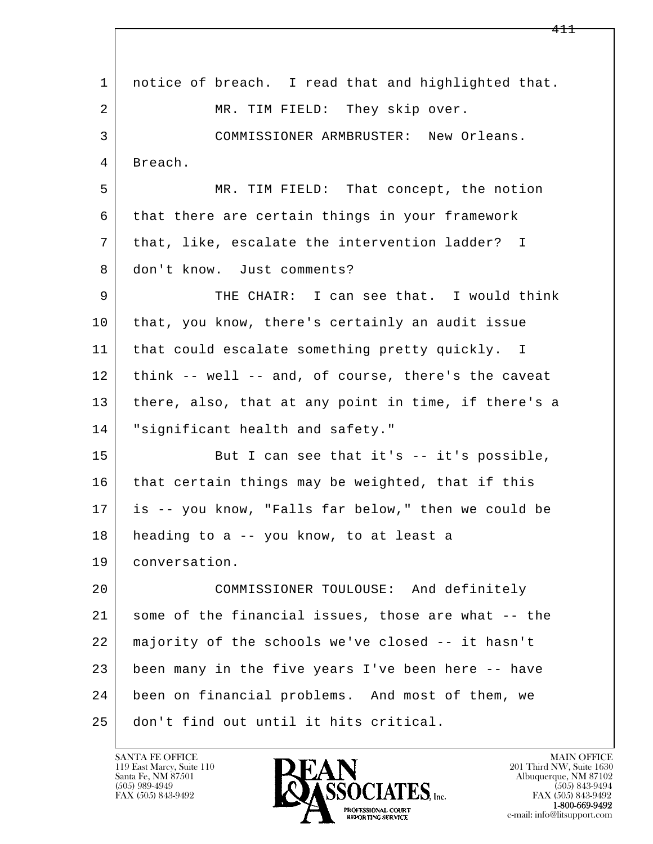l  $\overline{\phantom{a}}$  1 notice of breach. I read that and highlighted that. 2 MR. TIM FIELD: They skip over. 3 COMMISSIONER ARMBRUSTER: New Orleans. 4 Breach. 5 MR. TIM FIELD: That concept, the notion 6 that there are certain things in your framework 7 that, like, escalate the intervention ladder? I 8 don't know. Just comments? 9 THE CHAIR: I can see that. I would think 10 that, you know, there's certainly an audit issue 11 | that could escalate something pretty quickly. I 12 think -- well -- and, of course, there's the caveat 13 there, also, that at any point in time, if there's a 14 "significant health and safety." 15 | But I can see that it's -- it's possible, 16 that certain things may be weighted, that if this 17 is -- you know, "Falls far below," then we could be 18 heading to a -- you know, to at least a 19 conversation. 20 COMMISSIONER TOULOUSE: And definitely 21 some of the financial issues, those are what -- the 22 majority of the schools we've closed -- it hasn't 23 been many in the five years I've been here -- have 24 been on financial problems. And most of them, we 25 don't find out until it hits critical.

119 East Marcy, Suite 110<br>Santa Fe, NM 87501

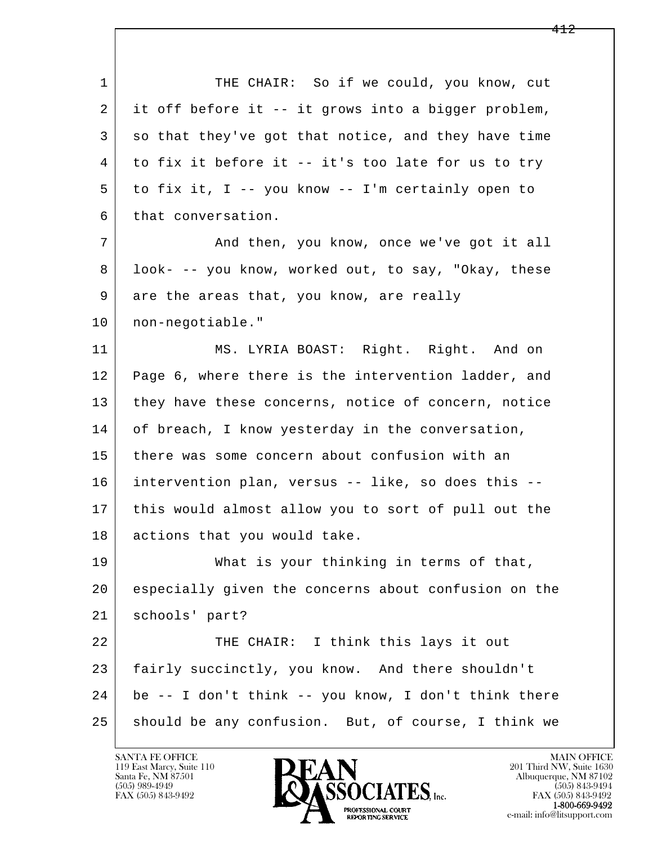l  $\overline{\phantom{a}}$ 1 THE CHAIR: So if we could, you know, cut 2 it off before it -- it grows into a bigger problem, 3 so that they've got that notice, and they have time 4 to fix it before it -- it's too late for us to try 5 to fix it, I -- you know -- I'm certainly open to 6 that conversation. 7 and then, you know, once we've got it all 8 look- -- you know, worked out, to say, "Okay, these 9 are the areas that, you know, are really 10 non-negotiable." 11 MS. LYRIA BOAST: Right. Right. And on 12 Page 6, where there is the intervention ladder, and 13 they have these concerns, notice of concern, notice 14 of breach, I know yesterday in the conversation, 15 there was some concern about confusion with an 16 intervention plan, versus -- like, so does this -- 17 this would almost allow you to sort of pull out the 18 actions that you would take. 19 What is your thinking in terms of that, 20 especially given the concerns about confusion on the 21 schools' part? 22 THE CHAIR: I think this lays it out 23 fairly succinctly, you know. And there shouldn't 24 be -- I don't think -- you know, I don't think there 25 should be any confusion. But, of course, I think we

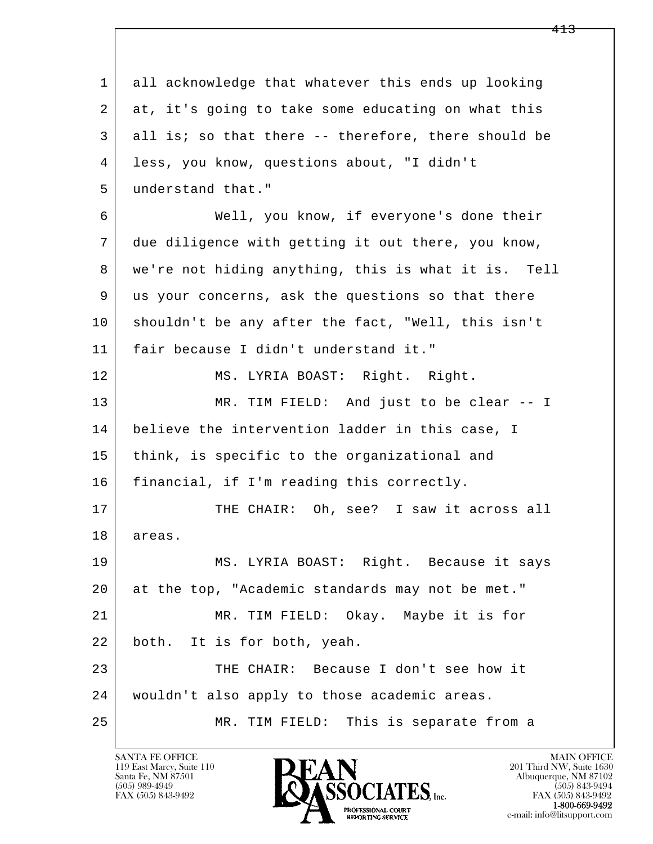l  $\overline{\phantom{a}}$  1 all acknowledge that whatever this ends up looking 2 at, it's going to take some educating on what this 3 all is; so that there -- therefore, there should be 4 less, you know, questions about, "I didn't 5 understand that." 6 Well, you know, if everyone's done their 7 due diligence with getting it out there, you know, 8 | we're not hiding anything, this is what it is. Tell 9 us your concerns, ask the questions so that there 10 shouldn't be any after the fact, "Well, this isn't 11 fair because I didn't understand it." 12 MS. LYRIA BOAST: Right. Right. 13 MR. TIM FIELD: And just to be clear -- I 14 believe the intervention ladder in this case, I 15 think, is specific to the organizational and 16 | financial, if I'm reading this correctly. 17 THE CHAIR: Oh, see? I saw it across all 18 areas. 19 MS. LYRIA BOAST: Right. Because it says 20 at the top, "Academic standards may not be met." 21 MR. TIM FIELD: Okay. Maybe it is for 22 both. It is for both, yeah. 23 THE CHAIR: Because I don't see how it 24 wouldn't also apply to those academic areas. 25 MR. TIM FIELD: This is separate from a

119 East Marcy, Suite 110<br>Santa Fe, NM 87501

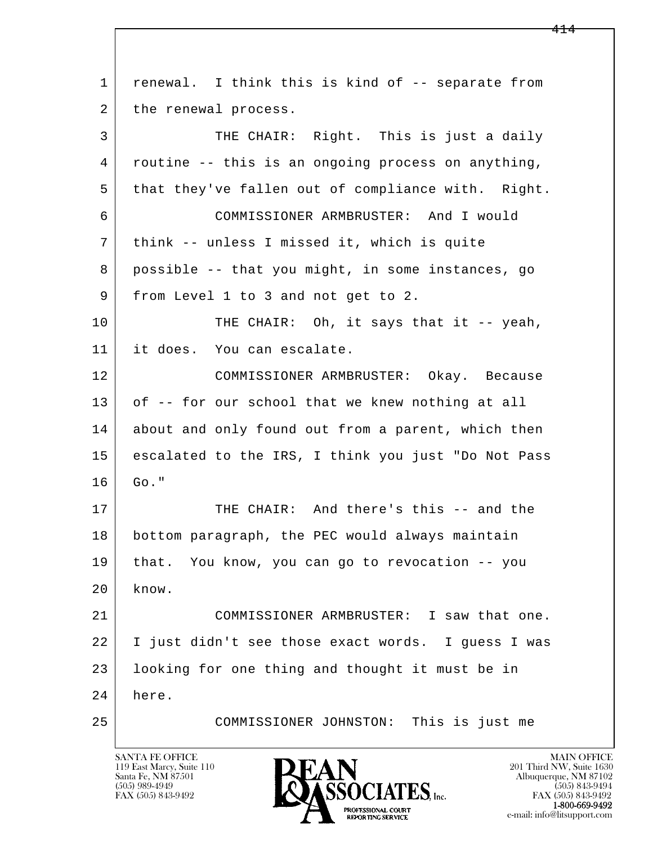l  $\overline{\phantom{a}}$ 1 renewal. I think this is kind of -- separate from 2 | the renewal process. 3 THE CHAIR: Right. This is just a daily 4 routine -- this is an ongoing process on anything, 5 that they've fallen out of compliance with. Right. 6 COMMISSIONER ARMBRUSTER: And I would 7 think -- unless I missed it, which is quite 8 possible -- that you might, in some instances, go 9 | from Level 1 to 3 and not get to 2. 10 THE CHAIR: Oh, it says that it -- yeah, 11 it does. You can escalate. 12 COMMISSIONER ARMBRUSTER: Okay. Because 13 of -- for our school that we knew nothing at all 14 about and only found out from a parent, which then 15 escalated to the IRS, I think you just "Do Not Pass  $16$  Go." 17 THE CHAIR: And there's this -- and the 18 bottom paragraph, the PEC would always maintain 19 that. You know, you can go to revocation -- you  $20$  know. 21 COMMISSIONER ARMBRUSTER: I saw that one. 22 I just didn't see those exact words. I guess I was 23 looking for one thing and thought it must be in 24 here. 25 COMMISSIONER JOHNSTON: This is just me

119 East Marcy, Suite 110<br>Santa Fe, NM 87501

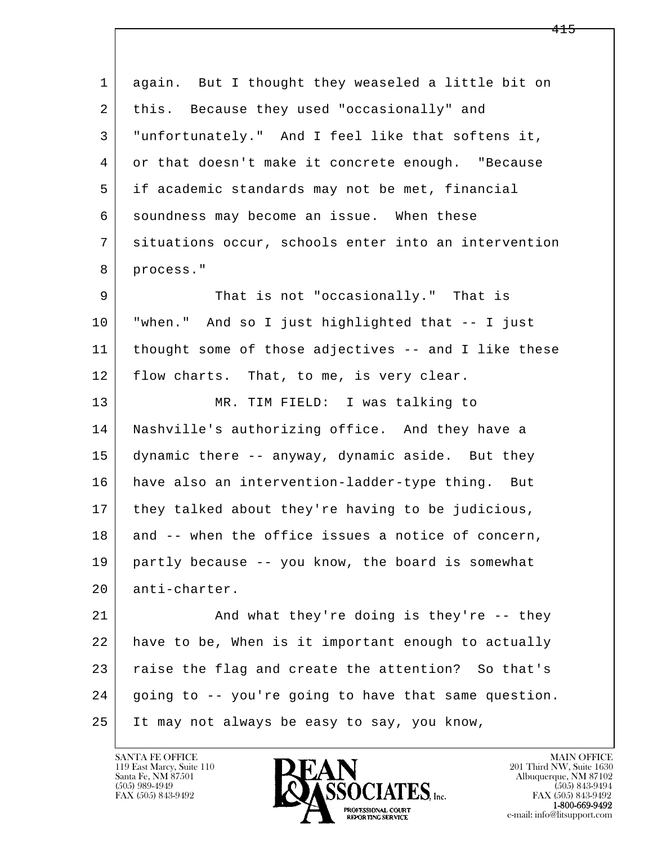l  $\overline{\phantom{a}}$  1 again. But I thought they weaseled a little bit on 2 this. Because they used "occasionally" and 3 "unfortunately." And I feel like that softens it, 4 or that doesn't make it concrete enough. "Because 5 if academic standards may not be met, financial 6 soundness may become an issue. When these 7 situations occur, schools enter into an intervention 8 process." 9 That is not "occasionally." That is 10 "when." And so I just highlighted that -- I just 11 thought some of those adjectives -- and I like these 12 | flow charts. That, to me, is very clear. 13 MR. TIM FIELD: I was talking to 14 Nashville's authorizing office. And they have a 15 dynamic there -- anyway, dynamic aside. But they 16 have also an intervention-ladder-type thing. But 17 they talked about they're having to be judicious, 18 and -- when the office issues a notice of concern, 19 partly because -- you know, the board is somewhat 20 anti-charter. 21 | And what they're doing is they're -- they 22 have to be, When is it important enough to actually 23 raise the flag and create the attention? So that's 24 going to -- you're going to have that same question. 25 It may not always be easy to say, you know,

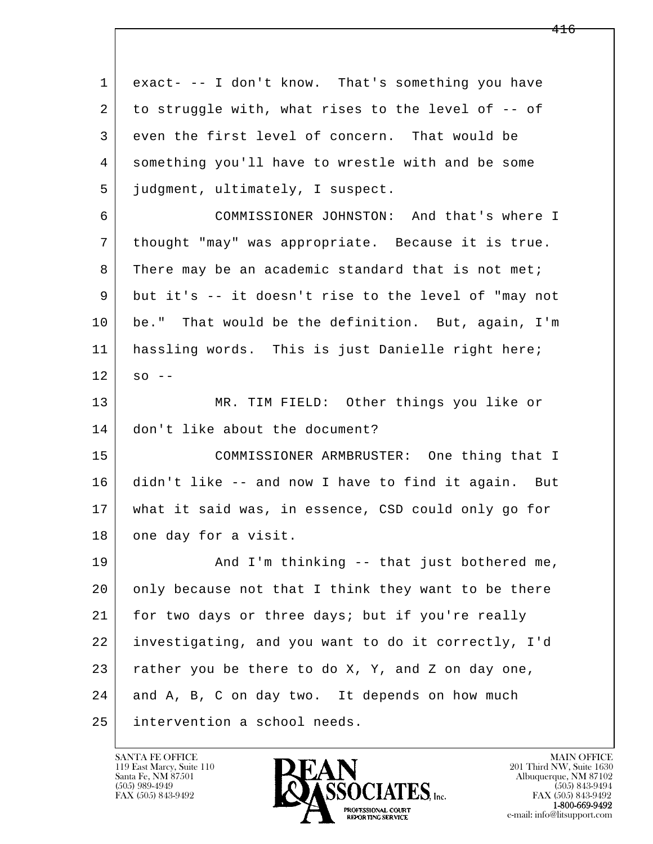l  $\overline{\phantom{a}}$  1 exact- -- I don't know. That's something you have 2 to struggle with, what rises to the level of -- of 3 even the first level of concern. That would be 4 something you'll have to wrestle with and be some 5 judgment, ultimately, I suspect. 6 COMMISSIONER JOHNSTON: And that's where I 7 thought "may" was appropriate. Because it is true. 8 There may be an academic standard that is not met; 9 but it's -- it doesn't rise to the level of "may not 10 be." That would be the definition. But, again, I'm 11 hassling words. This is just Danielle right here;  $12$  so  $-$  13 MR. TIM FIELD: Other things you like or 14 don't like about the document? 15 COMMISSIONER ARMBRUSTER: One thing that I 16 didn't like -- and now I have to find it again. But 17 what it said was, in essence, CSD could only go for 18 one day for a visit. 19 | And I'm thinking -- that just bothered me, 20 only because not that I think they want to be there 21 for two days or three days; but if you're really 22 investigating, and you want to do it correctly, I'd  $23$  rather you be there to do X, Y, and Z on day one, 24 and A, B, C on day two. It depends on how much 25 intervention a school needs.

119 East Marcy, Suite 110<br>Santa Fe, NM 87501



FAX (505) 843-9492<br>1-800-669-9492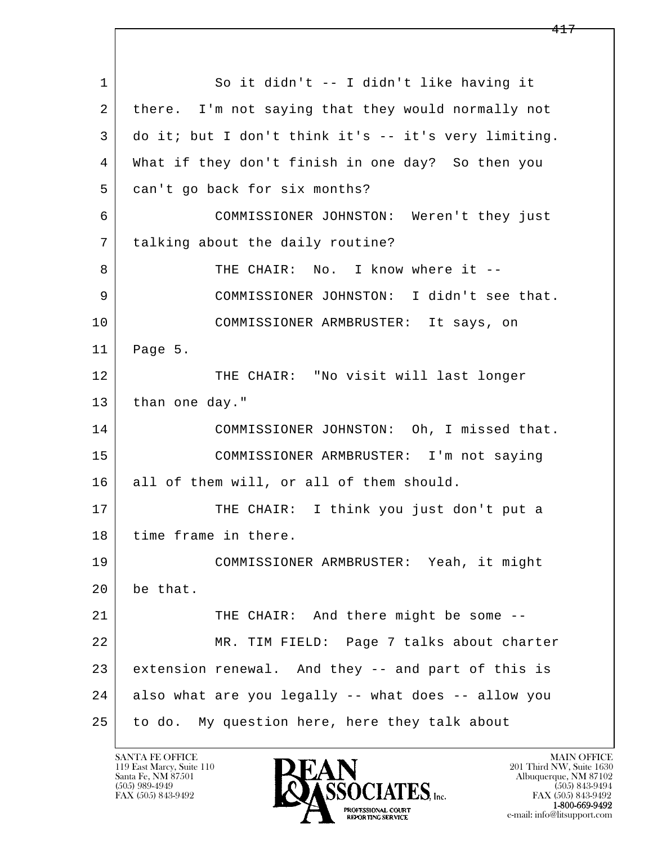l  $\overline{\phantom{a}}$  1 So it didn't -- I didn't like having it 2 there. I'm not saying that they would normally not 3 do it; but I don't think it's -- it's very limiting. 4 What if they don't finish in one day? So then you 5 can't go back for six months? 6 COMMISSIONER JOHNSTON: Weren't they just 7 | talking about the daily routine? 8 THE CHAIR: No. I know where it -- 9 COMMISSIONER JOHNSTON: I didn't see that. 10 COMMISSIONER ARMBRUSTER: It says, on 11 Page 5. 12 THE CHAIR: "No visit will last longer 13 than one day." 14 COMMISSIONER JOHNSTON: Oh, I missed that. 15 COMMISSIONER ARMBRUSTER: I'm not saying 16 all of them will, or all of them should. 17 | THE CHAIR: I think you just don't put a 18 | time frame in there. 19 COMMISSIONER ARMBRUSTER: Yeah, it might 20 be that. 21 | THE CHAIR: And there might be some -- 22 MR. TIM FIELD: Page 7 talks about charter 23 extension renewal. And they -- and part of this is 24 also what are you legally -- what does -- allow you 25 to do. My question here, here they talk about

119 East Marcy, Suite 110<br>Santa Fe, NM 87501

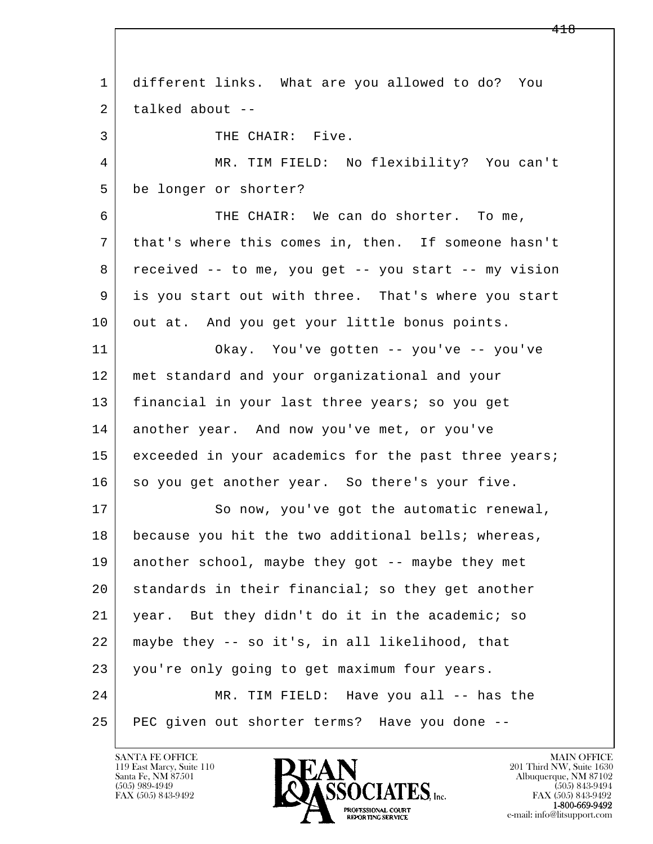l  $\overline{\phantom{a}}$  1 different links. What are you allowed to do? You  $2$  talked about  $-$ 3 THE CHAIR: Five. 4 MR. TIM FIELD: No flexibility? You can't 5 be longer or shorter? 6 THE CHAIR: We can do shorter. To me, 7 that's where this comes in, then. If someone hasn't 8 received -- to me, you get -- you start -- my vision 9 is you start out with three. That's where you start 10 out at. And you get your little bonus points. 11 Okay. You've gotten -- you've -- you've 12 met standard and your organizational and your 13 | financial in your last three years; so you get 14 another year. And now you've met, or you've 15 exceeded in your academics for the past three years; 16 so you get another year. So there's your five. 17 So now, you've got the automatic renewal, 18 because you hit the two additional bells; whereas, 19 another school, maybe they got -- maybe they met 20 standards in their financial; so they get another 21 year. But they didn't do it in the academic; so 22 maybe they -- so it's, in all likelihood, that 23 you're only going to get maximum four years. 24 MR. TIM FIELD: Have you all -- has the 25 PEC given out shorter terms? Have you done --

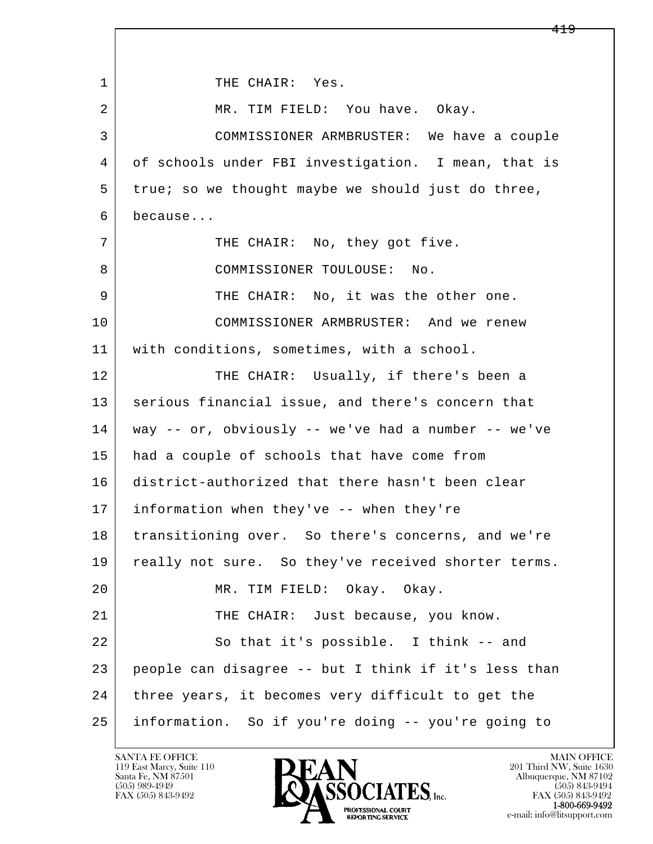l  $\overline{\phantom{a}}$ 1 THE CHAIR: Yes. 2 MR. TIM FIELD: You have. Okay. 3 COMMISSIONER ARMBRUSTER: We have a couple 4 of schools under FBI investigation. I mean, that is 5 true; so we thought maybe we should just do three, 6 because... 7 | THE CHAIR: No, they got five. 8 | COMMISSIONER TOULOUSE: No. 9 | THE CHAIR: No, it was the other one. 10 COMMISSIONER ARMBRUSTER: And we renew 11 | with conditions, sometimes, with a school. 12 THE CHAIR: Usually, if there's been a 13 | serious financial issue, and there's concern that 14 way -- or, obviously -- we've had a number -- we've 15 had a couple of schools that have come from 16 district-authorized that there hasn't been clear 17 information when they've -- when they're 18 transitioning over. So there's concerns, and we're 19 | really not sure. So they've received shorter terms. 20 MR. TIM FIELD: Okay. Okay. 21 THE CHAIR: Just because, you know. 22 So that it's possible. I think -- and 23 people can disagree -- but I think if it's less than 24 | three years, it becomes very difficult to get the 25 information. So if you're doing -- you're going to

119 East Marcy, Suite 110<br>Santa Fe, NM 87501



e-mail: info@litsupport.com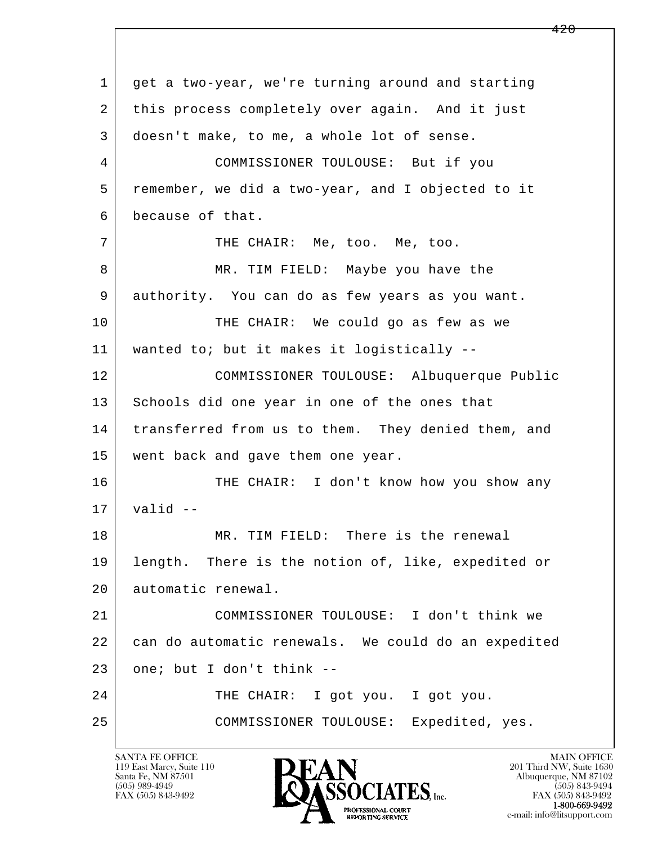l  $\overline{\phantom{a}}$  1 get a two-year, we're turning around and starting 2 this process completely over again. And it just 3 doesn't make, to me, a whole lot of sense. 4 COMMISSIONER TOULOUSE: But if you 5 remember, we did a two-year, and I objected to it 6 because of that. 7 | THE CHAIR: Me, too. Me, too. 8 MR. TIM FIELD: Maybe you have the 9 authority. You can do as few years as you want. 10 THE CHAIR: We could go as few as we 11 wanted to; but it makes it logistically -- 12 COMMISSIONER TOULOUSE: Albuquerque Public 13 Schools did one year in one of the ones that 14 transferred from us to them. They denied them, and 15 went back and gave them one year. 16 THE CHAIR: I don't know how you show any  $17$  valid  $-$ 18 MR. TIM FIELD: There is the renewal 19 length. There is the notion of, like, expedited or 20 automatic renewal. 21 COMMISSIONER TOULOUSE: I don't think we 22 can do automatic renewals. We could do an expedited  $23$  one; but I don't think  $-$ 24 | THE CHAIR: I got you. I got you. 25 COMMISSIONER TOULOUSE: Expedited, yes.

119 East Marcy, Suite 110<br>Santa Fe, NM 87501

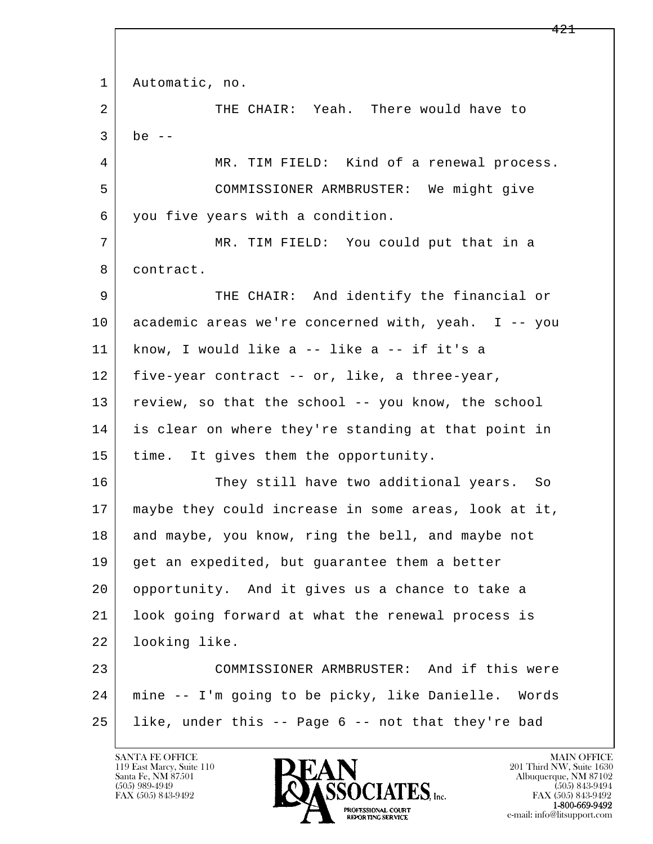l  $\overline{\phantom{a}}$  1 Automatic, no. 2 THE CHAIR: Yeah. There would have to  $3$  be  $-$ 4 MR. TIM FIELD: Kind of a renewal process. 5 COMMISSIONER ARMBRUSTER: We might give 6 you five years with a condition. 7 MR. TIM FIELD: You could put that in a 8 contract. 9 THE CHAIR: And identify the financial or 10 academic areas we're concerned with, yeah. I -- you 11 know, I would like a -- like a -- if it's a 12 five-year contract -- or, like, a three-year, 13 review, so that the school -- you know, the school 14 is clear on where they're standing at that point in 15 | time. It gives them the opportunity. 16 They still have two additional years. So 17 maybe they could increase in some areas, look at it, 18 and maybe, you know, ring the bell, and maybe not 19 get an expedited, but guarantee them a better 20 opportunity. And it gives us a chance to take a 21 look going forward at what the renewal process is 22 looking like. 23 COMMISSIONER ARMBRUSTER: And if this were 24 mine -- I'm going to be picky, like Danielle. Words 25 like, under this -- Page 6 -- not that they're bad

119 East Marcy, Suite 110<br>Santa Fe, NM 87501

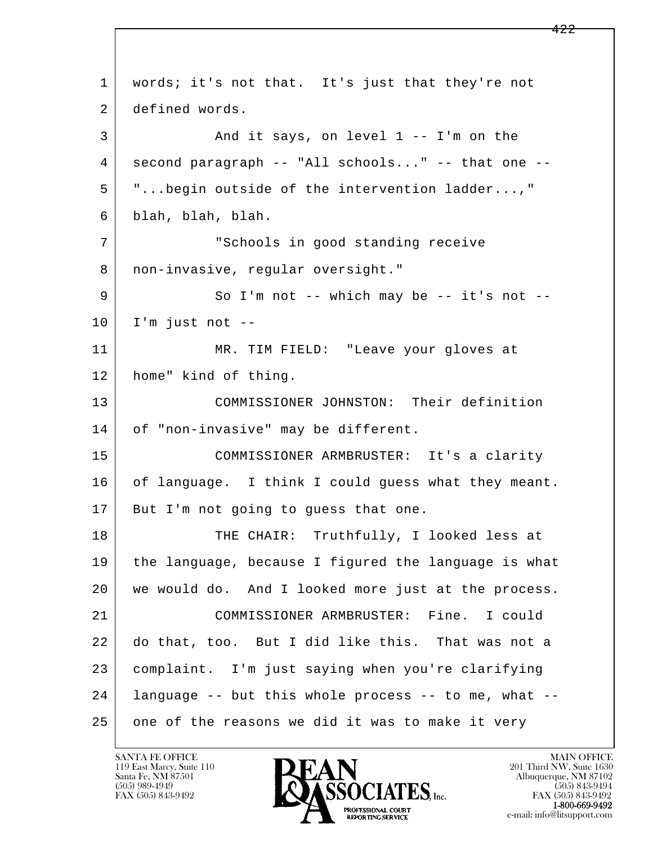l  $\overline{\phantom{a}}$ 1 | words; it's not that. It's just that they're not 2 defined words. 3 And it says, on level 1 -- I'm on the 4 second paragraph -- "All schools..." -- that one -- 5 "...begin outside of the intervention ladder...," 6 blah, blah, blah. 7 "Schools in good standing receive 8 | non-invasive, regular oversight." 9 So I'm not -- which may be -- it's not -- $10$  I'm just not  $-$  11 MR. TIM FIELD: "Leave your gloves at 12 home" kind of thing. 13 COMMISSIONER JOHNSTON: Their definition 14 of "non-invasive" may be different. 15 COMMISSIONER ARMBRUSTER: It's a clarity 16 of language. I think I could guess what they meant. 17 | But I'm not going to guess that one. 18 THE CHAIR: Truthfully, I looked less at 19 the language, because I figured the language is what 20 we would do. And I looked more just at the process. 21 COMMISSIONER ARMBRUSTER: Fine. I could 22 do that, too. But I did like this. That was not a 23 complaint. I'm just saying when you're clarifying 24 language -- but this whole process -- to me, what -- 25 one of the reasons we did it was to make it very

119 East Marcy, Suite 110<br>Santa Fe, NM 87501

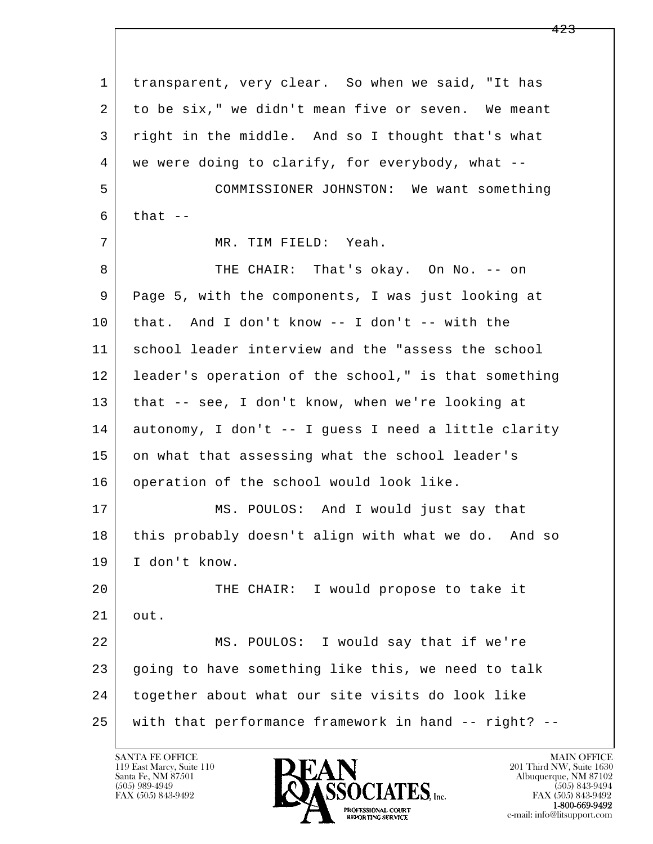l  $\overline{\phantom{a}}$  1 transparent, very clear. So when we said, "It has 2 to be six," we didn't mean five or seven. We meant 3 right in the middle. And so I thought that's what 4 we were doing to clarify, for everybody, what -- 5 COMMISSIONER JOHNSTON: We want something  $6$  that  $-$  7 MR. TIM FIELD: Yeah. 8 | THE CHAIR: That's okay. On No. -- on 9 Page 5, with the components, I was just looking at 10 that. And I don't know -- I don't -- with the 11 school leader interview and the "assess the school 12 leader's operation of the school," is that something 13 that -- see, I don't know, when we're looking at 14 autonomy, I don't -- I guess I need a little clarity 15 on what that assessing what the school leader's 16 | operation of the school would look like. 17 MS. POULOS: And I would just say that 18 | this probably doesn't align with what we do. And so 19 I don't know. 20 THE CHAIR: I would propose to take it 21 out. 22 MS. POULOS: I would say that if we're 23 going to have something like this, we need to talk 24 together about what our site visits do look like 25 with that performance framework in hand -- right? --

119 East Marcy, Suite 110<br>Santa Fe, NM 87501



FAX (505) 843-9492<br>**1-800-669-9492**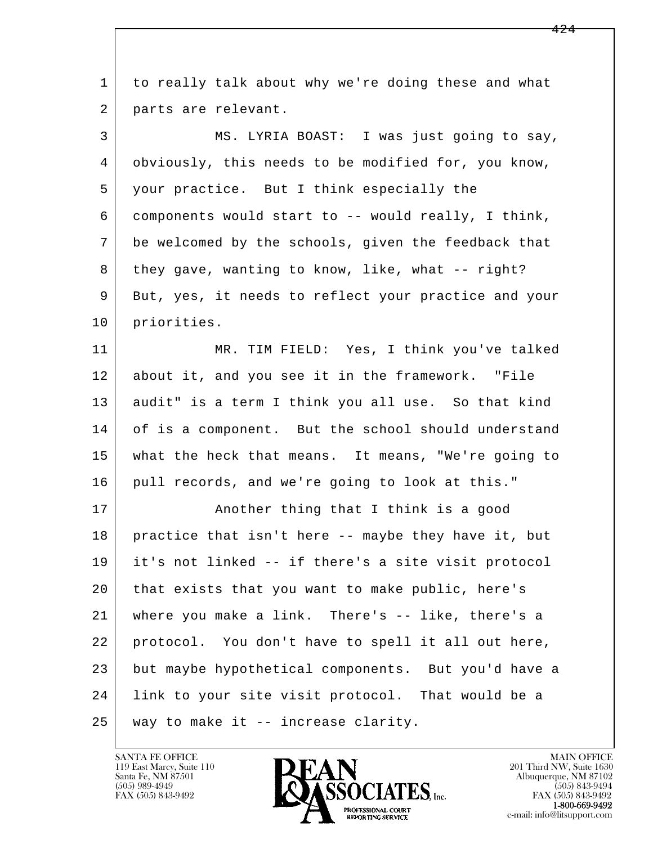| $\mathbf 1$ | to really talk about why we're doing these and what  |
|-------------|------------------------------------------------------|
| 2           | parts are relevant.                                  |
| 3           | MS. LYRIA BOAST: I was just going to say,            |
| 4           | obviously, this needs to be modified for, you know,  |
| 5           | your practice. But I think especially the            |
| 6           | components would start to -- would really, I think,  |
| 7           | be welcomed by the schools, given the feedback that  |
| 8           | they gave, wanting to know, like, what -- right?     |
| 9           | But, yes, it needs to reflect your practice and your |
| 10          | priorities.                                          |
| 11          | MR. TIM FIELD: Yes, I think you've talked            |
| 12          | about it, and you see it in the framework. "File     |
| 13          | audit" is a term I think you all use. So that kind   |
| 14          | of is a component. But the school should understand  |
| 15          | what the heck that means. It means, "We're going to  |
| 16          | pull records, and we're going to look at this."      |
| 17          | Another thing that I think is a good                 |
| 18          | practice that isn't here -- maybe they have it, but  |
| 19          | it's not linked -- if there's a site visit protocol  |
| 20          | that exists that you want to make public, here's     |
| 21          | where you make a link. There's -- like, there's a    |
| 22          | protocol. You don't have to spell it all out here,   |
| 23          | but maybe hypothetical components. But you'd have a  |
| 24          | link to your site visit protocol. That would be a    |
| 25          | way to make it -- increase clarity.                  |

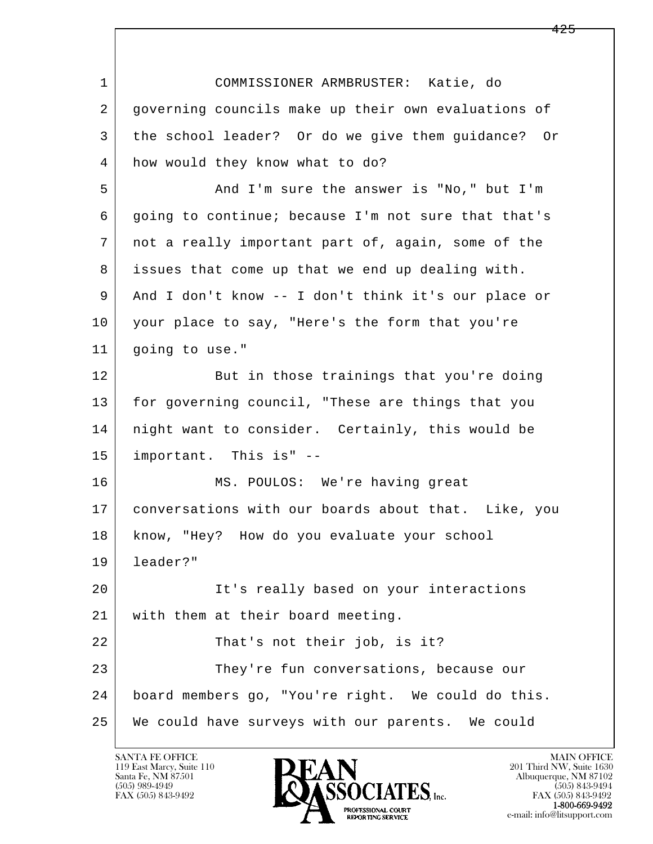| $\mathbf{1}$ | COMMISSIONER ARMBRUSTER: Katie, do                  |
|--------------|-----------------------------------------------------|
| 2            | governing councils make up their own evaluations of |
| 3            | the school leader? Or do we give them guidance? Or  |
| 4            | how would they know what to do?                     |
| 5            | And I'm sure the answer is "No," but I'm            |
| 6            | going to continue; because I'm not sure that that's |
| 7            | not a really important part of, again, some of the  |
| 8            | issues that come up that we end up dealing with.    |
| 9            | And I don't know -- I don't think it's our place or |
| 10           | your place to say, "Here's the form that you're     |
| 11           | going to use."                                      |
| 12           | But in those trainings that you're doing            |
| 13           | for governing council, "These are things that you   |
| 14           | night want to consider. Certainly, this would be    |
| 15           | important. This is" --                              |
| 16           | MS. POULOS: We're having great                      |
| 17           | conversations with our boards about that. Like, you |
| 18           | know, "Hey? How do you evaluate your school         |
| 19           | leader?"                                            |
| 20           | It's really based on your interactions              |
| 21           | with them at their board meeting.                   |
| 22           | That's not their job, is it?                        |
| 23           | They're fun conversations, because our              |
| 24           | board members go, "You're right. We could do this.  |
| 25           | We could have surveys with our parents. We could    |

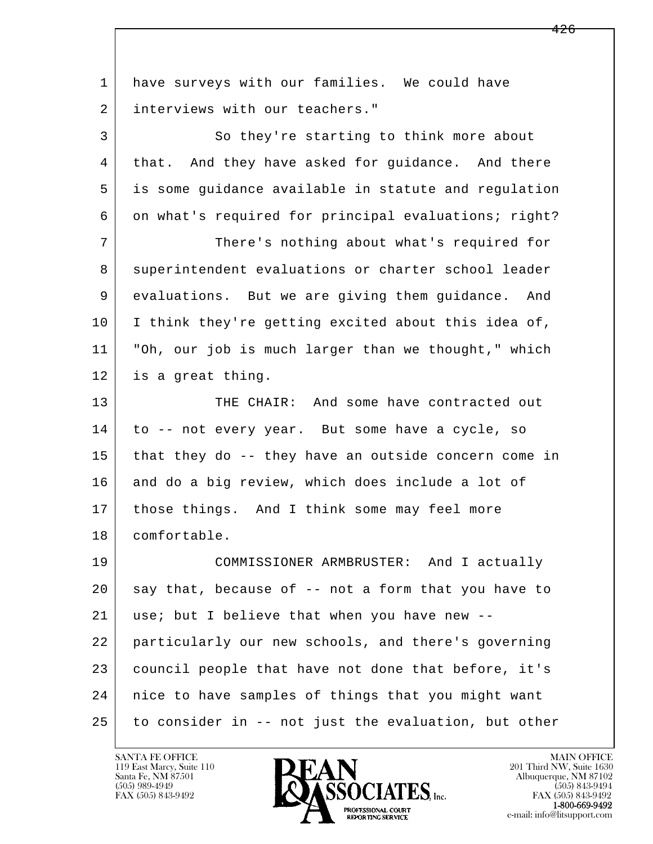l  $\overline{\phantom{a}}$  1 have surveys with our families. We could have 2 interviews with our teachers." 3 So they're starting to think more about 4 that. And they have asked for guidance. And there 5 is some guidance available in statute and regulation 6 on what's required for principal evaluations; right? 7 There's nothing about what's required for 8 superintendent evaluations or charter school leader 9 evaluations. But we are giving them guidance. And 10 I think they're getting excited about this idea of, 11 "Oh, our job is much larger than we thought," which 12 is a great thing. 13 THE CHAIR: And some have contracted out 14 to -- not every year. But some have a cycle, so 15 that they do -- they have an outside concern come in 16 and do a big review, which does include a lot of 17 those things. And I think some may feel more 18 comfortable. 19 COMMISSIONER ARMBRUSTER: And I actually  $20$  say that, because of  $-$  not a form that you have to 21 use; but I believe that when you have new -- 22 particularly our new schools, and there's governing 23 council people that have not done that before, it's 24 nice to have samples of things that you might want 25 to consider in -- not just the evaluation, but other

119 East Marcy, Suite 110<br>Santa Fe, NM 87501

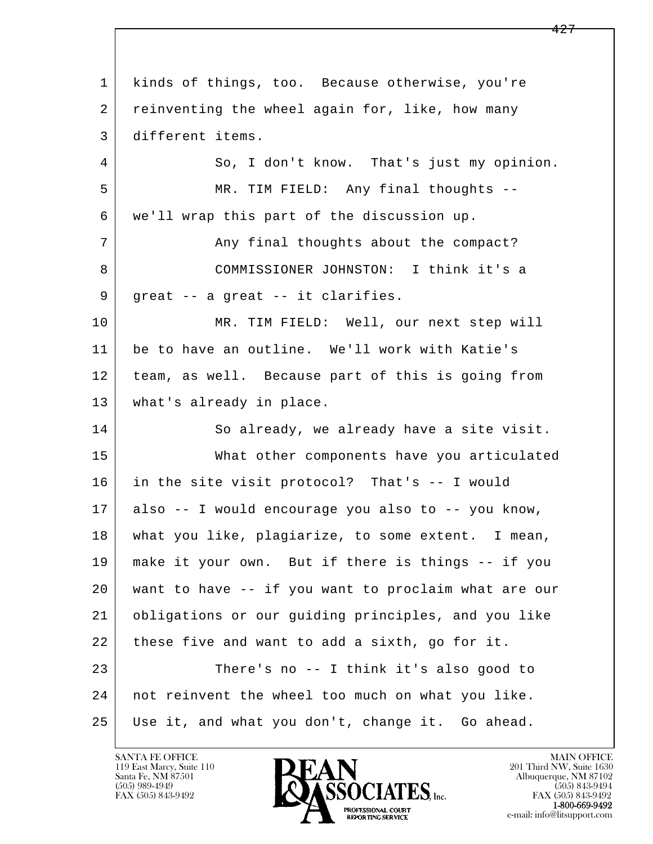l  $\overline{\phantom{a}}$  1 kinds of things, too. Because otherwise, you're 2 reinventing the wheel again for, like, how many 3 different items. 4 So, I don't know. That's just my opinion. 5 MR. TIM FIELD: Any final thoughts -- 6 we'll wrap this part of the discussion up. 7 | Any final thoughts about the compact? 8 COMMISSIONER JOHNSTON: I think it's a 9 | great -- a great -- it clarifies. 10 MR. TIM FIELD: Well, our next step will 11 be to have an outline. We'll work with Katie's 12 team, as well. Because part of this is going from 13 what's already in place. 14 So already, we already have a site visit. 15 What other components have you articulated 16 in the site visit protocol? That's -- I would 17 also -- I would encourage you also to -- you know, 18 what you like, plagiarize, to some extent. I mean, 19 make it your own. But if there is things -- if you 20 want to have -- if you want to proclaim what are our 21 obligations or our guiding principles, and you like 22 these five and want to add a sixth, go for it. 23 There's no -- I think it's also good to 24 not reinvent the wheel too much on what you like. 25 Use it, and what you don't, change it. Go ahead.

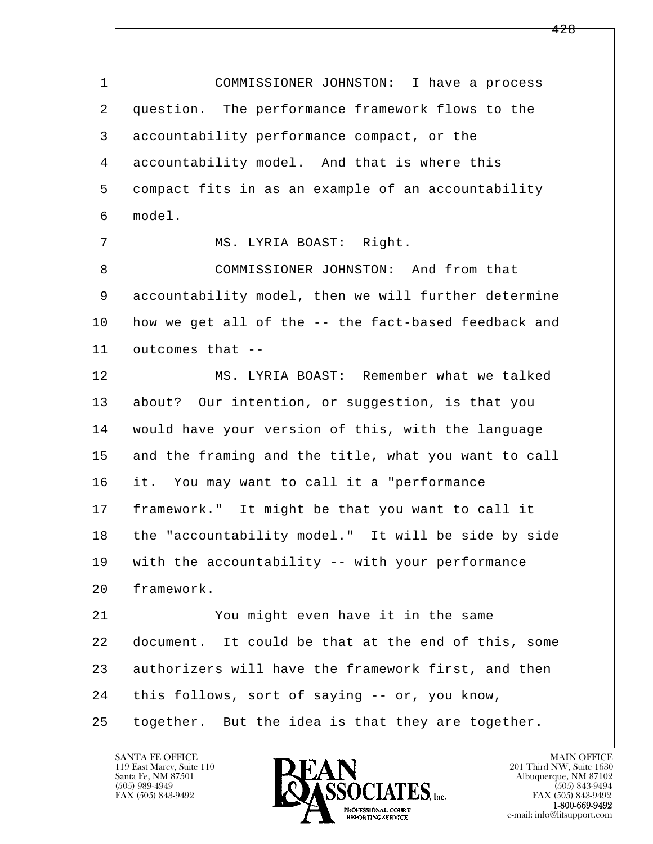l  $\overline{\phantom{a}}$  1 COMMISSIONER JOHNSTON: I have a process 2 question. The performance framework flows to the 3 accountability performance compact, or the 4 accountability model. And that is where this 5 compact fits in as an example of an accountability 6 model. 7 | MS. LYRIA BOAST: Right. 8 | COMMISSIONER JOHNSTON: And from that 9 accountability model, then we will further determine 10 how we get all of the -- the fact-based feedback and 11 outcomes that -- 12 MS. LYRIA BOAST: Remember what we talked 13 about? Our intention, or suggestion, is that you 14 would have your version of this, with the language 15 and the framing and the title, what you want to call 16 it. You may want to call it a "performance 17 framework." It might be that you want to call it 18 the "accountability model." It will be side by side 19 with the accountability -- with your performance 20 framework. 21 You might even have it in the same 22 document. It could be that at the end of this, some 23 authorizers will have the framework first, and then 24 this follows, sort of saying -- or, you know, 25 together. But the idea is that they are together.

119 East Marcy, Suite 110<br>Santa Fe, NM 87501

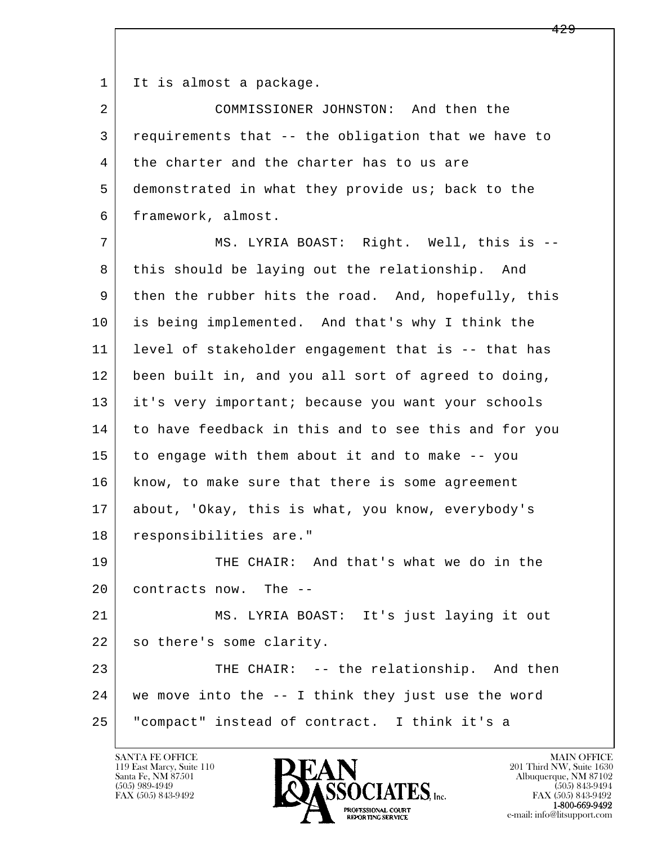1 | It is almost a package.

 2 COMMISSIONER JOHNSTON: And then the 3 requirements that -- the obligation that we have to 4 the charter and the charter has to us are 5 demonstrated in what they provide us; back to the 6 framework, almost.

l  $\overline{\phantom{a}}$ 7 | MS. LYRIA BOAST: Right. Well, this is --8 this should be laying out the relationship. And 9 then the rubber hits the road. And, hopefully, this 10 is being implemented. And that's why I think the 11 level of stakeholder engagement that is -- that has 12 been built in, and you all sort of agreed to doing, 13 it's very important; because you want your schools 14 to have feedback in this and to see this and for you 15 to engage with them about it and to make -- you 16 | know, to make sure that there is some agreement 17 about, 'Okay, this is what, you know, everybody's 18 responsibilities are." 19 THE CHAIR: And that's what we do in the 20 contracts now. The -- 21 MS. LYRIA BOAST: It's just laying it out 22 so there's some clarity. 23 THE CHAIR: -- the relationship. And then 24 we move into the -- I think they just use the word 25 "compact" instead of contract. I think it's a

119 East Marcy, Suite 110<br>Santa Fe, NM 87501



FAX (505) 843-9492<br>**1-800-669-9492**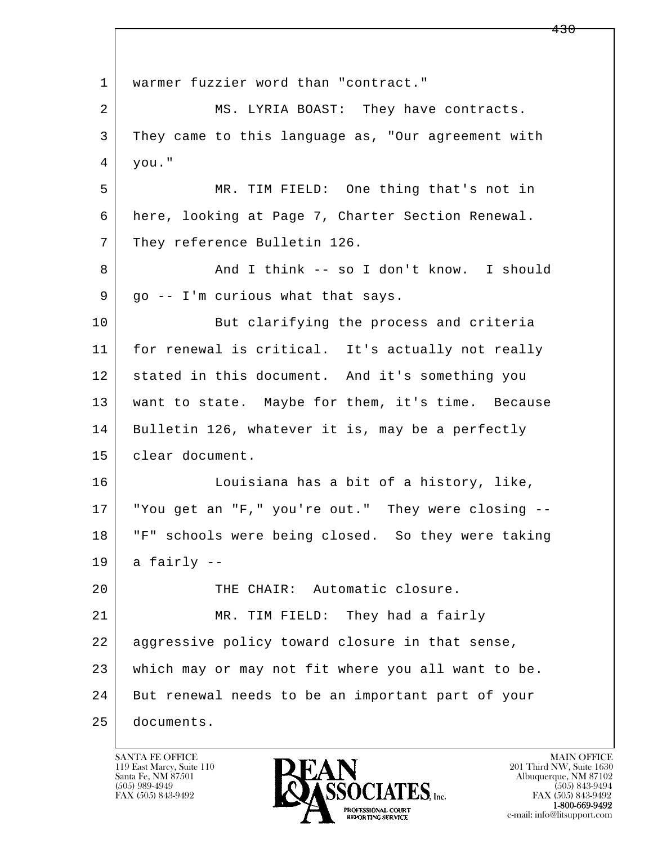l  $\overline{\phantom{a}}$ 1 | warmer fuzzier word than "contract." 2 MS. LYRIA BOAST: They have contracts. 3 They came to this language as, "Our agreement with  $4 \mid$  you." 5 MR. TIM FIELD: One thing that's not in 6 here, looking at Page 7, Charter Section Renewal. 7 They reference Bulletin 126. 8 And I think -- so I don't know. I should  $9 \mid$  go -- I'm curious what that says. 10 But clarifying the process and criteria 11 for renewal is critical. It's actually not really 12 stated in this document. And it's something you 13 want to state. Maybe for them, it's time. Because 14 Bulletin 126, whatever it is, may be a perfectly 15 clear document. 16 Louisiana has a bit of a history, like, 17 | "You get an "F," you're out." They were closing -- 18 "F" schools were being closed. So they were taking  $19$  a fairly  $-$  20 THE CHAIR: Automatic closure. 21 MR. TIM FIELD: They had a fairly 22 aggressive policy toward closure in that sense, 23 which may or may not fit where you all want to be. 24 But renewal needs to be an important part of your 25 documents.

119 East Marcy, Suite 110<br>Santa Fe, NM 87501

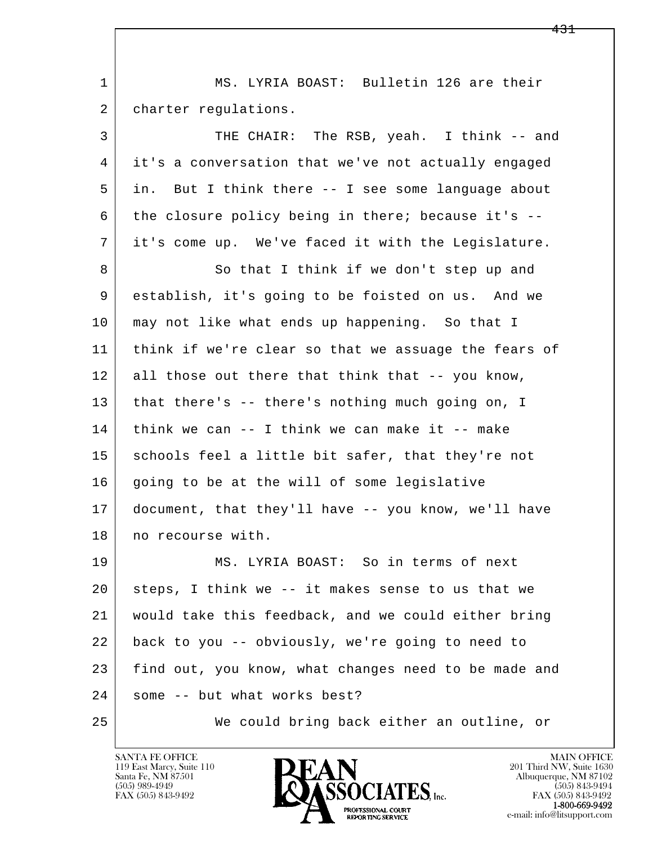| $\mathbf 1$ | MS. LYRIA BOAST: Bulletin 126 are their               |
|-------------|-------------------------------------------------------|
| 2           | charter regulations.                                  |
| 3           | THE CHAIR: The RSB, yeah. I think -- and              |
| 4           | it's a conversation that we've not actually engaged   |
| 5           | But I think there -- I see some language about<br>in. |
| 6           | the closure policy being in there; because it's --    |
| 7           | it's come up. We've faced it with the Legislature.    |
| 8           | So that I think if we don't step up and               |
| 9           | establish, it's going to be foisted on us. And we     |
| 10          | may not like what ends up happening. So that I        |
| 11          | think if we're clear so that we assuage the fears of  |
| 12          | all those out there that think that -- you know,      |
| 13          | that there's -- there's nothing much going on, I      |
| 14          | think we can $-$ - I think we can make it $-$ - make  |
| 15          | schools feel a little bit safer, that they're not     |
| 16          | going to be at the will of some legislative           |
| 17          | document, that they'll have -- you know, we'll have   |
| 18          | no recourse with.                                     |
| 19          | MS. LYRIA BOAST: So in terms of next                  |
| 20          | steps, I think we -- it makes sense to us that we     |
| 21          | would take this feedback, and we could either bring   |
| 22          | back to you -- obviously, we're going to need to      |
| 23          | find out, you know, what changes need to be made and  |
| 24          | some -- but what works best?                          |
| 25          | We could bring back either an outline, or             |

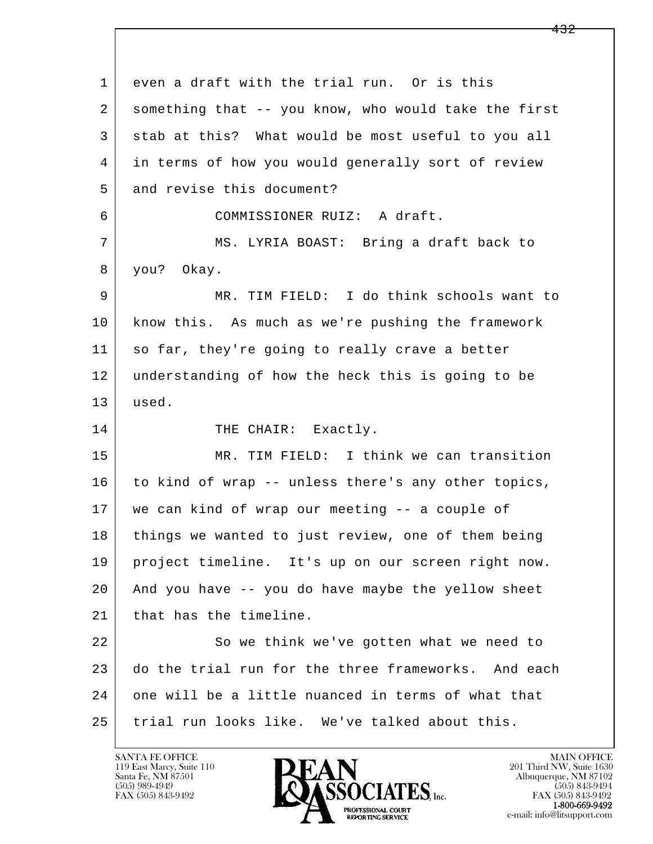l  $\overline{\phantom{a}}$ 1 even a draft with the trial run. Or is this 2 something that -- you know, who would take the first 3 stab at this? What would be most useful to you all 4 in terms of how you would generally sort of review 5 and revise this document? 6 COMMISSIONER RUIZ: A draft. 7 MS. LYRIA BOAST: Bring a draft back to 8 you? Okay. 9 MR. TIM FIELD: I do think schools want to 10 know this. As much as we're pushing the framework 11 so far, they're going to really crave a better 12 understanding of how the heck this is going to be 13 used. 14 THE CHAIR: Exactly. 15 MR. TIM FIELD: I think we can transition 16 to kind of wrap -- unless there's any other topics, 17 | we can kind of wrap our meeting -- a couple of 18 things we wanted to just review, one of them being 19 project timeline. It's up on our screen right now. 20 And you have -- you do have maybe the yellow sheet 21 | that has the timeline. 22 So we think we've gotten what we need to 23 do the trial run for the three frameworks. And each 24 one will be a little nuanced in terms of what that 25 trial run looks like. We've talked about this.

119 East Marcy, Suite 110<br>Santa Fe, NM 87501

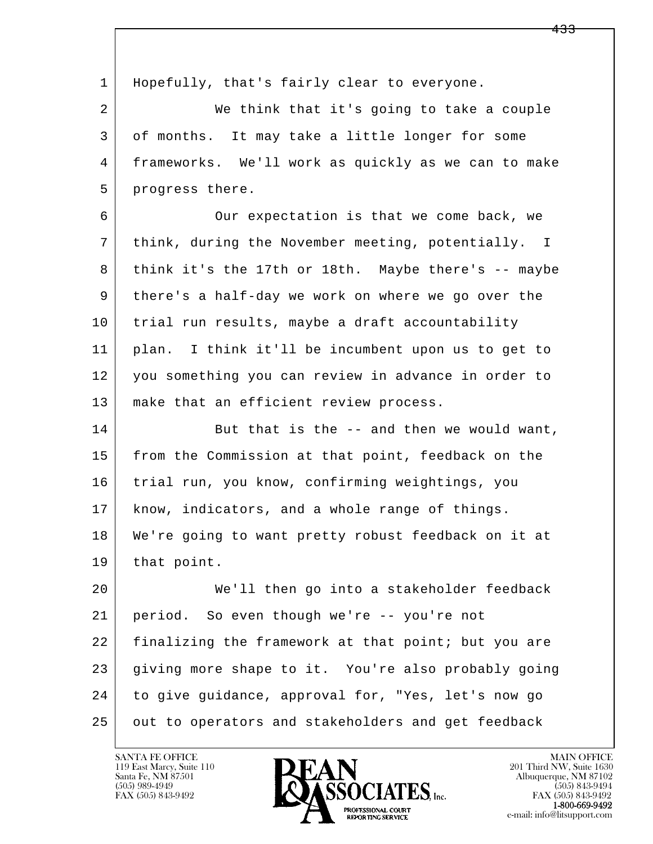| 1  | Hopefully, that's fairly clear to everyone.         |
|----|-----------------------------------------------------|
| 2  | We think that it's going to take a couple           |
| 3  | of months. It may take a little longer for some     |
| 4  | frameworks. We'll work as quickly as we can to make |
| 5  | progress there.                                     |
| 6  | Our expectation is that we come back, we            |
| 7  | think, during the November meeting, potentially. I  |
| 8  | think it's the 17th or 18th. Maybe there's -- maybe |
| 9  | there's a half-day we work on where we go over the  |
| 10 | trial run results, maybe a draft accountability     |
| 11 | plan. I think it'll be incumbent upon us to get to  |
| 12 | you something you can review in advance in order to |
| 13 | make that an efficient review process.              |
| 14 | But that is the -- and then we would want,          |
| 15 | from the Commission at that point, feedback on the  |
| 16 | trial run, you know, confirming weightings, you     |
| 17 | know, indicators, and a whole range of things.      |
| 18 | We're going to want pretty robust feedback on it at |
| 19 | that point.                                         |
| 20 | We'll then go into a stakeholder feedback           |
| 21 | period. So even though we're -- you're not          |
| 22 | finalizing the framework at that point; but you are |
| 23 | giving more shape to it. You're also probably going |
| 24 | to give guidance, approval for, "Yes, let's now go  |
| 25 | out to operators and stakeholders and get feedback  |

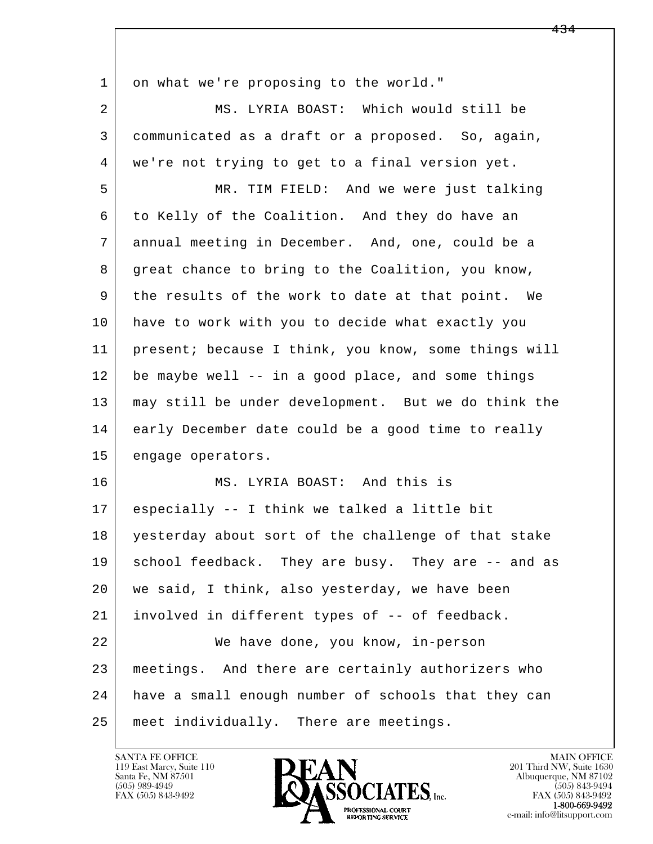| 1  | on what we're proposing to the world."               |
|----|------------------------------------------------------|
| 2  | MS. LYRIA BOAST: Which would still be                |
| 3  | communicated as a draft or a proposed. So, again,    |
| 4  | we're not trying to get to a final version yet.      |
| 5  | MR. TIM FIELD: And we were just talking              |
| 6  | to Kelly of the Coalition. And they do have an       |
| 7  | annual meeting in December. And, one, could be a     |
| 8  | great chance to bring to the Coalition, you know,    |
| 9  | the results of the work to date at that point. We    |
| 10 | have to work with you to decide what exactly you     |
| 11 | present; because I think, you know, some things will |
| 12 | be maybe well -- in a good place, and some things    |
| 13 | may still be under development. But we do think the  |
| 14 | early December date could be a good time to really   |
| 15 | engage operators.                                    |
| 16 | MS. LYRIA BOAST: And this is                         |
| 17 | especially -- I think we talked a little bit         |
| 18 | yesterday about sort of the challenge of that stake  |
| 19 | school feedback. They are busy. They are -- and as   |
| 20 | we said, I think, also yesterday, we have been       |
| 21 | involved in different types of -- of feedback.       |
| 22 | We have done, you know, in-person                    |
| 23 | meetings. And there are certainly authorizers who    |
| 24 | have a small enough number of schools that they can  |
| 25 | meet individually. There are meetings.               |

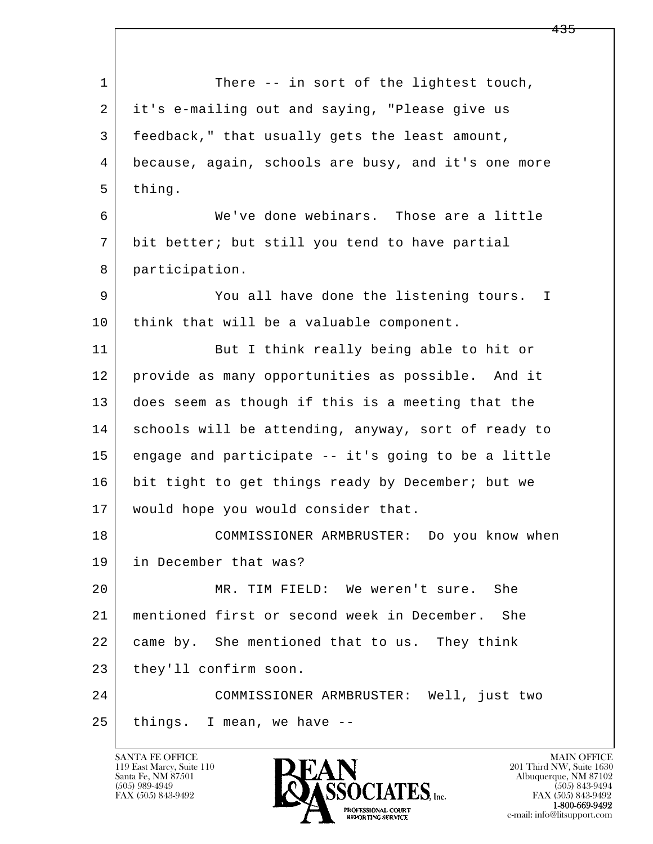l  $\overline{\phantom{a}}$ 1 There -- in sort of the lightest touch, 2 it's e-mailing out and saying, "Please give us 3 feedback," that usually gets the least amount, 4 because, again, schools are busy, and it's one more 5 thing. 6 We've done webinars. Those are a little 7 bit better; but still you tend to have partial 8 participation. 9 You all have done the listening tours. I 10 | think that will be a valuable component. 11 But I think really being able to hit or 12 provide as many opportunities as possible. And it 13 does seem as though if this is a meeting that the 14 schools will be attending, anyway, sort of ready to 15 engage and participate -- it's going to be a little 16 bit tight to get things ready by December; but we 17 would hope you would consider that. 18 COMMISSIONER ARMBRUSTER: Do you know when 19 in December that was? 20 MR. TIM FIELD: We weren't sure. She 21 mentioned first or second week in December. She 22 came by. She mentioned that to us. They think 23 they'll confirm soon. 24 COMMISSIONER ARMBRUSTER: Well, just two  $25$  things. I mean, we have  $-$ 

119 East Marcy, Suite 110<br>Santa Fe, NM 87501

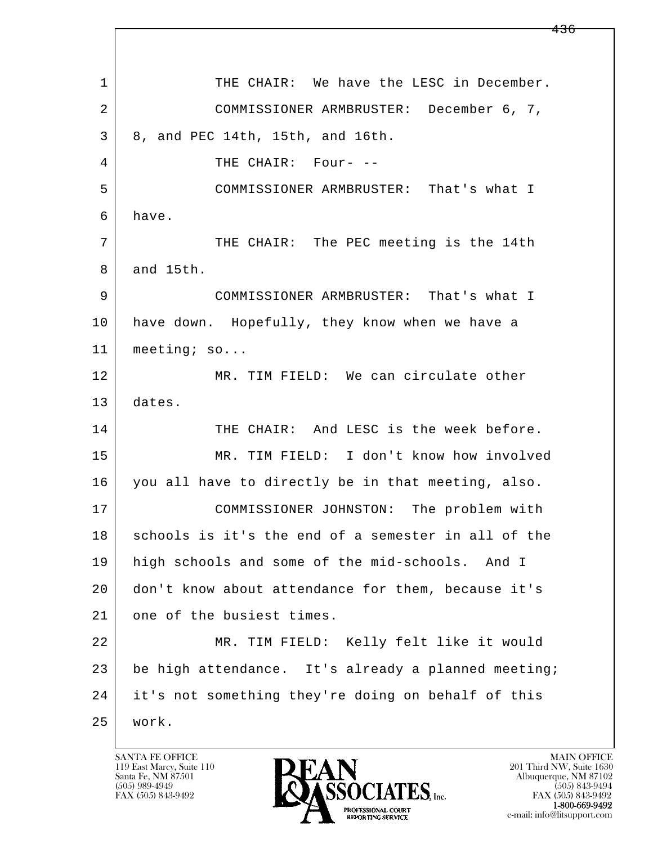l  $\overline{\phantom{a}}$ 1 THE CHAIR: We have the LESC in December. 2 COMMISSIONER ARMBRUSTER: December 6, 7, 3 8, and PEC 14th, 15th, and 16th. 4 THE CHAIR: Four- -- 5 COMMISSIONER ARMBRUSTER: That's what I 6 have. 7 THE CHAIR: The PEC meeting is the 14th 8 and 15th. 9 COMMISSIONER ARMBRUSTER: That's what I 10 have down. Hopefully, they know when we have a 11 | meeting; so... 12 MR. TIM FIELD: We can circulate other 13 dates. 14 THE CHAIR: And LESC is the week before. 15 MR. TIM FIELD: I don't know how involved 16 you all have to directly be in that meeting, also. 17 COMMISSIONER JOHNSTON: The problem with 18 schools is it's the end of a semester in all of the 19 high schools and some of the mid-schools. And I 20 don't know about attendance for them, because it's 21 one of the busiest times. 22 MR. TIM FIELD: Kelly felt like it would 23 be high attendance. It's already a planned meeting; 24 it's not something they're doing on behalf of this 25 work.

119 East Marcy, Suite 110<br>Santa Fe, NM 87501

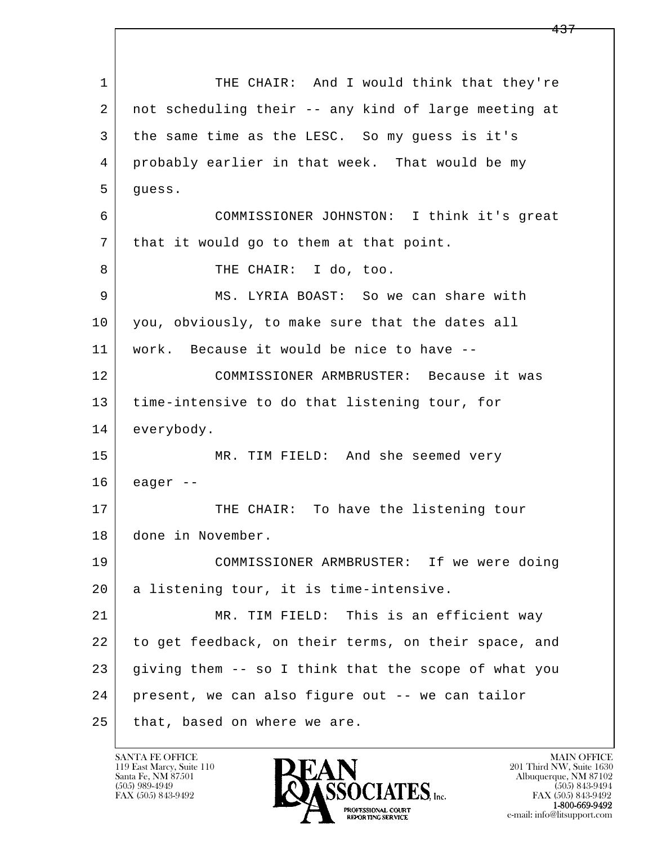l  $\overline{\phantom{a}}$ 1 THE CHAIR: And I would think that they're 2 not scheduling their -- any kind of large meeting at 3 the same time as the LESC. So my guess is it's 4 probably earlier in that week. That would be my  $5$  quess. 6 COMMISSIONER JOHNSTON: I think it's great 7 | that it would go to them at that point. 8 THE CHAIR: I do, too. 9 MS. LYRIA BOAST: So we can share with 10 you, obviously, to make sure that the dates all 11 work. Because it would be nice to have -- 12 COMMISSIONER ARMBRUSTER: Because it was 13 time-intensive to do that listening tour, for 14 everybody. 15 MR. TIM FIELD: And she seemed very  $16$  eager  $-$ 17 THE CHAIR: To have the listening tour 18 done in November. 19 COMMISSIONER ARMBRUSTER: If we were doing 20 a listening tour, it is time-intensive. 21 MR. TIM FIELD: This is an efficient way 22 to get feedback, on their terms, on their space, and  $23$  giving them  $-$  so I think that the scope of what you 24 present, we can also figure out -- we can tailor 25 that, based on where we are.

119 East Marcy, Suite 110<br>Santa Fe, NM 87501

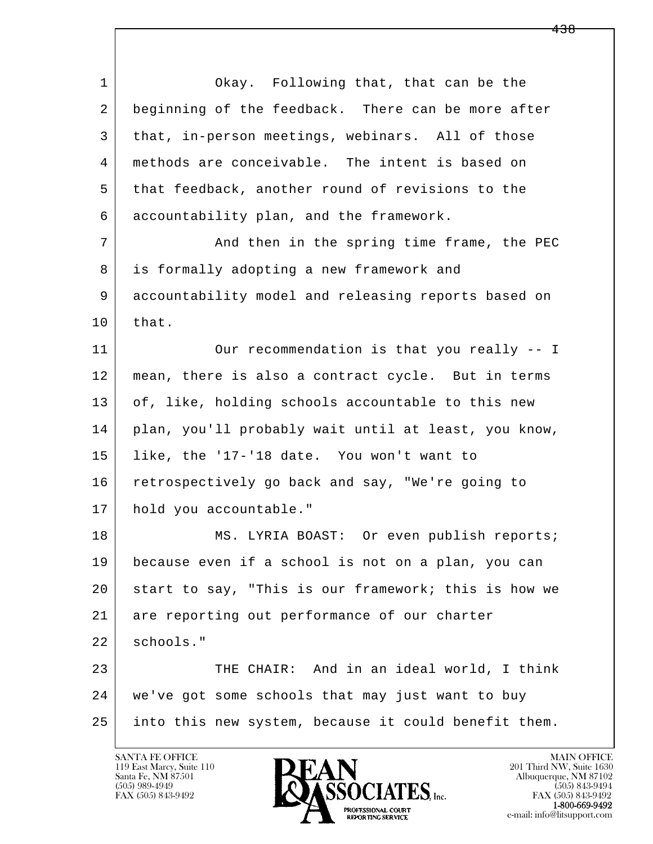| $\mathbf{1}$ | Okay. Following that, that can be the                |
|--------------|------------------------------------------------------|
| 2            | beginning of the feedback. There can be more after   |
| 3            | that, in-person meetings, webinars. All of those     |
| 4            | methods are conceivable. The intent is based on      |
| 5            | that feedback, another round of revisions to the     |
| 6            | accountability plan, and the framework.              |
| 7            | And then in the spring time frame, the PEC           |
| 8            | is formally adopting a new framework and             |
| 9            | accountability model and releasing reports based on  |
| 10           | that.                                                |
| 11           | Our recommendation is that you really -- I           |
| 12           | mean, there is also a contract cycle. But in terms   |
| 13           | of, like, holding schools accountable to this new    |
| 14           | plan, you'll probably wait until at least, you know, |
| 15           | like, the '17-'18 date. You won't want to            |
| 16           | retrospectively go back and say, "We're going to     |
| 17           | hold you accountable."                               |
| 18           | MS. LYRIA BOAST: Or even publish reports;            |
| 19           | because even if a school is not on a plan, you can   |
| 20           | start to say, "This is our framework; this is how we |
| 21           | are reporting out performance of our charter         |
| 22           | schools."                                            |
| 23           | THE CHAIR: And in an ideal world, I think            |
| 24           | we've got some schools that may just want to buy     |
| 25           | into this new system, because it could benefit them. |
|              |                                                      |

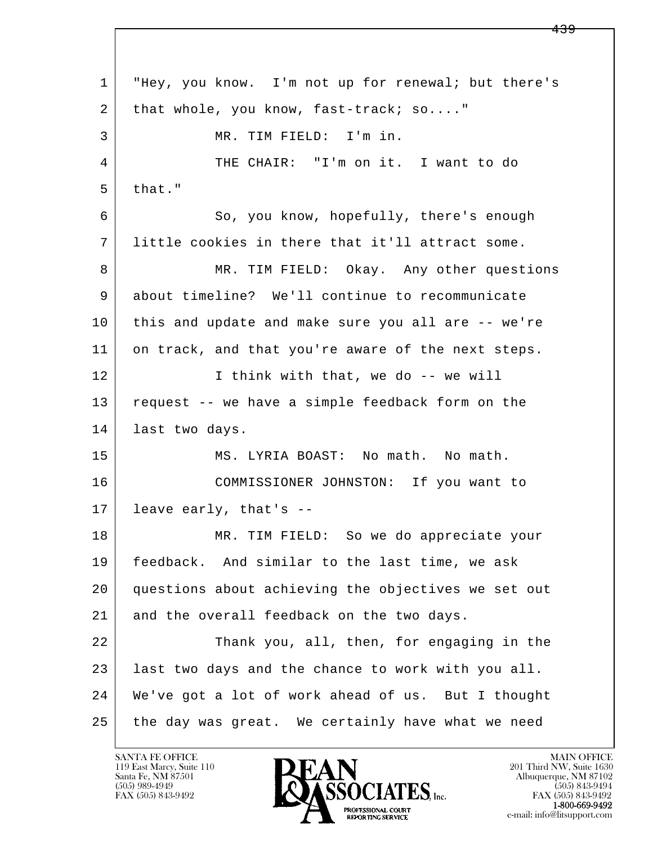l  $\overline{\phantom{a}}$  1 "Hey, you know. I'm not up for renewal; but there's 2 that whole, you know, fast-track; so...." 3 MR. TIM FIELD: I'm in. 4 THE CHAIR: "I'm on it. I want to do  $5$  that." 6 So, you know, hopefully, there's enough 7 little cookies in there that it'll attract some. 8 MR. TIM FIELD: Okay. Any other questions 9 about timeline? We'll continue to recommunicate 10 this and update and make sure you all are -- we're 11 on track, and that you're aware of the next steps. 12 I think with that, we do -- we will 13 request -- we have a simple feedback form on the 14 last two days. 15 MS. LYRIA BOAST: No math. No math. 16 COMMISSIONER JOHNSTON: If you want to 17 leave early, that's -- 18 MR. TIM FIELD: So we do appreciate your 19 | feedback. And similar to the last time, we ask 20 questions about achieving the objectives we set out 21 and the overall feedback on the two days. 22 Thank you, all, then, for engaging in the 23 | last two days and the chance to work with you all. 24 We've got a lot of work ahead of us. But I thought 25 the day was great. We certainly have what we need

119 East Marcy, Suite 110<br>Santa Fe, NM 87501

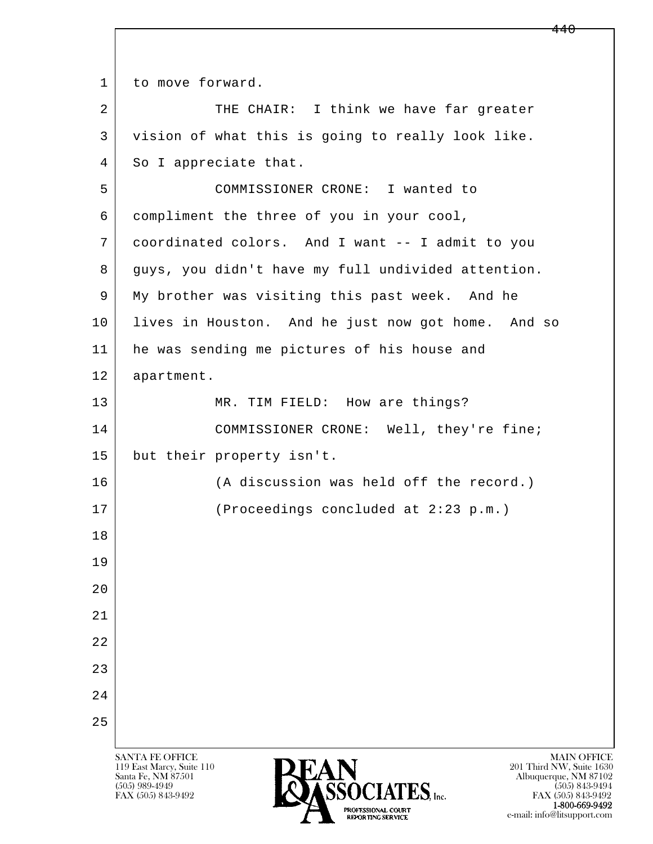l  $\overline{\phantom{a}}$ SANTA FE OFFICE MAIN OFFICE MAIN OFFICE MAIN OFFICE MAIN OFFICE 1 to move forward. 2 | THE CHAIR: I think we have far greater 3 vision of what this is going to really look like. 4 So I appreciate that. 5 COMMISSIONER CRONE: I wanted to 6 compliment the three of you in your cool, 7 coordinated colors. And I want -- I admit to you 8 guys, you didn't have my full undivided attention. 9 My brother was visiting this past week. And he 10 lives in Houston. And he just now got home. And so 11 he was sending me pictures of his house and 12 apartment. 13 MR. TIM FIELD: How are things? 14 COMMISSIONER CRONE: Well, they're fine; 15 but their property isn't. 16 (A discussion was held off the record.) 17 (Proceedings concluded at 2:23 p.m.) 18 19  $2.0$  21 22 23 24 25

119 East Marcy, Suite 110<br>Santa Fe, NM 87501



FAX (505) 843-9492 FAX (505) 843-9492 e-mail: info@litsupport.com